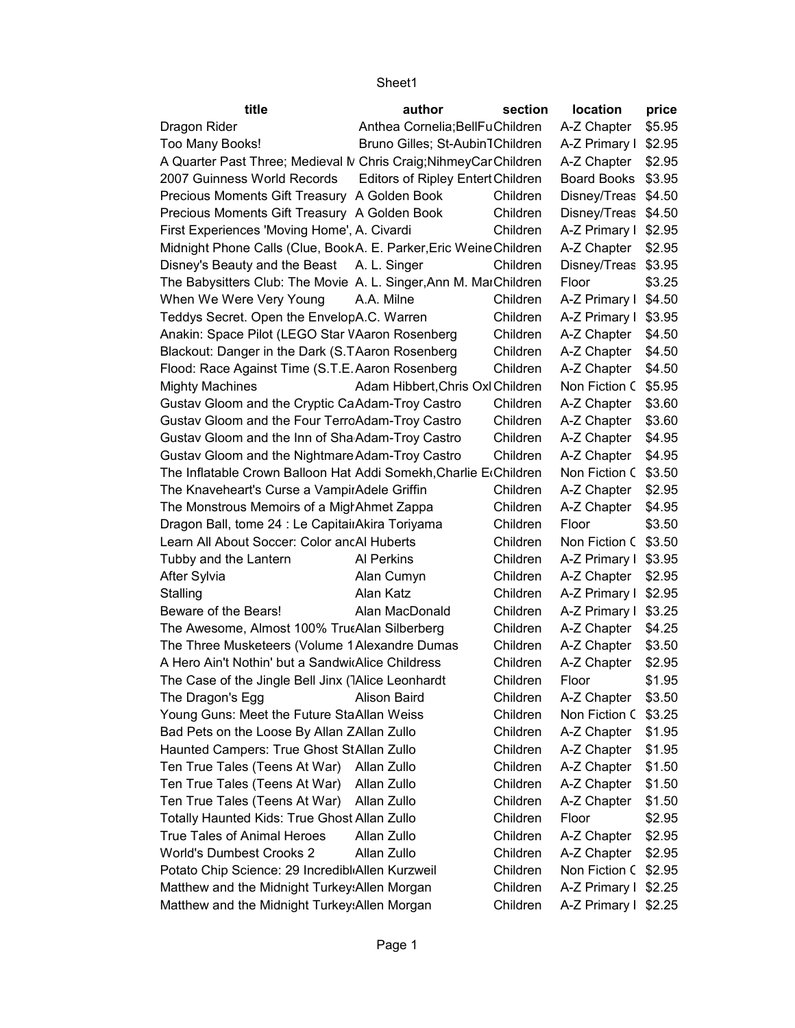| title                                                             | author                            | section  | location             | price  |
|-------------------------------------------------------------------|-----------------------------------|----------|----------------------|--------|
| Dragon Rider                                                      | Anthea Cornelia; Bell Fu Children |          | A-Z Chapter          | \$5.95 |
| Too Many Books!                                                   | Bruno Gilles; St-Aubin TChildren  |          | A-Z Primary I \$2.95 |        |
| A Quarter Past Three; Medieval N Chris Craig; Nihmey Car Children |                                   |          | A-Z Chapter   \$2.95 |        |
| 2007 Guinness World Records                                       | Editors of Ripley Entert Children |          | Board Books \$3.95   |        |
| Precious Moments Gift Treasury A Golden Book                      |                                   | Children | Disney/Treas \$4.50  |        |
| Precious Moments Gift Treasury A Golden Book                      |                                   | Children | Disney/Treas \$4.50  |        |
| First Experiences 'Moving Home', A. Civardi                       |                                   | Children | A-Z Primary I \$2.95 |        |
| Midnight Phone Calls (Clue, BookA. E. Parker, Eric Weine Children |                                   |          | A-Z Chapter   \$2.95 |        |
| Disney's Beauty and the Beast A. L. Singer                        |                                   | Children | Disney/Treas \$3.95  |        |
| The Babysitters Club: The Movie A. L. Singer, Ann M. MarChildren  |                                   |          | Floor                | \$3.25 |
| When We Were Very Young                                           | A.A. Milne                        | Children | A-Z Primary I \$4.50 |        |
| Teddys Secret. Open the EnvelopA.C. Warren                        |                                   | Children | A-Z Primary I \$3.95 |        |
| Anakin: Space Pilot (LEGO Star VAaron Rosenberg                   |                                   | Children | A-Z Chapter   \$4.50 |        |
| Blackout: Danger in the Dark (S.TAaron Rosenberg                  |                                   | Children | A-Z Chapter          | \$4.50 |
| Flood: Race Against Time (S.T.E. Aaron Rosenberg                  |                                   | Children | A-Z Chapter          | \$4.50 |
| <b>Mighty Machines</b>                                            | Adam Hibbert, Chris Oxl Children  |          | Non Fiction C \$5.95 |        |
| Gustav Gloom and the Cryptic CaAdam-Troy Castro                   |                                   | Children | A-Z Chapter          | \$3.60 |
| Gustav Gloom and the Four TerroAdam-Troy Castro                   |                                   | Children | A-Z Chapter          | \$3.60 |
| Gustav Gloom and the Inn of Sha Adam-Troy Castro                  |                                   | Children | A-Z Chapter          | \$4.95 |
| Gustav Gloom and the Nightmare Adam-Troy Castro                   |                                   | Children | A-Z Chapter          | \$4.95 |
| The Inflatable Crown Balloon Hat Addi Somekh, Charlie Erchildren  |                                   |          | Non Fiction C \$3.50 |        |
| The Knaveheart's Curse a VampirAdele Griffin                      |                                   | Children | A-Z Chapter          | \$2.95 |
| The Monstrous Memoirs of a Migl Ahmet Zappa                       |                                   | Children | A-Z Chapter          | \$4.95 |
| Dragon Ball, tome 24 : Le CapitainAkira Toriyama                  |                                   | Children | Floor                | \$3.50 |
| Learn All About Soccer: Color ancAl Huberts                       |                                   | Children | Non Fiction C \$3.50 |        |
| Tubby and the Lantern                                             | Al Perkins                        | Children | A-Z Primary I \$3.95 |        |
| After Sylvia                                                      | Alan Cumyn                        | Children | A-Z Chapter   \$2.95 |        |
| Stalling                                                          | Alan Katz                         | Children | A-Z Primary I \$2.95 |        |
| Beware of the Bears!                                              | Alan MacDonald                    | Children | A-Z Primary I \$3.25 |        |
| The Awesome, Almost 100% TrutAlan Silberberg                      |                                   | Children | A-Z Chapter   \$4.25 |        |
| The Three Musketeers (Volume 1 Alexandre Dumas                    |                                   | Children | A-Z Chapter          | \$3.50 |
| A Hero Ain't Nothin' but a SandwicAlice Childress                 |                                   | Children | A-Z Chapter          | \$2.95 |
| The Case of the Jingle Bell Jinx (TAlice Leonhardt                |                                   | Children | Floor                | \$1.95 |
| The Dragon's Egg                                                  | Alison Baird                      | Children | A-Z Chapter   \$3.50 |        |
| Young Guns: Meet the Future StaAllan Weiss                        |                                   | Children | Non Fiction C \$3.25 |        |
| Bad Pets on the Loose By Allan ZAllan Zullo                       |                                   | Children | A-Z Chapter          | \$1.95 |
| Haunted Campers: True Ghost StAllan Zullo                         |                                   | Children | A-Z Chapter          | \$1.95 |
| Ten True Tales (Teens At War)                                     | Allan Zullo                       | Children | A-Z Chapter          | \$1.50 |
| Ten True Tales (Teens At War)                                     | Allan Zullo                       | Children | A-Z Chapter          | \$1.50 |
| Ten True Tales (Teens At War)                                     | Allan Zullo                       | Children | A-Z Chapter          | \$1.50 |
| Totally Haunted Kids: True Ghost Allan Zullo                      |                                   | Children | Floor                | \$2.95 |
| <b>True Tales of Animal Heroes</b>                                | Allan Zullo                       | Children | A-Z Chapter          | \$2.95 |
| <b>World's Dumbest Crooks 2</b>                                   | Allan Zullo                       | Children | A-Z Chapter          | \$2.95 |
| Potato Chip Science: 29 Incredibl Allen Kurzweil                  |                                   | Children | Non Fiction C \$2.95 |        |
| Matthew and the Midnight Turkey: Allen Morgan                     |                                   | Children | A-Z Primary I \$2.25 |        |
| Matthew and the Midnight Turkey: Allen Morgan                     |                                   | Children | A-Z Primary I \$2.25 |        |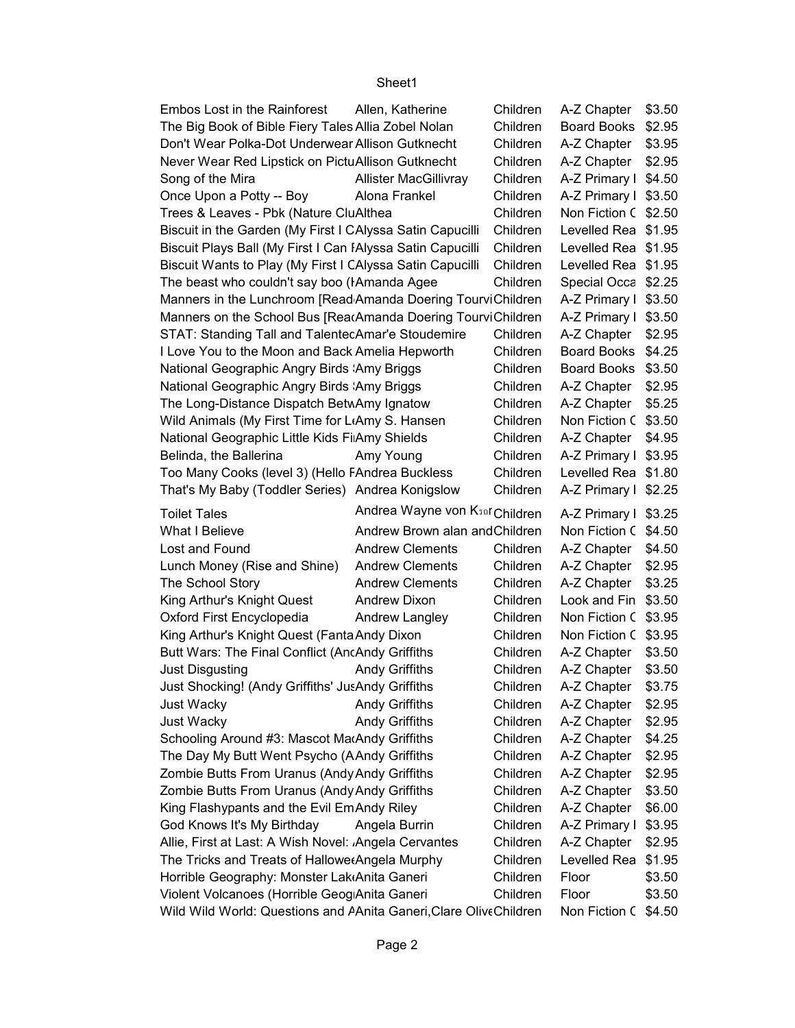| Embos Lost in the Rainforest                                       | Allen, Katherine                            | Children | A-Z Chapter          | \$3.50 |
|--------------------------------------------------------------------|---------------------------------------------|----------|----------------------|--------|
| The Big Book of Bible Fiery Tales Allia Zobel Nolan                |                                             | Children | <b>Board Books</b>   | \$2.95 |
| Don't Wear Polka-Dot Underwear Allison Gutknecht                   |                                             | Children | A-Z Chapter          | \$3.95 |
| Never Wear Red Lipstick on PictuAllison Gutknecht                  |                                             | Children | A-Z Chapter          | \$2.95 |
| Song of the Mira                                                   | <b>Allister MacGillivray</b>                | Children | A-Z Primary I \$4.50 |        |
| Once Upon a Potty -- Boy                                           | Alona Frankel                               | Children | A-Z Primary I \$3.50 |        |
| Trees & Leaves - Pbk (Nature CluAlthea                             |                                             | Children | Non Fiction C \$2.50 |        |
| Biscuit in the Garden (My First I CAlyssa Satin Capucilli          |                                             | Children | Levelled Rea \$1.95  |        |
| Biscuit Plays Ball (My First I Can IAlyssa Satin Capucilli         |                                             | Children | Levelled Rea \$1.95  |        |
| Biscuit Wants to Play (My First I CAlyssa Satin Capucilli          |                                             | Children | Levelled Rea \$1.95  |        |
| The beast who couldn't say boo (IAmanda Agee                       |                                             | Children | Special Occa \$2.25  |        |
| Manners in the Lunchroom [Read Amanda Doering TourviChildren       |                                             |          | A-Z Primary I \$3.50 |        |
| Manners on the School Bus [ReatAmanda Doering TourviChildren       |                                             |          | A-Z Primary I        | \$3.50 |
| STAT: Standing Tall and TalentecAmar'e Stoudemire                  |                                             | Children | A-Z Chapter          | \$2.95 |
| I Love You to the Moon and Back Amelia Hepworth                    |                                             | Children | <b>Board Books</b>   | \$4.25 |
| National Geographic Angry Birds Amy Briggs                         |                                             | Children | <b>Board Books</b>   | \$3.50 |
| National Geographic Angry Birds Amy Briggs                         |                                             | Children | A-Z Chapter          | \$2.95 |
| The Long-Distance Dispatch BetwAmy Ignatow                         |                                             | Children | A-Z Chapter          | \$5.25 |
| Wild Animals (My First Time for LAmy S. Hansen                     |                                             | Children | Non Fiction C \$3.50 |        |
| National Geographic Little Kids FilAmy Shields                     |                                             | Children | A-Z Chapter          | \$4.95 |
| Belinda, the Ballerina                                             | Amy Young                                   | Children | A-Z Primary I \$3.95 |        |
| Too Many Cooks (level 3) (Hello FAndrea Buckless                   |                                             | Children | Levelled Rea \$1.80  |        |
| That's My Baby (Toddler Series) Andrea Konigslow                   |                                             | Children | A-Z Primary I \$2.25 |        |
| <b>Toilet Tales</b>                                                | Andrea Wayne von K <sub>50</sub> r Children |          | A-Z Primary I \$3.25 |        |
| What I Believe                                                     | Andrew Brown alan and Children              |          | Non Fiction C \$4.50 |        |
| Lost and Found                                                     | <b>Andrew Clements</b>                      | Children | A-Z Chapter          | \$4.50 |
| Lunch Money (Rise and Shine)                                       | <b>Andrew Clements</b>                      | Children | A-Z Chapter          | \$2.95 |
| The School Story                                                   | <b>Andrew Clements</b>                      | Children | A-Z Chapter          | \$3.25 |
| King Arthur's Knight Quest                                         | <b>Andrew Dixon</b>                         | Children | Look and Fin         | \$3.50 |
| Oxford First Encyclopedia                                          | Andrew Langley                              | Children | Non Fiction C        | \$3.95 |
| King Arthur's Knight Quest (Fanta Andy Dixon                       |                                             | Children | Non Fiction C \$3.95 |        |
| Butt Wars: The Final Conflict (AncAndy Griffiths                   |                                             | Children | A-Z Chapter          | \$3.50 |
| Just Disgusting                                                    | <b>Andy Griffiths</b>                       | Children | A-Z Chapter          | \$3.50 |
| Just Shocking! (Andy Griffiths' JusAndy Griffiths                  |                                             | Children | A-Z Chapter          | \$3.75 |
| Just Wacky                                                         | <b>Andy Griffiths</b>                       | Children | A-Z Chapter          | \$2.95 |
| Just Wacky                                                         | <b>Andy Griffiths</b>                       | Children | A-Z Chapter          | \$2.95 |
| Schooling Around #3: Mascot MarAndy Griffiths                      |                                             | Children | A-Z Chapter          | \$4.25 |
| The Day My Butt Went Psycho (AAndy Griffiths                       |                                             | Children | A-Z Chapter          | \$2.95 |
| Zombie Butts From Uranus (Andy Andy Griffiths                      |                                             | Children | A-Z Chapter          | \$2.95 |
| Zombie Butts From Uranus (Andy Andy Griffiths                      |                                             | Children | A-Z Chapter          | \$3.50 |
| King Flashypants and the Evil EmAndy Riley                         |                                             | Children | A-Z Chapter          | \$6.00 |
| God Knows It's My Birthday                                         | Angela Burrin                               | Children | A-Z Primary I        | \$3.95 |
| Allie, First at Last: A Wish Novel: Angela Cervantes               |                                             | Children | A-Z Chapter          | \$2.95 |
| The Tricks and Treats of Hallowe(Angela Murphy                     |                                             | Children | Levelled Rea         | \$1.95 |
| Horrible Geography: Monster Lak Anita Ganeri                       |                                             | Children | Floor                | \$3.50 |
| Violent Volcanoes (Horrible Geog Anita Ganeri                      |                                             | Children | Floor                | \$3.50 |
| Wild Wild World: Questions and AAnita Ganeri, Clare Olive Children |                                             |          | Non Fiction C \$4.50 |        |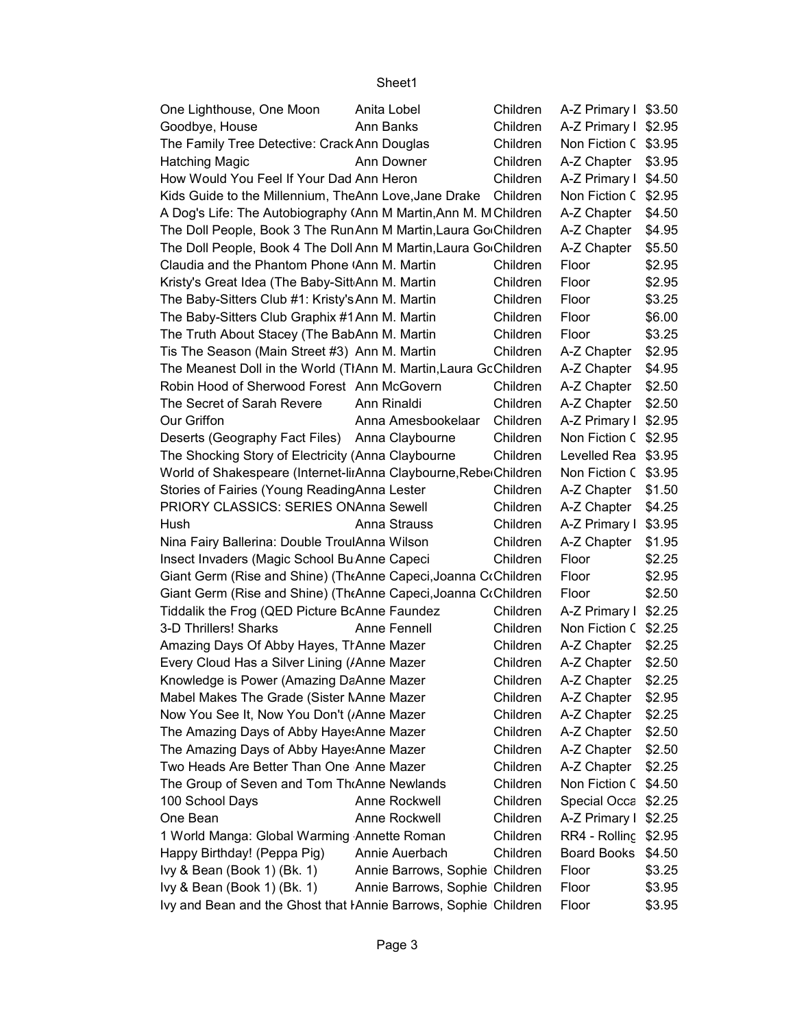#### A-Z Primary I \$3.50 Goodbye, House **Ann Banks** Children A-Z Primary I \$2.95 Non Fiction C \$3.95 Hatching Magic **Ann Downer** Children A-Z Chapter 93.95 A-Z Primary I \$4.50 Non Fiction C \$2.95  $A-Z$  Chapter  $\mid$  \$4.50 A-Z Chapter | \$4.95  $A-Z$  Chapter  $\$5.50$ \$2.95 \$2.95 \$3.25 \$6.00 \$3.25 A-Z Chapter | \$2.95  $A-Z$  Chapter  $\mid$  \$4.95  $A-Z$  Chapter  $\sqrt{ }$  \$2.50  $A-Z$  Chapter  $\parallel$  \$2.50 A-Z Primary I \$2.95 Non Fiction C \$2.95 Levelled Rea \$3.95 Non Fiction C \$3.95  $A-Z$  Chapter  $\mid$  \$1.50 PRIORY CLASSICS: SERIES ONAnna Sewell **Children** Hush **Anna Strauss Children A-Z Primary I** \$3.95 A-Z Chapter | \$1.95 \$2.25 \$2.95 \$2.50 A-Z Primary I \$2.25 3-D Thrillers! Sharks **Anne Fennell** Children Non Fiction C \$2.25 A-Z Chapter | \$2.25 A-Z Chapter | \$2.50 A-Z Chapter | \$2.25 A-Z Chapter | \$2.95 A-Z Chapter | \$2.25  $A-Z$  Chapter  $\sqrt{ }$  \$2.50  $A-Z$  Chapter  $\sqrt{ }$  \$2.50 A-Z Chapter | \$2.25 Non Fiction C \$4.50 100 School Days **Anne Rockwell** Children Special Occa \$2.25 One Bean **Anne Rockwell** Children A-Z Primary I \$2.25 RR4 - Rolling \$2.95 Board Books \$4.50 \$3.25 \$3.95 \$3.95 One Lighthouse, One Moon Anita Lobel Children The Family Tree Detective: Crack Ann Douglas Children How Would You Feel If Your Dad Ann Heron Children Kids Guide to the Millennium, TheAnn Love, Jane Drake Children A Dog's Life: The Autobiography (Ann M Martin,Ann M. M Children The Doll People, Book 3 The RunAnn M Martin,Laura GooChildren The Doll People, Book 4 The Doll Ann M Martin, Laura GooChildren Claudia and the Phantom Phone (Ann M. Martin Children Floor Kristy's Great Idea (The Baby-SittAnn M. Martin Children Floor The Baby-Sitters Club #1: Kristy's Ann M. Martin Children Floor The Baby-Sitters Club Graphix #1 Ann M. Martin Children Floor The Truth About Stacey (The BabAnn M. Martin Children Floor Tis The Season (Main Street #3) Ann M. Martin Children The Meanest Doll in the World (TIAnn M. Martin, Laura GoChildren Robin Hood of Sherwood Forest Ann McGovern Children The Secret of Sarah Revere Ann Rinaldi Children Our Griffon **A-Z Primary Books Anna Amesbookelaar** Children Deserts (Geography Fact Files) Anna Claybourne Children The Shocking Story of Electricity (Anna Claybourne Children World of Shakespeare (Internet-linAnna Claybourne, ReberChildren Stories of Fairies (Young Reading Anna Lester Children Children A-Z Chapter  $$4.25$ Nina Fairy Ballerina: Double TroulAnna Wilson Children Insect Invaders (Magic School Bu Anne Capeci Children Floor Giant Germ (Rise and Shine) (The Anne Capeci, Joanna Cochildren Floor Giant Germ (Rise and Shine) (The Anne Capeci, Joanna Cochildren Floor Tiddalik the Frog (QED Picture BcAnne Faundez Children Amazing Days Of Abby Hayes, TrAnne Mazer Children Every Cloud Has a Silver Lining (Anne Mazer Children A-Z Children Knowledge is Power (Amazing DaAnne Mazer Super Schildren Super Special, No. 2) Anne Mazer Mabel Makes The Grade (Sister NAnne Mazer Children Now You See It, Now You Don't (Anne Mazer Children A-Z Children The Amazing Days of Abby Hayes, Anne Mazer Children Children The Amazing Days of Abby Haye: Anne Mazer **5 Look Book Book Book Book** Children Two Heads Are Better Than One Anne Mazer **Children** The Group of Seven and Tom Tho Anne Newlands Children 1 World Manga: Global Warming Annette Roman Children Happy Birthday! (Peppa Pig) Annie Auerbach Children Ivy & Bean (Book 1) (Bk. 1) Annie Barrows, Sophie Children Floor Ivy & Bean (Book 1) (Bk. 1) Annie Barrows, Sophie Children Floor Ivy and Bean and the Ghost that HAnnie Barrows, Sophie Children Floor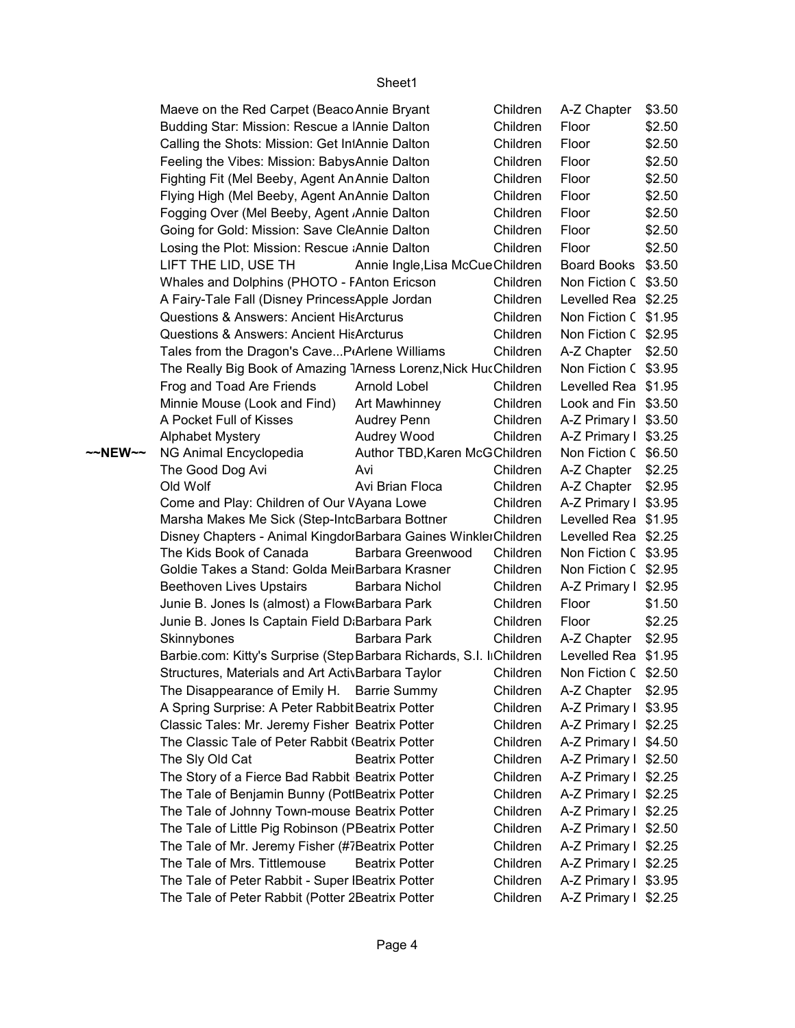|         | Maeve on the Red Carpet (Beaco Annie Bryant                          |                                  | Children | A-Z Chapter          | \$3.50 |
|---------|----------------------------------------------------------------------|----------------------------------|----------|----------------------|--------|
|         | Budding Star: Mission: Rescue a Annie Dalton                         |                                  | Children | Floor                | \$2.50 |
|         | Calling the Shots: Mission: Get In Annie Dalton                      |                                  | Children | Floor                | \$2.50 |
|         | Feeling the Vibes: Mission: BabysAnnie Dalton                        |                                  | Children | Floor                | \$2.50 |
|         | Fighting Fit (Mel Beeby, Agent An Annie Dalton                       |                                  | Children | Floor                | \$2.50 |
|         | Flying High (Mel Beeby, Agent AnAnnie Dalton                         |                                  | Children | Floor                | \$2.50 |
|         | Fogging Over (Mel Beeby, Agent Annie Dalton                          |                                  | Children | Floor                | \$2.50 |
|         | Going for Gold: Mission: Save CleAnnie Dalton                        |                                  | Children | Floor                | \$2.50 |
|         | Losing the Plot: Mission: Rescue Annie Dalton                        |                                  | Children | Floor                | \$2.50 |
|         | LIFT THE LID, USE TH                                                 | Annie Ingle, Lisa McCue Children |          | Board Books \$3.50   |        |
|         | Whales and Dolphins (PHOTO - FAnton Ericson                          |                                  | Children | Non Fiction C \$3.50 |        |
|         | A Fairy-Tale Fall (Disney PrincessApple Jordan                       |                                  | Children | Levelled Rea \$2.25  |        |
|         | <b>Questions &amp; Answers: Ancient HisArcturus</b>                  |                                  | Children | Non Fiction C \$1.95 |        |
|         | <b>Questions &amp; Answers: Ancient HisArcturus</b>                  |                                  | Children | Non Fiction C \$2.95 |        |
|         | Tales from the Dragon's CaveP(Arlene Williams                        |                                  | Children | A-Z Chapter   \$2.50 |        |
|         | The Really Big Book of Amazing 1Arness Lorenz, Nick HucChildren      |                                  |          | Non Fiction C \$3.95 |        |
|         | Frog and Toad Are Friends                                            | Arnold Lobel                     | Children | Levelled Rea \$1.95  |        |
|         | Minnie Mouse (Look and Find)                                         | Art Mawhinney                    | Children | Look and Fin \$3.50  |        |
|         | A Pocket Full of Kisses                                              | Audrey Penn                      | Children | A-Z Primary I \$3.50 |        |
|         | <b>Alphabet Mystery</b>                                              | Audrey Wood                      | Children | A-Z Primary I \$3.25 |        |
| ~~NEW~~ | NG Animal Encyclopedia                                               | Author TBD, Karen McGChildren    |          | Non Fiction C \$6.50 |        |
|         | The Good Dog Avi                                                     | Avi                              | Children | A-Z Chapter   \$2.25 |        |
|         | Old Wolf                                                             | Avi Brian Floca                  | Children | A-Z Chapter   \$2.95 |        |
|         | Come and Play: Children of Our VAyana Lowe                           |                                  | Children | A-Z Primary I \$3.95 |        |
|         | Marsha Makes Me Sick (Step-IntcBarbara Bottner                       |                                  | Children | Levelled Rea \$1.95  |        |
|         | Disney Chapters - Animal KingdorBarbara Gaines WinklerChildren       |                                  |          | Levelled Rea \$2.25  |        |
|         | The Kids Book of Canada                                              | Barbara Greenwood                | Children | Non Fiction C \$3.95 |        |
|         | Goldie Takes a Stand: Golda MeiıBarbara Krasner                      |                                  | Children | Non Fiction C \$2.95 |        |
|         | <b>Beethoven Lives Upstairs</b>                                      | Barbara Nichol                   | Children | A-Z Primary I \$2.95 |        |
|         | Junie B. Jones Is (almost) a Flow Barbara Park                       |                                  | Children | Floor                | \$1.50 |
|         | Junie B. Jones Is Captain Field D:Barbara Park                       |                                  | Children | Floor                | \$2.25 |
|         | Skinnybones                                                          | Barbara Park                     | Children | A-Z Chapter   \$2.95 |        |
|         | Barbie.com: Kitty's Surprise (Step Barbara Richards, S.I. liChildren |                                  |          | Levelled Rea \$1.95  |        |
|         | Structures, Materials and Art ActivBarbara Taylor                    |                                  | Children | Non Fiction C \$2.50 |        |
|         | The Disappearance of Emily H. Barrie Summy                           |                                  | Children | A-Z Chapter   \$2.95 |        |
|         | A Spring Surprise: A Peter Rabbit Beatrix Potter                     |                                  | Children | A-Z Primary I \$3.95 |        |
|         | Classic Tales: Mr. Jeremy Fisher Beatrix Potter                      |                                  | Children | A-Z Primary I \$2.25 |        |
|         | The Classic Tale of Peter Rabbit (Beatrix Potter                     |                                  | Children | A-Z Primary I \$4.50 |        |
|         | The Sly Old Cat                                                      | <b>Beatrix Potter</b>            | Children | A-Z Primary I \$2.50 |        |
|         | The Story of a Fierce Bad Rabbit Beatrix Potter                      |                                  | Children | A-Z Primary I \$2.25 |        |
|         | The Tale of Benjamin Bunny (PotlBeatrix Potter                       |                                  | Children | A-Z Primary I \$2.25 |        |
|         | The Tale of Johnny Town-mouse Beatrix Potter                         |                                  | Children | A-Z Primary I \$2.25 |        |
|         | The Tale of Little Pig Robinson (PBeatrix Potter                     |                                  | Children | A-Z Primary I \$2.50 |        |
|         | The Tale of Mr. Jeremy Fisher (#7Beatrix Potter                      |                                  | Children | A-Z Primary I \$2.25 |        |
|         | The Tale of Mrs. Tittlemouse                                         | <b>Beatrix Potter</b>            | Children | A-Z Primary I \$2.25 |        |
|         | The Tale of Peter Rabbit - Super IBeatrix Potter                     |                                  | Children | A-Z Primary I \$3.95 |        |
|         | The Tale of Peter Rabbit (Potter 2Beatrix Potter                     |                                  | Children | A-Z Primary I \$2.25 |        |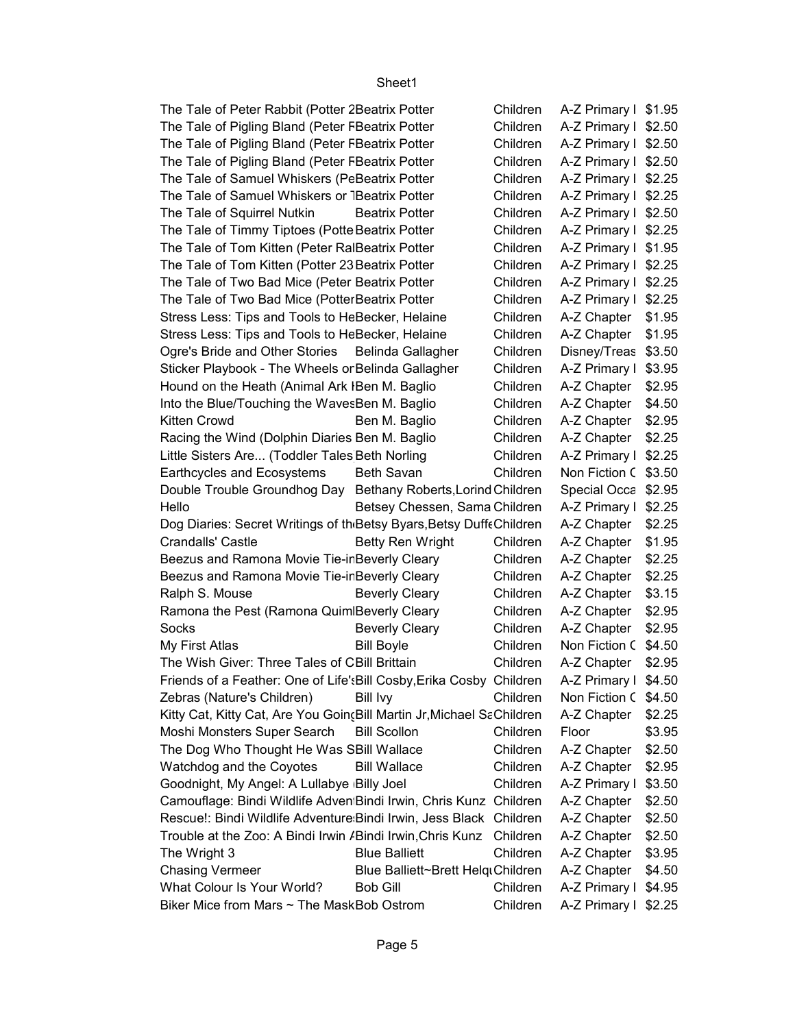| The Tale of Peter Rabbit (Potter 2 Beatrix Potter                                |                                   | Children | A-Z Primary I \$1.95 |        |
|----------------------------------------------------------------------------------|-----------------------------------|----------|----------------------|--------|
| The Tale of Pigling Bland (Peter FBeatrix Potter                                 |                                   | Children | A-Z Primary I \$2.50 |        |
| The Tale of Pigling Bland (Peter FBeatrix Potter                                 |                                   | Children | A-Z Primary I \$2.50 |        |
| The Tale of Pigling Bland (Peter FBeatrix Potter                                 |                                   | Children | A-Z Primary I \$2.50 |        |
| The Tale of Samuel Whiskers (PeBeatrix Potter                                    |                                   | Children | A-Z Primary I        | \$2.25 |
| The Tale of Samuel Whiskers or TBeatrix Potter                                   |                                   | Children | A-Z Primary I        | \$2.25 |
| The Tale of Squirrel Nutkin                                                      | <b>Beatrix Potter</b>             | Children | A-Z Primary I \$2.50 |        |
| The Tale of Timmy Tiptoes (Potte Beatrix Potter                                  |                                   | Children | A-Z Primary I \$2.25 |        |
| The Tale of Tom Kitten (Peter RalBeatrix Potter                                  |                                   | Children | A-Z Primary I \$1.95 |        |
| The Tale of Tom Kitten (Potter 23 Beatrix Potter                                 |                                   | Children | A-Z Primary I        | \$2.25 |
| The Tale of Two Bad Mice (Peter Beatrix Potter                                   |                                   | Children | A-Z Primary I        | \$2.25 |
| The Tale of Two Bad Mice (PotterBeatrix Potter                                   |                                   | Children | A-Z Primary I        | \$2.25 |
| Stress Less: Tips and Tools to HeBecker, Helaine                                 |                                   | Children | A-Z Chapter          | \$1.95 |
| Stress Less: Tips and Tools to HeBecker, Helaine                                 |                                   | Children | A-Z Chapter          | \$1.95 |
| Ogre's Bride and Other Stories                                                   | Belinda Gallagher                 | Children | Disney/Treas         | \$3.50 |
| Sticker Playbook - The Wheels or Belinda Gallagher                               |                                   | Children | A-Z Primary I        | \$3.95 |
| Hound on the Heath (Animal Ark IBen M. Baglio                                    |                                   | Children | A-Z Chapter          | \$2.95 |
| Into the Blue/Touching the WavesBen M. Baglio                                    |                                   | Children | A-Z Chapter          | \$4.50 |
| Kitten Crowd                                                                     | Ben M. Baglio                     | Children | A-Z Chapter          | \$2.95 |
| Racing the Wind (Dolphin Diaries Ben M. Baglio                                   |                                   | Children | A-Z Chapter          | \$2.25 |
| Little Sisters Are (Toddler Tales Beth Norling                                   |                                   | Children | A-Z Primary I        | \$2.25 |
| Earthcycles and Ecosystems                                                       | Beth Savan                        | Children | Non Fiction C        | \$3.50 |
| Double Trouble Groundhog Day Bethany Roberts, Lorind Children                    |                                   |          | Special Occa         | \$2.95 |
| Hello                                                                            | Betsey Chessen, Sama Children     |          | A-Z Primary I        | \$2.25 |
| Dog Diaries: Secret Writings of th <sub>'</sub> Betsy Byars, Betsy DuffeChildren |                                   |          | A-Z Chapter          | \$2.25 |
| <b>Crandalls' Castle</b>                                                         | <b>Betty Ren Wright</b>           | Children | A-Z Chapter          | \$1.95 |
| Beezus and Ramona Movie Tie-in Beverly Cleary                                    |                                   | Children | A-Z Chapter          | \$2.25 |
| Beezus and Ramona Movie Tie-in Beverly Cleary                                    |                                   | Children | A-Z Chapter          | \$2.25 |
| Ralph S. Mouse                                                                   | <b>Beverly Cleary</b>             | Children | A-Z Chapter          | \$3.15 |
| Ramona the Pest (Ramona Quim Beverly Cleary                                      |                                   | Children | A-Z Chapter          | \$2.95 |
| Socks                                                                            | <b>Beverly Cleary</b>             | Children | A-Z Chapter          | \$2.95 |
| My First Atlas                                                                   | <b>Bill Boyle</b>                 | Children | Non Fiction C        | \$4.50 |
| The Wish Giver: Three Tales of CBill Brittain                                    |                                   | Children | A-Z Chapter          | \$2.95 |
| Friends of a Feather: One of Life': Bill Cosby, Erika Cosby Children             |                                   |          | A-Z Primary I \$4.50 |        |
| Zebras (Nature's Children)                                                       | <b>Bill Ivy</b>                   | Children | Non Fiction C \$4.50 |        |
| Kitty Cat, Kitty Cat, Are You Goin(Bill Martin Jr, Michael SaChildren            |                                   |          | A-Z Chapter   \$2.25 |        |
| Moshi Monsters Super Search Bill Scollon                                         |                                   | Children | Floor                | \$3.95 |
| The Dog Who Thought He Was SBill Wallace                                         |                                   | Children | A-Z Chapter          | \$2.50 |
| Watchdog and the Coyotes                                                         | <b>Bill Wallace</b>               | Children | A-Z Chapter          | \$2.95 |
| Goodnight, My Angel: A Lullabye Billy Joel                                       |                                   | Children | A-Z Primary I \$3.50 |        |
| Camouflage: Bindi Wildlife Adven Bindi Irwin, Chris Kunz Children                |                                   |          | A-Z Chapter          | \$2.50 |
| Rescue!: Bindi Wildlife Adventure Bindi Irwin, Jess Black Children               |                                   |          | A-Z Chapter          | \$2.50 |
| Trouble at the Zoo: A Bindi Irwin / Bindi Irwin, Chris Kunz                      |                                   | Children | A-Z Chapter          | \$2.50 |
| The Wright 3                                                                     | <b>Blue Balliett</b>              | Children | A-Z Chapter          | \$3.95 |
| <b>Chasing Vermeer</b>                                                           | Blue Balliett~Brett HelqtChildren |          | A-Z Chapter          | \$4.50 |
| What Colour Is Your World?                                                       | <b>Bob Gill</b>                   | Children | A-Z Primary I \$4.95 |        |
| Biker Mice from Mars ~ The MaskBob Ostrom                                        |                                   | Children | A-Z Primary I \$2.25 |        |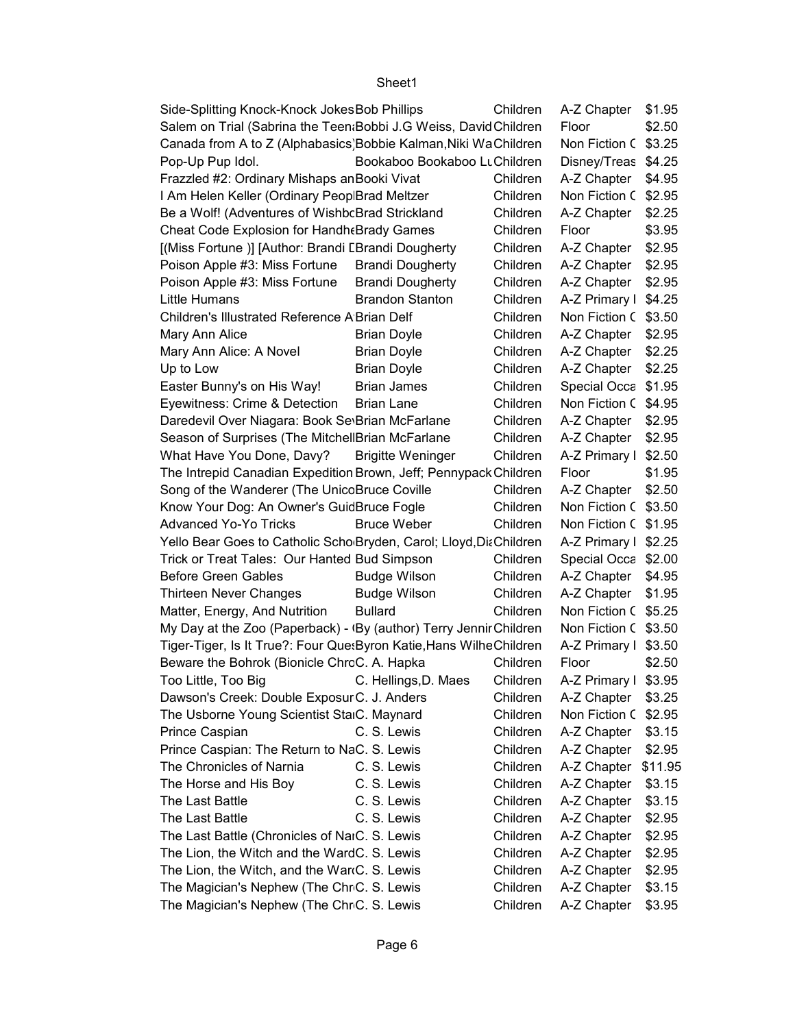| Side-Splitting Knock-Knock JokesBob Phillips                         |                              | Children | A-Z Chapter i        | \$1.95  |
|----------------------------------------------------------------------|------------------------------|----------|----------------------|---------|
| Salem on Trial (Sabrina the Teen:Bobbi J.G Weiss, David Children     |                              |          | Floor                | \$2.50  |
| Canada from A to Z (Alphabasics) Bobbie Kalman, Niki WaChildren      |                              |          | Non Fiction C        | \$3.25  |
| Pop-Up Pup Idol.                                                     | Bookaboo Bookaboo LuChildren |          | Disney/Treas         | \$4.25  |
| Frazzled #2: Ordinary Mishaps an Booki Vivat                         |                              | Children | A-Z Chapter          | \$4.95  |
| I Am Helen Keller (Ordinary Peop Brad Meltzer                        |                              | Children | Non Fiction C        | \$2.95  |
| Be a Wolf! (Adventures of WishbcBrad Strickland                      |                              | Children | A-Z Chapter          | \$2.25  |
| Cheat Code Explosion for Handh & Brady Games                         |                              | Children | Floor                | \$3.95  |
| [(Miss Fortune)] [Author: Brandi [Brandi Dougherty                   |                              | Children | A-Z Chapter          | \$2.95  |
| Poison Apple #3: Miss Fortune                                        | <b>Brandi Dougherty</b>      | Children | A-Z Chapter          | \$2.95  |
| Poison Apple #3: Miss Fortune                                        | <b>Brandi Dougherty</b>      | Children | A-Z Chapter          | \$2.95  |
| Little Humans                                                        | <b>Brandon Stanton</b>       | Children | A-Z Primary I        | \$4.25  |
| <b>Children's Illustrated Reference A Brian Delf</b>                 |                              | Children | Non Fiction C        | \$3.50  |
| Mary Ann Alice                                                       | <b>Brian Doyle</b>           | Children | A-Z Chapter          | \$2.95  |
| Mary Ann Alice: A Novel                                              | <b>Brian Doyle</b>           | Children | A-Z Chapter          | \$2.25  |
| Up to Low                                                            | <b>Brian Doyle</b>           | Children | A-Z Chapter          | \$2.25  |
| Easter Bunny's on His Way!                                           | <b>Brian James</b>           | Children | Special Occa         | \$1.95  |
| Eyewitness: Crime & Detection                                        | <b>Brian Lane</b>            | Children | Non Fiction C        | \$4.95  |
| Daredevil Over Niagara: Book Se Brian McFarlane                      |                              | Children | A-Z Chapter          | \$2.95  |
| Season of Surprises (The MitchellBrian McFarlane                     |                              | Children | A-Z Chapter          | \$2.95  |
| What Have You Done, Davy?                                            | <b>Brigitte Weninger</b>     | Children | A-Z Primary I        | \$2.50  |
| The Intrepid Canadian Expedition Brown, Jeff; Pennypack Children     |                              |          | Floor                | \$1.95  |
| Song of the Wanderer (The UnicoBruce Coville                         |                              | Children | A-Z Chapter          | \$2.50  |
| Know Your Dog: An Owner's GuidBruce Fogle                            |                              | Children | Non Fiction C        | \$3.50  |
| <b>Advanced Yo-Yo Tricks</b>                                         | <b>Bruce Weber</b>           | Children | Non Fiction C        | \$1.95  |
| Yello Bear Goes to Catholic Scho Bryden, Carol; Lloyd, DiaChildren   |                              |          | A-Z Primary I        | \$2.25  |
| Trick or Treat Tales: Our Hanted Bud Simpson                         |                              | Children | Special Occa         | \$2.00  |
| <b>Before Green Gables</b>                                           | <b>Budge Wilson</b>          | Children | A-Z Chapter          | \$4.95  |
| Thirteen Never Changes                                               | <b>Budge Wilson</b>          | Children | A-Z Chapter          | \$1.95  |
| Matter, Energy, And Nutrition                                        | <b>Bullard</b>               | Children | Non Fiction C        | \$5.25  |
| My Day at the Zoo (Paperback) - (By (author) Terry Jennir Children   |                              |          | Non Fiction C        | \$3.50  |
| Tiger-Tiger, Is It True?: Four Que: Byron Katie, Hans Wilhe Children |                              |          | A-Z Primary I        | \$3.50  |
| Beware the Bohrok (Bionicle ChrcC. A. Hapka                          |                              | Children | Floor                | \$2.50  |
| Too Little, Too Big C. Hellings, D. Maes                             |                              | Children | A-Z Primary I \$3.95 |         |
| Dawson's Creek: Double ExposurC. J. Anders                           |                              | Children | A-Z Chapter          | \$3.25  |
| The Usborne Young Scientist StaiC. Maynard                           |                              | Children | Non Fiction C        | \$2.95  |
| Prince Caspian                                                       | C. S. Lewis                  | Children | A-Z Chapter          | \$3.15  |
| Prince Caspian: The Return to NaC. S. Lewis                          |                              | Children | A-Z Chapter          | \$2.95  |
| The Chronicles of Narnia                                             | C. S. Lewis                  | Children | A-Z Chapter          | \$11.95 |
| The Horse and His Boy                                                | C. S. Lewis                  | Children | A-Z Chapter          | \$3.15  |
| The Last Battle                                                      | C. S. Lewis                  | Children | A-Z Chapter          | \$3.15  |
| The Last Battle                                                      | C. S. Lewis                  | Children | A-Z Chapter          | \$2.95  |
| The Last Battle (Chronicles of NaiC. S. Lewis                        |                              | Children | A-Z Chapter          | \$2.95  |
| The Lion, the Witch and the WardC. S. Lewis                          |                              | Children | A-Z Chapter          | \$2.95  |
| The Lion, the Witch, and the War(C. S. Lewis                         |                              | Children | A-Z Chapter          | \$2.95  |
| The Magician's Nephew (The ChrC. S. Lewis                            |                              | Children | A-Z Chapter          | \$3.15  |
| The Magician's Nephew (The ChrC. S. Lewis                            |                              | Children | A-Z Chapter          | \$3.95  |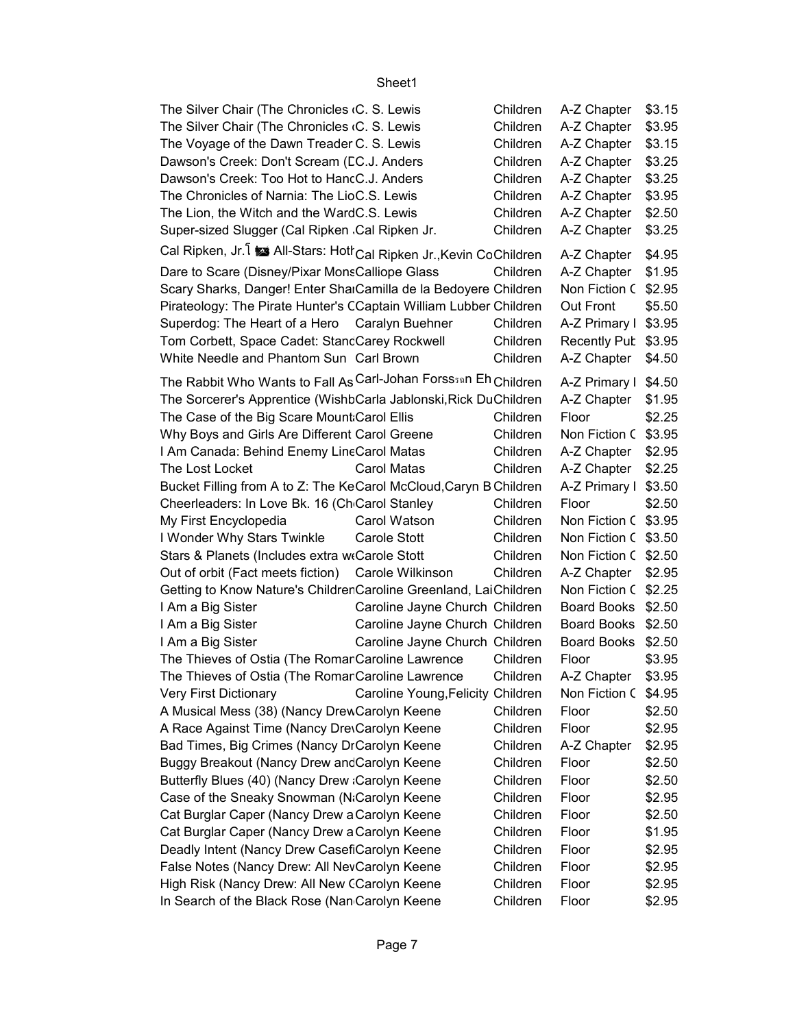|                                                                                                                                                                                                                                                                                                                                                                                         | Sheet1                            |                                                                                              |                                                                                                                      |                                                                              |
|-----------------------------------------------------------------------------------------------------------------------------------------------------------------------------------------------------------------------------------------------------------------------------------------------------------------------------------------------------------------------------------------|-----------------------------------|----------------------------------------------------------------------------------------------|----------------------------------------------------------------------------------------------------------------------|------------------------------------------------------------------------------|
| The Silver Chair (The Chronicles (C. S. Lewis<br>The Silver Chair (The Chronicles (C. S. Lewis<br>The Voyage of the Dawn Treader C. S. Lewis<br>Dawson's Creek: Don't Scream (CC.J. Anders<br>Dawson's Creek: Too Hot to HancC.J. Anders<br>The Chronicles of Narnia: The LioC.S. Lewis<br>The Lion, the Witch and the WardC.S. Lewis<br>Super-sized Slugger (Cal Ripken Cal Ripken Jr. |                                   | Children<br>Children<br>Children<br>Children<br>Children<br>Children<br>Children<br>Children | A-Z Chapter<br>A-Z Chapter<br>A-Z Chapter<br>A-Z Chapter<br>A-Z Chapter<br>A-Z Chapter<br>A-Z Chapter<br>A-Z Chapter | \$3.15<br>\$3.95<br>\$3.15<br>\$3.25<br>\$3.25<br>\$3.95<br>\$2.50<br>\$3.25 |
| Cal Ripken, Jr. 1 is All-Stars: Hott Cal Ripken Jr., Kevin CoChildren<br>Dare to Scare (Disney/Pixar MonsCalliope Glass                                                                                                                                                                                                                                                                 |                                   | Children                                                                                     | A-Z Chapter<br>A-Z Chapter                                                                                           | \$4.95<br>\$1.95                                                             |
| Scary Sharks, Danger! Enter ShaiCamilla de la Bedoyere Children<br>Pirateology: The Pirate Hunter's CCaptain William Lubber Children<br>Superdog: The Heart of a Hero Caralyn Buehner<br>Tom Corbett, Space Cadet: StancCarey Rockwell<br>White Needle and Phantom Sun Carl Brown                                                                                                       |                                   | Children<br>Children<br>Children                                                             | Non Fiction C \$2.95<br>Out Front<br>A-Z Primary I \$3.95<br>Recently Pub \$3.95<br>A-Z Chapter                      | \$5.50<br>\$4.50                                                             |
| The Rabbit Who Wants to Fall As Carl-Johan Forss <sub>30</sub> n Eh Children                                                                                                                                                                                                                                                                                                            |                                   |                                                                                              | A-Z Primary I \$4.50                                                                                                 |                                                                              |
| The Sorcerer's Apprentice (WishbCarla Jablonski, Rick DuChildren<br>The Case of the Big Scare Mount Carol Ellis<br>Why Boys and Girls Are Different Carol Greene                                                                                                                                                                                                                        |                                   | Children<br>Children<br>Children                                                             | A-Z Chapter<br>Floor<br>Non Fiction C \$3.95                                                                         | \$1.95<br>\$2.25                                                             |
| I Am Canada: Behind Enemy LineCarol Matas<br>The Lost Locket                                                                                                                                                                                                                                                                                                                            | <b>Carol Matas</b>                | Children                                                                                     | A-Z Chapter<br>A-Z Chapter                                                                                           | \$2.95<br>\$2.25                                                             |
| Bucket Filling from A to Z: The KeCarol McCloud, Caryn B Children                                                                                                                                                                                                                                                                                                                       |                                   |                                                                                              | A-Z Primary I \$3.50                                                                                                 |                                                                              |
| Cheerleaders: In Love Bk. 16 (Ch Carol Stanley                                                                                                                                                                                                                                                                                                                                          |                                   | Children                                                                                     | Floor                                                                                                                | \$2.50                                                                       |
| My First Encyclopedia                                                                                                                                                                                                                                                                                                                                                                   | Carol Watson                      | Children                                                                                     | Non Fiction C \$3.95                                                                                                 |                                                                              |
| I Wonder Why Stars Twinkle                                                                                                                                                                                                                                                                                                                                                              | Carole Stott                      | Children                                                                                     | Non Fiction C \$3.50                                                                                                 |                                                                              |
| Stars & Planets (Includes extra w Carole Stott                                                                                                                                                                                                                                                                                                                                          |                                   | Children                                                                                     | Non Fiction C \$2.50                                                                                                 |                                                                              |
| Out of orbit (Fact meets fiction)                                                                                                                                                                                                                                                                                                                                                       | Carole Wilkinson                  | Children                                                                                     | A-Z Chapter                                                                                                          | \$2.95                                                                       |
| Getting to Know Nature's Children Caroline Greenland, LaiChildren                                                                                                                                                                                                                                                                                                                       |                                   |                                                                                              | Non Fiction C \$2.25                                                                                                 |                                                                              |
| I Am a Big Sister                                                                                                                                                                                                                                                                                                                                                                       | Caroline Jayne Church Children    |                                                                                              | Board Books \$2.50                                                                                                   |                                                                              |
| I Am a Big Sister                                                                                                                                                                                                                                                                                                                                                                       | Caroline Jayne Church Children    |                                                                                              | Board Books \$2.50                                                                                                   |                                                                              |
| I Am a Big Sister                                                                                                                                                                                                                                                                                                                                                                       | Caroline Jayne Church Children    |                                                                                              | Board Books \$2.50                                                                                                   |                                                                              |
| The Thieves of Ostia (The Romar Caroline Lawrence                                                                                                                                                                                                                                                                                                                                       |                                   | Children                                                                                     | Floor                                                                                                                | \$3.95                                                                       |
| The Thieves of Ostia (The Romar Caroline Lawrence                                                                                                                                                                                                                                                                                                                                       |                                   | Children                                                                                     | A-Z Chapter                                                                                                          | \$3.95                                                                       |
| <b>Very First Dictionary</b>                                                                                                                                                                                                                                                                                                                                                            | Caroline Young, Felicity Children |                                                                                              | Non Fiction C                                                                                                        | \$4.95                                                                       |
| A Musical Mess (38) (Nancy DrewCarolyn Keene                                                                                                                                                                                                                                                                                                                                            |                                   | Children                                                                                     | Floor                                                                                                                | \$2.50                                                                       |
| A Race Against Time (Nancy DrevCarolyn Keene                                                                                                                                                                                                                                                                                                                                            |                                   | Children                                                                                     | Floor                                                                                                                | \$2.95                                                                       |
| Bad Times, Big Crimes (Nancy DrCarolyn Keene                                                                                                                                                                                                                                                                                                                                            |                                   | Children                                                                                     | A-Z Chapter                                                                                                          | \$2.95                                                                       |
| Buggy Breakout (Nancy Drew and Carolyn Keene                                                                                                                                                                                                                                                                                                                                            |                                   | Children                                                                                     | Floor                                                                                                                | \$2.50                                                                       |
| Butterfly Blues (40) (Nancy Drew Carolyn Keene                                                                                                                                                                                                                                                                                                                                          |                                   | Children                                                                                     | Floor                                                                                                                | \$2.50                                                                       |
| Case of the Sneaky Snowman (N&Carolyn Keene                                                                                                                                                                                                                                                                                                                                             |                                   | Children                                                                                     | Floor                                                                                                                | \$2.95                                                                       |
| Cat Burglar Caper (Nancy Drew a Carolyn Keene                                                                                                                                                                                                                                                                                                                                           |                                   | Children                                                                                     | Floor                                                                                                                | \$2.50                                                                       |
| Cat Burglar Caper (Nancy Drew a Carolyn Keene                                                                                                                                                                                                                                                                                                                                           |                                   | Children<br>Children                                                                         | Floor<br>Floor                                                                                                       | \$1.95                                                                       |
| Deadly Intent (Nancy Drew CasefiCarolyn Keene<br>False Notes (Nancy Drew: All NevCarolyn Keene                                                                                                                                                                                                                                                                                          |                                   | Children                                                                                     | Floor                                                                                                                | \$2.95<br>\$2.95                                                             |
| High Risk (Nancy Drew: All New CCarolyn Keene                                                                                                                                                                                                                                                                                                                                           |                                   | Children                                                                                     | Floor                                                                                                                | \$2.95                                                                       |
| In Search of the Black Rose (Nan Carolyn Keene                                                                                                                                                                                                                                                                                                                                          |                                   | Children                                                                                     | Floor                                                                                                                | \$2.95                                                                       |
|                                                                                                                                                                                                                                                                                                                                                                                         |                                   |                                                                                              |                                                                                                                      |                                                                              |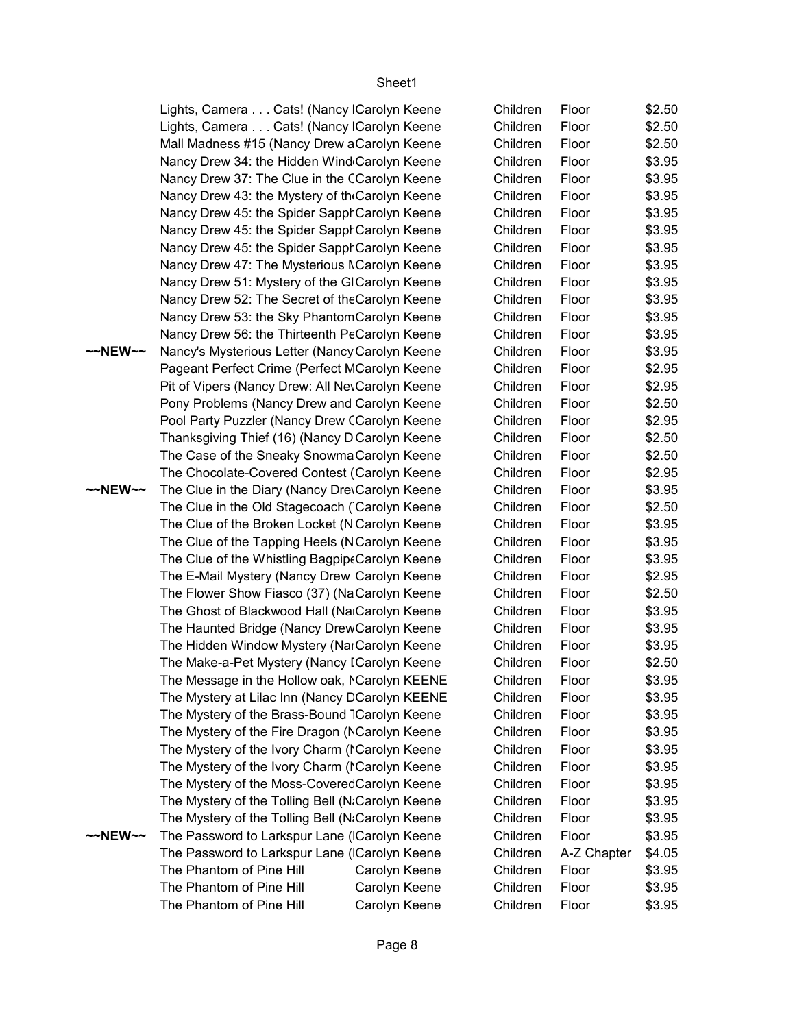~~NEW~~ Nancy's Mysterious Letter (Nancy Carolyn Keene Children Floor \$3.95 ~~NEW~~ The Clue in the Diary (Nancy DrevCarolyn Keene Children Floor \$3.95 ~~NEW~~ The Password to Larkspur Lane (ICarolyn Keene Children Floor \$3.95 Lights, Camera . . . Cats! (Nancy ICarolyn Keene Lights, Camera . . . Cats! (Nancy ICarolyn Keene Mall Madness #15 (Nancy Drew aCarolyn Keene Nancy Drew 34: the Hidden Wind Carolyn Keene Nancy Drew 37: The Clue in the CCarolyn Keene Nancy Drew 43: the Mystery of the Carolyn Keene Nancy Drew 45: the Spider SapphCarolyn Keene Nancy Drew 45: the Spider SapphCarolyn Keene Nancy Drew 45: the Spider SapphCarolyn Keene Nancy Drew 47: The Mysterious Mannelyn Keene Nancy Drew 51: Mystery of the GlCarolyn Keene Nancy Drew 52: The Secret of the Carolyn Keene Nancy Drew 53: the Sky PhantomCarolyn Keene Nancy Drew 56: the Thirteenth PeCarolyn Keene Pageant Perfect Crime (Perfect MCarolyn Keene Pit of Vipers (Nancy Drew: All Nev Carolyn Keene Pony Problems (Nancy Drew and Carolyn Keene Pool Party Puzzler (Nancy Drew CCarolyn Keene Thanksgiving Thief (16) (Nancy D Carolyn Keene The Case of the Sneaky Snowma Carolyn Keene The Chocolate-Covered Contest (Carolyn Keene The Clue in the Old Stagecoach (Carolyn Keene The Clue of the Broken Locket (N Carolyn Keene The Clue of the Tapping Heels (NCarolyn Keene The Clue of the Whistling Bagpipe Carolyn Keene The E-Mail Mystery (Nancy Drew Carolyn Keene The Flower Show Fiasco (37) (NaCarolyn Keene The Ghost of Blackwood Hall (Na<sub>cc</sub>arolyn Keene The Haunted Bridge (Nancy DrewCarolyn Keene The Hidden Window Mystery (NarCarolyn Keene The Make-a-Pet Mystery (Nancy ICarolyn Keene The Message in the Hollow oak, MCarolyn KEENE The Mystery at Lilac Inn (Nancy DCarolyn KEENE The Mystery of the Brass-Bound 7Carolyn Keene The Mystery of the Fire Dragon (NCarolyn Keene The Mystery of the Ivory Charm (ICarolyn Keene The Mystery of the Ivory Charm (ICarolyn Keene The Mystery of the Moss-Covered Carolyn Keene The Mystery of the Tolling Bell (NaCarolyn Keene The Mystery of the Tolling Bell (NaCarolyn Keene The Password to Larkspur Lane (ICarolyn Keene The Phantom of Pine Hill Carolyn Keene The Phantom of Pine Hill Carolyn Keene The Phantom of Pine Hill Carolyn Keene

| Children | Floor       | \$2.50 |
|----------|-------------|--------|
| Children | Floor       | \$2.50 |
| Children | Floor       | \$2.50 |
| Children | Floor       | \$3.95 |
| Children | Floor       | \$3.95 |
| Children | Floor       | \$3.95 |
| Children | Floor       | \$3.95 |
| Children | Floor       | \$3.95 |
| Children | Floor       | \$3.95 |
| Children | Floor       | \$3.95 |
| Children | Floor       | \$3.95 |
| Children | Floor       | \$3.95 |
| Children | Floor       | \$3.95 |
| Children | Floor       | \$3.95 |
| Children | Floor       | \$3.95 |
| Children | Floor       | \$2.95 |
| Children | Floor       | \$2.95 |
| Children | Floor       | \$2.50 |
| Children | Floor       | \$2.95 |
| Children | Floor       | \$2.50 |
| Children | Floor       | \$2.50 |
| Children | Floor       | \$2.95 |
| Children | Floor       | \$3.95 |
| Children | Floor       | \$2.50 |
| Children | Floor       | \$3.95 |
| Children | Floor       | \$3.95 |
| Children | Floor       | \$3.95 |
| Children | Floor       | \$2.95 |
| Children | Floor       | \$2.50 |
| Children | Floor       | \$3.95 |
| Children | Floor       | \$3.95 |
| Children | Floor       | \$3.95 |
| Children | Floor       | \$2.50 |
| Children | Floor       | \$3.95 |
| Children | Floor       | \$3.95 |
| Children | Floor       | \$3.95 |
| Children | Floor       | \$3.95 |
| Children | Floor       | \$3.95 |
| Children | Floor       | \$3.95 |
| Children | Floor       | \$3.95 |
| Children | Floor       | \$3.95 |
| Children | Floor       | \$3.95 |
| Children | Floor       | \$3.95 |
| Children | A-Z Chapter | \$4.05 |
| Children | Floor       | \$3.95 |
| Children | Floor       | \$3.95 |
| Children | Floor       | \$3.95 |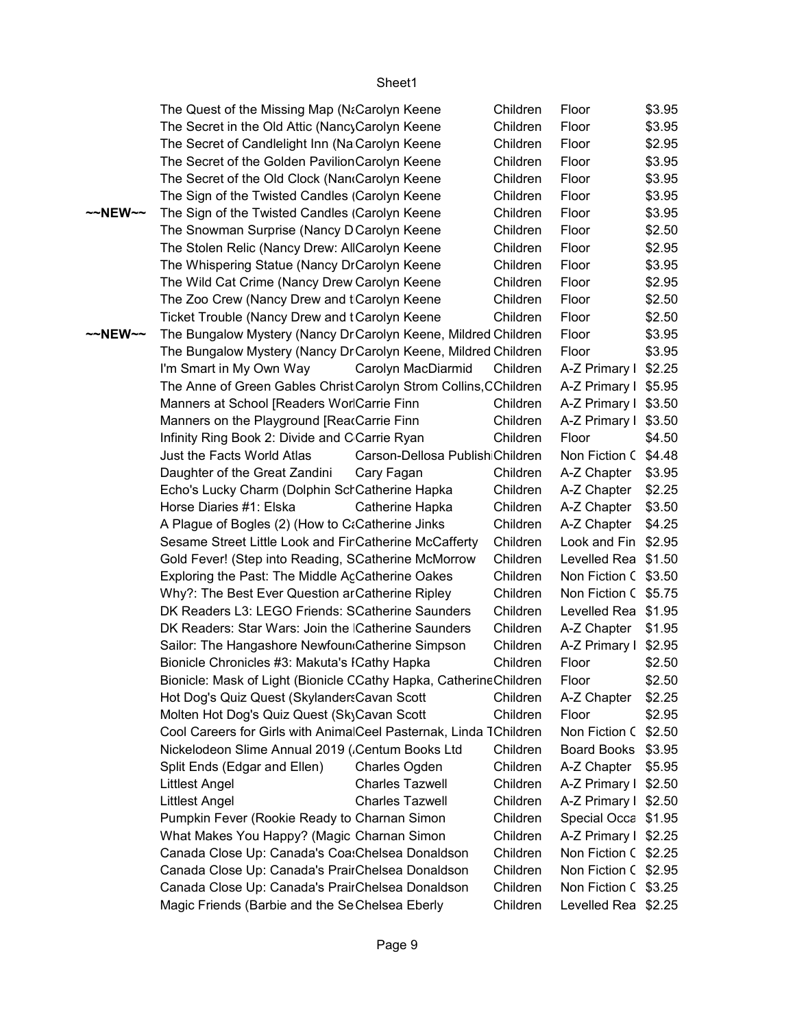|                   |                                                                                                      | Sheet1                          |                      |                                              |        |
|-------------------|------------------------------------------------------------------------------------------------------|---------------------------------|----------------------|----------------------------------------------|--------|
|                   | The Quest of the Missing Map (NaCarolyn Keene                                                        | Floor                           | \$3.95               |                                              |        |
|                   | The Secret in the Old Attic (NancyCarolyn Keene                                                      |                                 | Children<br>Children | Floor                                        | \$3.95 |
|                   | The Secret of Candlelight Inn (Na Carolyn Keene                                                      |                                 | Children             | Floor                                        | \$2.95 |
|                   | The Secret of the Golden Pavilion Carolyn Keene                                                      |                                 | Children             | Floor                                        | \$3.95 |
|                   | The Secret of the Old Clock (Nan Carolyn Keene                                                       |                                 | Children             | Floor                                        | \$3.95 |
|                   | The Sign of the Twisted Candles (Carolyn Keene                                                       |                                 | Children             | Floor                                        | \$3.95 |
| $\sim$ NEW $\sim$ | The Sign of the Twisted Candles (Carolyn Keene                                                       |                                 | Children             | Floor                                        | \$3.95 |
|                   | The Snowman Surprise (Nancy D Carolyn Keene                                                          |                                 | Children             | Floor                                        | \$2.50 |
|                   | The Stolen Relic (Nancy Drew: AllCarolyn Keene                                                       |                                 | Children             | Floor                                        | \$2.95 |
|                   | The Whispering Statue (Nancy DrCarolyn Keene                                                         |                                 | Children             | Floor                                        | \$3.95 |
|                   | The Wild Cat Crime (Nancy Drew Carolyn Keene                                                         |                                 | Children             | Floor                                        | \$2.95 |
|                   | The Zoo Crew (Nancy Drew and t Carolyn Keene                                                         |                                 | Children             | Floor                                        | \$2.50 |
|                   | Ticket Trouble (Nancy Drew and tCarolyn Keene                                                        |                                 | Children             | Floor                                        | \$2.50 |
| $\sim$ NEW $\sim$ | The Bungalow Mystery (Nancy Dr Carolyn Keene, Mildred Children                                       |                                 |                      | Floor                                        | \$3.95 |
|                   | The Bungalow Mystery (Nancy Dr Carolyn Keene, Mildred Children                                       |                                 |                      | Floor                                        | \$3.95 |
|                   | I'm Smart in My Own Way                                                                              | Carolyn MacDiarmid              | Children             | A-Z Primary I                                | \$2.25 |
|                   | The Anne of Green Gables Christ Carolyn Strom Collins, CChildren                                     |                                 |                      | A-Z Primary I \$5.95                         |        |
|                   | Manners at School [Readers WorlCarrie Finn                                                           |                                 | Children             | A-Z Primary I \$3.50                         |        |
|                   | Manners on the Playground [ReacCarrie Finn                                                           |                                 | Children             | A-Z Primary I \$3.50                         |        |
|                   | Infinity Ring Book 2: Divide and C Carrie Ryan                                                       |                                 | Children             | Floor                                        | \$4.50 |
|                   | Just the Facts World Atlas                                                                           | Carson-Dellosa PublishiChildren |                      | Non Fiction C \$4.48                         |        |
|                   | Daughter of the Great Zandini                                                                        | Cary Fagan                      | Children             | A-Z Chapter                                  | \$3.95 |
|                   | Echo's Lucky Charm (Dolphin Sch Catherine Hapka                                                      |                                 | Children             | A-Z Chapter                                  | \$2.25 |
|                   | Horse Diaries #1: Elska                                                                              | Catherine Hapka                 | Children             | A-Z Chapter                                  | \$3.50 |
|                   | A Plague of Bogles (2) (How to C:Catherine Jinks                                                     |                                 | Children             | A-Z Chapter                                  | \$4.25 |
|                   | Sesame Street Little Look and Fir Catherine McCafferty                                               |                                 | Children             | Look and Fin                                 | \$2.95 |
|                   | Gold Fever! (Step into Reading, SCatherine McMorrow                                                  |                                 | Children<br>Children | Levelled Rea                                 | \$1.50 |
|                   | Exploring the Past: The Middle AcCatherine Oakes                                                     |                                 | Children             | Non Fiction C \$3.50<br>Non Fiction C \$5.75 |        |
|                   | Why?: The Best Ever Question ar Catherine Ripley<br>DK Readers L3: LEGO Friends: SCatherine Saunders |                                 | Children             | Levelled Rea \$1.95                          |        |
|                   | DK Readers: Star Wars: Join the Catherine Saunders                                                   |                                 | Children             | A-Z Chapter                                  | \$1.95 |
|                   | Sailor: The Hangashore Newfoun Catherine Simpson                                                     |                                 | Children             | A-Z Primary I \$2.95                         |        |
|                   | Bionicle Chronicles #3: Makuta's ICathy Hapka                                                        |                                 | Children             | Floor                                        | \$2.50 |
|                   | Bionicle: Mask of Light (Bionicle CCathy Hapka, CatherineChildren                                    |                                 |                      | Floor                                        | \$2.50 |
|                   | Hot Dog's Quiz Quest (Skylanders Cavan Scott                                                         |                                 | Children             | A-Z Chapter                                  | \$2.25 |
|                   | Molten Hot Dog's Quiz Quest (SkyCavan Scott                                                          |                                 | Children             | Floor                                        | \$2.95 |
|                   | Cool Careers for Girls with AnimalCeel Pasternak, Linda TChildren                                    |                                 |                      | Non Fiction C \$2.50                         |        |
|                   | Nickelodeon Slime Annual 2019 (.Centum Books Ltd                                                     |                                 | Children             | Board Books \$3.95                           |        |
|                   | Split Ends (Edgar and Ellen)                                                                         | Charles Ogden                   | Children             | A-Z Chapter                                  | \$5.95 |
|                   | <b>Littlest Angel</b>                                                                                | <b>Charles Tazwell</b>          | Children             | A-Z Primary I \$2.50                         |        |
|                   | <b>Littlest Angel</b>                                                                                | <b>Charles Tazwell</b>          | Children             | A-Z Primary I \$2.50                         |        |
|                   | Pumpkin Fever (Rookie Ready to Charnan Simon                                                         |                                 | Children             | Special Occa \$1.95                          |        |
|                   | What Makes You Happy? (Magic Charnan Simon                                                           |                                 | Children             | A-Z Primary I \$2.25                         |        |
|                   | Canada Close Up: Canada's Coa: Chelsea Donaldson                                                     |                                 | Children             | Non Fiction C \$2.25                         |        |
|                   | Canada Close Up: Canada's PrairChelsea Donaldson                                                     |                                 | Children             | Non Fiction C \$2.95                         |        |
|                   | Canada Close Up: Canada's PrairChelsea Donaldson                                                     |                                 | Children             | Non Fiction C \$3.25                         |        |
|                   | Magic Friends (Barbie and the Se Chelsea Eberly                                                      |                                 | Children             | Levelled Rea \$2.25                          |        |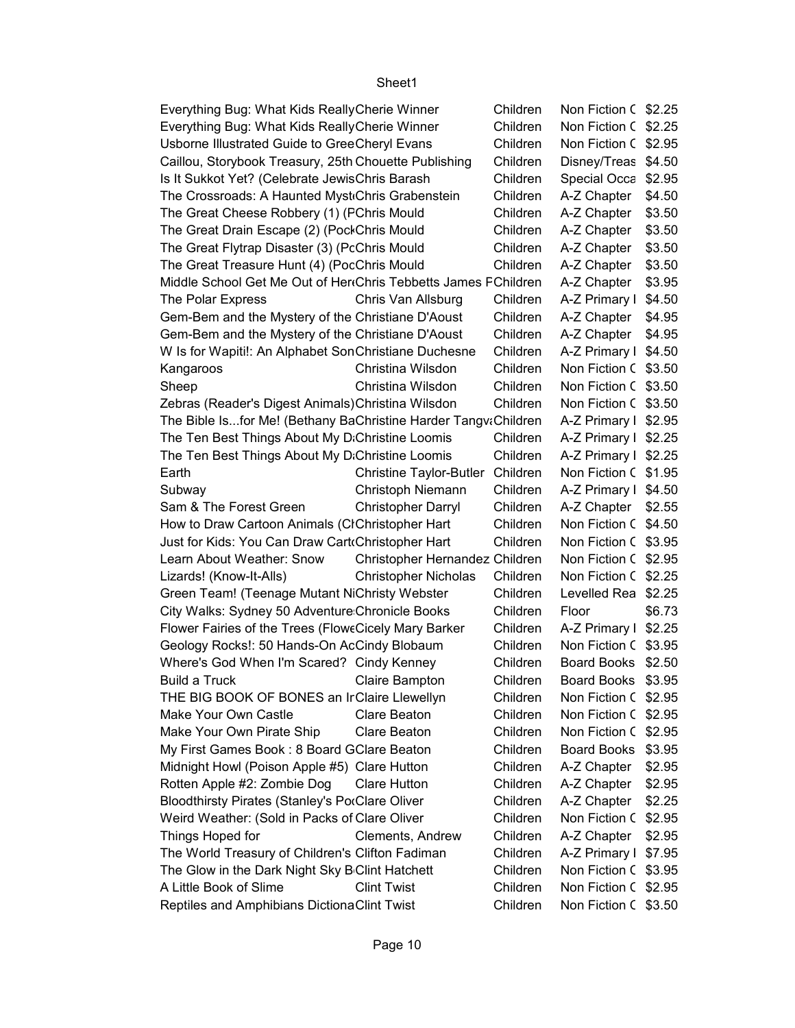| Everything Bug: What Kids Really Cherie Winner                 |                                | Children | Non Fiction C \$2.25 |        |
|----------------------------------------------------------------|--------------------------------|----------|----------------------|--------|
| Everything Bug: What Kids Really Cherie Winner                 |                                | Children | Non Fiction C \$2.25 |        |
| Usborne Illustrated Guide to GreeCheryl Evans                  |                                | Children | Non Fiction C        | \$2.95 |
| Caillou, Storybook Treasury, 25th Chouette Publishing          |                                | Children | Disney/Treas         | \$4.50 |
| Is It Sukkot Yet? (Celebrate JewisChris Barash                 |                                | Children | Special Occa         | \$2.95 |
| The Crossroads: A Haunted Myst Chris Grabenstein               |                                | Children | A-Z Chapter          | \$4.50 |
| The Great Cheese Robbery (1) (FChris Mould                     |                                | Children | A-Z Chapter          | \$3.50 |
| The Great Drain Escape (2) (PockChris Mould                    |                                | Children | A-Z Chapter          | \$3.50 |
| The Great Flytrap Disaster (3) (PcChris Mould                  |                                | Children | A-Z Chapter          | \$3.50 |
| The Great Treasure Hunt (4) (PocChris Mould                    |                                | Children | A-Z Chapter          | \$3.50 |
| Middle School Get Me Out of Her Chris Tebbetts James FChildren |                                |          | A-Z Chapter          | \$3.95 |
| The Polar Express                                              | Chris Van Allsburg             | Children | A-Z Primary I        | \$4.50 |
| Gem-Bem and the Mystery of the Christiane D'Aoust              |                                | Children | A-Z Chapter          | \$4.95 |
| Gem-Bem and the Mystery of the Christiane D'Aoust              |                                | Children | A-Z Chapter          | \$4.95 |
| W Is for Wapiti!: An Alphabet SonChristiane Duchesne           |                                | Children | A-Z Primary I        | \$4.50 |
| Kangaroos                                                      | Christina Wilsdon              | Children | Non Fiction C \$3.50 |        |
| Sheep                                                          | Christina Wilsdon              | Children | Non Fiction C \$3.50 |        |
| Zebras (Reader's Digest Animals) Christina Wilsdon             |                                | Children | Non Fiction C \$3.50 |        |
| The Bible Isfor Me! (Bethany BaChristine Harder TangvaChildren |                                |          | A-Z Primary I        | \$2.95 |
| The Ten Best Things About My D.Christine Loomis                |                                | Children | A-Z Primary I        | \$2.25 |
| The Ten Best Things About My D.Christine Loomis                |                                | Children | A-Z Primary I        | \$2.25 |
| Earth                                                          | <b>Christine Taylor-Butler</b> | Children | Non Fiction C        | \$1.95 |
| Subway                                                         | Christoph Niemann              | Children | A-Z Primary I        | \$4.50 |
| Sam & The Forest Green                                         | <b>Christopher Darryl</b>      | Children | A-Z Chapter          | \$2.55 |
| How to Draw Cartoon Animals (CIChristopher Hart                |                                | Children | Non Fiction C \$4.50 |        |
| Just for Kids: You Can Draw Cart Christopher Hart              |                                | Children | Non Fiction C \$3.95 |        |
| Learn About Weather: Snow                                      | Christopher Hernandez Children |          | Non Fiction C \$2.95 |        |
| Lizards! (Know-It-Alls)                                        | <b>Christopher Nicholas</b>    | Children | Non Fiction C        | \$2.25 |
| Green Team! (Teenage Mutant NiChristy Webster                  |                                | Children | Levelled Rea         | \$2.25 |
| City Walks: Sydney 50 Adventure Chronicle Books                |                                | Children | Floor                | \$6.73 |
| Flower Fairies of the Trees (FloweCicely Mary Barker           |                                | Children | A-Z Primary I        | \$2.25 |
| Geology Rocks!: 50 Hands-On AcCindy Blobaum                    |                                | Children | Non Fiction C        | \$3.95 |
| Where's God When I'm Scared? Cindy Kenney                      |                                | Children | Board Books          | \$2.50 |
| Build a Truck<br><b>Claire Bampton</b>                         |                                | Children | Board Books \$3.95   |        |
| THE BIG BOOK OF BONES an IrClaire Llewellyn                    |                                | Children | Non Fiction C \$2.95 |        |
| Make Your Own Castle                                           | Clare Beaton                   | Children | Non Fiction C \$2.95 |        |
| Make Your Own Pirate Ship                                      | Clare Beaton                   | Children | Non Fiction C        | \$2.95 |
| My First Games Book: 8 Board GClare Beaton                     |                                | Children | <b>Board Books</b>   | \$3.95 |
| Midnight Howl (Poison Apple #5) Clare Hutton                   |                                | Children | A-Z Chapter          | \$2.95 |
| Rotten Apple #2: Zombie Dog                                    | <b>Clare Hutton</b>            | Children | A-Z Chapter          | \$2.95 |
| Bloodthirsty Pirates (Stanley's PorClare Oliver                |                                | Children | A-Z Chapter          | \$2.25 |
| Weird Weather: (Sold in Packs of Clare Oliver                  |                                | Children | Non Fiction C        | \$2.95 |
| Things Hoped for                                               | Clements, Andrew               | Children | A-Z Chapter          | \$2.95 |
| The World Treasury of Children's Clifton Fadiman               |                                | Children | A-Z Primary I \$7.95 |        |
| The Glow in the Dark Night Sky B Clint Hatchett                |                                | Children | Non Fiction C \$3.95 |        |
| A Little Book of Slime                                         | <b>Clint Twist</b>             | Children | Non Fiction C \$2.95 |        |
| Reptiles and Amphibians DictionaClint Twist                    |                                | Children | Non Fiction C \$3.50 |        |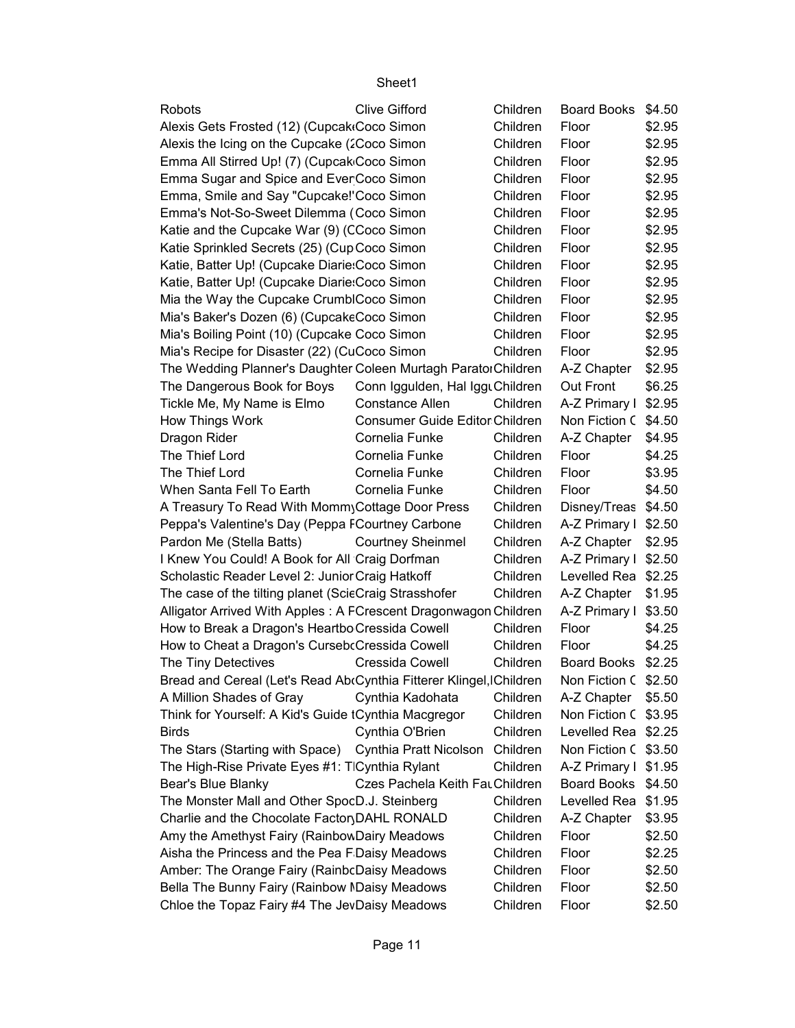| Robots                                                              | <b>Clive Gifford</b>            | Children | <b>Board Books</b>   | \$4.50 |
|---------------------------------------------------------------------|---------------------------------|----------|----------------------|--------|
| Alexis Gets Frosted (12) (Cupcak Coco Simon                         |                                 | Children | Floor                | \$2.95 |
| Alexis the Icing on the Cupcake (2Coco Simon                        |                                 | Children | Floor                | \$2.95 |
| Emma All Stirred Up! (7) (Cupcak Coco Simon                         |                                 | Children | Floor                | \$2.95 |
| Emma Sugar and Spice and Ever Coco Simon                            |                                 | Children | Floor                | \$2.95 |
| Emma, Smile and Say "Cupcake!'Coco Simon                            |                                 | Children | Floor                | \$2.95 |
| Emma's Not-So-Sweet Dilemma (Coco Simon                             |                                 | Children | Floor                | \$2.95 |
| Katie and the Cupcake War (9) (CCoco Simon                          |                                 | Children | Floor                | \$2.95 |
| Katie Sprinkled Secrets (25) (Cup Coco Simon                        |                                 | Children | Floor                | \$2.95 |
| Katie, Batter Up! (Cupcake Diarie: Coco Simon                       |                                 | Children | Floor                | \$2.95 |
| Katie, Batter Up! (Cupcake Diarie: Coco Simon                       |                                 | Children | Floor                | \$2.95 |
| Mia the Way the Cupcake CrumblCoco Simon                            |                                 | Children | Floor                | \$2.95 |
| Mia's Baker's Dozen (6) (CupcakeCoco Simon                          |                                 | Children | Floor                | \$2.95 |
| Mia's Boiling Point (10) (Cupcake Coco Simon                        |                                 | Children | Floor                | \$2.95 |
| Mia's Recipe for Disaster (22) (CuCoco Simon                        |                                 | Children | Floor                | \$2.95 |
| The Wedding Planner's Daughter Coleen Murtagh ParatorChildren       |                                 |          | A-Z Chapter          | \$2.95 |
| The Dangerous Book for Boys                                         | Conn Iggulden, Hal IgguChildren |          | Out Front            | \$6.25 |
| Tickle Me, My Name is Elmo                                          | <b>Constance Allen</b>          | Children | A-Z Primary I \$2.95 |        |
| How Things Work                                                     | Consumer Guide Editor Children  |          | Non Fiction C \$4.50 |        |
| Dragon Rider                                                        | Cornelia Funke                  | Children | A-Z Chapter          | \$4.95 |
| The Thief Lord                                                      | Cornelia Funke                  | Children | Floor                | \$4.25 |
| The Thief Lord                                                      | Cornelia Funke                  | Children | Floor                | \$3.95 |
| When Santa Fell To Earth                                            | Cornelia Funke                  | Children | Floor                | \$4.50 |
| A Treasury To Read With Momm Cottage Door Press                     |                                 | Children | Disney/Treas         | \$4.50 |
| Peppa's Valentine's Day (Peppa FCourtney Carbone                    |                                 | Children | A-Z Primary I        | \$2.50 |
| Pardon Me (Stella Batts)                                            | <b>Courtney Sheinmel</b>        | Children | A-Z Chapter          | \$2.95 |
| I Knew You Could! A Book for All Craig Dorfman                      |                                 | Children | A-Z Primary I \$2.50 |        |
| Scholastic Reader Level 2: Junior Craig Hatkoff                     |                                 | Children | Levelled Rea \$2.25  |        |
| The case of the tilting planet (ScieCraig Strasshofer               |                                 | Children | A-Z Chapter          | \$1.95 |
| Alligator Arrived With Apples: A FCrescent Dragonwagon Children     |                                 |          | A-Z Primary I        | \$3.50 |
| How to Break a Dragon's Heartbo Cressida Cowell                     |                                 | Children | Floor                | \$4.25 |
| How to Cheat a Dragon's Curseb Cressida Cowell                      |                                 | Children | Floor                | \$4.25 |
| The Tiny Detectives                                                 | Cressida Cowell                 | Children | <b>Board Books</b>   | \$2.25 |
| Bread and Cereal (Let's Read Ab Cynthia Fitterer Klingel, IChildren |                                 |          | Non Fiction C \$2.50 |        |
| A Million Shades of Gray                                            | Cynthia Kadohata                | Children | A-Z Chapter   \$5.50 |        |
| Think for Yourself: A Kid's Guide tCynthia Macgregor                |                                 | Children | Non Fiction C \$3.95 |        |
| <b>Birds</b>                                                        | Cynthia O'Brien                 | Children | Levelled Rea \$2.25  |        |
| The Stars (Starting with Space)                                     | Cynthia Pratt Nicolson          | Children | Non Fiction C        | \$3.50 |
| The High-Rise Private Eyes #1: TlCynthia Rylant                     |                                 | Children | A-Z Primary I \$1.95 |        |
| Bear's Blue Blanky                                                  | Czes Pachela Keith Fat Children |          | Board Books          | \$4.50 |
| The Monster Mall and Other SpocD.J. Steinberg                       |                                 | Children | Levelled Rea         | \$1.95 |
| Charlie and the Chocolate Factor DAHL RONALD                        |                                 | Children | A-Z Chapter          | \$3.95 |
| Amy the Amethyst Fairy (RainbowDairy Meadows                        |                                 | Children | Floor                | \$2.50 |
| Aisha the Princess and the Pea F Daisy Meadows                      |                                 | Children | Floor                | \$2.25 |
| Amber: The Orange Fairy (RainbcDaisy Meadows                        |                                 | Children | Floor                | \$2.50 |
| Bella The Bunny Fairy (Rainbow MDaisy Meadows                       |                                 | Children | Floor                | \$2.50 |
| Chloe the Topaz Fairy #4 The JevDaisy Meadows                       |                                 | Children | Floor                | \$2.50 |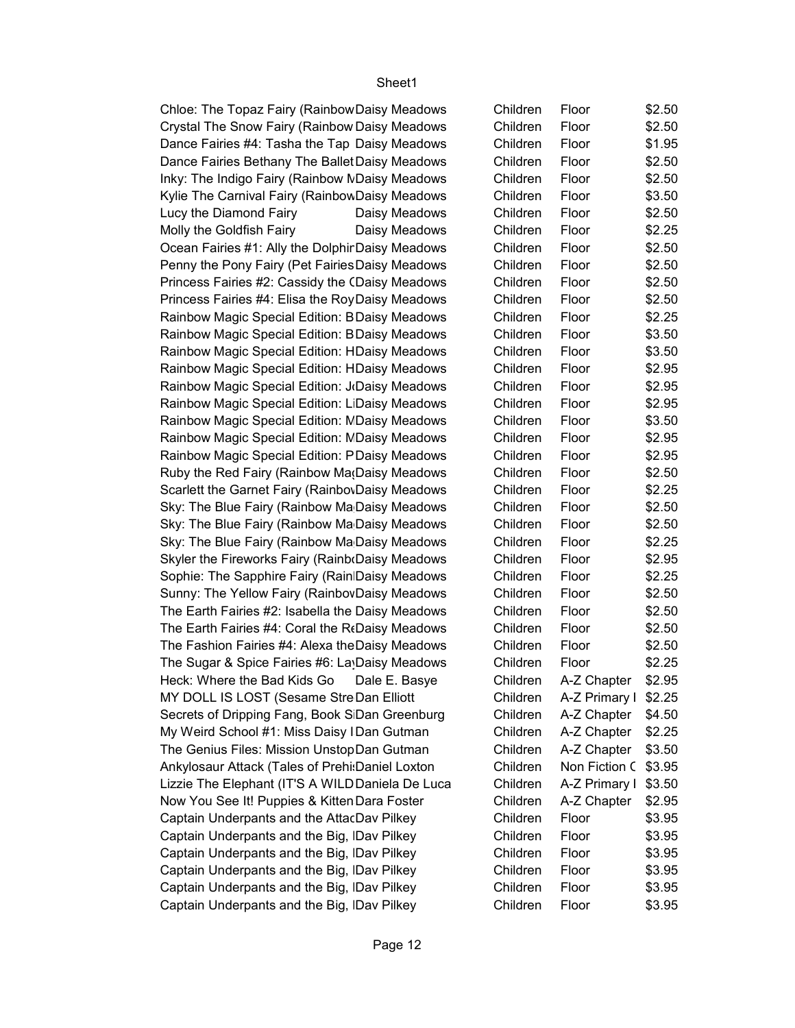Chloe: The Topaz Fairy (Rainbow Daisy Meadows Crystal The Snow Fairy (Rainbow Daisy Meadows Dance Fairies #4: Tasha the Tap Daisy Meadows Dance Fairies Bethany The Ballet Daisy Meadows Inky: The Indigo Fairy (Rainbow MDaisy Meadows Kylie The Carnival Fairy (Rainbow Daisy Meadows Lucy the Diamond Fairy Daisy Meadows Molly the Goldfish Fairy Daisy Meadows Ocean Fairies #1: Ally the Dolphir Daisy Meadows Penny the Pony Fairy (Pet Fairies Daisy Meadows Princess Fairies #2: Cassidy the CDaisy Meadows Princess Fairies #4: Elisa the RoyDaisy Meadows Rainbow Magic Special Edition: BDaisy Meadows Rainbow Magic Special Edition: BDaisy Meadows Rainbow Magic Special Edition: HDaisy Meadows Rainbow Magic Special Edition: HDaisy Meadows Rainbow Magic Special Edition: J<sub>'</sub>Daisy Meadows Rainbow Magic Special Edition: LiDaisy Meadows Rainbow Magic Special Edition: NDaisy Meadows Rainbow Magic Special Edition: NDaisy Meadows Rainbow Magic Special Edition: PDaisy Meadows Ruby the Red Fairy (Rainbow Ma(Daisy Meadows Scarlett the Garnet Fairy (Rainbo Daisy Meadows Sky: The Blue Fairy (Rainbow Ma Daisy Meadows Sky: The Blue Fairy (Rainbow Ma Daisy Meadows Sky: The Blue Fairy (Rainbow Ma Daisy Meadows Skyler the Fireworks Fairy (RainboDaisy Meadows Sophie: The Sapphire Fairy (Rain Daisy Meadows Sunny: The Yellow Fairy (Rainbov Daisy Meadows The Earth Fairies #2: Isabella the Daisy Meadows The Earth Fairies  $#4$ : Coral the R $\n$ Daisy Meadows The Fashion Fairies #4: Alexa the Daisy Meadows The Sugar & Spice Fairies #6: La Daisy Meadows Heck: Where the Bad Kids Go Dale E. Basye MY DOLL IS LOST (Sesame StreDan Elliott Secrets of Dripping Fang, Book SDan Greenburg My Weird School #1: Miss Daisy I Dan Gutman The Genius Files: Mission UnstopDan Gutman Ankylosaur Attack (Tales of Prehi: Daniel Loxton Lizzie The Elephant (IT'S A WILDDaniela De Luca Now You See It! Puppies & Kitten Dara Foster Captain Underpants and the AttacDav Pilkey Captain Underpants and the Big, IDav Pilkey Captain Underpants and the Big, IDav Pilkey Captain Underpants and the Big, Dav Pilkey Captain Underpants and the Big, IDav Pilkey Captain Underpants and the Big, IDav Pilkey

| Children | Floor         | \$2.50 |
|----------|---------------|--------|
| Children | Floor         | \$2.50 |
| Children | Floor         | \$1.95 |
| Children | Floor         | \$2.50 |
| Children | Floor         | \$2.50 |
| Children | Floor         | \$3.50 |
| Children | Floor         | \$2.50 |
| Children | Floor         | \$2.25 |
| Children | Floor         | \$2.50 |
| Children | Floor         | \$2.50 |
| Children | Floor         | \$2.50 |
| Children | Floor         | \$2.50 |
| Children | Floor         | \$2.25 |
| Children | Floor         | \$3.50 |
| Children | Floor         | \$3.50 |
| Children | Floor         | \$2.95 |
| Children | Floor         | \$2.95 |
| Children | Floor         | \$2.95 |
| Children | Floor         | \$3.50 |
| Children | Floor         | \$2.95 |
| Children | Floor         | \$2.95 |
| Children | Floor         | \$2.50 |
| Children | Floor         | \$2.25 |
| Children | Floor         | \$2.50 |
| Children | Floor         | \$2.50 |
| Children | Floor         | \$2.25 |
| Children | Floor         | \$2.95 |
| Children | Floor         | \$2.25 |
| Children | Floor         | \$2.50 |
| Children | Floor         | \$2.50 |
| Children | Floor         | \$2.50 |
| Children | Floor         | \$2.50 |
| Children | Floor         | \$2.25 |
| Children | A-Z Chapter   | \$2.95 |
| Children | A-Z Primary I | \$2.25 |
| Children | A-Z Chapter   | \$4.50 |
| Children | A-Z Chapter   | \$2.25 |
| Children | A-Z Chapter   | \$3.50 |
| Children | Non Fiction C | \$3.95 |
| Children | A-Z Primary I | \$3.50 |
| Children | A-Z Chapter   | \$2.95 |
| Children | Floor         | \$3.95 |
| Children | Floor         | \$3.95 |
| Children | Floor         | \$3.95 |
| Children | Floor         | \$3.95 |
| Children | Floor         | \$3.95 |
| Children | Floor         | \$3.95 |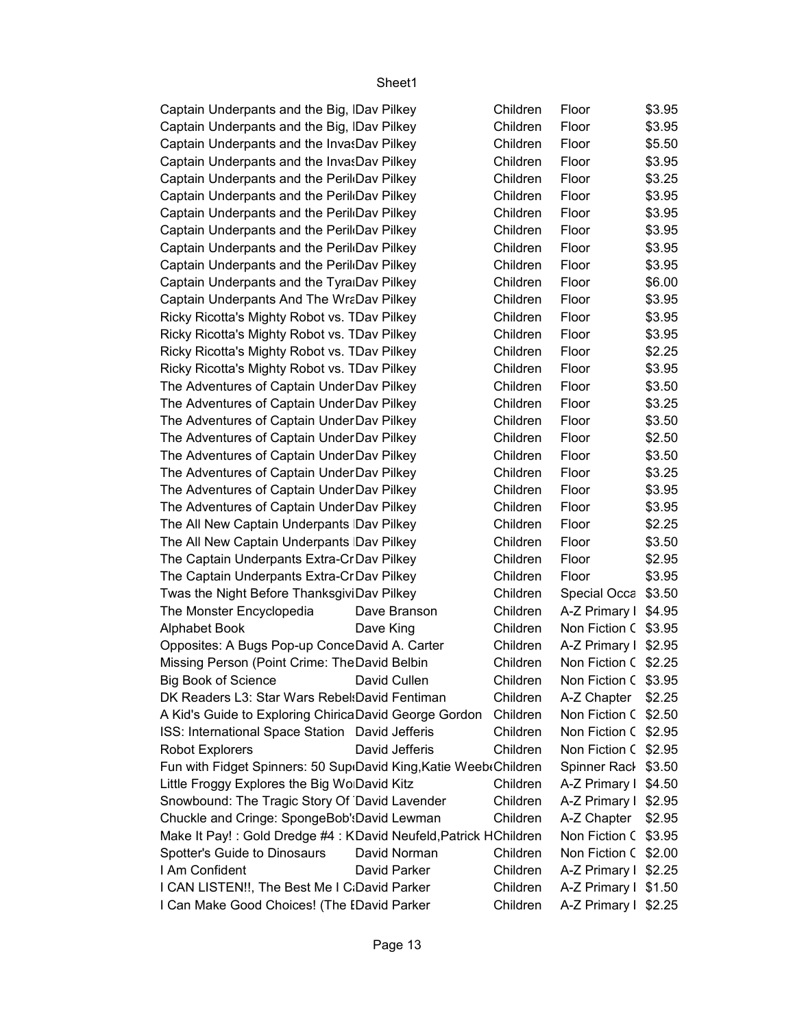| Captain Underpants and the Big, IDav Pilkey                      |                | Children | Floor                | \$3.95 |
|------------------------------------------------------------------|----------------|----------|----------------------|--------|
| Captain Underpants and the Big, IDav Pilkey                      |                | Children | Floor                | \$3.95 |
| Captain Underpants and the InvasDav Pilkey                       |                | Children | Floor                | \$5.50 |
| Captain Underpants and the InvasDav Pilkey                       |                | Children | Floor                | \$3.95 |
| Captain Underpants and the Peril Dav Pilkey                      |                | Children | Floor                | \$3.25 |
| Captain Underpants and the Peril Dav Pilkey                      |                | Children | Floor                | \$3.95 |
| Captain Underpants and the Peril Dav Pilkey                      |                | Children | Floor                | \$3.95 |
| Captain Underpants and the Peril Dav Pilkey                      |                | Children | Floor                | \$3.95 |
| Captain Underpants and the Peril Dav Pilkey                      |                | Children | Floor                | \$3.95 |
| Captain Underpants and the Peril Dav Pilkey                      |                | Children | Floor                | \$3.95 |
| Captain Underpants and the Tyra Dav Pilkey                       |                | Children | Floor                | \$6.00 |
| Captain Underpants And The WraDav Pilkey                         |                | Children | Floor                | \$3.95 |
| Ricky Ricotta's Mighty Robot vs. TDav Pilkey                     |                | Children | Floor                | \$3.95 |
| Ricky Ricotta's Mighty Robot vs. TDav Pilkey                     |                | Children | Floor                | \$3.95 |
| Ricky Ricotta's Mighty Robot vs. TDav Pilkey                     |                | Children | Floor                | \$2.25 |
| Ricky Ricotta's Mighty Robot vs. TDav Pilkey                     |                | Children | Floor                | \$3.95 |
| The Adventures of Captain Under Dav Pilkey                       |                | Children | Floor                | \$3.50 |
| The Adventures of Captain Under Dav Pilkey                       |                | Children | Floor                | \$3.25 |
| The Adventures of Captain Under Dav Pilkey                       |                | Children | Floor                | \$3.50 |
| The Adventures of Captain Under Dav Pilkey                       |                | Children | Floor                | \$2.50 |
| The Adventures of Captain Under Dav Pilkey                       |                | Children | Floor                | \$3.50 |
| The Adventures of Captain Under Dav Pilkey                       |                | Children | Floor                | \$3.25 |
| The Adventures of Captain Under Dav Pilkey                       |                | Children | Floor                | \$3.95 |
| The Adventures of Captain Under Dav Pilkey                       |                | Children | Floor                | \$3.95 |
| The All New Captain Underpants Dav Pilkey                        |                | Children | Floor                | \$2.25 |
| The All New Captain Underpants Dav Pilkey                        |                | Children | Floor                | \$3.50 |
|                                                                  |                |          |                      | \$2.95 |
| The Captain Underpants Extra-CrDav Pilkey                        |                | Children | Floor                |        |
| The Captain Underpants Extra-CrDav Pilkey                        |                | Children | Floor                | \$3.95 |
| Twas the Night Before ThanksgiviDav Pilkey                       |                | Children | Special Occa \$3.50  |        |
| The Monster Encyclopedia                                         | Dave Branson   | Children | A-Z Primary I \$4.95 |        |
| <b>Alphabet Book</b>                                             | Dave King      | Children | Non Fiction C \$3.95 |        |
| Opposites: A Bugs Pop-up ConceDavid A. Carter                    |                | Children | A-Z Primary I \$2.95 |        |
| Missing Person (Point Crime: The David Belbin                    |                | Children | Non Fiction C \$2.25 |        |
| <b>Big Book of Science</b>                                       | David Cullen   | Children | Non Fiction C \$3.95 |        |
| DK Readers L3: Star Wars Rebel: David Fentiman                   |                | Children | A-Z Chapter   \$2.25 |        |
| A Kid's Guide to Exploring Chirica David George Gordon           |                | Children | Non Fiction C \$2.50 |        |
| ISS: International Space Station David Jefferis                  |                | Children | Non Fiction C \$2.95 |        |
| Robot Explorers                                                  | David Jefferis | Children | Non Fiction C \$2.95 |        |
| Fun with Fidget Spinners: 50 Sup David King, Katie Weeb Children |                |          | Spinner Rack \$3.50  |        |
| Little Froggy Explores the Big Wo David Kitz                     |                | Children | A-Z Primary I \$4.50 |        |
| Snowbound: The Tragic Story Of David Lavender                    |                | Children | A-Z Primary I \$2.95 |        |
| Chuckle and Cringe: SpongeBob': David Lewman                     |                | Children | A-Z Chapter   \$2.95 |        |
| Make It Pay!: Gold Dredge #4: KDavid Neufeld, Patrick HChildren  |                |          | Non Fiction C \$3.95 |        |
| Spotter's Guide to Dinosaurs                                     | David Norman   | Children | Non Fiction C \$2.00 |        |
| I Am Confident                                                   | David Parker   | Children | A-Z Primary I \$2.25 |        |
| I CAN LISTEN!!, The Best Me I C David Parker                     |                | Children | A-Z Primary I \$1.50 |        |
| I Can Make Good Choices! (The IDavid Parker                      |                | Children | A-Z Primary I \$2.25 |        |
|                                                                  |                |          |                      |        |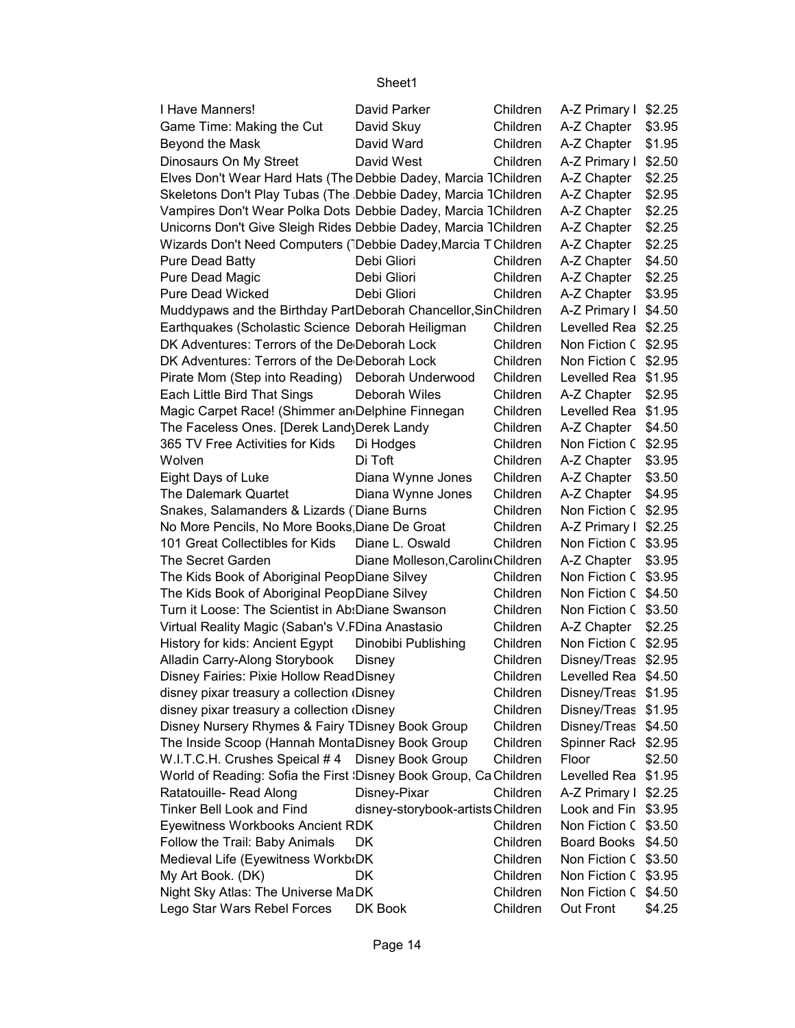| I Have Manners!                                                    | David Parker                      | Children | A-Z Primary I \$2.25 |        |
|--------------------------------------------------------------------|-----------------------------------|----------|----------------------|--------|
| Game Time: Making the Cut                                          | David Skuy                        | Children | A-Z Chapter          | \$3.95 |
| Beyond the Mask                                                    | David Ward                        | Children | A-Z Chapter          | \$1.95 |
| Dinosaurs On My Street                                             | David West                        | Children | A-Z Primary I        | \$2.50 |
| Elves Don't Wear Hard Hats (The Debbie Dadey, Marcia 1Children     |                                   |          | A-Z Chapter          | \$2.25 |
| Skeletons Don't Play Tubas (The Debbie Dadey, Marcia 1Children     |                                   |          | A-Z Chapter          | \$2.95 |
| Vampires Don't Wear Polka Dots Debbie Dadey, Marcia 1Children      |                                   |          | A-Z Chapter          | \$2.25 |
| Unicorns Don't Give Sleigh Rides Debbie Dadey, Marcia 1Children    |                                   |          | A-Z Chapter          | \$2.25 |
| Wizards Don't Need Computers (Debbie Dadey, Marcia T Children      |                                   |          | A-Z Chapter          | \$2.25 |
| Pure Dead Batty                                                    | Debi Gliori                       | Children | A-Z Chapter          | \$4.50 |
| Pure Dead Magic                                                    | Debi Gliori                       | Children | A-Z Chapter          | \$2.25 |
| <b>Pure Dead Wicked</b>                                            | Debi Gliori                       | Children | A-Z Chapter          | \$3.95 |
| Muddypaws and the Birthday PartDeborah Chancellor, SinChildren     |                                   |          | A-Z Primary I        | \$4.50 |
| Earthquakes (Scholastic Science Deborah Heiligman                  |                                   | Children | Levelled Rea \$2.25  |        |
| DK Adventures: Terrors of the De Deborah Lock                      |                                   | Children | Non Fiction C \$2.95 |        |
| DK Adventures: Terrors of the De Deborah Lock                      |                                   | Children | Non Fiction C \$2.95 |        |
| Pirate Mom (Step into Reading) Deborah Underwood                   |                                   | Children | Levelled Rea \$1.95  |        |
| Each Little Bird That Sings                                        | Deborah Wiles                     | Children | A-Z Chapter          | \$2.95 |
| Magic Carpet Race! (Shimmer an Delphine Finnegan                   |                                   | Children | Levelled Rea         | \$1.95 |
| The Faceless Ones. [Derek Land\Derek Landy                         |                                   | Children | A-Z Chapter          | \$4.50 |
| 365 TV Free Activities for Kids                                    | Di Hodges                         | Children | Non Fiction C        | \$2.95 |
| Wolven                                                             | Di Toft                           | Children | A-Z Chapter          | \$3.95 |
| Eight Days of Luke                                                 | Diana Wynne Jones                 | Children | A-Z Chapter          | \$3.50 |
| The Dalemark Quartet                                               | Diana Wynne Jones                 | Children | A-Z Chapter          | \$4.95 |
| Snakes, Salamanders & Lizards (Diane Burns                         |                                   | Children | Non Fiction C \$2.95 |        |
| No More Pencils, No More Books Diane De Groat                      |                                   | Children | A-Z Primary I \$2.25 |        |
| 101 Great Collectibles for Kids                                    | Diane L. Oswald                   | Children | Non Fiction C \$3.95 |        |
| The Secret Garden                                                  | Diane Molleson, Carolin (Children |          | A-Z Chapter          | \$3.95 |
| The Kids Book of Aboriginal PeopDiane Silvey                       |                                   | Children | Non Fiction C \$3.95 |        |
| The Kids Book of Aboriginal PeopDiane Silvey                       |                                   | Children | Non Fiction C \$4.50 |        |
| Turn it Loose: The Scientist in Ab: Diane Swanson                  |                                   | Children | Non Fiction C \$3.50 |        |
| Virtual Reality Magic (Saban's V.FDina Anastasio                   |                                   | Children | A-Z Chapter          | \$2.25 |
| History for kids: Ancient Egypt                                    | Dinobibi Publishing               | Children | Non Fiction C \$2.95 |        |
| Alladin Carry-Along Storybook                                      | Disney                            | Children | Disney/Treas \$2.95  |        |
| Disney Fairies: Pixie Hollow ReadDisney                            |                                   | Children | Levelled Rea \$4.50  |        |
| disney pixar treasury a collection (Disney                         |                                   | Children | Disney/Treas \$1.95  |        |
| disney pixar treasury a collection (Disney                         |                                   | Children | Disney/Treas \$1.95  |        |
| Disney Nursery Rhymes & Fairy TDisney Book Group                   |                                   | Children | Disney/Treas \$4.50  |        |
| The Inside Scoop (Hannah MontaDisney Book Group                    |                                   | Children | Spinner Rack \$2.95  |        |
| W.I.T.C.H. Crushes Speical #4 Disney Book Group                    |                                   | Children | Floor                | \$2.50 |
| World of Reading: Sofia the First : Disney Book Group, Ca Children |                                   |          | Levelled Rea \$1.95  |        |
| Ratatouille- Read Along                                            | Disney-Pixar                      | Children | A-Z Primary I \$2.25 |        |
| <b>Tinker Bell Look and Find</b>                                   | disney-storybook-artists Children |          | Look and Fin \$3.95  |        |
| Eyewitness Workbooks Ancient RDK                                   |                                   | Children | Non Fiction C \$3.50 |        |
| Follow the Trail: Baby Animals                                     | DK                                | Children | Board Books \$4.50   |        |
| Medieval Life (Eyewitness Workb(DK                                 |                                   | Children | Non Fiction C \$3.50 |        |
| My Art Book. (DK)                                                  | DK                                | Children | Non Fiction C \$3.95 |        |
| Night Sky Atlas: The Universe MaDK                                 |                                   | Children | Non Fiction C \$4.50 |        |
| Lego Star Wars Rebel Forces                                        | DK Book                           | Children | Out Front            | \$4.25 |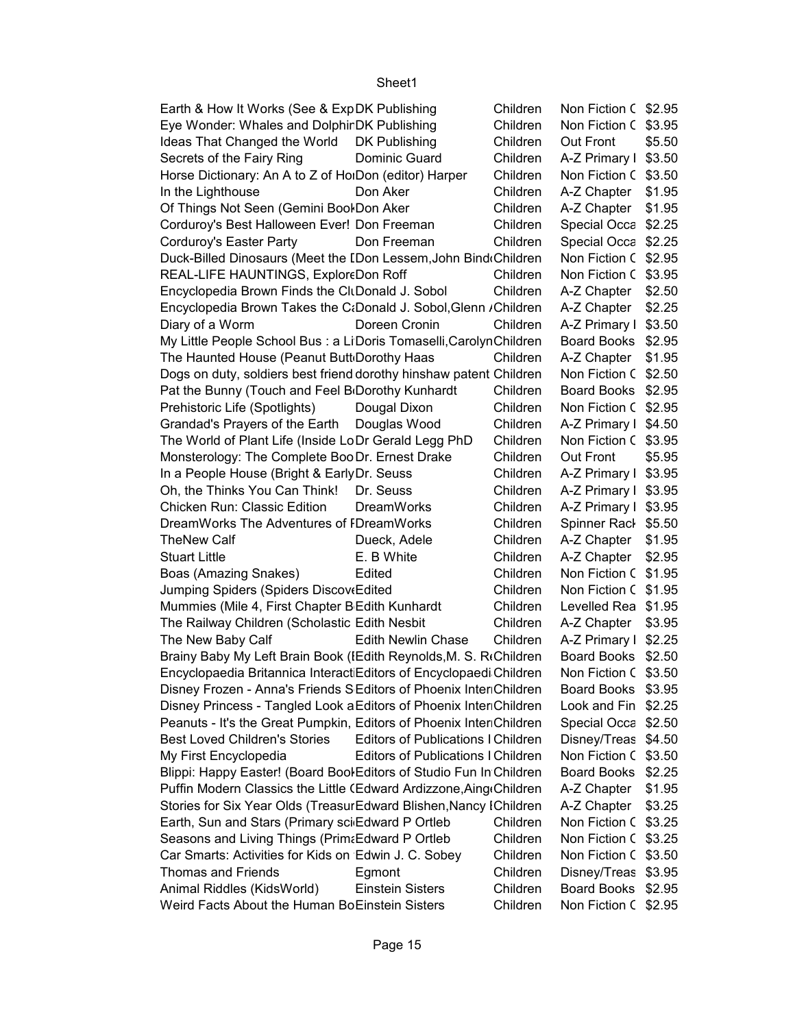| Earth & How It Works (See & ExpDK Publishing                        |                                           | Children | Non Fiction C \$2.95 |        |
|---------------------------------------------------------------------|-------------------------------------------|----------|----------------------|--------|
| Eye Wonder: Whales and DolphirDK Publishing                         |                                           | Children | Non Fiction C        | \$3.95 |
| Ideas That Changed the World DK Publishing                          |                                           | Children | Out Front            | \$5.50 |
| Secrets of the Fairy Ring                                           | Dominic Guard                             | Children | A-Z Primary I        | \$3.50 |
| Horse Dictionary: An A to Z of HolDon (editor) Harper               |                                           | Children | Non Fiction C        | \$3.50 |
| In the Lighthouse                                                   | Don Aker                                  | Children | A-Z Chapter          | \$1.95 |
| Of Things Not Seen (Gemini Bool Don Aker                            |                                           | Children | A-Z Chapter          | \$1.95 |
| Corduroy's Best Halloween Ever! Don Freeman                         |                                           | Children | Special Occa         | \$2.25 |
| Corduroy's Easter Party                                             | Don Freeman                               | Children | Special Occa         | \$2.25 |
| Duck-Billed Dinosaurs (Meet the IDon Lessem, John Bind Children     |                                           |          | Non Fiction C        | \$2.95 |
| REAL-LIFE HAUNTINGS, ExploreDon Roff                                |                                           | Children | Non Fiction C        | \$3.95 |
| Encyclopedia Brown Finds the CltDonald J. Sobol                     |                                           | Children | A-Z Chapter          | \$2.50 |
| Encyclopedia Brown Takes the C:Donald J. Sobol, Glenn / Children    |                                           |          | A-Z Chapter          | \$2.25 |
| Diary of a Worm                                                     | Doreen Cronin                             | Children | A-Z Primary I        | \$3.50 |
| My Little People School Bus : a LiDoris Tomaselli, Carolyn Children |                                           |          | <b>Board Books</b>   | \$2.95 |
| The Haunted House (Peanut Butt Dorothy Haas                         |                                           | Children | A-Z Chapter          | \$1.95 |
| Dogs on duty, soldiers best friend dorothy hinshaw patent Children  |                                           |          | Non Fiction C        | \$2.50 |
| Pat the Bunny (Touch and Feel B Dorothy Kunhardt                    |                                           | Children | <b>Board Books</b>   | \$2.95 |
| Prehistoric Life (Spotlights)                                       | Dougal Dixon                              | Children | Non Fiction C        | \$2.95 |
| Grandad's Prayers of the Earth Douglas Wood                         |                                           | Children | A-Z Primary I        | \$4.50 |
| The World of Plant Life (Inside LoDr Gerald Legg PhD                |                                           | Children | Non Fiction C        | \$3.95 |
| Monsterology: The Complete Boo Dr. Ernest Drake                     |                                           | Children | Out Front            | \$5.95 |
| In a People House (Bright & Early Dr. Seuss                         |                                           | Children | A-Z Primary I        | \$3.95 |
| Oh, the Thinks You Can Think!                                       | Dr. Seuss                                 | Children | A-Z Primary I        | \$3.95 |
| Chicken Run: Classic Edition                                        | <b>DreamWorks</b>                         | Children | A-Z Primary I        | \$3.95 |
| DreamWorks The Adventures of IDreamWorks                            |                                           | Children | Spinner Rack         | \$5.50 |
| <b>TheNew Calf</b>                                                  | Dueck, Adele                              | Children | A-Z Chapter          | \$1.95 |
| <b>Stuart Little</b>                                                | E. B White                                | Children | A-Z Chapter          | \$2.95 |
| Boas (Amazing Snakes)                                               | Edited                                    | Children | Non Fiction C        | \$1.95 |
| Jumping Spiders (Spiders Discov Edited                              |                                           | Children | Non Fiction C        | \$1.95 |
| Mummies (Mile 4, First Chapter B Edith Kunhardt                     |                                           | Children | Levelled Rea         | \$1.95 |
| The Railway Children (Scholastic Edith Nesbit                       |                                           | Children | A-Z Chapter          | \$3.95 |
| The New Baby Calf                                                   | <b>Edith Newlin Chase</b>                 | Children | A-Z Primary I        | \$2.25 |
| Brainy Baby My Left Brain Book (IEdith Reynolds, M. S. RtChildren   |                                           |          | <b>Board Books</b>   | \$2.50 |
| Encyclopaedia Britannica Interact Editors of Encyclopaedi Children  |                                           |          | Non Fiction C \$3.50 |        |
| Disney Frozen - Anna's Friends SEditors of Phoenix InteriChildren   |                                           |          | Board Books          | \$3.95 |
| Disney Princess - Tangled Look a Editors of Phoenix InteriChildren  |                                           |          | Look and Fin         | \$2.25 |
| Peanuts - It's the Great Pumpkin, Editors of Phoenix InteriChildren |                                           |          | Special Occa         | \$2.50 |
| <b>Best Loved Children's Stories</b>                                | <b>Editors of Publications I Children</b> |          | Disney/Treas         | \$4.50 |
| My First Encyclopedia                                               | <b>Editors of Publications I Children</b> |          | Non Fiction C        | \$3.50 |
| Blippi: Happy Easter! (Board Bool Editors of Studio Fun In Children |                                           |          | <b>Board Books</b>   | \$2.25 |
| Puffin Modern Classics the Little (Edward Ardizzone, Aing Children  |                                           |          | A-Z Chapter          | \$1.95 |
| Stories for Six Year Olds (TreasurEdward Blishen, Nancy IChildren   |                                           |          | A-Z Chapter          | \$3.25 |
| Earth, Sun and Stars (Primary sci-Edward P Ortleb                   |                                           | Children | Non Fiction C        | \$3.25 |
| Seasons and Living Things (Prim&Edward P Ortleb                     |                                           | Children | Non Fiction C \$3.25 |        |
| Car Smarts: Activities for Kids on Edwin J. C. Sobey                |                                           | Children | Non Fiction C \$3.50 |        |
| <b>Thomas and Friends</b>                                           | Egmont                                    | Children | Disney/Treas         | \$3.95 |
| Animal Riddles (KidsWorld)                                          | <b>Einstein Sisters</b>                   | Children | Board Books          | \$2.95 |
| Weird Facts About the Human BoEinstein Sisters                      |                                           | Children | Non Fiction C \$2.95 |        |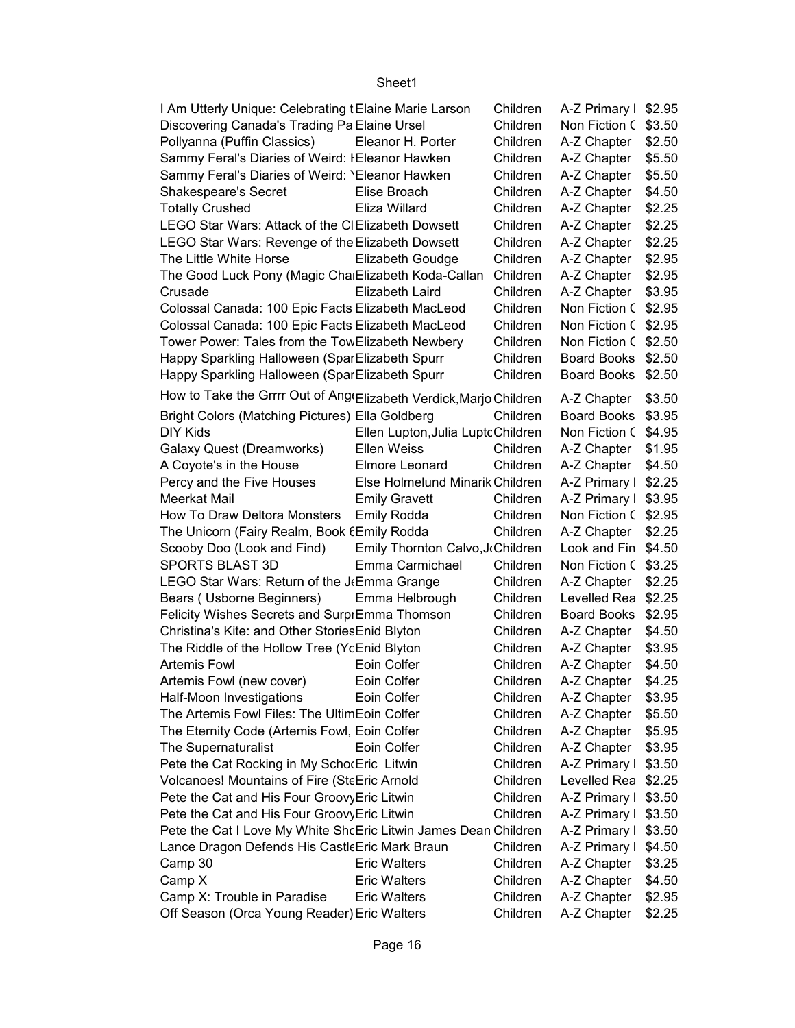| I Am Utterly Unique: Celebrating tElaine Marie Larson              |                                   | Children | A-Z Primary I \$2.95 |        |
|--------------------------------------------------------------------|-----------------------------------|----------|----------------------|--------|
| Discovering Canada's Trading Pa Elaine Ursel                       |                                   | Children | Non Fiction C \$3.50 |        |
| Pollyanna (Puffin Classics)                                        | Eleanor H. Porter                 | Children | A-Z Chapter          | \$2.50 |
| Sammy Feral's Diaries of Weird: IEleanor Hawken                    |                                   | Children | A-Z Chapter          | \$5.50 |
| Sammy Feral's Diaries of Weird: YEleanor Hawken                    |                                   | Children | A-Z Chapter          | \$5.50 |
| <b>Shakespeare's Secret</b>                                        | Elise Broach                      | Children | A-Z Chapter          | \$4.50 |
| <b>Totally Crushed</b>                                             | Eliza Willard                     | Children | A-Z Chapter          | \$2.25 |
| LEGO Star Wars: Attack of the CIElizabeth Dowsett                  |                                   | Children | A-Z Chapter          | \$2.25 |
| LEGO Star Wars: Revenge of the Elizabeth Dowsett                   |                                   | Children | A-Z Chapter          | \$2.25 |
| The Little White Horse                                             | Elizabeth Goudge                  | Children | A-Z Chapter          | \$2.95 |
| The Good Luck Pony (Magic ChaiElizabeth Koda-Callan                |                                   | Children | A-Z Chapter          | \$2.95 |
| Crusade                                                            | Elizabeth Laird                   | Children | A-Z Chapter          | \$3.95 |
| Colossal Canada: 100 Epic Facts Elizabeth MacLeod                  |                                   | Children | Non Fiction C \$2.95 |        |
| Colossal Canada: 100 Epic Facts Elizabeth MacLeod                  |                                   | Children | Non Fiction C \$2.95 |        |
| Tower Power: Tales from the TowElizabeth Newbery                   |                                   | Children | Non Fiction C \$2.50 |        |
| Happy Sparkling Halloween (SparElizabeth Spurr                     |                                   | Children | Board Books \$2.50   |        |
| Happy Sparkling Halloween (SparElizabeth Spurr                     |                                   | Children | Board Books \$2.50   |        |
| How to Take the Grrrr Out of Ang(Elizabeth Verdick, Marjo Children |                                   |          | A-Z Chapter   \$3.50 |        |
| Bright Colors (Matching Pictures) Ella Goldberg                    |                                   | Children | Board Books \$3.95   |        |
| <b>DIY Kids</b>                                                    | Ellen Lupton, Julia LuptcChildren |          | Non Fiction C \$4.95 |        |
| Galaxy Quest (Dreamworks)                                          | Ellen Weiss                       | Children | A-Z Chapter   \$1.95 |        |
| A Coyote's in the House                                            | Elmore Leonard                    | Children | A-Z Chapter   \$4.50 |        |
| Percy and the Five Houses                                          | Else Holmelund Minarik Children   |          | A-Z Primary I \$2.25 |        |
| Meerkat Mail                                                       | <b>Emily Gravett</b>              | Children | A-Z Primary I \$3.95 |        |
| How To Draw Deltora Monsters                                       | <b>Emily Rodda</b>                | Children | Non Fiction C \$2.95 |        |
| The Unicorn (Fairy Realm, Book 6Emily Rodda                        |                                   | Children | A-Z Chapter   \$2.25 |        |
| Scooby Doo (Look and Find)                                         | Emily Thornton Calvo, JcChildren  |          | Look and Fin \$4.50  |        |
| SPORTS BLAST 3D                                                    | Emma Carmichael                   | Children | Non Fiction C \$3.25 |        |
| LEGO Star Wars: Return of the J Emma Grange                        |                                   | Children | A-Z Chapter   \$2.25 |        |
| Bears (Usborne Beginners)                                          | Emma Helbrough                    | Children | Levelled Rea \$2.25  |        |
| Felicity Wishes Secrets and SurprEmma Thomson                      |                                   | Children | Board Books \$2.95   |        |
| Christina's Kite: and Other Stories Enid Blyton                    |                                   | Children | A-Z Chapter          | \$4.50 |
| The Riddle of the Hollow Tree (YcEnid Blyton                       |                                   | Children | A-Z Chapter          | \$3.95 |
| <b>Artemis Fowl</b>                                                | Eoin Colfer                       | Children | A-Z Chapter          | \$4.50 |
| Artemis Fowl (new cover)                                           | Eoin Colfer                       | Children | A-Z Chapter   \$4.25 |        |
| Half-Moon Investigations                                           | Eoin Colfer                       | Children | A-Z Chapter          | \$3.95 |
| The Artemis Fowl Files: The UltimEoin Colfer                       |                                   | Children | A-Z Chapter          | \$5.50 |
| The Eternity Code (Artemis Fowl, Eoin Colfer                       |                                   | Children | A-Z Chapter          | \$5.95 |
| The Supernaturalist                                                | Eoin Colfer                       | Children | A-Z Chapter          | \$3.95 |
| Pete the Cat Rocking in My SchocEric Litwin                        |                                   | Children | A-Z Primary I \$3.50 |        |
| Volcanoes! Mountains of Fire (SteEric Arnold                       |                                   | Children | Levelled Rea \$2.25  |        |
| Pete the Cat and His Four Groovy Eric Litwin                       |                                   | Children | A-Z Primary I \$3.50 |        |
| Pete the Cat and His Four Groovy Eric Litwin                       |                                   | Children | A-Z Primary I \$3.50 |        |
| Pete the Cat I Love My White ShcEric Litwin James Dean Children    |                                   |          | A-Z Primary I \$3.50 |        |
| Lance Dragon Defends His Castle Eric Mark Braun                    |                                   | Children | A-Z Primary I \$4.50 |        |
| Camp 30                                                            | <b>Eric Walters</b>               | Children | A-Z Chapter          | \$3.25 |
| Camp X                                                             | <b>Eric Walters</b>               | Children | A-Z Chapter          | \$4.50 |
| Camp X: Trouble in Paradise                                        | <b>Eric Walters</b>               | Children | A-Z Chapter          | \$2.95 |
| Off Season (Orca Young Reader) Eric Walters                        |                                   | Children | A-Z Chapter          | \$2.25 |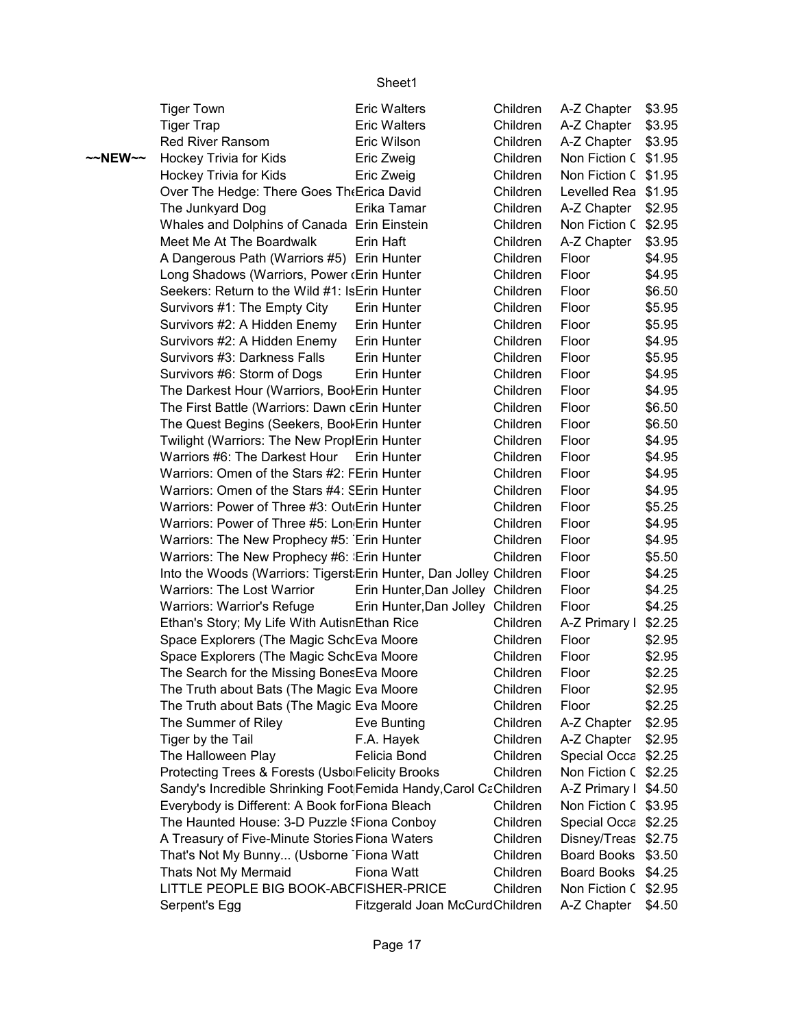|         | <b>Tiger Town</b>                                                  | <b>Eric Walters</b>              | Children | A-Z Chapter            | \$3.95           |
|---------|--------------------------------------------------------------------|----------------------------------|----------|------------------------|------------------|
|         | <b>Tiger Trap</b>                                                  | <b>Eric Walters</b>              | Children | A-Z Chapter            | \$3.95           |
|         | <b>Red River Ransom</b>                                            | Eric Wilson                      | Children | A-Z Chapter            | \$3.95           |
| ~~NEW~~ | Hockey Trivia for Kids                                             | Eric Zweig                       | Children | Non Fiction C \$1.95   |                  |
|         | Hockey Trivia for Kids                                             | Eric Zweig                       | Children | Non Fiction C \$1.95   |                  |
|         | Over The Hedge: There Goes The Erica David                         |                                  | Children | Levelled Rea \$1.95    |                  |
|         | The Junkyard Dog                                                   | Erika Tamar                      | Children | A-Z Chapter            | \$2.95           |
|         | Whales and Dolphins of Canada Erin Einstein                        |                                  | Children | Non Fiction C \$2.95   |                  |
|         | Meet Me At The Boardwalk                                           | Erin Haft                        | Children | A-Z Chapter            | \$3.95           |
|         | A Dangerous Path (Warriors #5) Erin Hunter                         |                                  | Children | Floor                  | \$4.95           |
|         | Long Shadows (Warriors, Power (Erin Hunter                         |                                  | Children | Floor                  | \$4.95           |
|         | Seekers: Return to the Wild #1: IsErin Hunter                      |                                  | Children | Floor                  | \$6.50           |
|         | Survivors #1: The Empty City                                       | Erin Hunter                      | Children | Floor                  | \$5.95           |
|         | Survivors #2: A Hidden Enemy                                       | Erin Hunter                      | Children | Floor                  | \$5.95           |
|         | Survivors #2: A Hidden Enemy                                       | Erin Hunter                      | Children | Floor                  | \$4.95           |
|         | Survivors #3: Darkness Falls                                       | Erin Hunter                      | Children | Floor                  | \$5.95           |
|         | Survivors #6: Storm of Dogs                                        | Erin Hunter                      | Children | Floor                  | \$4.95           |
|         | The Darkest Hour (Warriors, Bool Erin Hunter                       |                                  | Children | Floor                  | \$4.95           |
|         | The First Battle (Warriors: Dawn cErin Hunter                      |                                  | Children | Floor                  | \$6.50           |
|         | The Quest Begins (Seekers, Bool Erin Hunter                        |                                  | Children | Floor                  | \$6.50           |
|         | Twilight (Warriors: The New ProplErin Hunter                       |                                  | Children | Floor                  | \$4.95           |
|         | Warriors #6: The Darkest Hour                                      | Erin Hunter                      | Children | Floor                  | \$4.95           |
|         | Warriors: Omen of the Stars #2: FErin Hunter                       |                                  | Children | Floor                  | \$4.95           |
|         | Warriors: Omen of the Stars #4: SErin Hunter                       |                                  | Children | Floor                  | \$4.95           |
|         | Warriors: Power of Three #3: Out(Erin Hunter                       |                                  | Children | Floor                  | \$5.25           |
|         | Warriors: Power of Three #5: Lon Erin Hunter                       |                                  | Children | Floor                  | \$4.95           |
|         | Warriors: The New Prophecy #5: Erin Hunter                         |                                  | Children | Floor                  | \$4.95           |
|         | Warriors: The New Prophecy #6: Erin Hunter                         |                                  | Children | Floor                  | \$5.50           |
|         | Into the Woods (Warriors: Tigerst Erin Hunter, Dan Jolley Children |                                  |          | Floor                  | \$4.25           |
|         | Warriors: The Lost Warrior                                         | Erin Hunter, Dan Jolley Children |          | Floor                  |                  |
|         |                                                                    | Erin Hunter, Dan Jolley Children |          | Floor                  | \$4.25<br>\$4.25 |
|         | Warriors: Warrior's Refuge                                         |                                  | Children |                        |                  |
|         | Ethan's Story; My Life With AutisnEthan Rice                       |                                  |          | A-Z Primary I<br>Floor | \$2.25           |
|         | Space Explorers (The Magic SchcEva Moore                           |                                  | Children |                        | \$2.95           |
|         | Space Explorers (The Magic SchcEva Moore                           |                                  | Children | Floor                  | \$2.95           |
|         | The Search for the Missing Bones Eva Moore                         |                                  | Children | Floor                  | \$2.25           |
|         | The Truth about Bats (The Magic Eva Moore                          |                                  | Children | Floor                  | \$2.95           |
|         | The Truth about Bats (The Magic Eva Moore                          |                                  | Children | Floor                  | \$2.25           |
|         | The Summer of Riley                                                | Eve Bunting                      | Children | A-Z Chapter   \$2.95   |                  |
|         | Tiger by the Tail                                                  | F.A. Hayek                       | Children | A-Z Chapter   \$2.95   |                  |
|         | The Halloween Play                                                 | Felicia Bond                     | Children | Special Occa \$2.25    |                  |
|         | Protecting Trees & Forests (Usbo Felicity Brooks                   |                                  | Children | Non Fiction C \$2.25   |                  |
|         | Sandy's Incredible Shrinking Foot Femida Handy, Carol CaChildren   |                                  |          | A-Z Primary I \$4.50   |                  |
|         | Everybody is Different: A Book for Fiona Bleach                    |                                  | Children | Non Fiction C \$3.95   |                  |
|         | The Haunted House: 3-D Puzzle (Fiona Conboy                        |                                  | Children | Special Occa \$2.25    |                  |
|         | A Treasury of Five-Minute Stories Fiona Waters                     |                                  | Children | Disney/Treas \$2.75    |                  |
|         | That's Not My Bunny (Usborne Fiona Watt                            |                                  | Children | Board Books \$3.50     |                  |
|         | Thats Not My Mermaid                                               | Fiona Watt                       | Children | Board Books \$4.25     |                  |
|         | LITTLE PEOPLE BIG BOOK-ABCFISHER-PRICE                             |                                  | Children | Non Fiction C \$2.95   |                  |
|         | Serpent's Egg                                                      | Fitzgerald Joan McCurdChildren   |          | A-Z Chapter            | \$4.50           |
|         |                                                                    |                                  |          |                        |                  |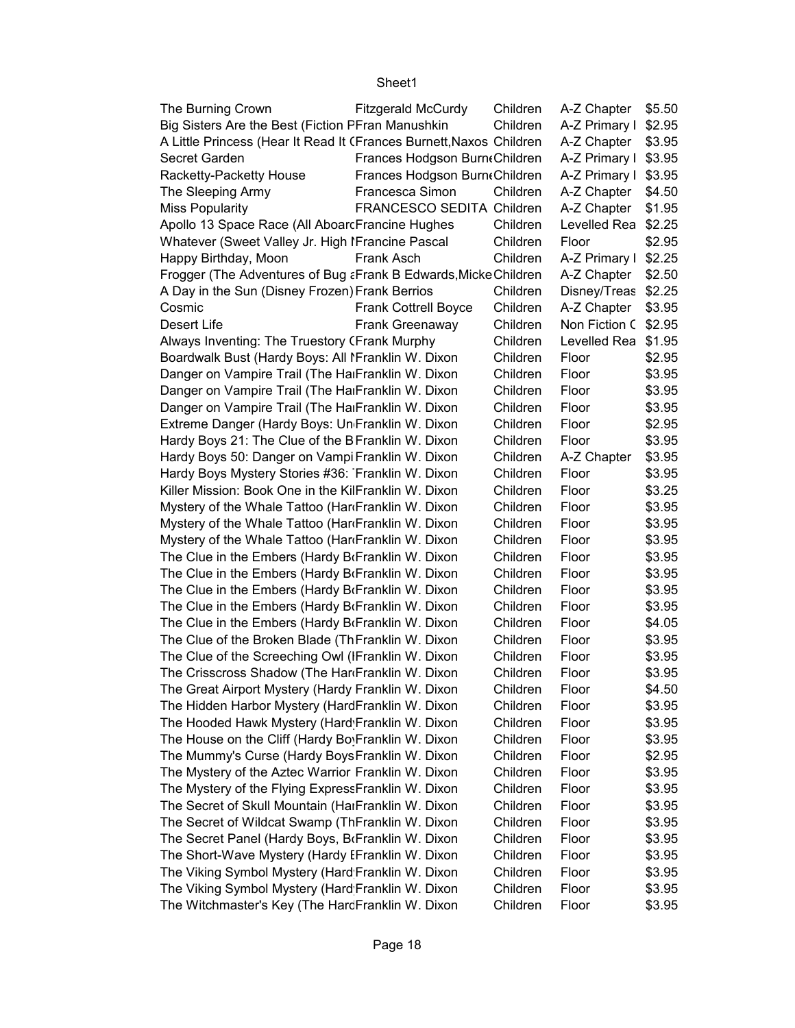| The Burning Crown                                                   | Fitzgerald McCurdy            | Children | A-Z Chapter          | \$5.50 |
|---------------------------------------------------------------------|-------------------------------|----------|----------------------|--------|
| Big Sisters Are the Best (Fiction PFran Manushkin                   |                               | Children | A-Z Primary I \$2.95 |        |
| A Little Princess (Hear It Read It (Frances Burnett, Naxos Children |                               |          | A-Z Chapter          | \$3.95 |
| Secret Garden                                                       | Frances Hodgson BurntChildren |          | A-Z Primary I \$3.95 |        |
| Racketty-Packetty House                                             | Frances Hodgson BurntChildren |          | A-Z Primary I \$3.95 |        |
| The Sleeping Army                                                   | Francesca Simon               | Children | A-Z Chapter          | \$4.50 |
| <b>Miss Popularity</b>                                              | FRANCESCO SEDITA Children     |          | A-Z Chapter          | \$1.95 |
| Apollo 13 Space Race (All AboarcFrancine Hughes                     |                               | Children | Levelled Rea         | \$2.25 |
| Whatever (Sweet Valley Jr. High IFrancine Pascal                    |                               | Children | Floor                | \$2.95 |
| Happy Birthday, Moon                                                | Frank Asch                    | Children | A-Z Primary I        | \$2.25 |
| Frogger (The Adventures of Bug a Frank B Edwards, Micke Children    |                               |          | A-Z Chapter          | \$2.50 |
| A Day in the Sun (Disney Frozen) Frank Berrios                      |                               | Children | Disney/Treas         | \$2.25 |
| Cosmic                                                              | <b>Frank Cottrell Boyce</b>   | Children | A-Z Chapter          | \$3.95 |
| Desert Life                                                         | Frank Greenaway               | Children | Non Fiction C \$2.95 |        |
| Always Inventing: The Truestory (Frank Murphy                       |                               | Children | Levelled Rea \$1.95  |        |
| Boardwalk Bust (Hardy Boys: All I Franklin W. Dixon                 |                               | Children | Floor                | \$2.95 |
| Danger on Vampire Trail (The HalFranklin W. Dixon                   |                               | Children | Floor                | \$3.95 |
| Danger on Vampire Trail (The HalFranklin W. Dixon                   |                               | Children | Floor                | \$3.95 |
| Danger on Vampire Trail (The HalFranklin W. Dixon                   |                               | Children | Floor                | \$3.95 |
| Extreme Danger (Hardy Boys: Un Franklin W. Dixon                    |                               | Children | Floor                | \$2.95 |
| Hardy Boys 21: The Clue of the BFranklin W. Dixon                   |                               | Children | Floor                | \$3.95 |
| Hardy Boys 50: Danger on Vampi Franklin W. Dixon                    |                               | Children | A-Z Chapter          | \$3.95 |
| Hardy Boys Mystery Stories #36: Franklin W. Dixon                   |                               | Children | Floor                | \$3.95 |
| Killer Mission: Book One in the KilFranklin W. Dixon                |                               | Children | Floor                | \$3.25 |
| Mystery of the Whale Tattoo (HariFranklin W. Dixon                  |                               | Children | Floor                | \$3.95 |
| Mystery of the Whale Tattoo (HariFranklin W. Dixon                  |                               | Children | Floor                | \$3.95 |
| Mystery of the Whale Tattoo (HariFranklin W. Dixon                  |                               | Children | Floor                | \$3.95 |
| The Clue in the Embers (Hardy BrFranklin W. Dixon                   |                               | Children | Floor                | \$3.95 |
| The Clue in the Embers (Hardy BrFranklin W. Dixon                   |                               | Children | Floor                | \$3.95 |
| The Clue in the Embers (Hardy BrFranklin W. Dixon                   |                               | Children | Floor                | \$3.95 |
| The Clue in the Embers (Hardy BrFranklin W. Dixon                   |                               | Children | Floor                | \$3.95 |
| The Clue in the Embers (Hardy BrFranklin W. Dixon                   |                               | Children | Floor                | \$4.05 |
| The Clue of the Broken Blade (ThFranklin W. Dixon                   |                               | Children | Floor                | \$3.95 |
| The Clue of the Screeching Owl (IFranklin W. Dixon                  |                               | Children | Floor                | \$3.95 |
| The Crisscross Shadow (The HardFranklin W. Dixon                    |                               | Children | Floor                | \$3.95 |
| The Great Airport Mystery (Hardy Franklin W. Dixon                  |                               | Children | Floor                | \$4.50 |
| The Hidden Harbor Mystery (HardFranklin W. Dixon                    |                               | Children | Floor                | \$3.95 |
| The Hooded Hawk Mystery (Hard Franklin W. Dixon                     |                               | Children | Floor                | \$3.95 |
| The House on the Cliff (Hardy Bo <sub>!</sub> Franklin W. Dixon     |                               | Children | Floor                | \$3.95 |
| The Mummy's Curse (Hardy Boys Franklin W. Dixon                     |                               | Children | Floor                | \$2.95 |
| The Mystery of the Aztec Warrior Franklin W. Dixon                  |                               | Children | Floor                | \$3.95 |
| The Mystery of the Flying ExpressFranklin W. Dixon                  |                               | Children | Floor                | \$3.95 |
| The Secret of Skull Mountain (HaıFranklin W. Dixon                  |                               | Children | Floor                | \$3.95 |
| The Secret of Wildcat Swamp (ThFranklin W. Dixon                    |                               | Children | Floor                | \$3.95 |
| The Secret Panel (Hardy Boys, BrFranklin W. Dixon                   |                               | Children | Floor                | \$3.95 |
| The Short-Wave Mystery (Hardy EFranklin W. Dixon                    |                               | Children | Floor                | \$3.95 |
| The Viking Symbol Mystery (Hard Franklin W. Dixon                   |                               | Children | Floor                | \$3.95 |
| The Viking Symbol Mystery (Hard Franklin W. Dixon                   |                               | Children | Floor                | \$3.95 |
| The Witchmaster's Key (The HarcFranklin W. Dixon                    |                               | Children | Floor                | \$3.95 |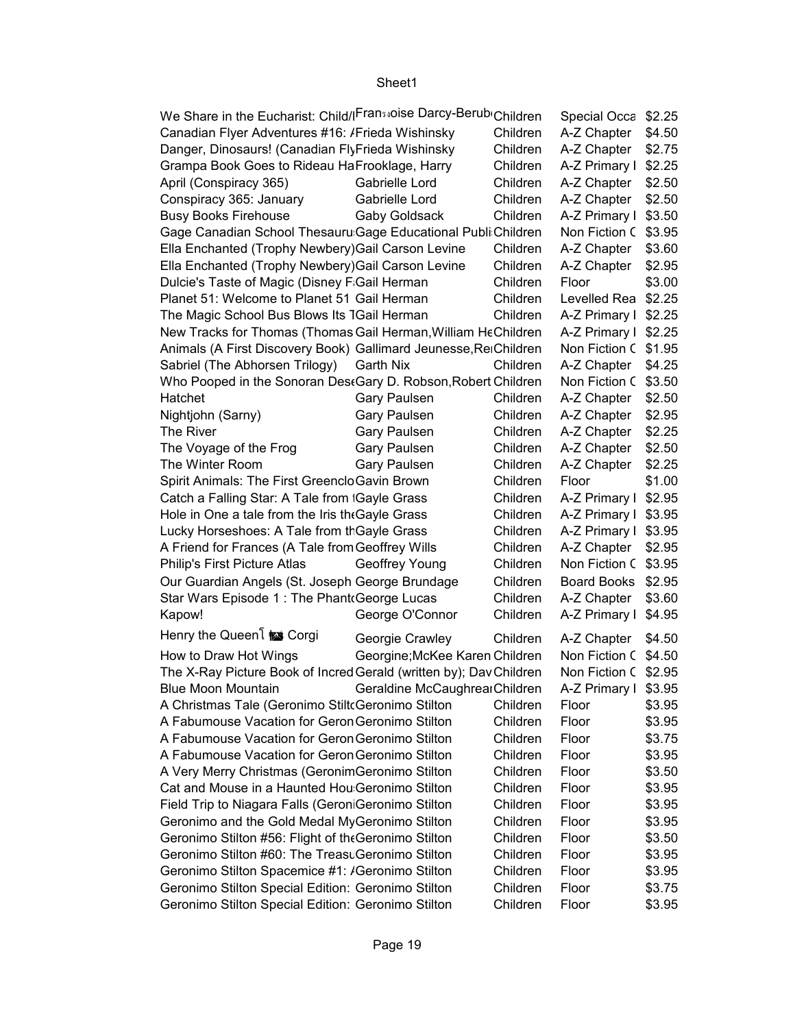| We Share in the Eucharist: Child/ Fransaoise Darcy-Berub Children  |                                |          | Special Occa         | \$2.25 |
|--------------------------------------------------------------------|--------------------------------|----------|----------------------|--------|
| Canadian Flyer Adventures #16: /Frieda Wishinsky                   |                                | Children | A-Z Chapter          | \$4.50 |
| Danger, Dinosaurs! (Canadian FlyFrieda Wishinsky                   |                                | Children | A-Z Chapter          | \$2.75 |
| Grampa Book Goes to Rideau HaFrooklage, Harry                      |                                | Children | A-Z Primary I        | \$2.25 |
| April (Conspiracy 365)                                             | Gabrielle Lord                 | Children | A-Z Chapter          | \$2.50 |
| Conspiracy 365: January                                            | Gabrielle Lord                 | Children | A-Z Chapter          | \$2.50 |
| <b>Busy Books Firehouse</b>                                        | Gaby Goldsack                  | Children | A-Z Primary I        | \$3.50 |
| Gage Canadian School Thesauru Gage Educational Publi Children      |                                |          | Non Fiction C        | \$3.95 |
| Ella Enchanted (Trophy Newbery) Gail Carson Levine                 |                                | Children | A-Z Chapter          | \$3.60 |
| Ella Enchanted (Trophy Newbery) Gail Carson Levine                 |                                | Children | A-Z Chapter          | \$2.95 |
| Dulcie's Taste of Magic (Disney F Gail Herman                      |                                | Children | Floor                | \$3.00 |
| Planet 51: Welcome to Planet 51 Gail Herman                        |                                | Children | Levelled Rea \$2.25  |        |
| The Magic School Bus Blows Its 1Gail Herman                        |                                | Children | A-Z Primary I \$2.25 |        |
| New Tracks for Thomas (Thomas Gail Herman, William HeChildren      |                                |          | A-Z Primary I \$2.25 |        |
| Animals (A First Discovery Book) Gallimard Jeunesse, ReiChildren   |                                |          | Non Fiction C \$1.95 |        |
| Sabriel (The Abhorsen Trilogy)                                     | Garth Nix                      | Children | A-Z Chapter          | \$4.25 |
| Who Pooped in the Sonoran DestGary D. Robson, Robert Children      |                                |          | Non Fiction C        | \$3.50 |
| Hatchet                                                            | Gary Paulsen                   | Children | A-Z Chapter          | \$2.50 |
|                                                                    | Gary Paulsen                   | Children | A-Z Chapter          | \$2.95 |
| Nightjohn (Sarny)<br>The River                                     |                                | Children |                      |        |
|                                                                    | Gary Paulsen                   |          | A-Z Chapter          | \$2.25 |
| The Voyage of the Frog                                             | Gary Paulsen                   | Children | A-Z Chapter          | \$2.50 |
| The Winter Room                                                    | <b>Gary Paulsen</b>            | Children | A-Z Chapter          | \$2.25 |
| Spirit Animals: The First Greenclo Gavin Brown                     |                                | Children | Floor                | \$1.00 |
| Catch a Falling Star: A Tale from Gayle Grass                      |                                | Children | A-Z Primary I        | \$2.95 |
| Hole in One a tale from the Iris the Gayle Grass                   |                                | Children | A-Z Primary I        | \$3.95 |
| Lucky Horseshoes: A Tale from th Gayle Grass                       |                                | Children | A-Z Primary I        | \$3.95 |
| A Friend for Frances (A Tale from Geoffrey Wills                   |                                | Children | A-Z Chapter          | \$2.95 |
| Philip's First Picture Atlas                                       | Geoffrey Young                 | Children | Non Fiction C        | \$3.95 |
| Our Guardian Angels (St. Joseph George Brundage                    |                                | Children | <b>Board Books</b>   | \$2.95 |
| Star Wars Episode 1: The Phant George Lucas                        |                                | Children | A-Z Chapter          | \$3.60 |
| Kapow!                                                             | George O'Connor                | Children | A-Z Primary I        | \$4.95 |
| Henry the Queen i <u>not</u> Corgi                                 | Georgie Crawley                | Children | A-Z Chapter          | \$4.50 |
| How to Draw Hot Wings                                              | Georgine; McKee Karen Children |          | Non Fiction C \$4.50 |        |
| The X-Ray Picture Book of Incred Gerald (written by); Dav Children |                                |          | Non Fiction C \$2.95 |        |
| <b>Blue Moon Mountain</b>                                          | Geraldine McCaughrearChildren  |          | A-Z Primary I \$3.95 |        |
| A Christmas Tale (Geronimo StiltoGeronimo Stilton                  |                                | Children | Floor                | \$3.95 |
| A Fabumouse Vacation for Geron Geronimo Stilton                    |                                | Children | Floor                | \$3.95 |
| A Fabumouse Vacation for Geron Geronimo Stilton                    |                                | Children | Floor                | \$3.75 |
| A Fabumouse Vacation for Geron Geronimo Stilton                    |                                | Children | Floor                | \$3.95 |
| A Very Merry Christmas (Geronim Geronimo Stilton                   |                                | Children | Floor                | \$3.50 |
| Cat and Mouse in a Haunted Hou Geronimo Stilton                    |                                | Children | Floor                | \$3.95 |
| Field Trip to Niagara Falls (GeroniGeronimo Stilton                |                                | Children | Floor                | \$3.95 |
| Geronimo and the Gold Medal MyGeronimo Stilton                     |                                | Children | Floor                | \$3.95 |
| Geronimo Stilton #56: Flight of the Geronimo Stilton               |                                | Children | Floor                | \$3.50 |
| Geronimo Stilton #60: The Treast Geronimo Stilton                  |                                | Children | Floor                | \$3.95 |
| Geronimo Stilton Spacemice #1: /Geronimo Stilton                   |                                | Children | Floor                | \$3.95 |
| Geronimo Stilton Special Edition: Geronimo Stilton                 |                                | Children | Floor                | \$3.75 |
| Geronimo Stilton Special Edition: Geronimo Stilton                 |                                | Children | Floor                | \$3.95 |
|                                                                    |                                |          |                      |        |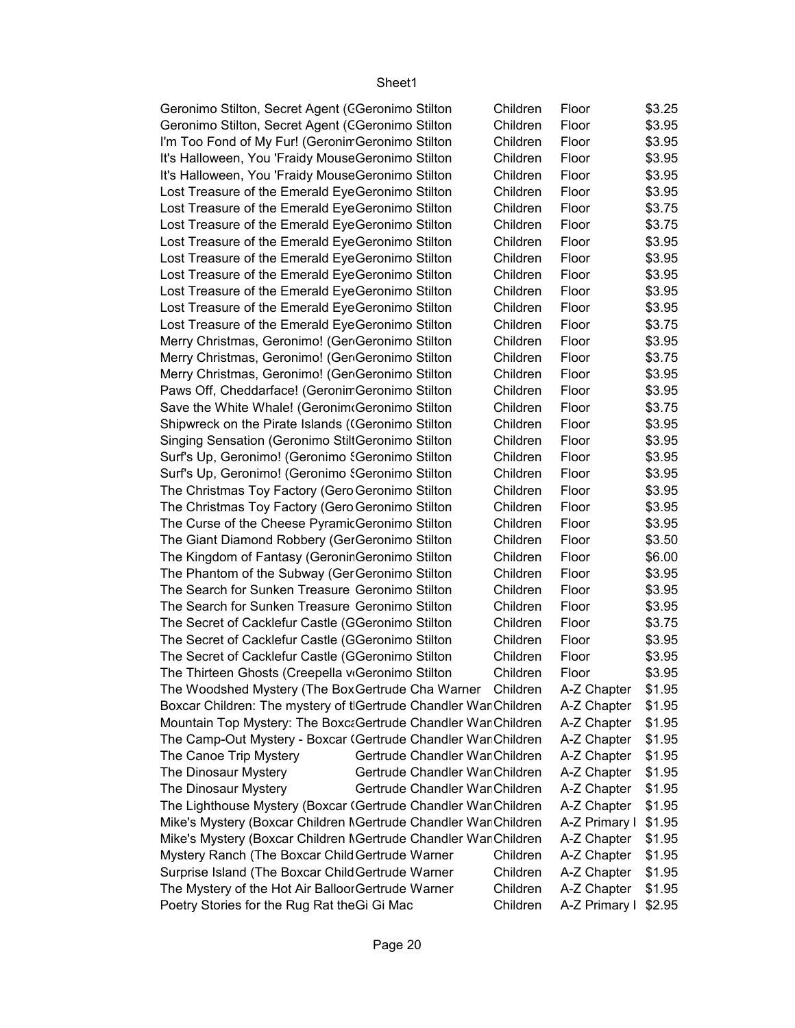| Geronimo Stilton, Secret Agent (CGeronimo Stilton               |                                | Children | Floor         | \$3.25 |
|-----------------------------------------------------------------|--------------------------------|----------|---------------|--------|
| Geronimo Stilton, Secret Agent (CGeronimo Stilton               |                                | Children | Floor         | \$3.95 |
| I'm Too Fond of My Fur! (Geronin Geronimo Stilton               |                                | Children | Floor         | \$3.95 |
| It's Halloween, You 'Fraidy MouseGeronimo Stilton               |                                | Children | Floor         | \$3.95 |
| It's Halloween, You 'Fraidy MouseGeronimo Stilton               |                                | Children | Floor         | \$3.95 |
| Lost Treasure of the Emerald EyeGeronimo Stilton                |                                | Children | Floor         | \$3.95 |
| Lost Treasure of the Emerald EyeGeronimo Stilton                |                                | Children | Floor         | \$3.75 |
| Lost Treasure of the Emerald EyeGeronimo Stilton                |                                | Children | Floor         | \$3.75 |
| Lost Treasure of the Emerald EyeGeronimo Stilton                |                                | Children | Floor         | \$3.95 |
| Lost Treasure of the Emerald EyeGeronimo Stilton                |                                | Children | Floor         | \$3.95 |
| Lost Treasure of the Emerald EyeGeronimo Stilton                |                                | Children | Floor         | \$3.95 |
| Lost Treasure of the Emerald EyeGeronimo Stilton                |                                | Children | Floor         | \$3.95 |
| Lost Treasure of the Emerald EyeGeronimo Stilton                |                                | Children | Floor         | \$3.95 |
| Lost Treasure of the Emerald EyeGeronimo Stilton                |                                | Children | Floor         | \$3.75 |
| Merry Christmas, Geronimo! (Ger Geronimo Stilton                |                                | Children | Floor         | \$3.95 |
| Merry Christmas, Geronimo! (GenGeronimo Stilton                 |                                | Children | Floor         | \$3.75 |
| Merry Christmas, Geronimo! (Ger Geronimo Stilton                |                                | Children | Floor         | \$3.95 |
| Paws Off, Cheddarface! (Geronim Geronimo Stilton                |                                | Children | Floor         | \$3.95 |
| Save the White Whale! (Geronim Geronimo Stilton                 |                                | Children | Floor         | \$3.75 |
| Shipwreck on the Pirate Islands ((Geronimo Stilton              |                                | Children | Floor         | \$3.95 |
| Singing Sensation (Geronimo StiltGeronimo Stilton               |                                | Children | Floor         | \$3.95 |
|                                                                 |                                | Children | Floor         |        |
| Surf's Up, Geronimo! (Geronimo {Geronimo Stilton                |                                |          |               | \$3.95 |
| Surf's Up, Geronimo! (Geronimo {Geronimo Stilton                |                                | Children | Floor         | \$3.95 |
| The Christmas Toy Factory (Gero Geronimo Stilton                |                                | Children | Floor         | \$3.95 |
| The Christmas Toy Factory (Gero Geronimo Stilton                |                                | Children | Floor         | \$3.95 |
| The Curse of the Cheese Pyramic Geronimo Stilton                |                                | Children | Floor         | \$3.95 |
| The Giant Diamond Robbery (GerGeronimo Stilton                  |                                | Children | Floor         | \$3.50 |
| The Kingdom of Fantasy (Geronin Geronimo Stilton                |                                | Children | Floor         | \$6.00 |
| The Phantom of the Subway (Ger Geronimo Stilton                 |                                | Children | Floor         | \$3.95 |
| The Search for Sunken Treasure Geronimo Stilton                 |                                | Children | Floor         | \$3.95 |
| The Search for Sunken Treasure Geronimo Stilton                 |                                | Children | Floor         | \$3.95 |
| The Secret of Cacklefur Castle (GGeronimo Stilton               |                                | Children | Floor         | \$3.75 |
| The Secret of Cacklefur Castle (GGeronimo Stilton               |                                | Children | Floor         | \$3.95 |
| The Secret of Cacklefur Castle (GGeronimo Stilton               |                                | Children | Floor         | \$3.95 |
| The Thirteen Ghosts (Creepella viGeronimo Stilton               |                                | Children | Floor         | \$3.95 |
| The Woodshed Mystery (The Box Gertrude Cha Warner Children      |                                |          | A-Z Chapter   | \$1.95 |
| Boxcar Children: The mystery of tGertrude Chandler War Children |                                |          | A-Z Chapter   | \$1.95 |
| Mountain Top Mystery: The Boxc: Gertrude Chandler War Children  |                                |          | A-Z Chapter   | \$1.95 |
| The Camp-Out Mystery - Boxcar (Gertrude Chandler War Children   |                                |          | A-Z Chapter   | \$1.95 |
| The Canoe Trip Mystery                                          | Gertrude Chandler War Children |          | A-Z Chapter   | \$1.95 |
| The Dinosaur Mystery                                            | Gertrude Chandler War Children |          | A-Z Chapter   | \$1.95 |
| The Dinosaur Mystery                                            | Gertrude Chandler War Children |          | A-Z Chapter   | \$1.95 |
| The Lighthouse Mystery (Boxcar (Gertrude Chandler War Children  |                                |          | A-Z Chapter   | \$1.95 |
| Mike's Mystery (Boxcar Children NGertrude Chandler War Children |                                |          | A-Z Primary I | \$1.95 |
| Mike's Mystery (Boxcar Children MGertrude Chandler War Children |                                |          | A-Z Chapter   | \$1.95 |
| Mystery Ranch (The Boxcar Child Gertrude Warner                 |                                | Children | A-Z Chapter   | \$1.95 |
| Surprise Island (The Boxcar Child Gertrude Warner               |                                | Children | A-Z Chapter   | \$1.95 |
| The Mystery of the Hot Air Balloor Gertrude Warner              |                                | Children | A-Z Chapter   | \$1.95 |
| Poetry Stories for the Rug Rat the Gi Gi Mac                    |                                | Children | A-Z Primary I | \$2.95 |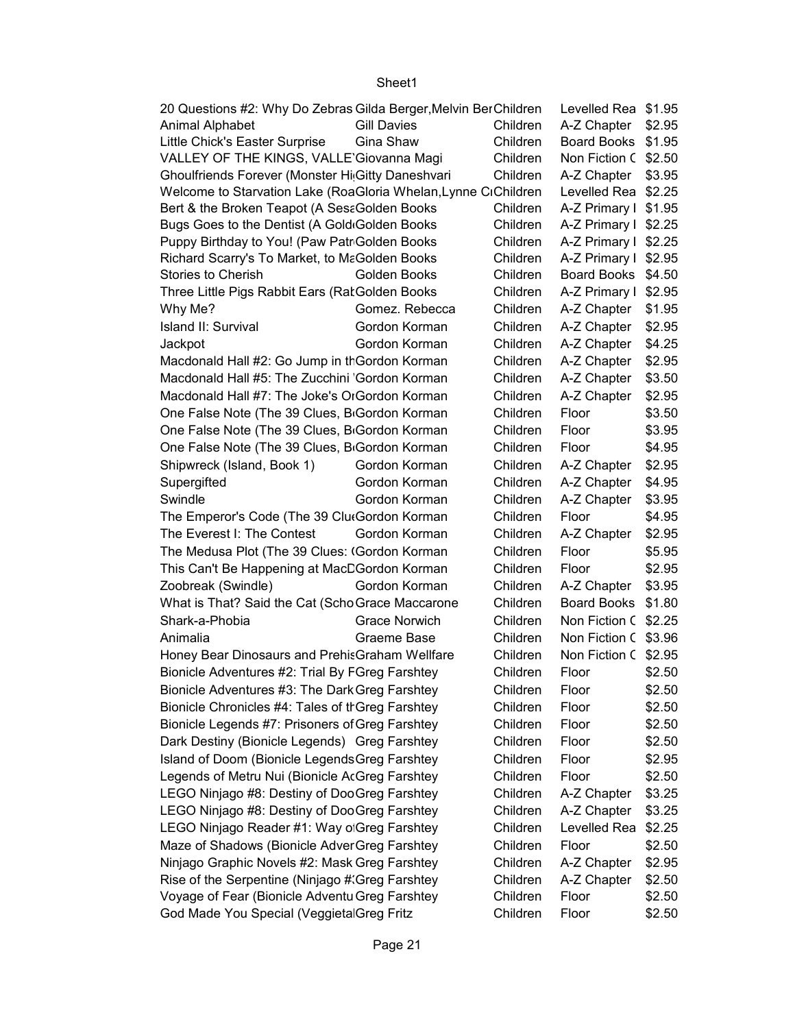| 20 Questions #2: Why Do Zebras Gilda Berger, Melvin Ber Children |                      |          | Levelled Rea \$1.95  |        |
|------------------------------------------------------------------|----------------------|----------|----------------------|--------|
| Animal Alphabet                                                  | <b>Gill Davies</b>   | Children | A-Z Chapter          | \$2.95 |
| Little Chick's Easter Surprise                                   | Gina Shaw            | Children | <b>Board Books</b>   | \$1.95 |
| VALLEY OF THE KINGS, VALLE Giovanna Magi                         |                      | Children | Non Fiction C        | \$2.50 |
| Ghoulfriends Forever (Monster Hi Gitty Daneshvari                |                      | Children | A-Z Chapter          | \$3.95 |
| Welcome to Starvation Lake (RoaGloria Whelan, Lynne CiChildren   |                      |          | Levelled Rea \$2.25  |        |
| Bert & the Broken Teapot (A SesaGolden Books                     |                      | Children | A-Z Primary I \$1.95 |        |
| Bugs Goes to the Dentist (A Gold Golden Books                    |                      | Children | A-Z Primary I \$2.25 |        |
| Puppy Birthday to You! (Paw Patr Golden Books                    |                      | Children | A-Z Primary I        | \$2.25 |
| Richard Scarry's To Market, to MaGolden Books                    |                      | Children | A-Z Primary I        | \$2.95 |
| <b>Stories to Cherish</b>                                        | Golden Books         | Children | <b>Board Books</b>   | \$4.50 |
| Three Little Pigs Rabbit Ears (Rat Golden Books                  |                      | Children | A-Z Primary I        | \$2.95 |
| Why Me?                                                          | Gomez. Rebecca       | Children | A-Z Chapter          | \$1.95 |
| Island II: Survival                                              | Gordon Korman        | Children | A-Z Chapter          | \$2.95 |
| Jackpot                                                          | Gordon Korman        | Children | A-Z Chapter          | \$4.25 |
| Macdonald Hall #2: Go Jump in th Gordon Korman                   |                      | Children | A-Z Chapter          | \$2.95 |
| Macdonald Hall #5: The Zucchini Gordon Korman                    |                      | Children | A-Z Chapter          | \$3.50 |
| Macdonald Hall #7: The Joke's OrGordon Korman                    |                      | Children | A-Z Chapter          | \$2.95 |
| One False Note (The 39 Clues, B <sub>Gordon</sub> Korman         |                      | Children | Floor                | \$3.50 |
| One False Note (The 39 Clues, B <sub>Gordon</sub> Korman         |                      | Children | Floor                | \$3.95 |
| One False Note (The 39 Clues, B <sub>Gordon</sub> Korman         |                      | Children | Floor                | \$4.95 |
| Shipwreck (Island, Book 1)                                       | Gordon Korman        | Children | A-Z Chapter          | \$2.95 |
| Supergifted                                                      | Gordon Korman        | Children | A-Z Chapter          | \$4.95 |
| Swindle                                                          | Gordon Korman        | Children | A-Z Chapter          | \$3.95 |
| The Emperor's Code (The 39 ClutGordon Korman                     |                      | Children | Floor                | \$4.95 |
| The Everest I: The Contest                                       | Gordon Korman        | Children | A-Z Chapter          | \$2.95 |
| The Medusa Plot (The 39 Clues: (Gordon Korman                    |                      | Children | Floor                | \$5.95 |
| This Can't Be Happening at MacCGordon Korman                     |                      | Children | Floor                | \$2.95 |
| Zoobreak (Swindle)                                               | Gordon Korman        | Children | A-Z Chapter          | \$3.95 |
| What is That? Said the Cat (Scho Grace Maccarone                 |                      | Children | <b>Board Books</b>   | \$1.80 |
| Shark-a-Phobia                                                   | <b>Grace Norwich</b> | Children | Non Fiction C \$2.25 |        |
| Animalia                                                         | Graeme Base          | Children | Non Fiction C \$3.96 |        |
| Honey Bear Dinosaurs and PrehisGraham Wellfare                   |                      | Children | Non Fiction C \$2.95 |        |
| Bionicle Adventures #2: Trial By FGreg Farshtey                  |                      | Children | Floor                | \$2.50 |
| Bionicle Adventures #3: The Dark Greg Farshtey                   |                      | Children | Floor                | \$2.50 |
| Bionicle Chronicles #4: Tales of tr Greg Farshtey                |                      | Children | Floor                | \$2.50 |
| Bionicle Legends #7: Prisoners of Greg Farshtey                  |                      | Children | Floor                | \$2.50 |
| Dark Destiny (Bionicle Legends) Greg Farshtey                    |                      | Children | Floor                | \$2.50 |
| Island of Doom (Bionicle Legends Greg Farshtey                   |                      | Children | Floor                | \$2.95 |
| Legends of Metru Nui (Bionicle AcGreg Farshtey                   |                      | Children | Floor                | \$2.50 |
| LEGO Ninjago #8: Destiny of Doo Greg Farshtey                    |                      | Children | A-Z Chapter          | \$3.25 |
| LEGO Ninjago #8: Destiny of DooGreg Farshtey                     |                      | Children | A-Z Chapter          | \$3.25 |
| LEGO Ninjago Reader #1: Way o Greg Farshtey                      |                      | Children | Levelled Rea         | \$2.25 |
| Maze of Shadows (Bionicle Adver Greg Farshtey                    |                      | Children | Floor                | \$2.50 |
| Ninjago Graphic Novels #2: Mask Greg Farshtey                    |                      | Children | A-Z Chapter          | \$2.95 |
| Rise of the Serpentine (Ninjago #'Greg Farshtey                  |                      | Children | A-Z Chapter          | \$2.50 |
| Voyage of Fear (Bionicle Adventu Greg Farshtey                   |                      | Children | Floor                | \$2.50 |
| God Made You Special (Veggieta Greg Fritz                        |                      | Children | Floor                | \$2.50 |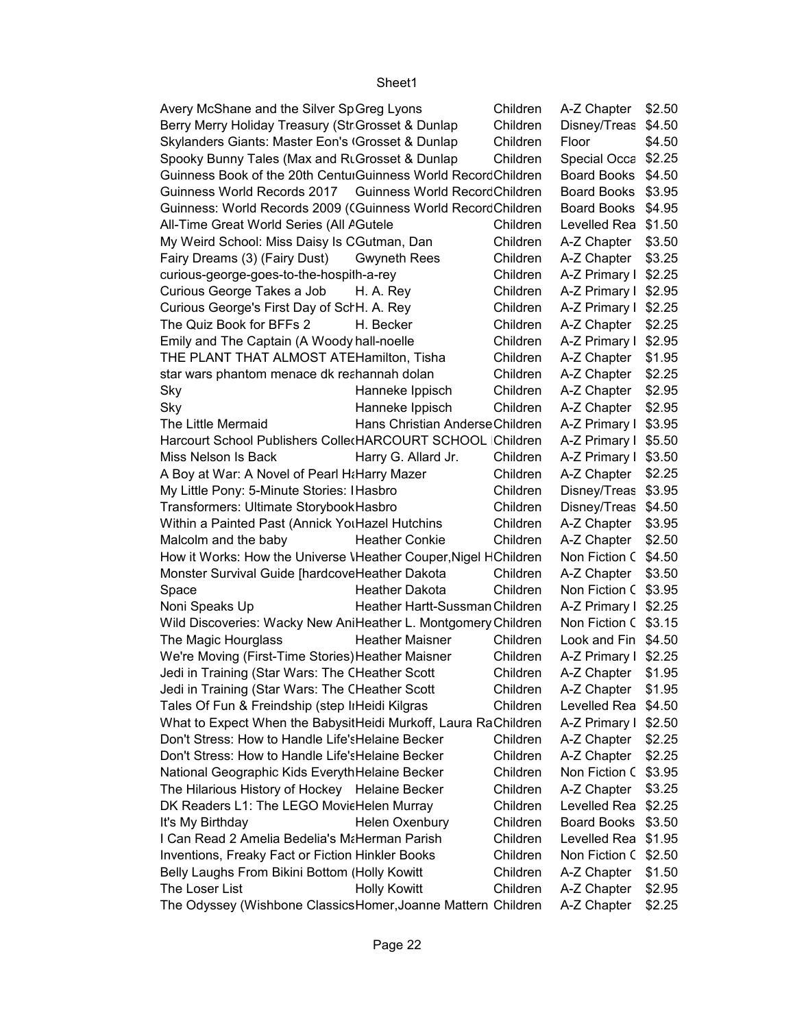| Avery McShane and the Silver SpGreg Lyons                       |                                 | Children             | A-Z Chapter                         | \$2.50 |
|-----------------------------------------------------------------|---------------------------------|----------------------|-------------------------------------|--------|
| Berry Merry Holiday Treasury (Str Grosset & Dunlap              |                                 | Children             | Disney/Treas                        | \$4.50 |
| Skylanders Giants: Master Eon's (Grosset & Dunlap               |                                 | Children             | Floor                               | \$4.50 |
| Spooky Bunny Tales (Max and RLGrosset & Dunlap                  |                                 | Children             | Special Occa \$2.25                 |        |
| Guinness Book of the 20th CenturGuinness World RecordChildren   |                                 |                      | <b>Board Books</b>                  | \$4.50 |
| Guinness World Records 2017 Guinness World Record Children      |                                 |                      | <b>Board Books</b>                  | \$3.95 |
| Guinness: World Records 2009 ((Guinness World RecordChildren    |                                 |                      | <b>Board Books</b>                  | \$4.95 |
| All-Time Great World Series (All AGutele                        |                                 | Children             | Levelled Rea                        | \$1.50 |
| My Weird School: Miss Daisy Is CGutman, Dan                     |                                 | Children             | A-Z Chapter                         | \$3.50 |
| Fairy Dreams (3) (Fairy Dust)                                   | <b>Gwyneth Rees</b>             | Children             | A-Z Chapter                         | \$3.25 |
| curious-george-goes-to-the-hospith-a-rey                        |                                 | Children             | A-Z Primary I                       | \$2.25 |
| Curious George Takes a Job                                      | H. A. Rey                       | Children             | A-Z Primary I                       | \$2.95 |
| Curious George's First Day of ScrH. A. Rey                      |                                 | Children             | A-Z Primary I                       | \$2.25 |
| The Quiz Book for BFFs 2                                        | H. Becker                       | Children             | A-Z Chapter                         | \$2.25 |
| Emily and The Captain (A Woody hall-noelle                      |                                 | Children             | A-Z Primary I                       | \$2.95 |
| THE PLANT THAT ALMOST ATEHamilton, Tisha                        |                                 | Children             | A-Z Chapter                         | \$1.95 |
| star wars phantom menace dk reahannah dolan                     |                                 | Children             | A-Z Chapter                         | \$2.25 |
| Sky                                                             | Hanneke Ippisch                 | Children             | A-Z Chapter                         | \$2.95 |
| Sky                                                             | Hanneke Ippisch                 | Children             | A-Z Chapter                         | \$2.95 |
| The Little Mermaid                                              | Hans Christian Anderse Children |                      | A-Z Primary I                       | \$3.95 |
| Harcourt School Publishers CollecHARCOURT SCHOOL Children       |                                 |                      | A-Z Primary I                       | \$5.50 |
| Miss Nelson Is Back                                             | Harry G. Allard Jr.             |                      |                                     |        |
|                                                                 |                                 | Children<br>Children | A-Z Primary I \$3.50<br>A-Z Chapter |        |
| A Boy at War: A Novel of Pearl H& Harry Mazer                   |                                 |                      |                                     | \$2.25 |
| My Little Pony: 5-Minute Stories: IHasbro                       |                                 | Children             | Disney/Treas                        | \$3.95 |
| Transformers: Ultimate StorybookHasbro                          |                                 | Children             | Disney/Treas                        | \$4.50 |
| Within a Painted Past (Annick YorHazel Hutchins                 |                                 | Children             | A-Z Chapter                         | \$3.95 |
| Malcolm and the baby                                            | <b>Heather Conkie</b>           | Children             | A-Z Chapter                         | \$2.50 |
| How it Works: How the Universe \Heather Couper, Nigel HChildren |                                 |                      | Non Fiction C                       | \$4.50 |
| Monster Survival Guide [hardcoveHeather Dakota                  |                                 | Children             | A-Z Chapter                         | \$3.50 |
| Space                                                           | <b>Heather Dakota</b>           | Children             | Non Fiction C \$3.95                |        |
| Noni Speaks Up                                                  | Heather Hartt-Sussman Children  |                      | A-Z Primary I \$2.25                |        |
| Wild Discoveries: Wacky New AniHeather L. Montgomery Children   |                                 |                      | Non Fiction C \$3.15                |        |
| The Magic Hourglass                                             | <b>Heather Maisner</b>          | Children             | Look and Fin \$4.50                 |        |
| We're Moving (First-Time Stories) Heather Maisner               |                                 | Children             | A-Z Primary I \$2.25                |        |
| Jedi in Training (Star Wars: The CHeather Scott                 |                                 | Children             | A-Z Chapter   \$1.95                |        |
| Jedi in Training (Star Wars: The CHeather Scott                 |                                 | Children             | A-Z Chapter                         | \$1.95 |
| Tales Of Fun & Freindship (step lıHeidi Kilgras                 |                                 | Children             | Levelled Rea                        | \$4.50 |
| What to Expect When the BabysitHeidi Murkoff, Laura RaChildren  |                                 |                      | A-Z Primary I                       | \$2.50 |
| Don't Stress: How to Handle Life's Helaine Becker               |                                 | Children             | A-Z Chapter                         | \$2.25 |
| Don't Stress: How to Handle Life's Helaine Becker               |                                 | Children             | A-Z Chapter                         | \$2.25 |
| National Geographic Kids EverythHelaine Becker                  |                                 | Children             | Non Fiction C                       | \$3.95 |
| The Hilarious History of Hockey Helaine Becker                  |                                 | Children             | A-Z Chapter                         | \$3.25 |
| DK Readers L1: The LEGO MovieHelen Murray                       |                                 | Children             | Levelled Rea                        | \$2.25 |
| It's My Birthday                                                | Helen Oxenbury                  | Children             | <b>Board Books</b>                  | \$3.50 |
| I Can Read 2 Amelia Bedelia's MaHerman Parish                   |                                 | Children             | Levelled Rea                        | \$1.95 |
| Inventions, Freaky Fact or Fiction Hinkler Books                |                                 | Children             | Non Fiction C                       | \$2.50 |
| Belly Laughs From Bikini Bottom (Holly Kowitt                   |                                 | Children             | A-Z Chapter                         | \$1.50 |
| The Loser List                                                  | <b>Holly Kowitt</b>             | Children             | A-Z Chapter                         | \$2.95 |
| The Odyssey (Wishbone ClassicsHomer, Joanne Mattern Children    |                                 |                      | A-Z Chapter                         | \$2.25 |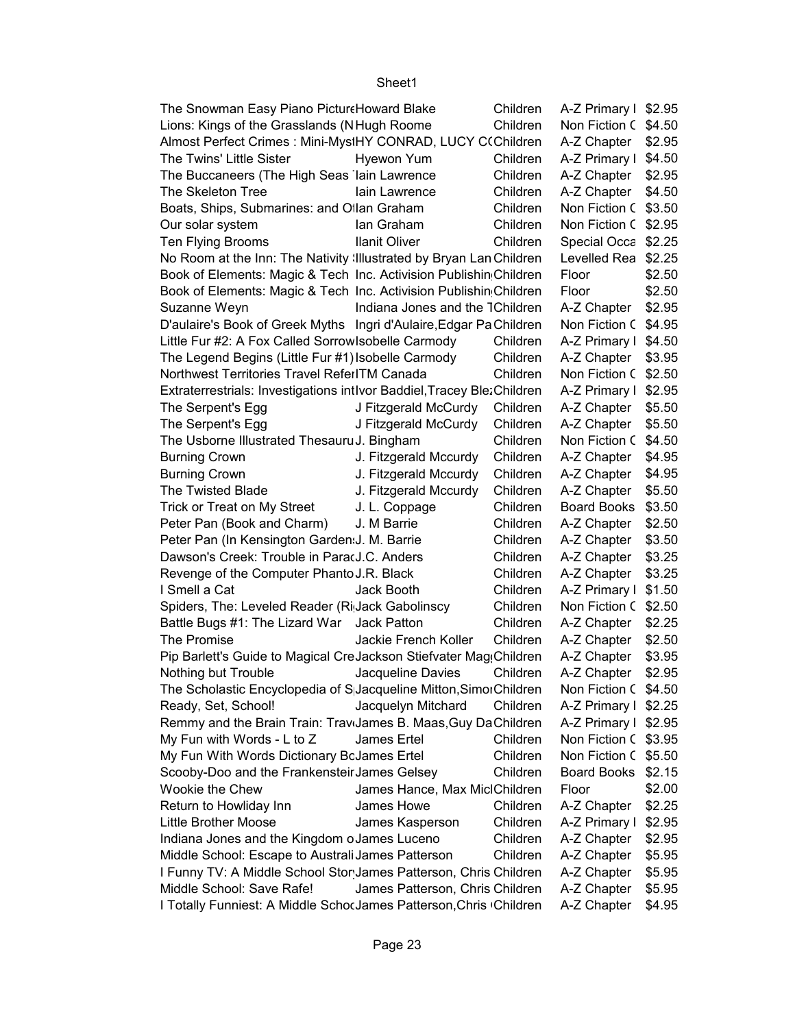| The Snowman Easy Piano Pictur Howard Blake                                 |                                 | Children | A-Z Primary I \$2.95 |        |
|----------------------------------------------------------------------------|---------------------------------|----------|----------------------|--------|
| Lions: Kings of the Grasslands (NHugh Roome                                |                                 | Children | Non Fiction C        | \$4.50 |
| Almost Perfect Crimes : Mini-MystHY CONRAD, LUCY C(Children                |                                 |          | A-Z Chapter          | \$2.95 |
| The Twins' Little Sister                                                   | Hyewon Yum                      | Children | A-Z Primary I        | \$4.50 |
| The Buccaneers (The High Seas lain Lawrence                                |                                 | Children | A-Z Chapter          | \$2.95 |
| The Skeleton Tree                                                          | lain Lawrence                   | Children | A-Z Chapter          | \$4.50 |
| Boats, Ships, Submarines: and Ollan Graham                                 |                                 | Children | Non Fiction C        | \$3.50 |
| Our solar system                                                           | lan Graham                      | Children | Non Fiction C        | \$2.95 |
| Ten Flying Brooms                                                          | <b>Ilanit Oliver</b>            | Children | Special Occa         | \$2.25 |
| No Room at the Inn: The Nativity Illustrated by Bryan Lan Children         |                                 |          | Levelled Rea         | \$2.25 |
| Book of Elements: Magic & Tech Inc. Activision Publishin Children          |                                 |          | Floor                | \$2.50 |
| Book of Elements: Magic & Tech Inc. Activision Publishin Children          |                                 |          | Floor                | \$2.50 |
| Suzanne Weyn                                                               | Indiana Jones and the TChildren |          | A-Z Chapter          | \$2.95 |
| D'aulaire's Book of Greek Myths Ingri d'Aulaire, Edgar Pa Children         |                                 |          | Non Fiction C        | \$4.95 |
| Little Fur #2: A Fox Called Sorrow sobelle Carmody                         |                                 | Children | A-Z Primary I        | \$4.50 |
| The Legend Begins (Little Fur #1) Isobelle Carmody                         |                                 | Children | A-Z Chapter          | \$3.95 |
| Northwest Territories Travel ReferITM Canada                               |                                 | Children | Non Fiction C        | \$2.50 |
| Extraterrestrials: Investigations intIvor Baddiel, Tracey Ble. Children    |                                 |          | A-Z Primary I        | \$2.95 |
| The Serpent's Egg                                                          | J Fitzgerald McCurdy            | Children | A-Z Chapter          | \$5.50 |
| The Serpent's Egg                                                          | J Fitzgerald McCurdy            | Children | A-Z Chapter          | \$5.50 |
| The Usborne Illustrated Thesauru J. Bingham                                |                                 | Children | Non Fiction C        | \$4.50 |
| <b>Burning Crown</b>                                                       | J. Fitzgerald Mccurdy           | Children | A-Z Chapter          | \$4.95 |
| <b>Burning Crown</b>                                                       | J. Fitzgerald Mccurdy           | Children | A-Z Chapter          | \$4.95 |
| The Twisted Blade                                                          | J. Fitzgerald Mccurdy           | Children | A-Z Chapter          | \$5.50 |
| Trick or Treat on My Street                                                | J. L. Coppage                   | Children | <b>Board Books</b>   | \$3.50 |
| Peter Pan (Book and Charm)                                                 | J. M Barrie                     | Children | A-Z Chapter          | \$2.50 |
| Peter Pan (In Kensington Garden: J. M. Barrie                              |                                 | Children | A-Z Chapter          | \$3.50 |
| Dawson's Creek: Trouble in Para(J.C. Anders                                |                                 | Children | A-Z Chapter          | \$3.25 |
| Revenge of the Computer Phanto J.R. Black                                  |                                 | Children | A-Z Chapter          | \$3.25 |
| I Smell a Cat                                                              | Jack Booth                      | Children | A-Z Primary I        | \$1.50 |
| Spiders, The: Leveled Reader (Ri Jack Gabolinscy                           |                                 | Children | Non Fiction C        | \$2.50 |
| Battle Bugs #1: The Lizard War                                             | <b>Jack Patton</b>              | Children | A-Z Chapter          | \$2.25 |
| The Promise                                                                | Jackie French Koller            | Children | A-Z Chapter          | \$2.50 |
| Pip Barlett's Guide to Magical CreJackson Stiefvater MagiChildren          |                                 |          | A-Z Chapter          | \$3.95 |
| Nothing but Trouble                                                        | Jacqueline Davies               | Children | A-Z Chapter          | \$2.95 |
| The Scholastic Encyclopedia of S Jacqueline Mitton, SimorChildren          |                                 |          | Non Fiction C \$4.50 |        |
| Ready, Set, School!                                                        | Jacquelyn Mitchard              | Children | A-Z Primary I \$2.25 |        |
| Remmy and the Brain Train: Trav <sub>'James</sub> B. Maas, Guy Da Children |                                 |          | A-Z Primary I        | \$2.95 |
| My Fun with Words - L to Z                                                 | James Ertel                     | Children | Non Fiction C \$3.95 |        |
| My Fun With Words Dictionary BcJames Ertel                                 |                                 | Children | Non Fiction C        | \$5.50 |
| Scooby-Doo and the Frankensteir James Gelsey                               |                                 | Children | <b>Board Books</b>   | \$2.15 |
| Wookie the Chew                                                            | James Hance, Max MiclChildren   |          | Floor                | \$2.00 |
| Return to Howliday Inn                                                     | James Howe                      | Children | A-Z Chapter          | \$2.25 |
| <b>Little Brother Moose</b>                                                | James Kasperson                 | Children | A-Z Primary I        | \$2.95 |
| Indiana Jones and the Kingdom oJames Luceno                                |                                 | Children | A-Z Chapter          | \$2.95 |
| Middle School: Escape to Australi James Patterson                          |                                 | Children | A-Z Chapter          | \$5.95 |
| I Funny TV: A Middle School Stor James Patterson, Chris Children           |                                 |          | A-Z Chapter          | \$5.95 |
| Middle School: Save Rafe!                                                  | James Patterson, Chris Children |          | A-Z Chapter          | \$5.95 |
| I Totally Funniest: A Middle SchocJames Patterson, Chris (Children         |                                 |          | A-Z Chapter          | \$4.95 |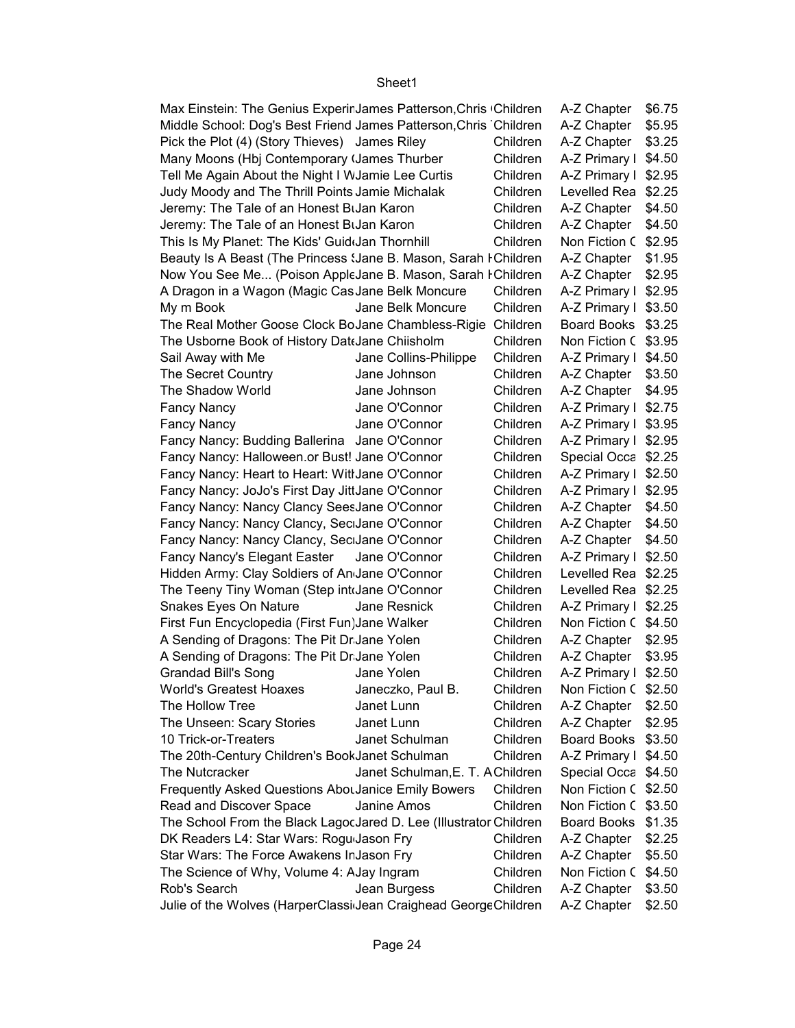| Max Einstein: The Genius Experir James Patterson, Chris (Children) |                                 |          | $A-Z$ Chapter $\$6.75$ |  |
|--------------------------------------------------------------------|---------------------------------|----------|------------------------|--|
| Middle School: Dog's Best Friend James Patterson, Chris Children   |                                 |          | A-Z Chapter   \$5.95   |  |
| Pick the Plot (4) (Story Thieves) James Riley                      |                                 | Children | A-Z Chapter   \$3.25   |  |
| Many Moons (Hbj Contemporary (James Thurber                        |                                 | Children | A-Z Primary I \$4.50   |  |
| Tell Me Again About the Night I WJamie Lee Curtis                  |                                 | Children | A-Z Primary I \$2.95   |  |
| Judy Moody and The Thrill Points Jamie Michalak                    |                                 | Children | Levelled Rea \$2.25    |  |
| Jeremy: The Tale of an Honest BiJan Karon                          |                                 | Children | A-Z Chapter $$4.50$    |  |
| Jeremy: The Tale of an Honest BiJan Karon                          |                                 | Children | $A-Z$ Chapter $$4.50$  |  |
| This Is My Planet: The Kids' Guid(Jan Thornhill                    |                                 | Children | Non Fiction C \$2.95   |  |
| Beauty Is A Beast (The Princess (Jane B. Mason, Sarah I Children   |                                 |          | A-Z Chapter   \$1.95   |  |
| Now You See Me (Poison AppleJane B. Mason, Sarah I Children        |                                 |          | A-Z Chapter   \$2.95   |  |
| A Dragon in a Wagon (Magic Cas Jane Belk Moncure                   |                                 | Children | A-Z Primary I \$2.95   |  |
| My m Book                                                          | Jane Belk Moncure               | Children | A-Z Primary I \$3.50   |  |
| The Real Mother Goose Clock BoJane Chambless-Rigie Children        |                                 |          | Board Books \$3.25     |  |
| The Usborne Book of History Dat‹Jane Chiisholm                     |                                 | Children | Non Fiction C \$3.95   |  |
| Sail Away with Me                                                  | Jane Collins-Philippe           | Children | A-Z Primary I \$4.50   |  |
| The Secret Country                                                 | Jane Johnson                    | Children | $A-Z$ Chapter $$3.50$  |  |
| The Shadow World                                                   | Jane Johnson                    | Children | A-Z Chapter   \$4.95   |  |
| <b>Fancy Nancy</b>                                                 | Jane O'Connor                   | Children | A-Z Primary I \$2.75   |  |
| <b>Fancy Nancy</b>                                                 | Jane O'Connor                   | Children | A-Z Primary I \$3.95   |  |
| Fancy Nancy: Budding Ballerina Jane O'Connor                       |                                 | Children | A-Z Primary I \$2.95   |  |
| Fancy Nancy: Halloween.or Bust! Jane O'Connor                      |                                 | Children | Special Occa \$2.25    |  |
| Fancy Nancy: Heart to Heart: Witl Jane O'Connor                    |                                 | Children | A-Z Primary I \$2.50   |  |
| Fancy Nancy: JoJo's First Day JittJane O'Connor                    |                                 | Children | A-Z Primary I \$2.95   |  |
| Fancy Nancy: Nancy Clancy SeesJane O'Connor                        |                                 | Children | A-Z Chapter   \$4.50   |  |
| Fancy Nancy: Nancy Clancy, SeciJane O'Connor                       |                                 | Children | A-Z Chapter   \$4.50   |  |
| Fancy Nancy: Nancy Clancy, SeciJane O'Connor                       |                                 | Children | A-Z Chapter   \$4.50   |  |
| Fancy Nancy's Elegant Easter                                       | Jane O'Connor                   | Children | A-Z Primary I \$2.50   |  |
| Hidden Army: Clay Soldiers of An Jane O'Connor                     |                                 | Children | Levelled Rea \$2.25    |  |
| The Teeny Tiny Woman (Step into Jane O'Connor                      |                                 | Children | Levelled Rea \$2.25    |  |
| Snakes Eyes On Nature                                              | Jane Resnick                    | Children | A-Z Primary I \$2.25   |  |
| First Fun Encyclopedia (First Fun)Jane Walker                      |                                 | Children | Non Fiction C \$4.50   |  |
| A Sending of Dragons: The Pit Dr Jane Yolen                        |                                 | Children |                        |  |
|                                                                    |                                 | Children | A-Z Chapter   \$2.95   |  |
| A Sending of Dragons: The Pit Dr Jane Yolen                        |                                 | Children | A-Z Chapter   \$3.95   |  |
| <b>Grandad Bill's Song</b><br><b>World's Greatest Hoaxes</b>       | Jane Yolen                      | Children | A-Z Primary I \$2.50   |  |
| The Hollow Tree                                                    | Janeczko, Paul B.               |          | Non Fiction C \$2.50   |  |
|                                                                    | Janet Lunn                      | Children | A-Z Chapter   \$2.50   |  |
| The Unseen: Scary Stories<br>10 Trick-or-Treaters                  | Janet Lunn                      | Children | A-Z Chapter   \$2.95   |  |
|                                                                    | Janet Schulman                  | Children | Board Books \$3.50     |  |
| The 20th-Century Children's BookJanet Schulman                     |                                 | Children | A-Z Primary I \$4.50   |  |
| The Nutcracker                                                     | Janet Schulman, E. T. AChildren |          | Special Occa \$4.50    |  |
| <b>Frequently Asked Questions AbouJanice Emily Bowers</b>          |                                 | Children | Non Fiction C \$2.50   |  |
| Read and Discover Space                                            | Janine Amos                     | Children | Non Fiction C \$3.50   |  |
| The School From the Black LagocJared D. Lee (Illustrator Children  |                                 |          | Board Books \$1.35     |  |
| DK Readers L4: Star Wars: Rogu Jason Fry                           |                                 | Children | A-Z Chapter   \$2.25   |  |
| Star Wars: The Force Awakens InJason Fry                           |                                 | Children | A-Z Chapter   \$5.50   |  |
| The Science of Why, Volume 4: AJay Ingram                          |                                 | Children | Non Fiction C \$4.50   |  |
| Rob's Search                                                       | Jean Burgess                    | Children | A-Z Chapter   \$3.50   |  |
| Julie of the Wolves (HarperClassi Jean Craighead GeorgeChildren    |                                 |          | A-Z Chapter   \$2.50   |  |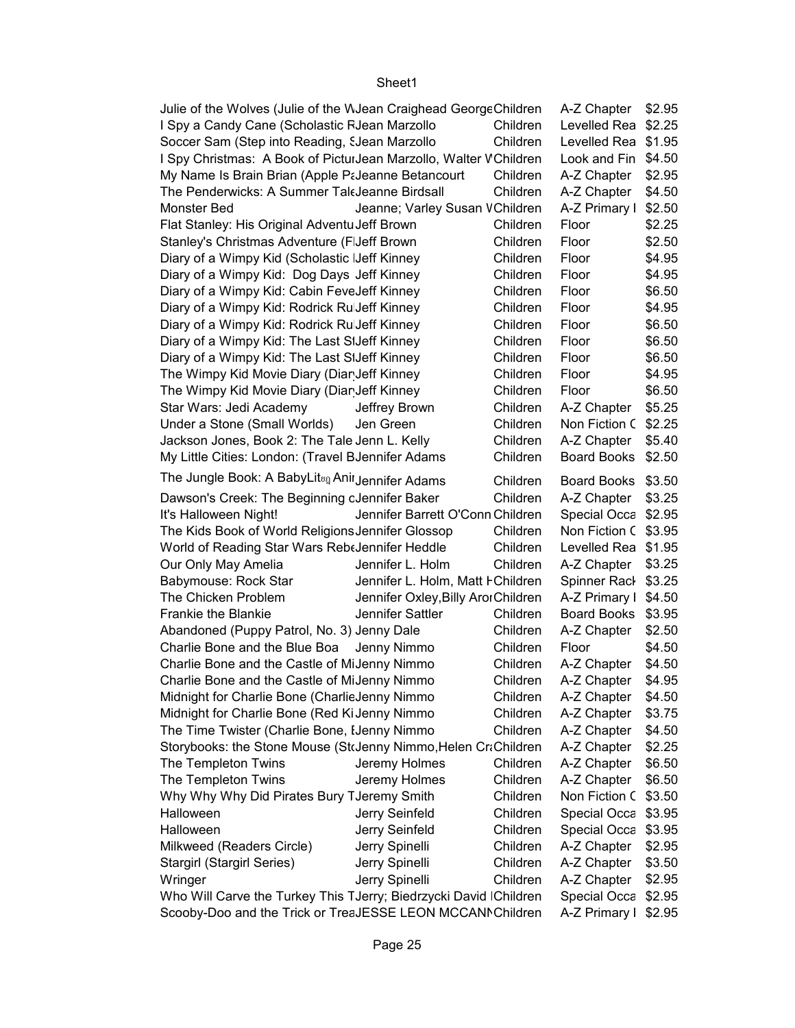| Julie of the Wolves (Julie of the WJean Craighead GeorgeChildren           |                                     |          | A-Z Chapter        | \$2.95           |  |
|----------------------------------------------------------------------------|-------------------------------------|----------|--------------------|------------------|--|
| I Spy a Candy Cane (Scholastic FJean Marzollo                              |                                     | Children | Levelled Rea       | \$2.25           |  |
| Soccer Sam (Step into Reading, SJean Marzollo                              |                                     | Children | Levelled Rea       | \$1.95           |  |
| I Spy Christmas: A Book of Pictui Jean Marzollo, Walter VChildren          |                                     |          | Look and Fin       | \$4.50           |  |
| My Name Is Brain Brian (Apple PaJeanne Betancourt                          |                                     | Children | A-Z Chapter        | \$2.95           |  |
| The Penderwicks: A Summer Tal Jeanne Birdsall                              |                                     | Children | A-Z Chapter        | \$4.50           |  |
| Monster Bed                                                                | Jeanne; Varley Susan VChildren      |          | A-Z Primary I      | \$2.50           |  |
| Flat Stanley: His Original Adventu Jeff Brown                              |                                     | Children | Floor              | \$2.25           |  |
| Stanley's Christmas Adventure (FJeff Brown                                 |                                     | Children | Floor              | \$2.50           |  |
| Diary of a Wimpy Kid (Scholastic IJeff Kinney                              |                                     | Children | Floor              | \$4.95           |  |
| Diary of a Wimpy Kid: Dog Days Jeff Kinney                                 |                                     | Children | Floor              | \$4.95           |  |
| Diary of a Wimpy Kid: Cabin FeveJeff Kinney                                |                                     | Children | Floor              | \$6.50           |  |
| Diary of a Wimpy Kid: Rodrick Ru Jeff Kinney                               |                                     | Children | Floor              | \$4.95           |  |
| Diary of a Wimpy Kid: Rodrick Ru Jeff Kinney                               |                                     | Children | Floor              | \$6.50           |  |
| Diary of a Wimpy Kid: The Last SIJeff Kinney                               |                                     | Children | Floor              | \$6.50           |  |
| Diary of a Wimpy Kid: The Last SIJeff Kinney                               |                                     | Children | Floor              | \$6.50           |  |
| The Wimpy Kid Movie Diary (Diar Jeff Kinney                                |                                     | Children | Floor              | \$4.95           |  |
| The Wimpy Kid Movie Diary (Diar Jeff Kinney                                |                                     | Children | Floor              | \$6.50           |  |
| Star Wars: Jedi Academy                                                    | Jeffrey Brown                       | Children | A-Z Chapter        | \$5.25           |  |
| Under a Stone (Small Worlds)                                               | Jen Green                           | Children | Non Fiction C      | \$2.25           |  |
| Jackson Jones, Book 2: The Tale Jenn L. Kelly                              |                                     | Children | A-Z Chapter        | \$5.40           |  |
| My Little Cities: London: (Travel BJennifer Adams                          |                                     | Children | <b>Board Books</b> | \$2.50           |  |
| The Jungle Book: A BabyLitun Anil Jennifer Adams                           |                                     |          |                    |                  |  |
|                                                                            |                                     | Children | Board Books        | \$3.50           |  |
| Dawson's Creek: The Beginning cJennifer Baker                              |                                     | Children | A-Z Chapter        | \$3.25           |  |
| It's Halloween Night!                                                      | Jennifer Barrett O'Conn Children    |          | Special Occa       | \$2.95           |  |
| The Kids Book of World Religions Jennifer Glossop                          |                                     | Children | Non Fiction C      | \$3.95           |  |
| World of Reading Star Wars RebtJennifer Heddle                             |                                     | Children | Levelled Rea       | \$1.95           |  |
| Our Only May Amelia                                                        | Jennifer L. Holm                    | Children | A-Z Chapter        | \$3.25           |  |
| Babymouse: Rock Star                                                       | Jennifer L. Holm, Matt FChildren    |          | Spinner Rack       | \$3.25           |  |
| The Chicken Problem                                                        | Jennifer Oxley, Billy Aror Children |          | A-Z Primary I      | \$4.50           |  |
| Frankie the Blankie                                                        | Jennifer Sattler                    | Children | <b>Board Books</b> | \$3.95           |  |
| Abandoned (Puppy Patrol, No. 3) Jenny Dale                                 |                                     | Children | A-Z Chapter        | \$2.50           |  |
| Charlie Bone and the Blue Boa                                              | Jenny Nimmo                         | Children | Floor              | \$4.50           |  |
| Charlie Bone and the Castle of MiJenny Nimmo                               |                                     | Children | A-Z Chapter        | \$4.50           |  |
| Charlie Bone and the Castle of MiJenny Nimmo                               |                                     | Children | A-Z Chapter        | \$4.95           |  |
| Midnight for Charlie Bone (Charlie Jenny Nimmo                             |                                     | Children | A-Z Chapter        | \$4.50           |  |
| Midnight for Charlie Bone (Red Ki Jenny Nimmo                              |                                     | Children | A-Z Chapter        | \$3.75           |  |
| The Time Twister (Charlie Bone, IJenny Nimmo                               |                                     | Children | A-Z Chapter        | \$4.50           |  |
| Storybooks: the Stone Mouse (StrJenny Nimmo, Helen CraChildren             |                                     |          | A-Z Chapter        | \$2.25           |  |
| The Templeton Twins                                                        | Jeremy Holmes                       | Children | A-Z Chapter        | \$6.50           |  |
| The Templeton Twins                                                        | Jeremy Holmes                       | Children | A-Z Chapter        | \$6.50           |  |
| Why Why Why Did Pirates Bury TJeremy Smith                                 |                                     | Children | Non Fiction C      | \$3.50           |  |
| Halloween                                                                  | Jerry Seinfeld                      | Children | Special Occa       | \$3.95           |  |
| Halloween                                                                  | Jerry Seinfeld                      | Children | Special Occa       | \$3.95           |  |
| Milkweed (Readers Circle)                                                  | Jerry Spinelli                      | Children | A-Z Chapter        | \$2.95           |  |
| <b>Stargirl (Stargirl Series)</b>                                          | Jerry Spinelli                      | Children | A-Z Chapter        | \$3.50           |  |
| Wringer                                                                    | Jerry Spinelli                      | Children | A-Z Chapter        | \$2.95           |  |
| Who Will Carve the Turkey This TJerry; Biedrzycki David IChildren          |                                     |          | Special Occa       | \$2.95<br>\$2.95 |  |
| Scooby-Doo and the Trick or TreaJESSE LEON MCCANNChildren<br>A-Z Primary I |                                     |          |                    |                  |  |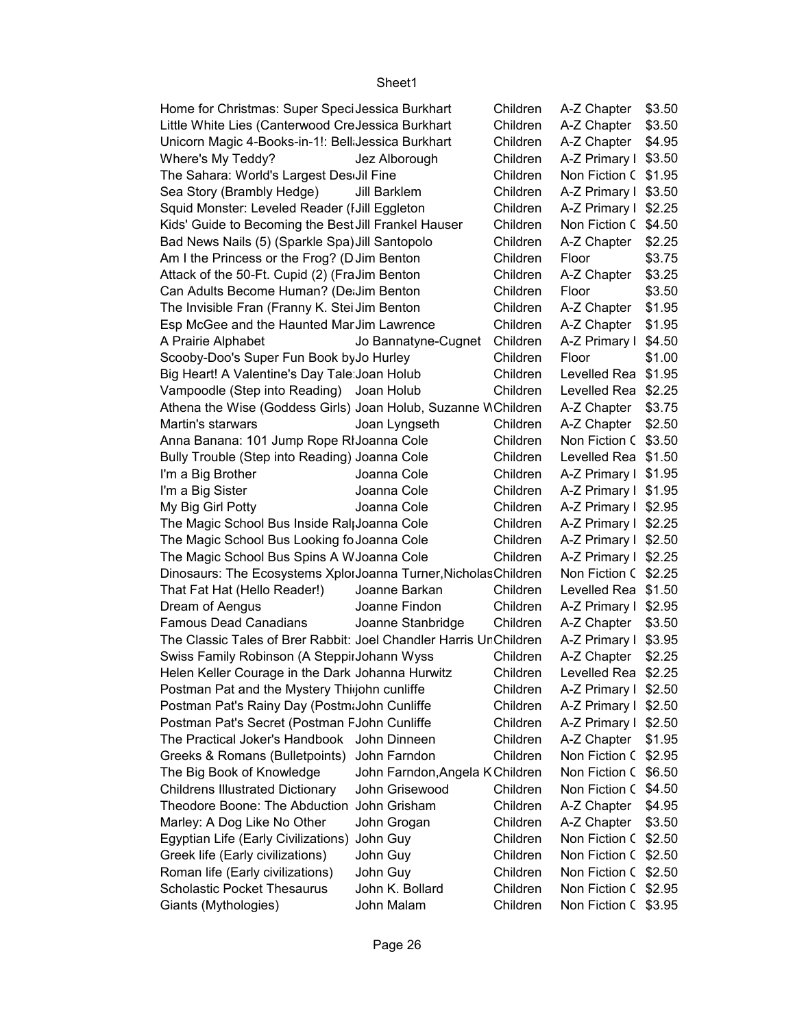| Home for Christmas: Super Speci Jessica Burkhart                  |                                 | Children | A-Z Chapter   \$3.50 |        |
|-------------------------------------------------------------------|---------------------------------|----------|----------------------|--------|
| Little White Lies (Canterwood CreJessica Burkhart                 |                                 | Children | A-Z Chapter   \$3.50 |        |
| Unicorn Magic 4-Books-in-1!: Bell Jessica Burkhart                |                                 | Children | A-Z Chapter   \$4.95 |        |
| Where's My Teddy?                                                 | Jez Alborough                   | Children | A-Z Primary I \$3.50 |        |
| The Sahara: World's Largest DesiJil Fine                          |                                 | Children | Non Fiction C \$1.95 |        |
| Sea Story (Brambly Hedge)                                         | Jill Barklem                    | Children | A-Z Primary I \$3.50 |        |
| Squid Monster: Leveled Reader (I Jill Eggleton                    |                                 | Children | A-Z Primary I \$2.25 |        |
| Kids' Guide to Becoming the Best Jill Frankel Hauser              |                                 | Children | Non Fiction C \$4.50 |        |
| Bad News Nails (5) (Sparkle Spa) Jill Santopolo                   |                                 | Children | A-Z Chapter   \$2.25 |        |
| Am I the Princess or the Frog? (D Jim Benton                      |                                 | Children | Floor                | \$3.75 |
| Attack of the 50-Ft. Cupid (2) (FraJim Benton                     |                                 | Children | A-Z Chapter          | \$3.25 |
| Can Adults Become Human? (De: Jim Benton                          |                                 | Children | Floor                | \$3.50 |
| The Invisible Fran (Franny K. Stei Jim Benton                     |                                 | Children | A-Z Chapter   \$1.95 |        |
| Esp McGee and the Haunted Mar Jim Lawrence                        |                                 | Children | A-Z Chapter   \$1.95 |        |
| A Prairie Alphabet                                                | Jo Bannatyne-Cugnet             | Children | A-Z Primary I \$4.50 |        |
| Scooby-Doo's Super Fun Book by Jo Hurley                          |                                 | Children | Floor                | \$1.00 |
| Big Heart! A Valentine's Day Tale Joan Holub                      |                                 | Children | Levelled Rea \$1.95  |        |
| Vampoodle (Step into Reading) Joan Holub                          |                                 | Children | Levelled Rea \$2.25  |        |
| Athena the Wise (Goddess Girls) Joan Holub, Suzanne WChildren     |                                 |          | A-Z Chapter   \$3.75 |        |
| Martin's starwars                                                 | Joan Lyngseth                   | Children | A-Z Chapter   \$2.50 |        |
| Anna Banana: 101 Jump Rope RIJoanna Cole                          |                                 | Children | Non Fiction C \$3.50 |        |
| Bully Trouble (Step into Reading) Joanna Cole                     |                                 | Children | Levelled Rea \$1.50  |        |
| I'm a Big Brother                                                 | Joanna Cole                     | Children | A-Z Primary I \$1.95 |        |
| I'm a Big Sister                                                  | Joanna Cole                     | Children | A-Z Primary I \$1.95 |        |
| My Big Girl Potty                                                 | Joanna Cole                     | Children | A-Z Primary I \$2.95 |        |
| The Magic School Bus Inside Ral Joanna Cole                       |                                 | Children | A-Z Primary I \$2.25 |        |
| The Magic School Bus Looking fo Joanna Cole                       |                                 | Children | A-Z Primary I \$2.50 |        |
| The Magic School Bus Spins A WJoanna Cole                         |                                 | Children | A-Z Primary I \$2.25 |        |
| Dinosaurs: The Ecosystems XplorJoanna Turner, Nicholas Children   |                                 |          | Non Fiction C \$2.25 |        |
| That Fat Hat (Hello Reader!)                                      | Joanne Barkan                   | Children | Levelled Rea \$1.50  |        |
| Dream of Aengus                                                   | Joanne Findon                   | Children | A-Z Primary I \$2.95 |        |
| <b>Famous Dead Canadians</b>                                      | Joanne Stanbridge               | Children | A-Z Chapter   \$3.50 |        |
| The Classic Tales of Brer Rabbit: Joel Chandler Harris UnChildren |                                 |          | A-Z Primary I \$3.95 |        |
| Swiss Family Robinson (A Steppir Johann Wyss                      |                                 | Children | A-Z Chapter   \$2.25 |        |
| Helen Keller Courage in the Dark Johanna Hurwitz                  |                                 | Children | Levelled Rea \$2.25  |        |
| Postman Pat and the Mystery Thi john cunliffe                     |                                 | Children | A-Z Primary I \$2.50 |        |
| Postman Pat's Rainy Day (PostmaJohn Cunliffe                      |                                 | Children | A-Z Primary I \$2.50 |        |
| Postman Pat's Secret (Postman FJohn Cunliffe                      |                                 | Children | A-Z Primary I \$2.50 |        |
| The Practical Joker's Handbook John Dinneen                       |                                 | Children | A-Z Chapter   \$1.95 |        |
| Greeks & Romans (Bulletpoints)                                    | John Farndon                    | Children | Non Fiction C \$2.95 |        |
| The Big Book of Knowledge                                         | John Farndon, Angela K Children |          | Non Fiction C \$6.50 |        |
| <b>Childrens Illustrated Dictionary</b>                           | John Grisewood                  | Children | Non Fiction C \$4.50 |        |
| Theodore Boone: The Abduction John Grisham                        |                                 | Children | A-Z Chapter   \$4.95 |        |
| Marley: A Dog Like No Other                                       | John Grogan                     | Children | A-Z Chapter   \$3.50 |        |
| Egyptian Life (Early Civilizations)                               | John Guy                        | Children | Non Fiction C \$2.50 |        |
| Greek life (Early civilizations)                                  | John Guy                        | Children | Non Fiction C \$2.50 |        |
| Roman life (Early civilizations)                                  | John Guy                        | Children | Non Fiction C \$2.50 |        |
| <b>Scholastic Pocket Thesaurus</b>                                | John K. Bollard                 | Children | Non Fiction C \$2.95 |        |
| Giants (Mythologies)                                              | John Malam                      | Children | Non Fiction C \$3.95 |        |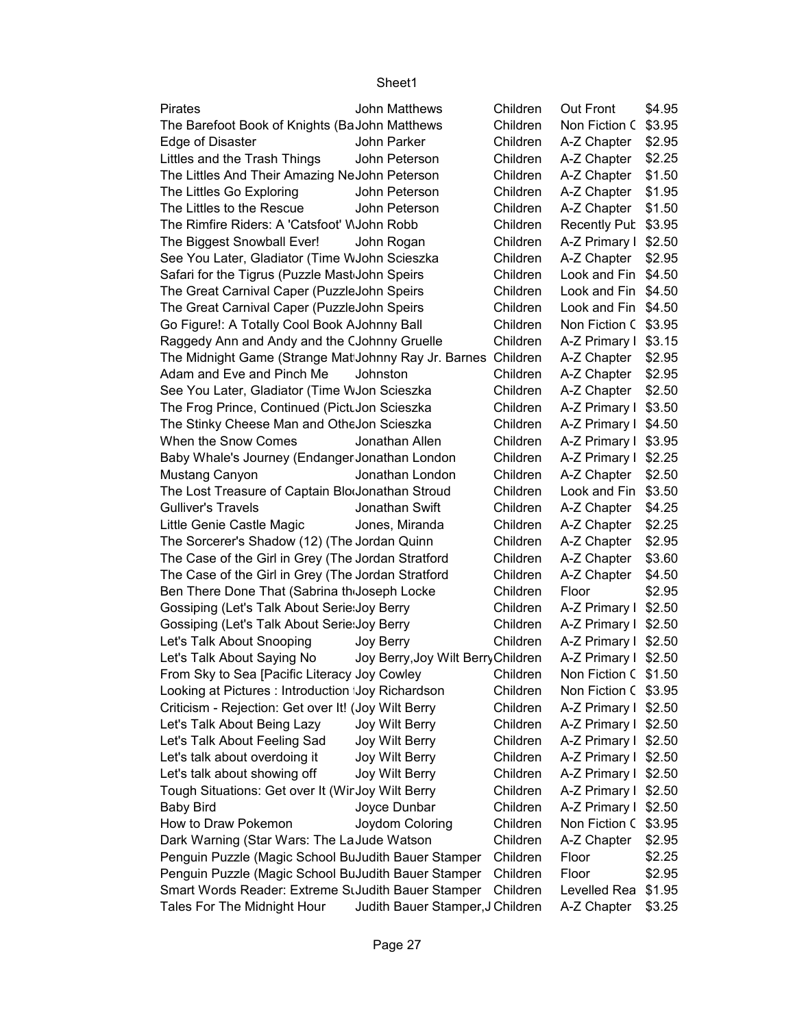| <b>Pirates</b>                                                | <b>John Matthews</b>               | Children | <b>Out Front</b>      | \$4.95 |
|---------------------------------------------------------------|------------------------------------|----------|-----------------------|--------|
| The Barefoot Book of Knights (BaJohn Matthews                 |                                    | Children | Non Fiction C \$3.95  |        |
| Edge of Disaster                                              | John Parker                        | Children | A-Z Chapter $$2.95$   |        |
| Littles and the Trash Things                                  | John Peterson                      | Children | A-Z Chapter $$2.25$   |        |
| The Littles And Their Amazing NeJohn Peterson                 |                                    | Children | A-Z Chapter   \$1.50  |        |
| The Littles Go Exploring                                      | John Peterson                      | Children | A-Z Chapter   \$1.95  |        |
| The Littles to the Rescue                                     | John Peterson                      | Children | A-Z Chapter   \$1.50  |        |
| The Rimfire Riders: A 'Catsfoot' WJohn Robb                   |                                    | Children | Recently Pub \$3.95   |        |
| The Biggest Snowball Ever!                                    | John Rogan                         | Children | A-Z Primary I \$2.50  |        |
| See You Later, Gladiator (Time WJohn Scieszka                 |                                    | Children | A-Z Chapter   \$2.95  |        |
| Safari for the Tigrus (Puzzle Mast John Speirs                |                                    | Children | Look and Fin \$4.50   |        |
| The Great Carnival Caper (PuzzleJohn Speirs                   |                                    | Children | Look and Fin \$4.50   |        |
| The Great Carnival Caper (PuzzleJohn Speirs                   |                                    | Children | Look and Fin \$4.50   |        |
| Go Figure!: A Totally Cool Book AJohnny Ball                  |                                    | Children | Non Fiction C \$3.95  |        |
| Raggedy Ann and Andy and the CJohnny Gruelle                  |                                    | Children | A-Z Primary I \$3.15  |        |
| The Midnight Game (Strange Mat Johnny Ray Jr. Barnes Children |                                    |          | A-Z Chapter $$2.95$   |        |
| Adam and Eve and Pinch Me                                     | Johnston                           | Children | A-Z Chapter   \$2.95  |        |
| See You Later, Gladiator (Time WJon Scieszka                  |                                    | Children | A-Z Chapter   \$2.50  |        |
| The Frog Prince, Continued (PictuJon Scieszka                 |                                    | Children | A-Z Primary I \$3.50  |        |
| The Stinky Cheese Man and OtheJon Scieszka                    |                                    | Children | A-Z Primary I \$4.50  |        |
| When the Snow Comes                                           | Jonathan Allen                     | Children | A-Z Primary I \$3.95  |        |
| Baby Whale's Journey (Endanger Jonathan London                |                                    | Children | A-Z Primary I \$2.25  |        |
| Mustang Canyon                                                | Jonathan London                    | Children | $A-Z$ Chapter $$2.50$ |        |
| The Lost Treasure of Captain BlooJonathan Stroud              |                                    | Children | Look and Fin \$3.50   |        |
| <b>Gulliver's Travels</b>                                     | Jonathan Swift                     | Children | A-Z Chapter   \$4.25  |        |
| Little Genie Castle Magic                                     | Jones, Miranda                     | Children | A-Z Chapter   \$2.25  |        |
| The Sorcerer's Shadow (12) (The Jordan Quinn                  |                                    | Children | A-Z Chapter   \$2.95  |        |
| The Case of the Girl in Grey (The Jordan Stratford            |                                    | Children | $A-Z$ Chapter $$3.60$ |        |
| The Case of the Girl in Grey (The Jordan Stratford            |                                    | Children | $A-Z$ Chapter $$4.50$ |        |
| Ben There Done That (Sabrina th Joseph Locke                  |                                    | Children | Floor                 | \$2.95 |
| Gossiping (Let's Talk About Serie: Joy Berry                  |                                    | Children | A-Z Primary I \$2.50  |        |
| Gossiping (Let's Talk About Serie: Joy Berry                  |                                    | Children | A-Z Primary I \$2.50  |        |
| Let's Talk About Snooping                                     | Joy Berry                          | Children | A-Z Primary I \$2.50  |        |
| Let's Talk About Saying No                                    | Joy Berry, Joy Wilt Berry Children |          | A-Z Primary I \$2.50  |        |
| From Sky to Sea [Pacific Literacy Joy Cowley                  |                                    | Children | Non Fiction C \$1.50  |        |
| Looking at Pictures: Introduction Joy Richardson              |                                    | Children | Non Fiction C \$3.95  |        |
| Criticism - Rejection: Get over It! (Joy Wilt Berry           |                                    | Children | A-Z Primary I \$2.50  |        |
|                                                               |                                    | Children | A-Z Primary I \$2.50  |        |
| Let's Talk About Being Lazy                                   | Joy Wilt Berry                     |          |                       |        |
| Let's Talk About Feeling Sad                                  | Joy Wilt Berry                     | Children | A-Z Primary I \$2.50  |        |
| Let's talk about overdoing it                                 | Joy Wilt Berry                     | Children | A-Z Primary I \$2.50  |        |
| Let's talk about showing off                                  | Joy Wilt Berry                     | Children | A-Z Primary I \$2.50  |        |
| Tough Situations: Get over It (Wir Joy Wilt Berry             |                                    | Children | A-Z Primary I \$2.50  |        |
| <b>Baby Bird</b>                                              | Joyce Dunbar                       | Children | A-Z Primary I \$2.50  |        |
| How to Draw Pokemon                                           | Joydom Coloring                    | Children | Non Fiction C \$3.95  |        |
| Dark Warning (Star Wars: The La Jude Watson                   |                                    | Children | A-Z Chapter           | \$2.95 |
| Penguin Puzzle (Magic School BuJudith Bauer Stamper           |                                    | Children | Floor                 | \$2.25 |
| Penguin Puzzle (Magic School BuJudith Bauer Stamper           |                                    | Children | Floor                 | \$2.95 |
| Smart Words Reader: Extreme StJudith Bauer Stamper            |                                    | Children | Levelled Rea \$1.95   |        |
| Tales For The Midnight Hour                                   | Judith Bauer Stamper, J Children   |          | A-Z Chapter   \$3.25  |        |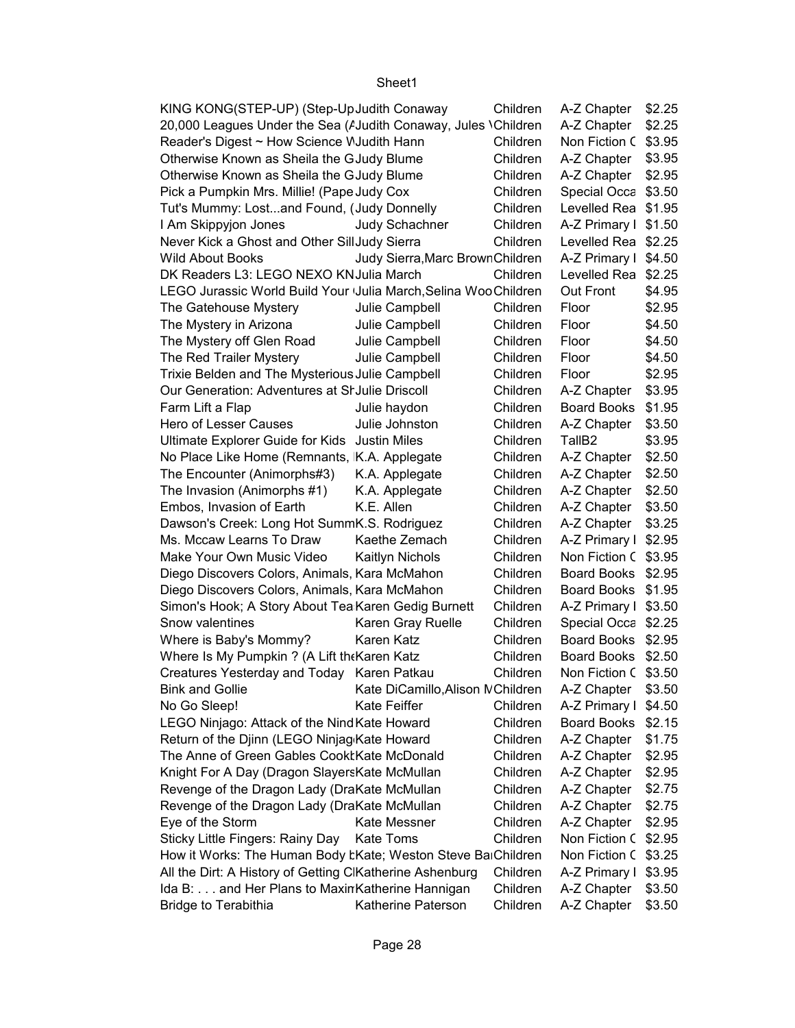| KING KONG(STEP-UP) (Step-UpJudith Conaway                       |                                  | Children | A-Z Chapter   \$2.25 |        |
|-----------------------------------------------------------------|----------------------------------|----------|----------------------|--------|
| 20,000 Leagues Under the Sea (AJudith Conaway, Jules \Children  |                                  |          | A-Z Chapter   \$2.25 |        |
| Reader's Digest ~ How Science WJudith Hann                      |                                  | Children | Non Fiction C \$3.95 |        |
| Otherwise Known as Sheila the GJudy Blume                       |                                  | Children | A-Z Chapter   \$3.95 |        |
| Otherwise Known as Sheila the GJudy Blume                       |                                  | Children | A-Z Chapter   \$2.95 |        |
| Pick a Pumpkin Mrs. Millie! (Pape Judy Cox                      |                                  | Children | Special Occa \$3.50  |        |
| Tut's Mummy: Lostand Found, (Judy Donnelly                      |                                  | Children | Levelled Rea \$1.95  |        |
| I Am Skippyjon Jones                                            | Judy Schachner                   | Children | A-Z Primary I \$1.50 |        |
| Never Kick a Ghost and Other SillJudy Sierra                    |                                  | Children | Levelled Rea \$2.25  |        |
| <b>Wild About Books</b>                                         | Judy Sierra, Marc Brown Children |          | A-Z Primary I \$4.50 |        |
| DK Readers L3: LEGO NEXO KN Julia March                         |                                  | Children | Levelled Rea \$2.25  |        |
| LEGO Jurassic World Build Your Julia March, Selina Woo Children |                                  |          | Out Front            | \$4.95 |
| The Gatehouse Mystery                                           | Julie Campbell                   | Children | Floor                | \$2.95 |
| The Mystery in Arizona                                          | Julie Campbell                   | Children | Floor                | \$4.50 |
| The Mystery off Glen Road                                       | Julie Campbell                   | Children | Floor                | \$4.50 |
| The Red Trailer Mystery                                         | Julie Campbell                   | Children | Floor                | \$4.50 |
| Trixie Belden and The Mysterious Julie Campbell                 |                                  | Children | Floor                | \$2.95 |
| Our Generation: Adventures at St Julie Driscoll                 |                                  | Children | A-Z Chapter          | \$3.95 |
| Farm Lift a Flap                                                | Julie haydon                     | Children | Board Books \$1.95   |        |
| Hero of Lesser Causes                                           | Julie Johnston                   | Children | A-Z Chapter          | \$3.50 |
| Ultimate Explorer Guide for Kids Justin Miles                   |                                  | Children | TallB <sub>2</sub>   | \$3.95 |
| No Place Like Home (Remnants, K.A. Applegate                    |                                  | Children | A-Z Chapter   \$2.50 |        |
| The Encounter (Animorphs#3)                                     | K.A. Applegate                   | Children | A-Z Chapter   \$2.50 |        |
| The Invasion (Animorphs #1)                                     | K.A. Applegate                   | Children | A-Z Chapter          | \$2.50 |
| Embos, Invasion of Earth                                        | K.E. Allen                       | Children | A-Z Chapter          | \$3.50 |
| Dawson's Creek: Long Hot SummK.S. Rodriguez                     |                                  | Children | A-Z Chapter          | \$3.25 |
| Ms. Mccaw Learns To Draw                                        | Kaethe Zemach                    | Children | A-Z Primary I \$2.95 |        |
| Make Your Own Music Video                                       | <b>Kaitlyn Nichols</b>           | Children | Non Fiction C \$3.95 |        |
| Diego Discovers Colors, Animals, Kara McMahon                   |                                  | Children | Board Books \$2.95   |        |
| Diego Discovers Colors, Animals, Kara McMahon                   |                                  | Children | Board Books \$1.95   |        |
| Simon's Hook; A Story About Tea Karen Gedig Burnett             |                                  | Children | A-Z Primary I \$3.50 |        |
| Snow valentines                                                 | Karen Gray Ruelle                | Children | Special Occa \$2.25  |        |
| Where is Baby's Mommy?                                          | Karen Katz                       | Children | Board Books \$2.95   |        |
| Where Is My Pumpkin ? (A Lift the Karen Katz                    |                                  | Children | Board Books \$2.50   |        |
| Creatures Yesterday and Today Karen Patkau                      |                                  | Children | Non Fiction C \$3.50 |        |
| <b>Bink and Gollie</b>                                          | Kate DiCamillo, Alison NChildren |          | A-Z Chapter          | \$3.50 |
| No Go Sleep!                                                    | Kate Feiffer                     | Children | A-Z Primary I \$4.50 |        |
| LEGO Ninjago: Attack of the Nind Kate Howard                    |                                  | Children | Board Books          | \$2.15 |
| Return of the Djinn (LEGO Ninjag Kate Howard                    |                                  | Children | A-Z Chapter          | \$1.75 |
| The Anne of Green Gables CooktKate McDonald                     |                                  | Children | A-Z Chapter          | \$2.95 |
| Knight For A Day (Dragon SlayersKate McMullan                   |                                  | Children | A-Z Chapter          | \$2.95 |
| Revenge of the Dragon Lady (DraKate McMullan                    |                                  | Children | A-Z Chapter          | \$2.75 |
| Revenge of the Dragon Lady (DraKate McMullan                    |                                  | Children | A-Z Chapter          | \$2.75 |
| Eye of the Storm                                                | Kate Messner                     | Children | A-Z Chapter          | \$2.95 |
| Sticky Little Fingers: Rainy Day                                | <b>Kate Toms</b>                 | Children | Non Fiction C \$2.95 |        |
| How it Works: The Human Body tKate; Weston Steve BaiChildren    |                                  |          | Non Fiction C \$3.25 |        |
| All the Dirt: A History of Getting ClKatherine Ashenburg        |                                  | Children | A-Z Primary I \$3.95 |        |
| Ida B: and Her Plans to Maxin Katherine Hannigan                |                                  | Children | A-Z Chapter          | \$3.50 |
| <b>Bridge to Terabithia</b>                                     | Katherine Paterson               | Children | A-Z Chapter          | \$3.50 |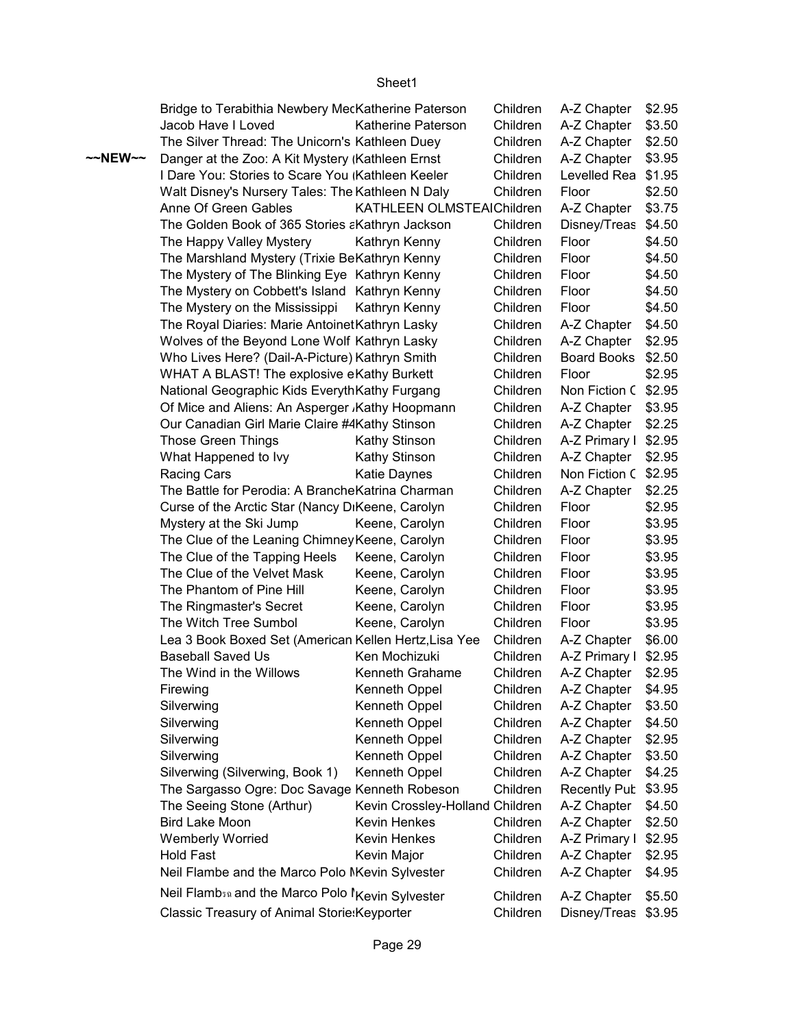|         | Bridge to Terabithia Newbery MecKatherine Paterson                       |                                 | Children | A-Z Chapter          | \$2.95 |
|---------|--------------------------------------------------------------------------|---------------------------------|----------|----------------------|--------|
|         | Jacob Have I Loved                                                       | Katherine Paterson              | Children | A-Z Chapter   \$3.50 |        |
|         | The Silver Thread: The Unicorn's Kathleen Duey                           |                                 | Children | A-Z Chapter   \$2.50 |        |
| ~~NEW~~ | Danger at the Zoo: A Kit Mystery (Kathleen Ernst)                        |                                 | Children | A-Z Chapter   \$3.95 |        |
|         | I Dare You: Stories to Scare You (Kathleen Keeler                        |                                 | Children | Levelled Rea \$1.95  |        |
|         | Walt Disney's Nursery Tales: The Kathleen N Daly                         |                                 | Children | Floor                | \$2.50 |
|         | Anne Of Green Gables                                                     | KATHLEEN OLMSTEAIChildren       |          | A-Z Chapter   \$3.75 |        |
|         | The Golden Book of 365 Stories aKathryn Jackson                          |                                 | Children | Disney/Treas \$4.50  |        |
|         | The Happy Valley Mystery                                                 | Kathryn Kenny                   | Children | Floor                | \$4.50 |
|         | The Marshland Mystery (Trixie BeKathryn Kenny                            |                                 | Children | Floor                | \$4.50 |
|         | The Mystery of The Blinking Eye Kathryn Kenny                            |                                 | Children | Floor                | \$4.50 |
|         | The Mystery on Cobbett's Island Kathryn Kenny                            |                                 | Children | Floor                | \$4.50 |
|         | The Mystery on the Mississippi                                           | Kathryn Kenny                   | Children | Floor                | \$4.50 |
|         | The Royal Diaries: Marie Antoinet Kathryn Lasky                          |                                 | Children | A-Z Chapter   \$4.50 |        |
|         | Wolves of the Beyond Lone Wolf Kathryn Lasky                             |                                 | Children | A-Z Chapter   \$2.95 |        |
|         | Who Lives Here? (Dail-A-Picture) Kathryn Smith                           |                                 | Children | Board Books \$2.50   |        |
|         | WHAT A BLAST! The explosive eKathy Burkett                               |                                 | Children | Floor                | \$2.95 |
|         | National Geographic Kids EverythKathy Furgang                            |                                 | Children | Non Fiction C \$2.95 |        |
|         | Of Mice and Aliens: An Asperger , Kathy Hoopmann                         |                                 | Children | A-Z Chapter          | \$3.95 |
|         | Our Canadian Girl Marie Claire #4Kathy Stinson                           |                                 | Children | A-Z Chapter   \$2.25 |        |
|         | <b>Those Green Things</b>                                                | Kathy Stinson                   | Children | A-Z Primary I \$2.95 |        |
|         | What Happened to Ivy                                                     | Kathy Stinson                   | Children | A-Z Chapter   \$2.95 |        |
|         | Racing Cars                                                              | Katie Daynes                    | Children | Non Fiction C \$2.95 |        |
|         | The Battle for Perodia: A Branche Katrina Charman                        |                                 | Children | A-Z Chapter          | \$2.25 |
|         | Curse of the Arctic Star (Nancy DiKeene, Carolyn                         |                                 | Children | Floor                | \$2.95 |
|         | Mystery at the Ski Jump                                                  | Keene, Carolyn                  | Children | Floor                | \$3.95 |
|         | The Clue of the Leaning Chimney Keene, Carolyn                           |                                 | Children | Floor                | \$3.95 |
|         | The Clue of the Tapping Heels                                            | Keene, Carolyn                  | Children | Floor                | \$3.95 |
|         | The Clue of the Velvet Mask                                              | Keene, Carolyn                  | Children | Floor                | \$3.95 |
|         | The Phantom of Pine Hill                                                 | Keene, Carolyn                  | Children | Floor                | \$3.95 |
|         | The Ringmaster's Secret                                                  | Keene, Carolyn                  | Children | Floor                | \$3.95 |
|         | The Witch Tree Sumbol                                                    | Keene, Carolyn                  | Children | Floor                | \$3.95 |
|         | Lea 3 Book Boxed Set (American Kellen Hertz, Lisa Yee                    |                                 | Children | A-Z Chapter          | \$6.00 |
|         | <b>Baseball Saved Us</b>                                                 | Ken Mochizuki                   | Children | A-Z Primary I \$2.95 |        |
|         | The Wind in the Willows                                                  | Kenneth Grahame                 | Children | A-Z Chapter   \$2.95 |        |
|         | Firewing                                                                 | Kenneth Oppel                   | Children | A-Z Chapter          | \$4.95 |
|         | Silverwing                                                               | Kenneth Oppel                   | Children | A-Z Chapter          | \$3.50 |
|         | Silverwing                                                               | Kenneth Oppel                   | Children | A-Z Chapter          | \$4.50 |
|         | Silverwing                                                               | Kenneth Oppel                   | Children | A-Z Chapter          | \$2.95 |
|         | Silverwing                                                               | Kenneth Oppel                   | Children | A-Z Chapter          | \$3.50 |
|         | Silverwing (Silverwing, Book 1)                                          | Kenneth Oppel                   | Children | A-Z Chapter          | \$4.25 |
|         | The Sargasso Ogre: Doc Savage Kenneth Robeson                            |                                 | Children | Recently Pub         | \$3.95 |
|         | The Seeing Stone (Arthur)                                                | Kevin Crossley-Holland Children |          | A-Z Chapter          | \$4.50 |
|         | <b>Bird Lake Moon</b>                                                    | Kevin Henkes                    | Children | A-Z Chapter          | \$2.50 |
|         | <b>Wemberly Worried</b>                                                  | Kevin Henkes                    | Children | A-Z Primary I        | \$2.95 |
|         | <b>Hold Fast</b>                                                         | Kevin Major                     | Children | A-Z Chapter          | \$2.95 |
|         | Neil Flambe and the Marco Polo NKevin Sylvester                          |                                 | Children | A-Z Chapter          | \$4.95 |
|         |                                                                          |                                 |          |                      |        |
|         | Neil Flamb <sub>30</sub> and the Marco Polo <sup>1</sup> Kevin Sylvester |                                 | Children | A-Z Chapter          | \$5.50 |
|         | Classic Treasury of Animal Storie: Keyporter                             |                                 | Children | Disney/Treas \$3.95  |        |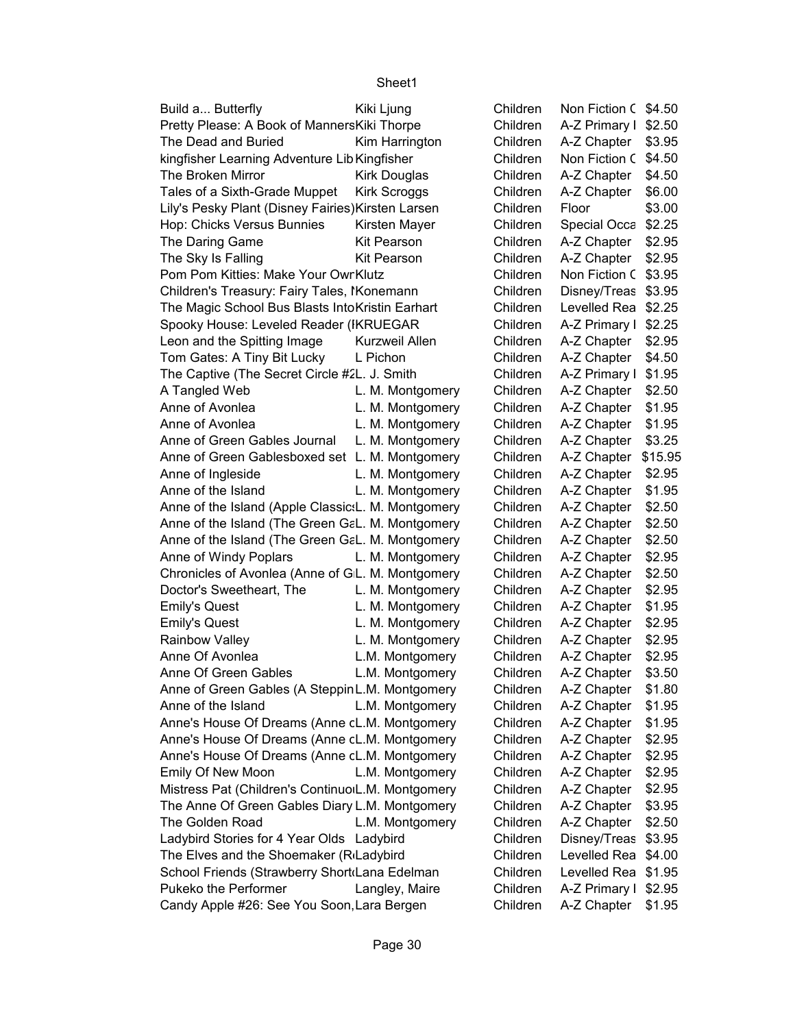| Build a Butterfly                                    | Kiki Ljung          | Children | Non Fiction C \$4.50    |
|------------------------------------------------------|---------------------|----------|-------------------------|
| Pretty Please: A Book of MannersKiki Thorpe          |                     | Children | A-Z Primary I<br>\$2.50 |
| The Dead and Buried                                  | Kim Harrington      | Children | A-Z Chapter<br>\$3.95   |
| kingfisher Learning Adventure Lib Kingfisher         |                     | Children | Non Fiction C<br>\$4.50 |
| The Broken Mirror                                    | Kirk Douglas        | Children | A-Z Chapter<br>\$4.50   |
| Tales of a Sixth-Grade Muppet                        | <b>Kirk Scroggs</b> | Children | A-Z Chapter<br>\$6.00   |
| Lily's Pesky Plant (Disney Fairies) Kirsten Larsen   |                     | Children | \$3.00<br>Floor         |
| Hop: Chicks Versus Bunnies                           | Kirsten Mayer       | Children | \$2.25<br>Special Occa  |
| The Daring Game                                      | Kit Pearson         | Children | A-Z Chapter<br>\$2.95   |
| The Sky Is Falling                                   | <b>Kit Pearson</b>  | Children | A-Z Chapter<br>\$2.95   |
| Pom Pom Kitties: Make Your Owr Klutz                 |                     | Children | Non Fiction C<br>\$3.95 |
| Children's Treasury: Fairy Tales, IKonemann          |                     | Children | Disney/Treas<br>\$3.95  |
| The Magic School Bus Blasts IntoKristin Earhart      |                     | Children | Levelled Rea<br>\$2.25  |
| Spooky House: Leveled Reader (IKRUEGAR               |                     | Children | A-Z Primary I<br>\$2.25 |
| Leon and the Spitting Image                          | Kurzweil Allen      | Children | \$2.95<br>A-Z Chapter   |
| Tom Gates: A Tiny Bit Lucky                          | L Pichon            | Children | A-Z Chapter<br>\$4.50   |
| The Captive (The Secret Circle #2L. J. Smith         |                     | Children | A-Z Primary I<br>\$1.95 |
| A Tangled Web                                        | L. M. Montgomery    | Children | A-Z Chapter<br>\$2.50   |
| Anne of Avonlea                                      | L. M. Montgomery    | Children | A-Z Chapter<br>\$1.95   |
| Anne of Avonlea                                      | L. M. Montgomery    | Children | A-Z Chapter<br>\$1.95   |
| Anne of Green Gables Journal                         | L. M. Montgomery    | Children | A-Z Chapter<br>\$3.25   |
| Anne of Green Gablesboxed set L. M. Montgomery       |                     | Children | A-Z Chapter<br>\$15.95  |
| Anne of Ingleside                                    | L. M. Montgomery    | Children | A-Z Chapter<br>\$2.95   |
| Anne of the Island                                   | L. M. Montgomery    | Children | A-Z Chapter<br>\$1.95   |
| Anne of the Island (Apple Classic: L. M. Montgomery  |                     | Children | A-Z Chapter<br>\$2.50   |
| Anne of the Island (The Green GaL. M. Montgomery     |                     | Children | A-Z Chapter<br>\$2.50   |
| Anne of the Island (The Green GaL. M. Montgomery     |                     | Children | A-Z Chapter<br>\$2.50   |
| Anne of Windy Poplars                                | L. M. Montgomery    | Children | \$2.95<br>A-Z Chapter   |
| Chronicles of Avonlea (Anne of GL. M. Montgomery     |                     | Children | \$2.50<br>A-Z Chapter   |
| Doctor's Sweetheart, The                             | L. M. Montgomery    | Children | \$2.95<br>A-Z Chapter   |
| <b>Emily's Quest</b>                                 | L. M. Montgomery    | Children | A-Z Chapter<br>\$1.95   |
| <b>Emily's Quest</b>                                 | L. M. Montgomery    | Children | A-Z Chapter<br>\$2.95   |
| Rainbow Valley                                       | L. M. Montgomery    | Children | A-Z Chapter<br>\$2.95   |
| Anne Of Avonlea                                      | L.M. Montgomery     | Children | A-Z Chapter<br>\$2.95   |
| Anne Of Green Gables                                 | L.M. Montgomery     | Children | A-Z Chapter<br>\$3.50   |
| Anne of Green Gables (A Steppin L.M. Montgomery      |                     | Children | A-Z Chapter<br>\$1.80   |
| Anne of the Island                                   | L.M. Montgomery     | Children | A-Z Chapter<br>\$1.95   |
| Anne's House Of Dreams (Anne cL.M. Montgomery        |                     | Children | A-Z Chapter<br>\$1.95   |
| Anne's House Of Dreams (Anne cL.M. Montgomery        |                     | Children | A-Z Chapter<br>\$2.95   |
| Anne's House Of Dreams (Anne cL.M. Montgomery        |                     | Children | A-Z Chapter<br>\$2.95   |
| Emily Of New Moon                                    | L.M. Montgomery     | Children | A-Z Chapter<br>\$2.95   |
| Mistress Pat (Children's Continuo L.M. Montgomery    |                     | Children | A-Z Chapter<br>\$2.95   |
| The Anne Of Green Gables Diary L.M. Montgomery       |                     | Children | A-Z Chapter<br>\$3.95   |
| The Golden Road                                      | L.M. Montgomery     | Children | A-Z Chapter<br>\$2.50   |
| Ladybird Stories for 4 Year Olds Ladybird            |                     | Children | Disney/Treas<br>\$3.95  |
| The Elves and the Shoemaker (R <sub>'</sub> Ladybird |                     | Children | Levelled Rea<br>\$4.00  |
| School Friends (Strawberry Short Lana Edelman        |                     | Children | Levelled Rea<br>\$1.95  |
| Pukeko the Performer                                 | Langley, Maire      | Children | A-Z Primary I<br>\$2.95 |
| Candy Apple #26: See You Soon, Lara Bergen           |                     | Children | A-Z Chapter<br>\$1.95   |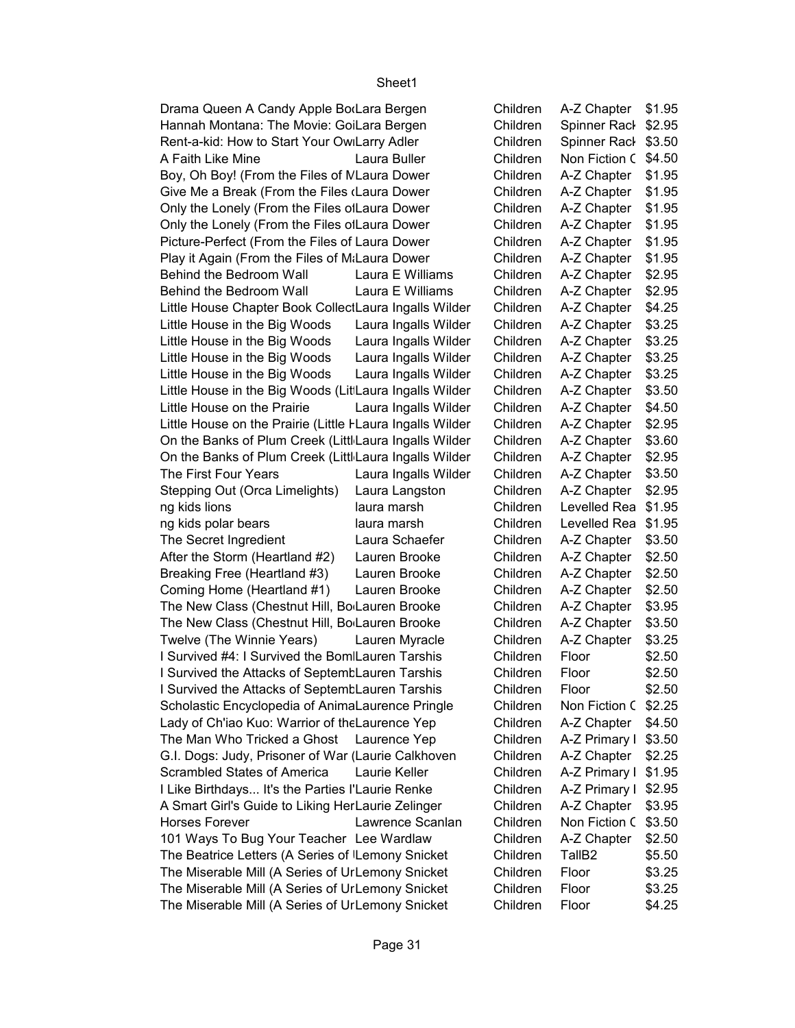| Drama Queen A Candy Apple BorLara Bergen                  |                      | Children | A-Z Chapter   \$1.95 |        |
|-----------------------------------------------------------|----------------------|----------|----------------------|--------|
| Hannah Montana: The Movie: GoiLara Bergen                 |                      | Children | Spinner Rack \$2.95  |        |
| Rent-a-kid: How to Start Your Ow Larry Adler              |                      | Children | Spinner Rack \$3.50  |        |
| A Faith Like Mine                                         | Laura Buller         | Children | Non Fiction C \$4.50 |        |
| Boy, Oh Boy! (From the Files of MLaura Dower              |                      | Children | A-Z Chapter   \$1.95 |        |
| Give Me a Break (From the Files (Laura Dower              |                      | Children | A-Z Chapter          | \$1.95 |
| Only the Lonely (From the Files of Laura Dower            |                      | Children | A-Z Chapter   \$1.95 |        |
| Only the Lonely (From the Files of Laura Dower            |                      | Children | A-Z Chapter   \$1.95 |        |
| Picture-Perfect (From the Files of Laura Dower            |                      | Children | A-Z Chapter          | \$1.95 |
| Play it Again (From the Files of M.Laura Dower            |                      | Children | A-Z Chapter          | \$1.95 |
| Behind the Bedroom Wall                                   | Laura E Williams     | Children | A-Z Chapter          | \$2.95 |
| Behind the Bedroom Wall                                   | Laura E Williams     | Children | A-Z Chapter          | \$2.95 |
| Little House Chapter Book CollectLaura Ingalls Wilder     |                      | Children | A-Z Chapter          | \$4.25 |
| Little House in the Big Woods                             | Laura Ingalls Wilder | Children | A-Z Chapter          | \$3.25 |
|                                                           |                      |          | A-Z Chapter          |        |
| Little House in the Big Woods                             | Laura Ingalls Wilder | Children |                      | \$3.25 |
| Little House in the Big Woods                             | Laura Ingalls Wilder | Children | A-Z Chapter          | \$3.25 |
| Little House in the Big Woods                             | Laura Ingalls Wilder | Children | A-Z Chapter          | \$3.25 |
| Little House in the Big Woods (LitLaura Ingalls Wilder    |                      | Children | A-Z Chapter          | \$3.50 |
| Little House on the Prairie                               | Laura Ingalls Wilder | Children | A-Z Chapter          | \$4.50 |
| Little House on the Prairie (Little FLaura Ingalls Wilder |                      | Children | A-Z Chapter          | \$2.95 |
| On the Banks of Plum Creek (Littl Laura Ingalls Wilder    |                      | Children | A-Z Chapter          | \$3.60 |
| On the Banks of Plum Creek (Littl Laura Ingalls Wilder    |                      | Children | A-Z Chapter          | \$2.95 |
| The First Four Years                                      | Laura Ingalls Wilder | Children | A-Z Chapter          | \$3.50 |
| Stepping Out (Orca Limelights)                            | Laura Langston       | Children | A-Z Chapter          | \$2.95 |
| ng kids lions                                             | laura marsh          | Children | Levelled Rea \$1.95  |        |
| ng kids polar bears                                       | laura marsh          | Children | Levelled Rea \$1.95  |        |
| The Secret Ingredient                                     | Laura Schaefer       | Children | A-Z Chapter          | \$3.50 |
| After the Storm (Heartland #2)                            | Lauren Brooke        | Children | A-Z Chapter          | \$2.50 |
| Breaking Free (Heartland #3)                              | Lauren Brooke        | Children | A-Z Chapter          | \$2.50 |
| Coming Home (Heartland #1)                                | Lauren Brooke        | Children | A-Z Chapter          | \$2.50 |
| The New Class (Chestnut Hill, Bo Lauren Brooke            |                      | Children | A-Z Chapter          | \$3.95 |
| The New Class (Chestnut Hill, Bo Lauren Brooke            |                      | Children | A-Z Chapter          | \$3.50 |
| Twelve (The Winnie Years)                                 | Lauren Myracle       | Children | A-Z Chapter          | \$3.25 |
| I Survived #4: I Survived the Bom Lauren Tarshis          |                      | Children | Floor                | \$2.50 |
| I Survived the Attacks of Septemt Lauren Tarshis          |                      | Children | Floor                | \$2.50 |
| I Survived the Attacks of Septemt Lauren Tarshis          |                      | Children | Floor                | \$2.50 |
| Scholastic Encyclopedia of AnimaLaurence Pringle          |                      | Children | Non Fiction C \$2.25 |        |
| Lady of Ch'iao Kuo: Warrior of the Laurence Yep           |                      | Children | A-Z Chapter   \$4.50 |        |
| The Man Who Tricked a Ghost Laurence Yep                  |                      | Children | A-Z Primary I \$3.50 |        |
| G.I. Dogs: Judy, Prisoner of War (Laurie Calkhoven        |                      | Children | A-Z Chapter   \$2.25 |        |
| Scrambled States of America                               | Laurie Keller        | Children | A-Z Primary I \$1.95 |        |
| I Like Birthdays It's the Parties l'Laurie Renke          |                      | Children | A-Z Primary I \$2.95 |        |
|                                                           |                      |          |                      |        |
| A Smart Girl's Guide to Liking HerLaurie Zelinger         |                      | Children | A-Z Chapter   \$3.95 |        |
| <b>Horses Forever</b>                                     | Lawrence Scanlan     | Children | Non Fiction C \$3.50 |        |
| 101 Ways To Bug Your Teacher Lee Wardlaw                  |                      | Children | A-Z Chapter          | \$2.50 |
| The Beatrice Letters (A Series of Lemony Snicket          |                      | Children | TallB <sub>2</sub>   | \$5.50 |
| The Miserable Mill (A Series of UrLemony Snicket          |                      | Children | Floor                | \$3.25 |
| The Miserable Mill (A Series of UrLemony Snicket          |                      | Children | Floor                | \$3.25 |
| The Miserable Mill (A Series of UrLemony Snicket          |                      | Children | Floor                | \$4.25 |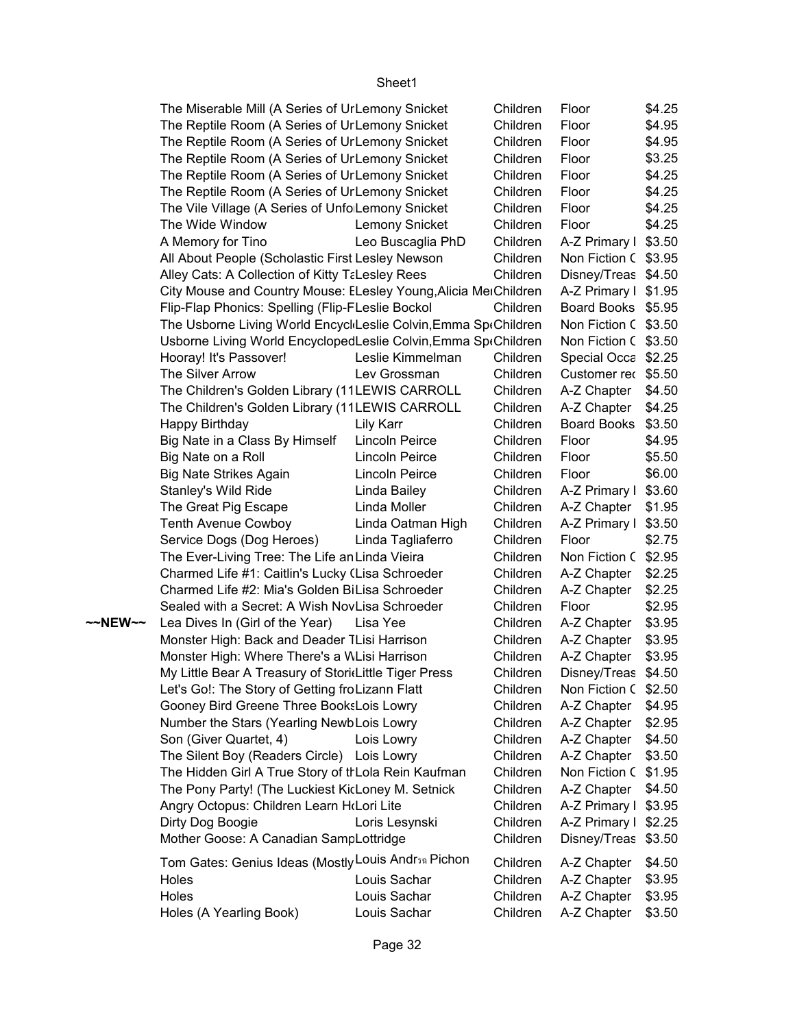|         | The Miserable Mill (A Series of UrLemony Snicket                |                       | Children | Floor                | \$4.25 |
|---------|-----------------------------------------------------------------|-----------------------|----------|----------------------|--------|
|         | The Reptile Room (A Series of UrLemony Snicket                  |                       | Children | Floor                | \$4.95 |
|         | The Reptile Room (A Series of UrLemony Snicket                  |                       | Children | Floor                | \$4.95 |
|         | The Reptile Room (A Series of UrLemony Snicket                  |                       | Children | Floor                | \$3.25 |
|         | The Reptile Room (A Series of UrLemony Snicket                  |                       | Children | Floor                | \$4.25 |
|         | The Reptile Room (A Series of UrLemony Snicket                  |                       | Children | Floor                | \$4.25 |
|         | The Vile Village (A Series of Unfo Lemony Snicket               |                       | Children | Floor                | \$4.25 |
|         | The Wide Window                                                 | Lemony Snicket        | Children | Floor                | \$4.25 |
|         | A Memory for Tino                                               | Leo Buscaglia PhD     | Children | A-Z Primary I \$3.50 |        |
|         | All About People (Scholastic First Lesley Newson                |                       | Children | Non Fiction C \$3.95 |        |
|         | Alley Cats: A Collection of Kitty TaLesley Rees                 |                       | Children | Disney/Treas \$4.50  |        |
|         | City Mouse and Country Mouse: ELesley Young, Alicia MerChildren |                       |          | A-Z Primary I \$1.95 |        |
|         | Flip-Flap Phonics: Spelling (Flip-FLeslie Bockol                |                       | Children | Board Books \$5.95   |        |
|         | The Usborne Living World EncycliLeslie Colvin, Emma SpiChildren |                       |          | Non Fiction C \$3.50 |        |
|         | Usborne Living World EncyclopedLeslie Colvin, Emma SptChildren  |                       |          | Non Fiction C \$3.50 |        |
|         | Hooray! It's Passover!                                          | Leslie Kimmelman      | Children | Special Occa \$2.25  |        |
|         | The Silver Arrow                                                | Lev Grossman          | Children | Customer rec \$5.50  |        |
|         | The Children's Golden Library (11LEWIS CARROLL                  |                       | Children | A-Z Chapter   \$4.50 |        |
|         | The Children's Golden Library (11LEWIS CARROLL                  |                       | Children | A-Z Chapter   \$4.25 |        |
|         | Happy Birthday                                                  | Lily Karr             | Children | Board Books \$3.50   |        |
|         | Big Nate in a Class By Himself                                  | Lincoln Peirce        | Children | Floor                | \$4.95 |
|         | Big Nate on a Roll                                              | Lincoln Peirce        | Children | Floor                | \$5.50 |
|         | <b>Big Nate Strikes Again</b>                                   | <b>Lincoln Peirce</b> | Children | Floor                | \$6.00 |
|         | Stanley's Wild Ride                                             | Linda Bailey          | Children | A-Z Primary I \$3.60 |        |
|         | The Great Pig Escape                                            | Linda Moller          | Children | A-Z Chapter   \$1.95 |        |
|         | Tenth Avenue Cowboy                                             | Linda Oatman High     | Children | A-Z Primary I \$3.50 |        |
|         | Service Dogs (Dog Heroes)                                       | Linda Tagliaferro     | Children | Floor                | \$2.75 |
|         | The Ever-Living Tree: The Life an Linda Vieira                  |                       | Children | Non Fiction C \$2.95 |        |
|         | Charmed Life #1: Caitlin's Lucky (Lisa Schroeder                |                       | Children | A-Z Chapter   \$2.25 |        |
|         | Charmed Life #2: Mia's Golden BiLisa Schroeder                  |                       | Children | A-Z Chapter   \$2.25 |        |
|         | Sealed with a Secret: A Wish NovLisa Schroeder                  |                       | Children | Floor                | \$2.95 |
| ~~NEW~~ | Lea Dives In (Girl of the Year)                                 | Lisa Yee              | Children | A-Z Chapter          | \$3.95 |
|         | Monster High: Back and Deader TLisi Harrison                    |                       | Children | A-Z Chapter   \$3.95 |        |
|         | Monster High: Where There's a WLisi Harrison                    |                       | Children | A-Z Chapter   \$3.95 |        |
|         | My Little Bear A Treasury of Stori(Little Tiger Press           |                       | Children | Disney/Treas \$4.50  |        |
|         | Let's Go!: The Story of Getting froLizann Flatt                 |                       | Children | Non Fiction C \$2.50 |        |
|         | Gooney Bird Greene Three BooksLois Lowry                        |                       | Children | A-Z Chapter          | \$4.95 |
|         | Number the Stars (Yearling NewbLois Lowry                       |                       | Children | A-Z Chapter          | \$2.95 |
|         | Son (Giver Quartet, 4)                                          | Lois Lowry            | Children | A-Z Chapter          | \$4.50 |
|         | The Silent Boy (Readers Circle) Lois Lowry                      |                       | Children | A-Z Chapter   \$3.50 |        |
|         | The Hidden Girl A True Story of th Lola Rein Kaufman            |                       | Children | Non Fiction C \$1.95 |        |
|         | The Pony Party! (The Luckiest KicLoney M. Setnick               |                       | Children | A-Z Chapter   \$4.50 |        |
|         | Angry Octopus: Children Learn HoLori Lite                       |                       | Children | A-Z Primary I \$3.95 |        |
|         | Dirty Dog Boogie                                                | Loris Lesynski        | Children | A-Z Primary I \$2.25 |        |
|         | Mother Goose: A Canadian SampLottridge                          |                       | Children | Disney/Treas \$3.50  |        |
|         | Tom Gates: Genius Ideas (Mostly Louis Andr <sub>30</sub> Pichon |                       | Children | A-Z Chapter   \$4.50 |        |
|         | Holes                                                           | Louis Sachar          | Children | A-Z Chapter          | \$3.95 |
|         | Holes                                                           | Louis Sachar          | Children | A-Z Chapter          | \$3.95 |
|         | Holes (A Yearling Book)                                         | Louis Sachar          | Children | A-Z Chapter          | \$3.50 |
|         |                                                                 |                       |          |                      |        |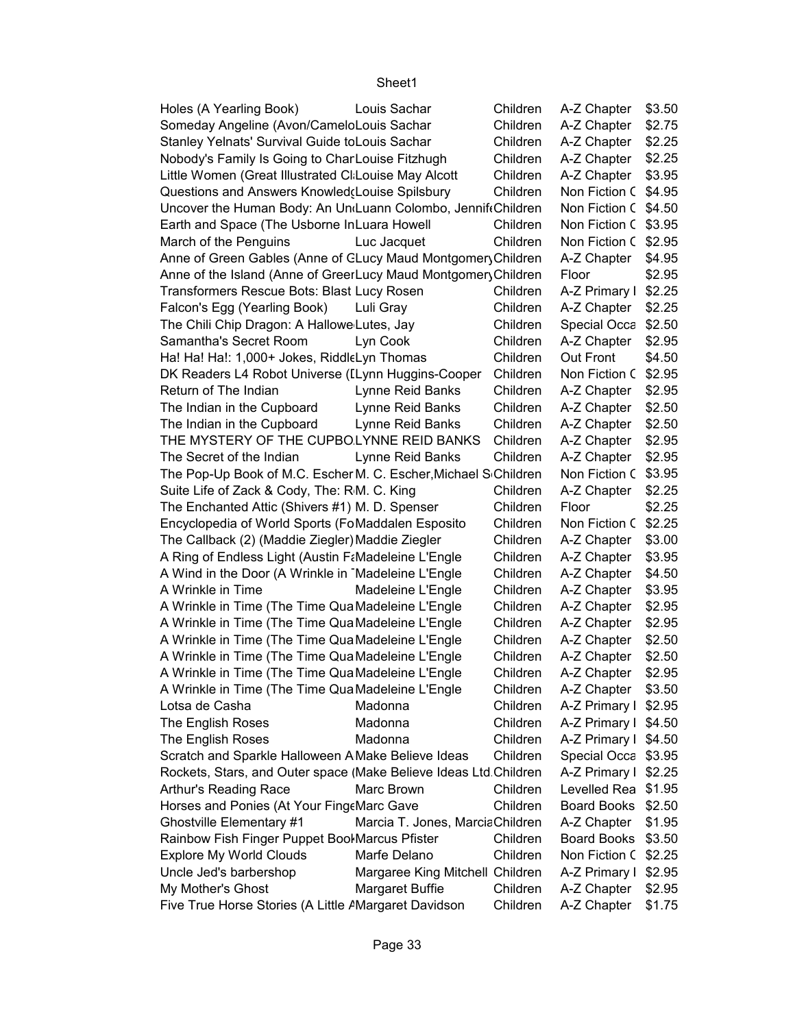| Holes (A Yearling Book)                                                  | Louis Sachar                    | Children | A-Z Chapter          | \$3.50 |
|--------------------------------------------------------------------------|---------------------------------|----------|----------------------|--------|
| Someday Angeline (Avon/CameloLouis Sachar                                |                                 | Children | A-Z Chapter          | \$2.75 |
| Stanley Yelnats' Survival Guide toLouis Sachar                           |                                 | Children | A-Z Chapter          | \$2.25 |
| Nobody's Family Is Going to CharLouise Fitzhugh                          |                                 | Children | A-Z Chapter          | \$2.25 |
| Little Women (Great Illustrated CI Louise May Alcott                     |                                 | Children | A-Z Chapter          | \$3.95 |
| Questions and Answers Knowled(Louise Spilsbury                           |                                 | Children | Non Fiction C \$4.95 |        |
| Uncover the Human Body: An Un <sub>'Luann</sub> Colombo, Jennif Children |                                 |          | Non Fiction C \$4.50 |        |
| Earth and Space (The Usborne InLuara Howell                              |                                 | Children | Non Fiction C \$3.95 |        |
| March of the Penguins                                                    | Luc Jacquet                     | Children | Non Fiction C \$2.95 |        |
| Anne of Green Gables (Anne of CLucy Maud Montgomery Children             |                                 |          | A-Z Chapter          | \$4.95 |
| Anne of the Island (Anne of GreerLucy Maud Montgomery Children           |                                 |          | Floor                | \$2.95 |
| Transformers Rescue Bots: Blast Lucy Rosen                               |                                 | Children | A-Z Primary I \$2.25 |        |
| Falcon's Egg (Yearling Book)                                             | Luli Gray                       | Children | A-Z Chapter   \$2.25 |        |
| The Chili Chip Dragon: A Hallowe Lutes, Jay                              |                                 | Children | Special Occa \$2.50  |        |
| Samantha's Secret Room                                                   | Lyn Cook                        | Children | A-Z Chapter          | \$2.95 |
| Ha! Ha! Ha!: 1,000+ Jokes, RiddleLyn Thomas                              |                                 | Children | Out Front            | \$4.50 |
| DK Readers L4 Robot Universe (ILynn Huggins-Cooper                       |                                 | Children | Non Fiction C \$2.95 |        |
| Return of The Indian                                                     | Lynne Reid Banks                | Children | A-Z Chapter          | \$2.95 |
| The Indian in the Cupboard                                               | Lynne Reid Banks                | Children | A-Z Chapter          | \$2.50 |
| The Indian in the Cupboard                                               | Lynne Reid Banks                | Children | A-Z Chapter          | \$2.50 |
| THE MYSTERY OF THE CUPBOLYNNE REID BANKS                                 |                                 | Children | A-Z Chapter          | \$2.95 |
| The Secret of the Indian                                                 | Lynne Reid Banks                | Children | A-Z Chapter          | \$2.95 |
| The Pop-Up Book of M.C. Escher M. C. Escher, Michael Schildren           |                                 |          | Non Fiction C \$3.95 |        |
| Suite Life of Zack & Cody, The: RM. C. King                              |                                 | Children | A-Z Chapter          | \$2.25 |
| The Enchanted Attic (Shivers #1) M. D. Spenser                           |                                 | Children | Floor                | \$2.25 |
| Encyclopedia of World Sports (FoMaddalen Esposito                        |                                 | Children | Non Fiction C \$2.25 |        |
| The Callback (2) (Maddie Ziegler) Maddie Ziegler                         |                                 | Children | A-Z Chapter          | \$3.00 |
| A Ring of Endless Light (Austin F&Madeleine L'Engle                      |                                 | Children | A-Z Chapter          | \$3.95 |
| A Wind in the Door (A Wrinkle in Madeleine L'Engle                       |                                 | Children | A-Z Chapter          | \$4.50 |
| A Wrinkle in Time                                                        | Madeleine L'Engle               | Children | A-Z Chapter          | \$3.95 |
| A Wrinkle in Time (The Time Qua Madeleine L'Engle                        |                                 | Children | A-Z Chapter          | \$2.95 |
| A Wrinkle in Time (The Time Qua Madeleine L'Engle                        |                                 | Children | A-Z Chapter          | \$2.95 |
| A Wrinkle in Time (The Time Qua Madeleine L'Engle                        |                                 | Children | A-Z Chapter          | \$2.50 |
| A Wrinkle in Time (The Time Qua Madeleine L'Engle                        |                                 | Children | A-Z Chapter          | \$2.50 |
| A Wrinkle in Time (The Time Qua Madeleine L'Engle                        |                                 | Children | A-Z Chapter          | \$2.95 |
| A Wrinkle in Time (The Time Qua Madeleine L'Engle                        |                                 | Children | A-Z Chapter   \$3.50 |        |
| Lotsa de Casha                                                           | Madonna                         | Children | A-Z Primary I \$2.95 |        |
| The English Roses                                                        | Madonna                         | Children | A-Z Primary I \$4.50 |        |
| The English Roses                                                        | Madonna                         | Children | A-Z Primary I \$4.50 |        |
| Scratch and Sparkle Halloween A Make Believe Ideas                       |                                 | Children | Special Occa \$3.95  |        |
| Rockets, Stars, and Outer space (Make Believe Ideas Ltd.Children         |                                 |          | A-Z Primary I \$2.25 |        |
| Arthur's Reading Race                                                    | Marc Brown                      | Children | Levelled Rea \$1.95  |        |
| Horses and Ponies (At Your Fing Marc Gave                                |                                 | Children | Board Books \$2.50   |        |
| Ghostville Elementary #1                                                 | Marcia T. Jones, MarciaChildren |          | A-Z Chapter          | \$1.95 |
| Rainbow Fish Finger Puppet Bool Marcus Pfister                           |                                 | Children | Board Books \$3.50   |        |
| <b>Explore My World Clouds</b>                                           | Marfe Delano                    | Children | Non Fiction C \$2.25 |        |
| Uncle Jed's barbershop                                                   | Margaree King Mitchell Children |          | A-Z Primary I \$2.95 |        |
| My Mother's Ghost                                                        | <b>Margaret Buffie</b>          | Children | A-Z Chapter          | \$2.95 |
| Five True Horse Stories (A Little AMargaret Davidson                     |                                 | Children | A-Z Chapter          | \$1.75 |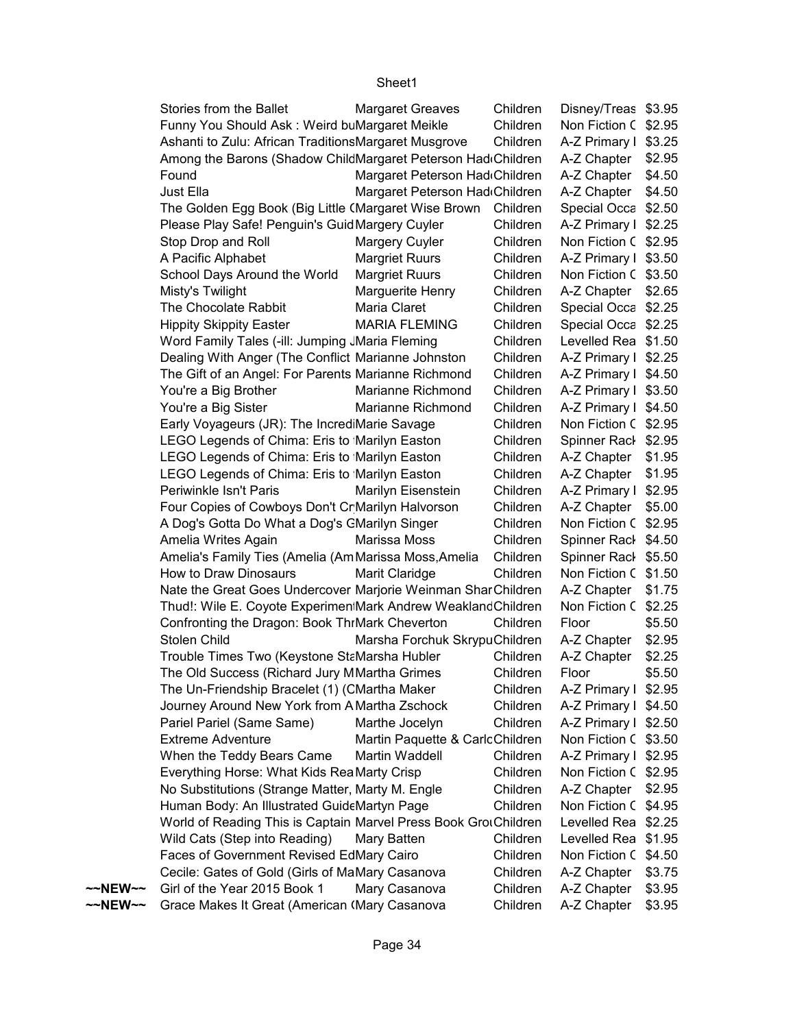|                   | Stories from the Ballet                                         | <b>Margaret Greaves</b>         | Children | Disney/Treas \$3.95  |        |
|-------------------|-----------------------------------------------------------------|---------------------------------|----------|----------------------|--------|
|                   | Funny You Should Ask: Weird buMargaret Meikle                   |                                 | Children | Non Fiction C \$2.95 |        |
|                   | Ashanti to Zulu: African TraditionsMargaret Musgrove            |                                 | Children | A-Z Primary I \$3.25 |        |
|                   | Among the Barons (Shadow ChildMargaret Peterson Had Children    |                                 |          | A-Z Chapter   \$2.95 |        |
|                   | Found                                                           | Margaret Peterson Had Children  |          | A-Z Chapter   \$4.50 |        |
|                   | Just Ella                                                       | Margaret Peterson Had Children  |          | A-Z Chapter   \$4.50 |        |
|                   | The Golden Egg Book (Big Little (Margaret Wise Brown Children   |                                 |          | Special Occa \$2.50  |        |
|                   | Please Play Safe! Penguin's GuidMargery Cuyler                  |                                 | Children | A-Z Primary I \$2.25 |        |
|                   | Stop Drop and Roll                                              | Margery Cuyler                  | Children | Non Fiction C \$2.95 |        |
|                   | A Pacific Alphabet                                              | <b>Margriet Ruurs</b>           | Children | A-Z Primary I \$3.50 |        |
|                   | School Days Around the World                                    | <b>Margriet Ruurs</b>           | Children | Non Fiction C \$3.50 |        |
|                   | Misty's Twilight                                                | Marguerite Henry                | Children | A-Z Chapter   \$2.65 |        |
|                   | The Chocolate Rabbit                                            | Maria Claret                    | Children | Special Occa \$2.25  |        |
|                   | <b>Hippity Skippity Easter</b>                                  | <b>MARIA FLEMING</b>            | Children | Special Occa \$2.25  |        |
|                   | Word Family Tales (-ill: Jumping JMaria Fleming                 |                                 | Children | Levelled Rea \$1.50  |        |
|                   | Dealing With Anger (The Conflict Marianne Johnston              |                                 | Children | A-Z Primary I \$2.25 |        |
|                   | The Gift of an Angel: For Parents Marianne Richmond             |                                 | Children | A-Z Primary I \$4.50 |        |
|                   | You're a Big Brother                                            | Marianne Richmond               | Children | A-Z Primary I \$3.50 |        |
|                   | You're a Big Sister                                             | Marianne Richmond               | Children | A-Z Primary I \$4.50 |        |
|                   | Early Voyageurs (JR): The IncrediMarie Savage                   |                                 | Children | Non Fiction C \$2.95 |        |
|                   | LEGO Legends of Chima: Eris to Marilyn Easton                   |                                 | Children | Spinner Rack \$2.95  |        |
|                   | LEGO Legends of Chima: Eris to Marilyn Easton                   |                                 | Children | A-Z Chapter   \$1.95 |        |
|                   | LEGO Legends of Chima: Eris to Marilyn Easton                   |                                 | Children | A-Z Chapter   \$1.95 |        |
|                   | Periwinkle Isn't Paris                                          | Marilyn Eisenstein              | Children | A-Z Primary I \$2.95 |        |
|                   | Four Copies of Cowboys Don't Cr Marilyn Halvorson               |                                 | Children | A-Z Chapter   \$5.00 |        |
|                   | A Dog's Gotta Do What a Dog's CMarilyn Singer                   |                                 | Children | Non Fiction C \$2.95 |        |
|                   | Amelia Writes Again                                             | Marissa Moss                    | Children | Spinner Rack \$4.50  |        |
|                   | Amelia's Family Ties (Amelia (AmMarissa Moss, Amelia            |                                 | Children | Spinner Rack \$5.50  |        |
|                   | How to Draw Dinosaurs                                           | Marit Claridge                  | Children | Non Fiction C \$1.50 |        |
|                   | Nate the Great Goes Undercover Marjorie Weinman SharChildren    |                                 |          | A-Z Chapter   \$1.75 |        |
|                   | Thud!: Wile E. Coyote Experimen Mark Andrew WeaklandChildren    |                                 |          | Non Fiction C \$2.25 |        |
|                   | Confronting the Dragon: Book ThrMark Cheverton                  |                                 | Children | Floor                | \$5.50 |
|                   | Stolen Child                                                    | Marsha Forchuk SkrypuChildren   |          | A-Z Chapter          | \$2.95 |
|                   | Trouble Times Two (Keystone StaMarsha Hubler                    |                                 | Children | A-Z Chapter          | \$2.25 |
|                   | The Old Success (Richard Jury MMartha Grimes                    |                                 | Children | Floor                | \$5.50 |
|                   | The Un-Friendship Bracelet (1) (CMartha Maker                   |                                 | Children | A-Z Primary I \$2.95 |        |
|                   | Journey Around New York from A Martha Zschock                   |                                 | Children | A-Z Primary I \$4.50 |        |
|                   | Pariel Pariel (Same Same)                                       | Marthe Jocelyn                  | Children | A-Z Primary I \$2.50 |        |
|                   | <b>Extreme Adventure</b>                                        | Martin Paquette & CarlcChildren |          | Non Fiction C \$3.50 |        |
|                   | When the Teddy Bears Came                                       | Martin Waddell                  | Children | A-Z Primary I \$2.95 |        |
|                   | Everything Horse: What Kids Rea Marty Crisp                     |                                 | Children | Non Fiction C \$2.95 |        |
|                   | No Substitutions (Strange Matter, Marty M. Engle                |                                 | Children | A-Z Chapter   \$2.95 |        |
|                   | Human Body: An Illustrated GuideMartyn Page                     |                                 | Children | Non Fiction C \$4.95 |        |
|                   | World of Reading This is Captain Marvel Press Book GrouChildren |                                 |          | Levelled Rea \$2.25  |        |
|                   | Wild Cats (Step into Reading)                                   | Mary Batten                     | Children | Levelled Rea \$1.95  |        |
|                   | Faces of Government Revised EdMary Cairo                        |                                 | Children | Non Fiction C \$4.50 |        |
|                   | Cecile: Gates of Gold (Girls of MaMary Casanova                 |                                 | Children | A-Z Chapter          | \$3.75 |
| ~~NEW~~           | Girl of the Year 2015 Book 1                                    | Mary Casanova                   | Children | A-Z Chapter          | \$3.95 |
| $\sim$ NEW $\sim$ | Grace Makes It Great (American (Mary Casanova                   |                                 | Children | A-Z Chapter          | \$3.95 |
|                   |                                                                 |                                 |          |                      |        |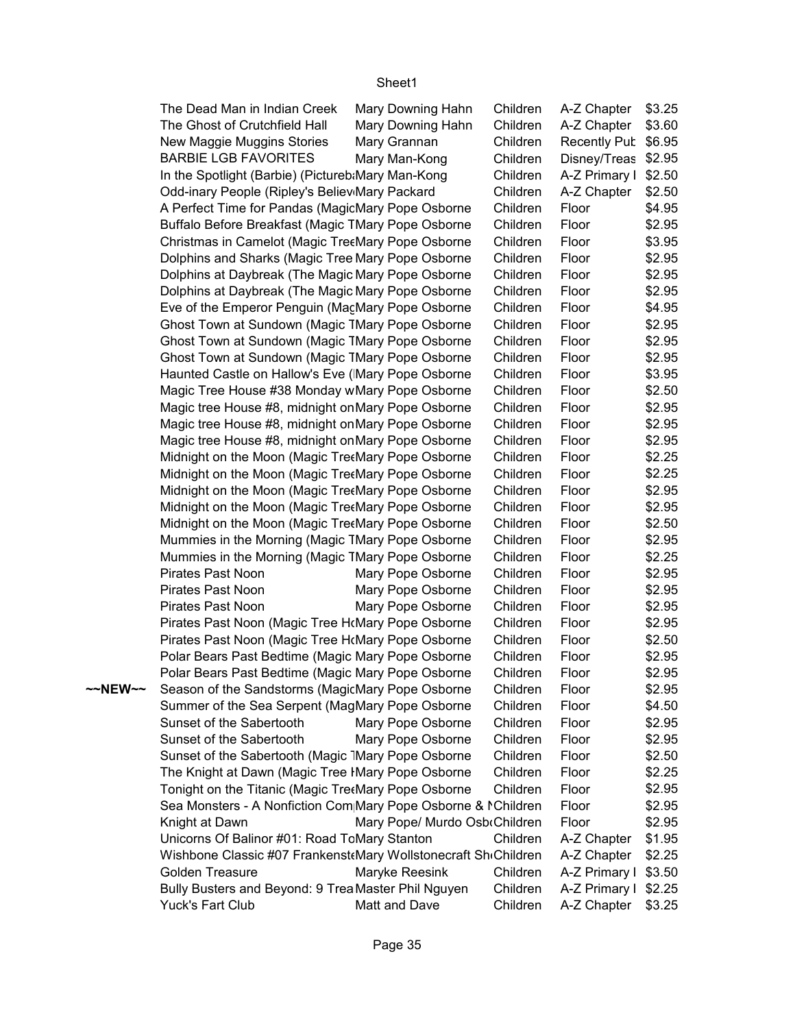|         | The Dead Man in Indian Creek                                   | Mary Downing Hahn             | Children | A-Z Chapter   \$3.25 |        |
|---------|----------------------------------------------------------------|-------------------------------|----------|----------------------|--------|
|         | The Ghost of Crutchfield Hall                                  | Mary Downing Hahn             | Children | A-Z Chapter   \$3.60 |        |
|         | New Maggie Muggins Stories                                     | Mary Grannan                  | Children | Recently Pub \$6.95  |        |
|         | <b>BARBIE LGB FAVORITES</b>                                    | Mary Man-Kong                 | Children | Disney/Treas \$2.95  |        |
|         | In the Spotlight (Barbie) (Pictureb:Mary Man-Kong              |                               | Children | A-Z Primary I \$2.50 |        |
|         | Odd-inary People (Ripley's Believ Mary Packard                 |                               | Children | A-Z Chapter   \$2.50 |        |
|         | A Perfect Time for Pandas (MagicMary Pope Osborne              |                               | Children | Floor                | \$4.95 |
|         | Buffalo Before Breakfast (Magic TMary Pope Osborne             |                               | Children | Floor                | \$2.95 |
|         | Christmas in Camelot (Magic TreeMary Pope Osborne              |                               | Children | Floor                | \$3.95 |
|         | Dolphins and Sharks (Magic Tree Mary Pope Osborne              |                               | Children | Floor                | \$2.95 |
|         | Dolphins at Daybreak (The Magic Mary Pope Osborne              |                               | Children | Floor                | \$2.95 |
|         | Dolphins at Daybreak (The Magic Mary Pope Osborne              |                               | Children | Floor                | \$2.95 |
|         | Eve of the Emperor Penguin (MacMary Pope Osborne               |                               | Children | Floor                | \$4.95 |
|         | Ghost Town at Sundown (Magic TMary Pope Osborne                |                               | Children | Floor                | \$2.95 |
|         | Ghost Town at Sundown (Magic TMary Pope Osborne                |                               | Children | Floor                | \$2.95 |
|         | Ghost Town at Sundown (Magic TMary Pope Osborne                |                               | Children | Floor                | \$2.95 |
|         | Haunted Castle on Hallow's Eve (Mary Pope Osborne              |                               | Children | Floor                | \$3.95 |
|         | Magic Tree House #38 Monday wMary Pope Osborne                 |                               | Children | Floor                | \$2.50 |
|         | Magic tree House #8, midnight on Mary Pope Osborne             |                               | Children | Floor                | \$2.95 |
|         | Magic tree House #8, midnight on Mary Pope Osborne             |                               | Children | Floor                | \$2.95 |
|         | Magic tree House #8, midnight on Mary Pope Osborne             |                               | Children | Floor                | \$2.95 |
|         | Midnight on the Moon (Magic TretMary Pope Osborne              |                               | Children | Floor                | \$2.25 |
|         | Midnight on the Moon (Magic TreeMary Pope Osborne              |                               | Children | Floor                | \$2.25 |
|         | Midnight on the Moon (Magic Tre«Mary Pope Osborne              |                               | Children | Floor                | \$2.95 |
|         | Midnight on the Moon (Magic TretMary Pope Osborne              |                               | Children | Floor                | \$2.95 |
|         | Midnight on the Moon (Magic TreeMary Pope Osborne              |                               | Children | Floor                | \$2.50 |
|         | Mummies in the Morning (Magic TMary Pope Osborne               |                               | Children | Floor                | \$2.95 |
|         | Mummies in the Morning (Magic TMary Pope Osborne               |                               | Children | Floor                | \$2.25 |
|         | Pirates Past Noon                                              | Mary Pope Osborne             | Children | Floor                | \$2.95 |
|         | Pirates Past Noon                                              | Mary Pope Osborne             | Children | Floor                | \$2.95 |
|         | Pirates Past Noon                                              | Mary Pope Osborne             | Children | Floor                | \$2.95 |
|         | Pirates Past Noon (Magic Tree HoMary Pope Osborne              |                               | Children | Floor                | \$2.95 |
|         | Pirates Past Noon (Magic Tree HoMary Pope Osborne              |                               | Children | Floor                | \$2.50 |
|         | Polar Bears Past Bedtime (Magic Mary Pope Osborne              |                               | Children | Floor                | \$2.95 |
|         | Polar Bears Past Bedtime (Magic Mary Pope Osborne              |                               | Children | Floor                | \$2.95 |
| ~~NEW~~ | Season of the Sandstorms (MagicMary Pope Osborne               |                               | Children | Floor                | \$2.95 |
|         | Summer of the Sea Serpent (MagMary Pope Osborne                |                               | Children | Floor                | \$4.50 |
|         | Sunset of the Sabertooth                                       | Mary Pope Osborne             | Children | Floor                | \$2.95 |
|         | Sunset of the Sabertooth                                       | Mary Pope Osborne             | Children | Floor                | \$2.95 |
|         | Sunset of the Sabertooth (Magic 1Mary Pope Osborne             |                               | Children | Floor                | \$2.50 |
|         | The Knight at Dawn (Magic Tree IMary Pope Osborne              |                               | Children | Floor                | \$2.25 |
|         | Tonight on the Titanic (Magic Tre«Mary Pope Osborne            |                               | Children | Floor                | \$2.95 |
|         | Sea Monsters - A Nonfiction Com Mary Pope Osborne & MChildren  |                               |          | Floor                | \$2.95 |
|         | Knight at Dawn                                                 | Mary Pope/ Murdo Osb Children |          | Floor                | \$2.95 |
|         | Unicorns Of Balinor #01: Road ToMary Stanton                   |                               | Children | A-Z Chapter          | \$1.95 |
|         | Wishbone Classic #07 Frankenst Mary Wollstonecraft ShiChildren |                               |          | A-Z Chapter   \$2.25 |        |
|         | Golden Treasure                                                | Maryke Reesink                | Children | A-Z Primary I \$3.50 |        |
|         | Bully Busters and Beyond: 9 Trea Master Phil Nguyen            |                               | Children | A-Z Primary I \$2.25 |        |
|         | Yuck's Fart Club                                               | Matt and Dave                 | Children | A-Z Chapter   \$3.25 |        |
|         |                                                                |                               |          |                      |        |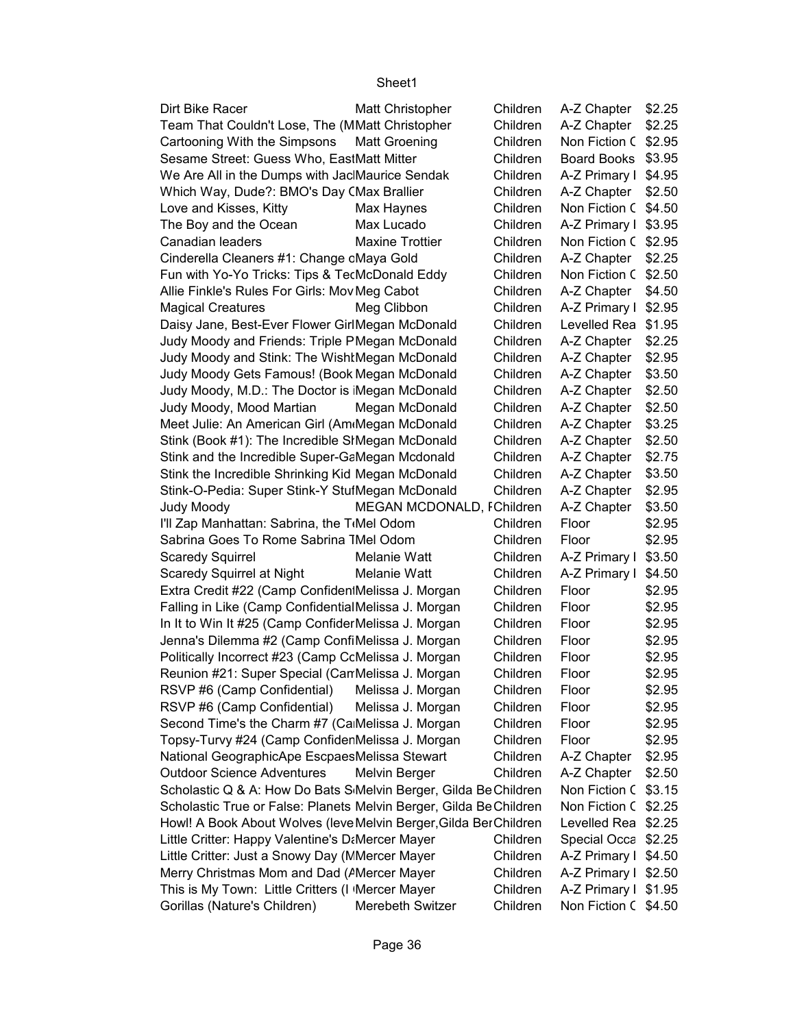| Dirt Bike Racer                                                   | <b>Matt Christopher</b>   | Children | A-Z Chapter          | \$2.25 |
|-------------------------------------------------------------------|---------------------------|----------|----------------------|--------|
| Team That Couldn't Lose, The (MMatt Christopher                   |                           | Children | A-Z Chapter          | \$2.25 |
| Cartooning With the Simpsons                                      | <b>Matt Groening</b>      | Children | Non Fiction C        | \$2.95 |
| Sesame Street: Guess Who, EastMatt Mitter                         |                           | Children | <b>Board Books</b>   | \$3.95 |
| We Are All in the Dumps with Jac Maurice Sendak                   |                           | Children | A-Z Primary I        | \$4.95 |
| Which Way, Dude?: BMO's Day CMax Brallier                         |                           | Children | A-Z Chapter          | \$2.50 |
| Love and Kisses, Kitty                                            | Max Haynes                | Children | Non Fiction C        | \$4.50 |
|                                                                   | Max Lucado                | Children |                      |        |
| The Boy and the Ocean                                             |                           |          | A-Z Primary I        | \$3.95 |
| Canadian leaders                                                  | <b>Maxine Trottier</b>    | Children | Non Fiction C        | \$2.95 |
| Cinderella Cleaners #1: Change cMaya Gold                         |                           | Children | A-Z Chapter          | \$2.25 |
| Fun with Yo-Yo Tricks: Tips & TecMcDonald Eddy                    |                           | Children | Non Fiction C        | \$2.50 |
| Allie Finkle's Rules For Girls: Mov Meg Cabot                     |                           | Children | A-Z Chapter          | \$4.50 |
| <b>Magical Creatures</b>                                          | Meg Clibbon               | Children | A-Z Primary I        | \$2.95 |
| Daisy Jane, Best-Ever Flower GirlMegan McDonald                   |                           | Children | Levelled Rea         | \$1.95 |
| Judy Moody and Friends: Triple PMegan McDonald                    |                           | Children | A-Z Chapter          | \$2.25 |
| Judy Moody and Stink: The WishtMegan McDonald                     |                           | Children | A-Z Chapter          | \$2.95 |
| Judy Moody Gets Famous! (Book Megan McDonald                      |                           | Children | A-Z Chapter          | \$3.50 |
| Judy Moody, M.D.: The Doctor is Megan McDonald                    |                           | Children | A-Z Chapter          | \$2.50 |
| Judy Moody, Mood Martian                                          | Megan McDonald            | Children | A-Z Chapter          | \$2.50 |
| Meet Julie: An American Girl (Am Megan McDonald                   |                           | Children | A-Z Chapter          | \$3.25 |
| Stink (Book #1): The Incredible SIMegan McDonald                  |                           | Children | A-Z Chapter          | \$2.50 |
| Stink and the Incredible Super-GaMegan Mcdonald                   |                           | Children | A-Z Chapter          | \$2.75 |
| Stink the Incredible Shrinking Kid Megan McDonald                 |                           | Children | A-Z Chapter          | \$3.50 |
| Stink-O-Pedia: Super Stink-Y StutMegan McDonald                   |                           | Children | A-Z Chapter          | \$2.95 |
| <b>Judy Moody</b>                                                 | MEGAN MCDONALD, FChildren |          | A-Z Chapter          | \$3.50 |
| I'll Zap Manhattan: Sabrina, the T <sub>'</sub> Mel Odom          |                           | Children | Floor                | \$2.95 |
| Sabrina Goes To Rome Sabrina TMel Odom                            |                           | Children | Floor                | \$2.95 |
| <b>Scaredy Squirrel</b>                                           | Melanie Watt              | Children | A-Z Primary I        | \$3.50 |
| Scaredy Squirrel at Night                                         | Melanie Watt              | Children | A-Z Primary I        | \$4.50 |
| Extra Credit #22 (Camp Confiden Melissa J. Morgan                 |                           | Children | Floor                | \$2.95 |
| Falling in Like (Camp ConfidentialMelissa J. Morgan               |                           | Children | Floor                | \$2.95 |
| In It to Win It #25 (Camp Confider Melissa J. Morgan              |                           | Children | Floor                | \$2.95 |
| Jenna's Dilemma #2 (Camp ConfiMelissa J. Morgan                   |                           | Children | Floor                | \$2.95 |
| Politically Incorrect #23 (Camp CcMelissa J. Morgan               |                           | Children | Floor                | \$2.95 |
| Reunion #21: Super Special (Can Melissa J. Morgan                 |                           | Children | Floor                | \$2.95 |
|                                                                   |                           |          |                      |        |
| RSVP #6 (Camp Confidential)                                       | Melissa J. Morgan         | Children | Floor                | \$2.95 |
| RSVP #6 (Camp Confidential)                                       | Melissa J. Morgan         | Children | Floor                | \$2.95 |
| Second Time's the Charm #7 (CaMelissa J. Morgan                   |                           | Children | Floor                | \$2.95 |
| Topsy-Turvy #24 (Camp ConfidenMelissa J. Morgan                   |                           | Children | Floor                | \$2.95 |
| National GeographicApe EscpaesMelissa Stewart                     |                           | Children | A-Z Chapter          | \$2.95 |
| <b>Outdoor Science Adventures</b>                                 | Melvin Berger             | Children | A-Z Chapter          | \$2.50 |
| Scholastic Q & A: How Do Bats S Melvin Berger, Gilda Be Children  |                           |          | Non Fiction C        | \$3.15 |
| Scholastic True or False: Planets Melvin Berger, Gilda BeChildren |                           |          | Non Fiction C        | \$2.25 |
| Howl! A Book About Wolves (leve Melvin Berger, Gilda Ber Children |                           |          | Levelled Rea         | \$2.25 |
| Little Critter: Happy Valentine's D&Mercer Mayer                  |                           | Children | Special Occa         | \$2.25 |
| Little Critter: Just a Snowy Day (MMercer Mayer                   |                           | Children | A-Z Primary I        | \$4.50 |
| Merry Christmas Mom and Dad (AMercer Mayer                        |                           | Children | A-Z Primary I \$2.50 |        |
| This is My Town: Little Critters (I Mercer Mayer                  |                           | Children | A-Z Primary I \$1.95 |        |
| Gorillas (Nature's Children)                                      | Merebeth Switzer          | Children | Non Fiction C \$4.50 |        |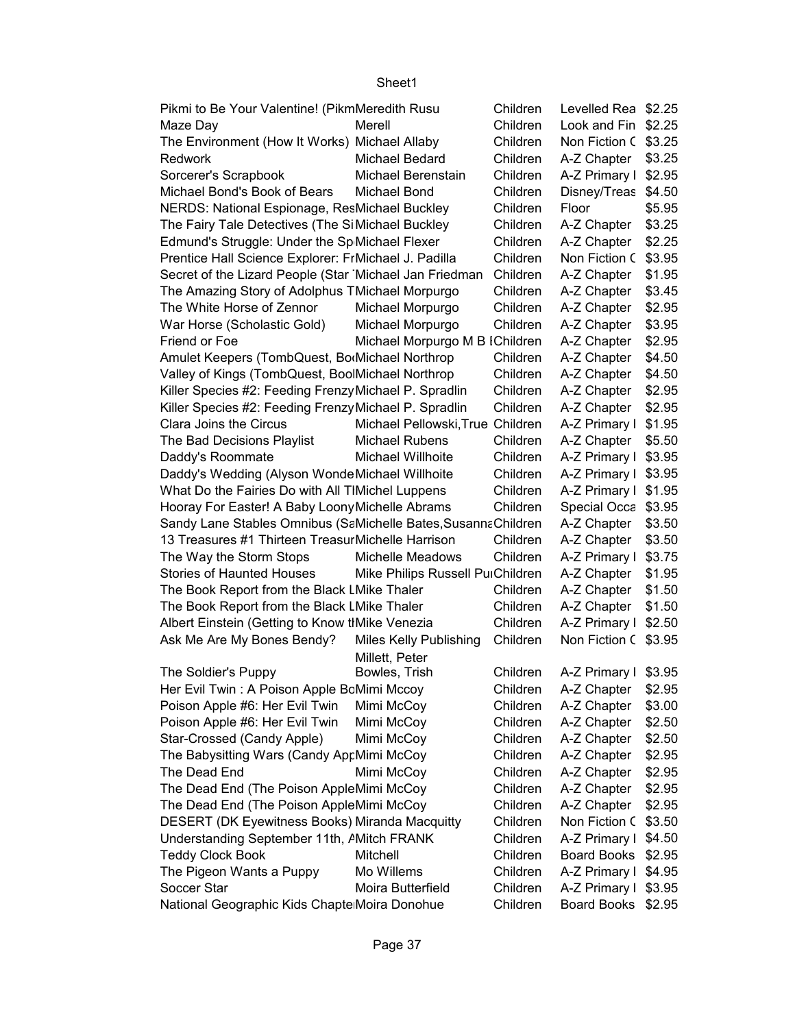| Pikmi to Be Your Valentine! (PikmMeredith Rusu                 |                                  | Children | Levelled Rea \$2.25  |        |
|----------------------------------------------------------------|----------------------------------|----------|----------------------|--------|
| Maze Day                                                       | Merell                           | Children | Look and Fin \$2.25  |        |
| The Environment (How It Works) Michael Allaby                  |                                  | Children | Non Fiction C \$3.25 |        |
| Redwork                                                        | Michael Bedard                   | Children | A-Z Chapter   \$3.25 |        |
| Sorcerer's Scrapbook                                           | Michael Berenstain               | Children | A-Z Primary I \$2.95 |        |
| Michael Bond's Book of Bears                                   | Michael Bond                     | Children | Disney/Treas \$4.50  |        |
| NERDS: National Espionage, ResMichael Buckley                  |                                  | Children | Floor                | \$5.95 |
| The Fairy Tale Detectives (The Si Michael Buckley              |                                  | Children | A-Z Chapter          | \$3.25 |
| Edmund's Struggle: Under the Sp Michael Flexer                 |                                  | Children | A-Z Chapter          | \$2.25 |
| Prentice Hall Science Explorer: FrMichael J. Padilla           |                                  | Children | Non Fiction C \$3.95 |        |
| Secret of the Lizard People (Star Michael Jan Friedman         |                                  | Children | A-Z Chapter   \$1.95 |        |
| The Amazing Story of Adolphus TMichael Morpurgo                |                                  | Children | A-Z Chapter   \$3.45 |        |
| The White Horse of Zennor                                      | Michael Morpurgo                 | Children | A-Z Chapter   \$2.95 |        |
| War Horse (Scholastic Gold)                                    | Michael Morpurgo                 | Children | A-Z Chapter   \$3.95 |        |
| Friend or Foe                                                  | Michael Morpurgo M B IChildren   |          | A-Z Chapter   \$2.95 |        |
| Amulet Keepers (TombQuest, BorMichael Northrop                 |                                  | Children | A-Z Chapter   \$4.50 |        |
| Valley of Kings (TombQuest, BoolMichael Northrop               |                                  | Children | A-Z Chapter          | \$4.50 |
| Killer Species #2: Feeding Frenzy Michael P. Spradlin          |                                  | Children | A-Z Chapter   \$2.95 |        |
| Killer Species #2: Feeding Frenzy Michael P. Spradlin          |                                  | Children | A-Z Chapter   \$2.95 |        |
| Clara Joins the Circus                                         | Michael Pellowski, True Children |          | A-Z Primary I \$1.95 |        |
| The Bad Decisions Playlist                                     | <b>Michael Rubens</b>            | Children | A-Z Chapter   \$5.50 |        |
| Daddy's Roommate                                               | Michael Willhoite                | Children | A-Z Primary I \$3.95 |        |
| Daddy's Wedding (Alyson Wonde Michael Willhoite                |                                  | Children | A-Z Primary I \$3.95 |        |
| What Do the Fairies Do with All TIMichel Luppens               |                                  | Children | A-Z Primary I \$1.95 |        |
| Hooray For Easter! A Baby Loony Michelle Abrams                |                                  | Children | Special Occa \$3.95  |        |
| Sandy Lane Stables Omnibus (SaMichelle Bates, Susanna Children |                                  |          | A-Z Chapter          | \$3.50 |
| 13 Treasures #1 Thirteen Treasur Michelle Harrison             |                                  | Children | A-Z Chapter   \$3.50 |        |
| The Way the Storm Stops                                        | Michelle Meadows                 | Children | A-Z Primary I \$3.75 |        |
| <b>Stories of Haunted Houses</b>                               | Mike Philips Russell PuiChildren |          | A-Z Chapter   \$1.95 |        |
| The Book Report from the Black LMike Thaler                    |                                  | Children | A-Z Chapter   \$1.50 |        |
| The Book Report from the Black LMike Thaler                    |                                  | Children | A-Z Chapter   \$1.50 |        |
| Albert Einstein (Getting to Know th Mike Venezia               |                                  | Children | A-Z Primary I \$2.50 |        |
| Ask Me Are My Bones Bendy?                                     | Miles Kelly Publishing           | Children | Non Fiction C \$3.95 |        |
|                                                                | Millett, Peter                   |          |                      |        |
| The Soldier's Puppy                                            | Bowles, Trish                    | Children | A-Z Primary I \$3.95 |        |
| Her Evil Twin: A Poison Apple BcMimi Mccoy                     |                                  | Children | A-Z Chapter   \$2.95 |        |
| Poison Apple #6: Her Evil Twin                                 | Mimi McCoy                       | Children | A-Z Chapter          | \$3.00 |
| Poison Apple #6: Her Evil Twin                                 | Mimi McCoy                       | Children | A-Z Chapter          | \$2.50 |
| Star-Crossed (Candy Apple)                                     | Mimi McCoy                       | Children | A-Z Chapter          | \$2.50 |
| The Babysitting Wars (Candy AprMimi McCoy                      |                                  | Children | A-Z Chapter          | \$2.95 |
| The Dead End                                                   | Mimi McCoy                       | Children | A-Z Chapter          | \$2.95 |
| The Dead End (The Poison AppleMimi McCoy                       |                                  | Children | A-Z Chapter          | \$2.95 |
| The Dead End (The Poison AppleMimi McCoy                       |                                  | Children | A-Z Chapter   \$2.95 |        |
| <b>DESERT (DK Eyewitness Books) Miranda Macquitty</b>          |                                  | Children | Non Fiction C \$3.50 |        |
| Understanding September 11th, AMitch FRANK                     |                                  | Children | A-Z Primary I \$4.50 |        |
| <b>Teddy Clock Book</b>                                        | Mitchell                         | Children | Board Books \$2.95   |        |
| The Pigeon Wants a Puppy                                       | Mo Willems                       | Children | A-Z Primary I \$4.95 |        |
| Soccer Star                                                    | Moira Butterfield                | Children | A-Z Primary I \$3.95 |        |
| National Geographic Kids Chapte Moira Donohue                  |                                  | Children | Board Books \$2.95   |        |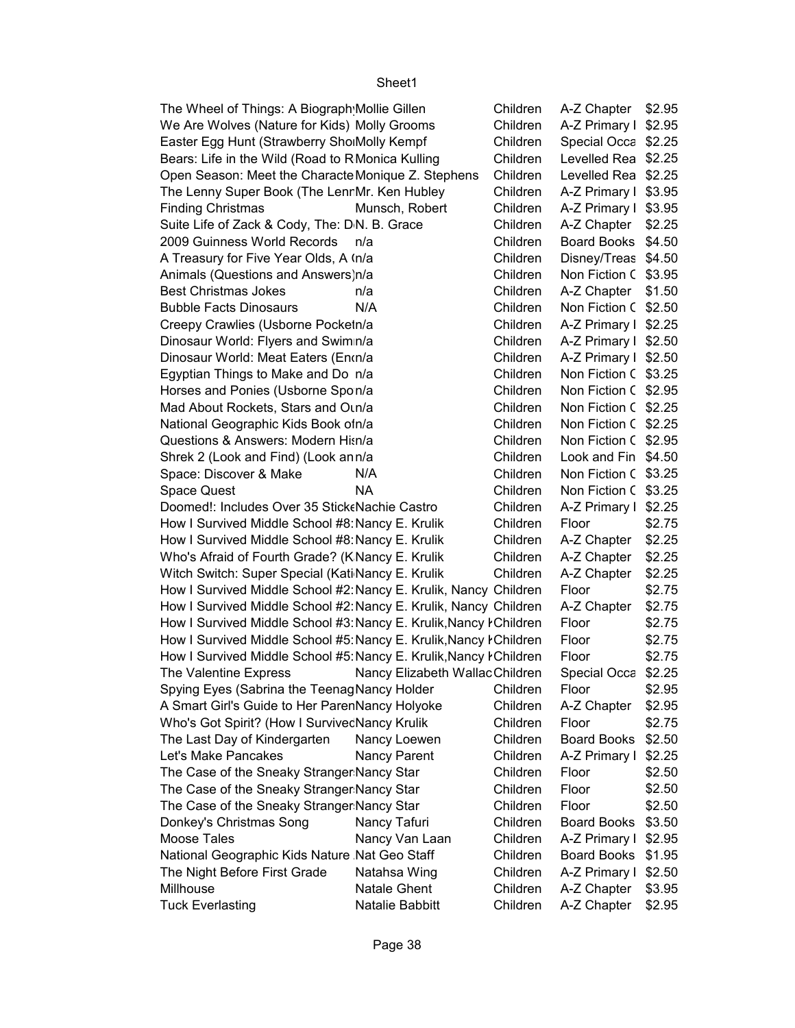| The Wheel of Things: A Biograph Mollie Gillen                      |                                 | Children | A-Z Chapter   \$2.95      |        |
|--------------------------------------------------------------------|---------------------------------|----------|---------------------------|--------|
| We Are Wolves (Nature for Kids) Molly Grooms                       |                                 | Children | A-Z Primary I \$2.95      |        |
| Easter Egg Hunt (Strawberry SholMolly Kempf                        |                                 | Children | Special Occa \$2.25       |        |
| Bears: Life in the Wild (Road to RMonica Kulling                   |                                 | Children | Levelled Rea \$2.25       |        |
| Open Season: Meet the Characte Monique Z. Stephens                 |                                 | Children | Levelled Rea \$2.25       |        |
| The Lenny Super Book (The LenrMr. Ken Hubley                       |                                 | Children | A-Z Primary I \$3.95      |        |
| <b>Finding Christmas</b>                                           | Munsch, Robert                  | Children | A-Z Primary I \$3.95      |        |
| Suite Life of Zack & Cody, The: DN. B. Grace                       |                                 | Children | A-Z Chapter               | \$2.25 |
| 2009 Guinness World Records                                        | n/a                             | Children | Board Books \$4.50        |        |
| A Treasury for Five Year Olds, A In/a                              |                                 | Children | Disney/Treas \$4.50       |        |
| Animals (Questions and Answers)n/a                                 |                                 | Children | Non Fiction C \$3.95      |        |
| <b>Best Christmas Jokes</b>                                        | n/a                             | Children | A-Z Chapter $\mid$ \$1.50 |        |
| <b>Bubble Facts Dinosaurs</b>                                      | N/A                             | Children | Non Fiction C \$2.50      |        |
| Creepy Crawlies (Usborne Pocketn/a                                 |                                 | Children | A-Z Primary I \$2.25      |        |
| Dinosaur World: Flyers and Swimn/a                                 |                                 | Children | A-Z Primary I \$2.50      |        |
| Dinosaur World: Meat Eaters (Enon/a                                |                                 | Children | A-Z Primary I \$2.50      |        |
| Egyptian Things to Make and Do n/a                                 |                                 | Children | Non Fiction C \$3.25      |        |
| Horses and Ponies (Usborne Spon/a                                  |                                 | Children | Non Fiction C \$2.95      |        |
| Mad About Rockets, Stars and Oun/a                                 |                                 | Children | Non Fiction C \$2.25      |        |
| National Geographic Kids Book ofn/a                                |                                 | Children | Non Fiction C \$2.25      |        |
| Questions & Answers: Modern Hisn/a                                 |                                 | Children | Non Fiction C \$2.95      |        |
| Shrek 2 (Look and Find) (Look ann/a                                |                                 | Children | Look and Fin \$4.50       |        |
| Space: Discover & Make                                             | N/A                             | Children | Non Fiction C \$3.25      |        |
| <b>Space Quest</b>                                                 | NA                              | Children | Non Fiction C \$3.25      |        |
| Doomed!: Includes Over 35 Stick Nachie Castro                      |                                 | Children | A-Z Primary I \$2.25      |        |
| How I Survived Middle School #8: Nancy E. Krulik                   |                                 | Children | Floor                     | \$2.75 |
| How I Survived Middle School #8: Nancy E. Krulik                   |                                 | Children | A-Z Chapter               | \$2.25 |
| Who's Afraid of Fourth Grade? (KNancy E. Krulik                    |                                 | Children | A-Z Chapter               | \$2.25 |
| Witch Switch: Super Special (Kati Nancy E. Krulik                  |                                 | Children | A-Z Chapter               | \$2.25 |
| How I Survived Middle School #2: Nancy E. Krulik, Nancy Children   |                                 |          | Floor                     | \$2.75 |
| How I Survived Middle School #2: Nancy E. Krulik, Nancy Children   |                                 |          | A-Z Chapter               | \$2.75 |
| How I Survived Middle School #3: Nancy E. Krulik, Nancy I Children |                                 |          | Floor                     | \$2.75 |
| How I Survived Middle School #5: Nancy E. Krulik, Nancy I Children |                                 |          | Floor                     | \$2.75 |
| How I Survived Middle School #5: Nancy E. Krulik, Nancy ŀ Children |                                 |          | Floor                     | \$2.75 |
| The Valentine Express                                              | Nancy Elizabeth Wallac Children |          | Special Occa              | \$2.25 |
| Spying Eyes (Sabrina the TeenagNancy Holder                        |                                 | Children | Floor                     | \$2.95 |
| A Smart Girl's Guide to Her ParenNancy Holyoke                     |                                 | Children | A-Z Chapter               | \$2.95 |
| Who's Got Spirit? (How I SurvivecNancy Krulik                      |                                 | Children | Floor                     | \$2.75 |
| The Last Day of Kindergarten                                       | Nancy Loewen                    | Children | <b>Board Books</b>        | \$2.50 |
| Let's Make Pancakes                                                | Nancy Parent                    | Children | A-Z Primary I             | \$2.25 |
| The Case of the Sneaky Stranger Nancy Star                         |                                 | Children | Floor                     | \$2.50 |
| The Case of the Sneaky Stranger Nancy Star                         |                                 | Children | Floor                     | \$2.50 |
| The Case of the Sneaky Stranger Nancy Star                         |                                 | Children | Floor                     | \$2.50 |
| Donkey's Christmas Song                                            | Nancy Tafuri                    | Children | <b>Board Books</b>        | \$3.50 |
|                                                                    |                                 |          |                           |        |
| Moose Tales                                                        | Nancy Van Laan                  | Children | A-Z Primary I             | \$2.95 |
| National Geographic Kids Nature Nat Geo Staff                      |                                 | Children | <b>Board Books</b>        | \$1.95 |
| The Night Before First Grade                                       | Natahsa Wing                    | Children | A-Z Primary I             | \$2.50 |
| Millhouse                                                          | <b>Natale Ghent</b>             | Children | A-Z Chapter               | \$3.95 |
| <b>Tuck Everlasting</b>                                            | Natalie Babbitt                 | Children | A-Z Chapter               | \$2.95 |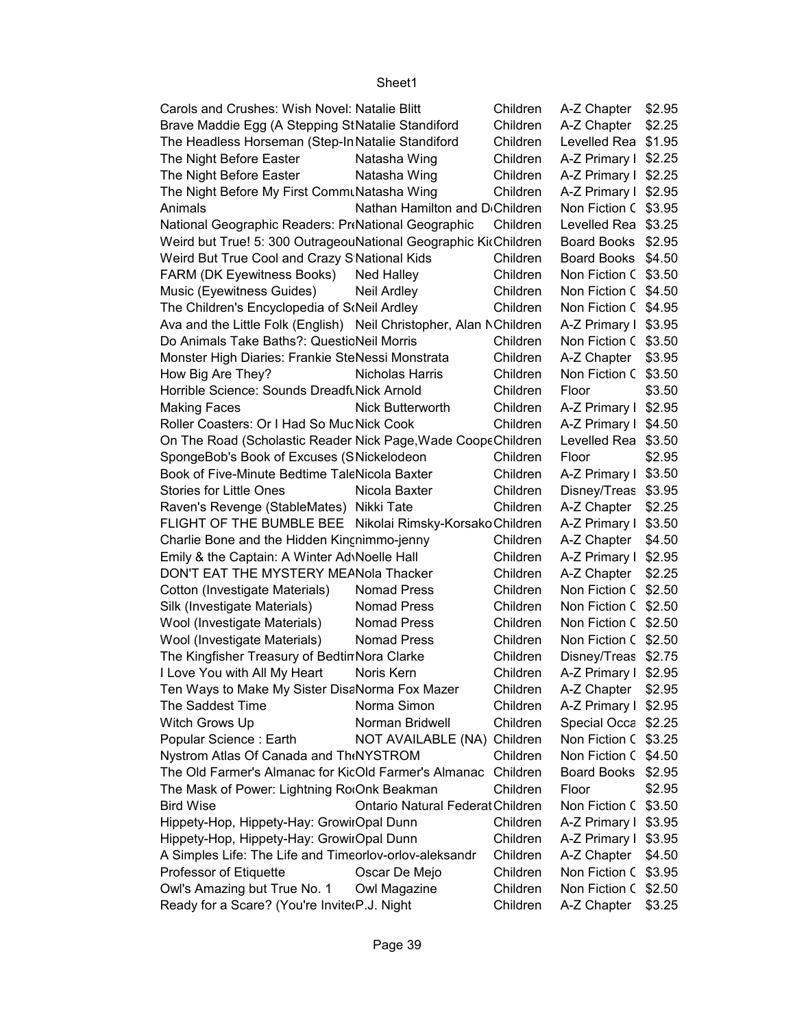| Carols and Crushes: Wish Novel: Natalie Blitt                      |                                            | Children | A-Z Chapter          | \$2.95 |
|--------------------------------------------------------------------|--------------------------------------------|----------|----------------------|--------|
| Brave Maddie Egg (A Stepping StNatalie Standiford                  |                                            | Children | A-Z Chapter          | \$2.25 |
| The Headless Horseman (Step-In Natalie Standiford                  |                                            | Children | Levelled Rea         | \$1.95 |
| The Night Before Easter                                            | Natasha Wing                               | Children | A-Z Primary I        | \$2.25 |
| The Night Before Easter                                            | Natasha Wing                               | Children | A-Z Primary I        | \$2.25 |
| The Night Before My First CommuNatasha Wing                        |                                            | Children | A-Z Primary I        | \$2.95 |
| Animals                                                            | Nathan Hamilton and D <sub>'Children</sub> |          | Non Fiction C        | \$3.95 |
| National Geographic Readers: PriNational Geographic                |                                            | Children | Levelled Rea         | \$3.25 |
| Weird but True! 5: 300 OutrageouNational Geographic KicChildren    |                                            |          | <b>Board Books</b>   | \$2.95 |
| Weird But True Cool and Crazy S National Kids                      |                                            | Children | <b>Board Books</b>   | \$4.50 |
| <b>FARM (DK Eyewitness Books)</b>                                  | <b>Ned Halley</b>                          | Children | Non Fiction C        | \$3.50 |
| Music (Eyewitness Guides)                                          | Neil Ardley                                | Children | Non Fiction C        | \$4.50 |
| The Children's Encyclopedia of S(Neil Ardley                       |                                            | Children | Non Fiction C        | \$4.95 |
| Ava and the Little Folk (English) Neil Christopher, Alan NChildren |                                            |          | A-Z Primary I \$3.95 |        |
| Do Animals Take Baths?: QuesticNeil Morris                         |                                            | Children | Non Fiction C        | \$3.50 |
| Monster High Diaries: Frankie SteNessi Monstrata                   |                                            | Children | A-Z Chapter          | \$3.95 |
| How Big Are They?                                                  | Nicholas Harris                            | Children | Non Fiction C        | \$3.50 |
| Horrible Science: Sounds DreadfuNick Arnold                        |                                            | Children | Floor                | \$3.50 |
| <b>Making Faces</b>                                                | Nick Butterworth                           | Children | A-Z Primary I        | \$2.95 |
| Roller Coasters: Or I Had So Muc Nick Cook                         |                                            | Children | A-Z Primary I        | \$4.50 |
| On The Road (Scholastic Reader Nick Page, Wade CoopeChildren       |                                            |          | Levelled Rea         | \$3.50 |
| SpongeBob's Book of Excuses (SNickelodeon                          |                                            | Children | Floor                | \$2.95 |
| Book of Five-Minute Bedtime TaleNicola Baxter                      |                                            | Children | A-Z Primary I        | \$3.50 |
| <b>Stories for Little Ones</b>                                     | Nicola Baxter                              | Children | Disney/Treas         | \$3.95 |
| Raven's Revenge (StableMates) Nikki Tate                           |                                            | Children | A-Z Chapter          | \$2.25 |
| FLIGHT OF THE BUMBLE BEE Nikolai Rimsky-Korsako Children           |                                            |          | A-Z Primary I        | \$3.50 |
| Charlie Bone and the Hidden Kincnimmo-jenny                        |                                            | Children | A-Z Chapter          | \$4.50 |
| Emily & the Captain: A Winter Ad\Noelle Hall                       |                                            | Children | A-Z Primary I        | \$2.95 |
| DON'T EAT THE MYSTERY MEANola Thacker                              |                                            | Children | A-Z Chapter          | \$2.25 |
| Cotton (Investigate Materials)                                     | <b>Nomad Press</b>                         | Children | Non Fiction C        | \$2.50 |
| Silk (Investigate Materials)                                       | <b>Nomad Press</b>                         | Children | Non Fiction C        | \$2.50 |
| Wool (Investigate Materials)                                       | Nomad Press                                | Children | Non Fiction C        | \$2.50 |
| Wool (Investigate Materials)                                       | <b>Nomad Press</b>                         | Children | Non Fiction C        | \$2.50 |
| The Kingfisher Treasury of BedtinNora Clarke                       |                                            | Children | Disney/Treas \$2.75  |        |
| I Love You with All My Heart                                       | Noris Kern                                 | Children | A-Z Primary I        | \$2.95 |
| Ten Ways to Make My Sister DisaNorma Fox Mazer                     |                                            | Children | A-Z Chapter          | \$2.95 |
| The Saddest Time                                                   | Norma Simon                                | Children | A-Z Primary I        | \$2.95 |
| Witch Grows Up                                                     | Norman Bridwell                            | Children | Special Occa         | \$2.25 |
| Popular Science: Earth                                             | NOT AVAILABLE (NA) Children                |          | Non Fiction C        | \$3.25 |
| Nystrom Atlas Of Canada and Th(NYSTROM                             |                                            | Children | Non Fiction C        | \$4.50 |
| The Old Farmer's Almanac for KicOld Farmer's Almanac               |                                            | Children | <b>Board Books</b>   | \$2.95 |
| The Mask of Power: Lightning Ro <sub>'</sub> Onk Beakman           |                                            | Children | Floor                | \$2.95 |
| <b>Bird Wise</b>                                                   | Ontario Natural Federat Children           |          | Non Fiction C        | \$3.50 |
| Hippety-Hop, Hippety-Hay: GrowirOpal Dunn                          |                                            | Children | A-Z Primary I        | \$3.95 |
| Hippety-Hop, Hippety-Hay: GrowirOpal Dunn                          |                                            | Children | A-Z Primary I        | \$3.95 |
| A Simples Life: The Life and Timeorlov-orlov-aleksandr             |                                            | Children | A-Z Chapter          | \$4.50 |
| Professor of Etiquette                                             | Oscar De Mejo                              | Children | Non Fiction C        | \$3.95 |
| Owl's Amazing but True No. 1                                       | Owl Magazine                               | Children | Non Fiction C        | \$2.50 |
| Ready for a Scare? (You're Invite(P.J. Night                       |                                            | Children | A-Z Chapter          | \$3.25 |
|                                                                    |                                            |          |                      |        |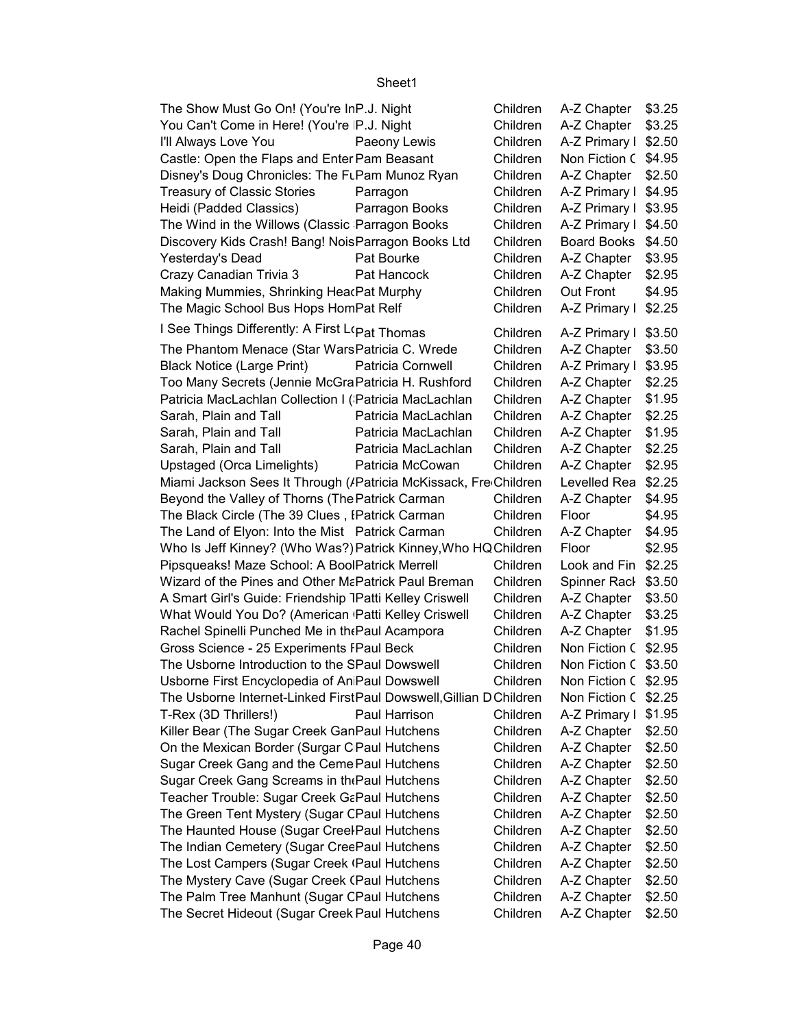| The Show Must Go On! (You're InP.J. Night                          |                     | Children | A-Z Chapter $$3.25$              |        |
|--------------------------------------------------------------------|---------------------|----------|----------------------------------|--------|
| You Can't Come in Here! (You're P.J. Night                         |                     | Children | $A-Z$ Chapter $\parallel$ \$3.25 |        |
| I'll Always Love You                                               | Paeony Lewis        | Children | A-Z Primary I \$2.50             |        |
| Castle: Open the Flaps and Enter Pam Beasant                       |                     | Children | Non Fiction C \$4.95             |        |
| Disney's Doug Chronicles: The FLPam Munoz Ryan                     |                     | Children | A-Z Chapter $$2.50$              |        |
| <b>Treasury of Classic Stories</b>                                 | Parragon            | Children | A-Z Primary I \$4.95             |        |
| Heidi (Padded Classics)                                            | Parragon Books      | Children | A-Z Primary I \$3.95             |        |
| The Wind in the Willows (Classic Parragon Books                    |                     | Children | A-Z Primary I \$4.50             |        |
| Discovery Kids Crash! Bang! NoisParragon Books Ltd                 |                     | Children | Board Books \$4.50               |        |
| Yesterday's Dead                                                   | Pat Bourke          | Children | A-Z Chapter   \$3.95             |        |
| Crazy Canadian Trivia 3                                            | Pat Hancock         | Children | A-Z Chapter $$2.95$              |        |
| Making Mummies, Shrinking HearPat Murphy                           |                     | Children | Out Front                        | \$4.95 |
| The Magic School Bus Hops HomPat Relf                              |                     | Children | A-Z Primary I \$2.25             |        |
| I See Things Differently: A First L(Pat Thomas                     |                     | Children | A-Z Primary I \$3.50             |        |
| The Phantom Menace (Star WarsPatricia C. Wrede                     |                     | Children | A-Z Chapter $$3.50$              |        |
| <b>Black Notice (Large Print)</b>                                  | Patricia Cornwell   | Children | A-Z Primary I \$3.95             |        |
| Too Many Secrets (Jennie McGraPatricia H. Rushford                 |                     | Children | A-Z Chapter   \$2.25             |        |
| Patricia MacLachlan Collection I (Patricia MacLachlan              |                     | Children | A-Z Chapter   \$1.95             |        |
| Sarah, Plain and Tall                                              | Patricia MacLachlan | Children | A-Z Chapter   \$2.25             |        |
| Sarah, Plain and Tall                                              | Patricia MacLachlan | Children | A-Z Chapter $\mid$ \$1.95        |        |
| Sarah, Plain and Tall                                              | Patricia MacLachlan | Children | A-Z Chapter   \$2.25             |        |
| Upstaged (Orca Limelights)                                         | Patricia McCowan    | Children | A-Z Chapter   \$2.95             |        |
| Miami Jackson Sees It Through (/Patricia McKissack, Fre Children   |                     |          | Levelled Rea \$2.25              |        |
| Beyond the Valley of Thorns (The Patrick Carman                    |                     | Children | A-Z Chapter                      | \$4.95 |
| The Black Circle (The 39 Clues, IPatrick Carman                    |                     | Children | Floor                            | \$4.95 |
| The Land of Elyon: Into the Mist Patrick Carman                    |                     | Children | A-Z Chapter                      | \$4.95 |
| Who Is Jeff Kinney? (Who Was?) Patrick Kinney, Who HQ Children     |                     |          | Floor                            | \$2.95 |
| Pipsqueaks! Maze School: A BoolPatrick Merrell                     |                     | Children | Look and Fin \$2.25              |        |
| Wizard of the Pines and Other MaPatrick Paul Breman                |                     | Children | Spinner Rack \$3.50              |        |
| A Smart Girl's Guide: Friendship 1Patti Kelley Criswell            |                     | Children | $A-Z$ Chapter $$3.50$            |        |
| What Would You Do? (American Patti Kelley Criswell                 |                     | Children | A-Z Chapter                      | \$3.25 |
| Rachel Spinelli Punched Me in the Paul Acampora                    |                     | Children | $A-Z$ Chapter $\parallel$ \$1.95 |        |
| Gross Science - 25 Experiments FPaul Beck                          |                     | Children | Non Fiction C \$2.95             |        |
| The Usborne Introduction to the SPaul Dowswell                     |                     | Children | Non Fiction C \$3.50             |        |
| Usborne First Encyclopedia of An Paul Dowswell                     |                     | Children | Non Fiction C \$2.95             |        |
| The Usborne Internet-Linked FirstPaul Dowswell, Gillian D Children |                     |          | Non Fiction C \$2.25             |        |
| T-Rex (3D Thrillers!)                                              | Paul Harrison       | Children | A-Z Primary I \$1.95             |        |
| Killer Bear (The Sugar Creek GanPaul Hutchens                      |                     | Children | A-Z Chapter $$2.50$              |        |
| On the Mexican Border (Surgar C Paul Hutchens                      |                     | Children | A-Z Chapter                      | \$2.50 |
| Sugar Creek Gang and the Ceme Paul Hutchens                        |                     | Children | A-Z Chapter                      | \$2.50 |
| Sugar Creek Gang Screams in the Paul Hutchens                      |                     | Children | A-Z Chapter                      | \$2.50 |
| Teacher Trouble: Sugar Creek GaPaul Hutchens                       |                     | Children | A-Z Chapter                      | \$2.50 |
| The Green Tent Mystery (Sugar CPaul Hutchens                       |                     | Children | A-Z Chapter                      | \$2.50 |
| The Haunted House (Sugar Creel Paul Hutchens                       |                     | Children | A-Z Chapter                      | \$2.50 |
| The Indian Cemetery (Sugar CreePaul Hutchens                       |                     | Children | A-Z Chapter                      | \$2.50 |
| The Lost Campers (Sugar Creek (Paul Hutchens                       |                     | Children | A-Z Chapter                      | \$2.50 |
| The Mystery Cave (Sugar Creek (Paul Hutchens                       |                     | Children | A-Z Chapter                      | \$2.50 |
| The Palm Tree Manhunt (Sugar CPaul Hutchens                        |                     | Children | A-Z Chapter                      | \$2.50 |
| The Secret Hideout (Sugar Creek Paul Hutchens                      |                     | Children | A-Z Chapter                      | \$2.50 |
|                                                                    |                     |          |                                  |        |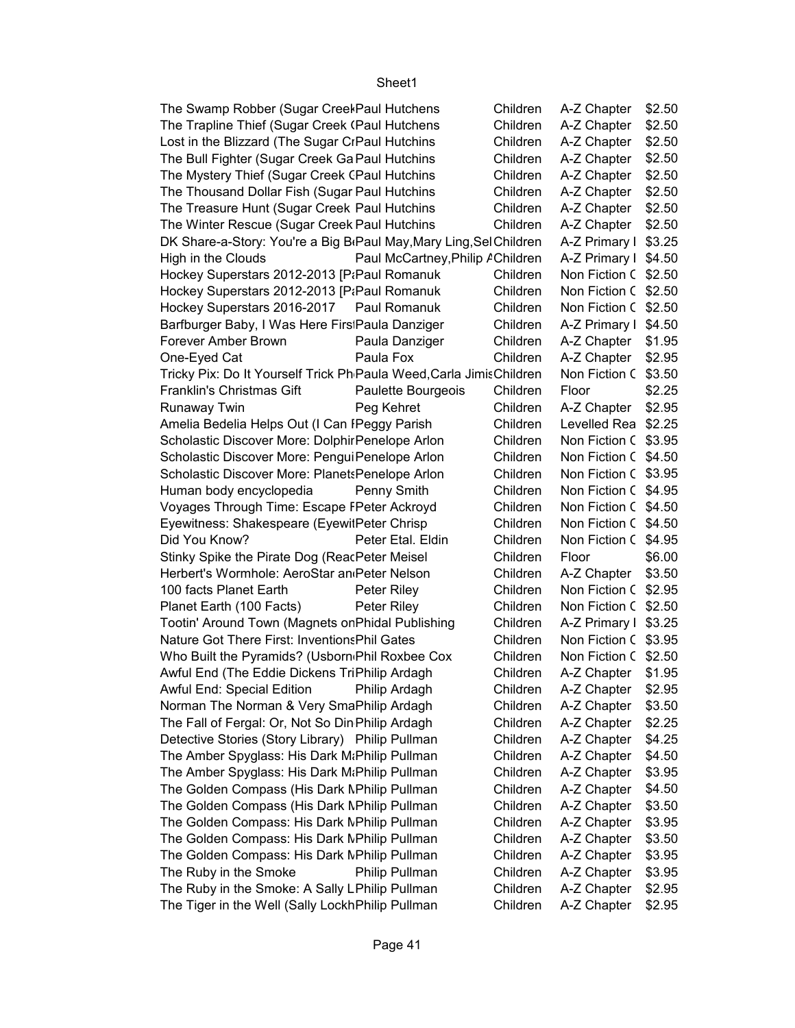| The Swamp Robber (Sugar Creel Paul Hutchens                                     |                                  | Children | A-Z Chapter   | \$2.50 |
|---------------------------------------------------------------------------------|----------------------------------|----------|---------------|--------|
| The Trapline Thief (Sugar Creek (Paul Hutchens                                  |                                  | Children | A-Z Chapter   | \$2.50 |
| Lost in the Blizzard (The Sugar CrPaul Hutchins                                 |                                  | Children | A-Z Chapter   | \$2.50 |
| The Bull Fighter (Sugar Creek Ga Paul Hutchins                                  |                                  | Children | A-Z Chapter   | \$2.50 |
| The Mystery Thief (Sugar Creek (Paul Hutchins                                   |                                  | Children | A-Z Chapter   | \$2.50 |
| The Thousand Dollar Fish (Sugar Paul Hutchins                                   |                                  | Children | A-Z Chapter   | \$2.50 |
| The Treasure Hunt (Sugar Creek Paul Hutchins                                    |                                  | Children | A-Z Chapter   | \$2.50 |
| The Winter Rescue (Sugar Creek Paul Hutchins                                    |                                  | Children | A-Z Chapter   | \$2.50 |
| DK Share-a-Story: You're a Big B <sub>'</sub> Paul May, Mary Ling, Sel Children |                                  |          | A-Z Primary I | \$3.25 |
| High in the Clouds                                                              | Paul McCartney, Philip AChildren |          | A-Z Primary I | \$4.50 |
| Hockey Superstars 2012-2013 [PiPaul Romanuk                                     |                                  | Children | Non Fiction C | \$2.50 |
| Hockey Superstars 2012-2013 [P:Paul Romanuk                                     |                                  | Children | Non Fiction C | \$2.50 |
| Hockey Superstars 2016-2017                                                     | Paul Romanuk                     | Children | Non Fiction C | \$2.50 |
| Barfburger Baby, I Was Here FirstPaula Danziger                                 |                                  | Children | A-Z Primary I | \$4.50 |
| Forever Amber Brown                                                             | Paula Danziger                   | Children | A-Z Chapter   | \$1.95 |
| One-Eyed Cat                                                                    | Paula Fox                        | Children | A-Z Chapter   | \$2.95 |
| Tricky Pix: Do It Yourself Trick Ph Paula Weed, Carla Jimis Children            |                                  |          | Non Fiction C | \$3.50 |
| Franklin's Christmas Gift                                                       | Paulette Bourgeois               | Children | Floor         | \$2.25 |
| Runaway Twin                                                                    | Peg Kehret                       | Children | A-Z Chapter   | \$2.95 |
| Amelia Bedelia Helps Out (I Can IPeggy Parish                                   |                                  | Children | Levelled Rea  | \$2.25 |
| Scholastic Discover More: Dolphir Penelope Arlon                                |                                  | Children | Non Fiction C | \$3.95 |
| Scholastic Discover More: PenguiPenelope Arlon                                  |                                  | Children | Non Fiction C | \$4.50 |
| Scholastic Discover More: PlanetsPenelope Arlon                                 |                                  | Children | Non Fiction C | \$3.95 |
| Human body encyclopedia                                                         | Penny Smith                      | Children | Non Fiction C | \$4.95 |
| Voyages Through Time: Escape FPeter Ackroyd                                     |                                  | Children | Non Fiction C | \$4.50 |
| Eyewitness: Shakespeare (EyewitPeter Chrisp                                     |                                  | Children | Non Fiction C | \$4.50 |
| Did You Know?                                                                   | Peter Etal. Eldin                | Children | Non Fiction C | \$4.95 |
| Stinky Spike the Pirate Dog (ReacPeter Meisel                                   |                                  | Children | Floor         | \$6.00 |
| Herbert's Wormhole: AeroStar an Peter Nelson                                    |                                  | Children | A-Z Chapter   | \$3.50 |
| 100 facts Planet Earth                                                          | Peter Riley                      | Children | Non Fiction C | \$2.95 |
| Planet Earth (100 Facts)                                                        | Peter Riley                      | Children | Non Fiction C | \$2.50 |
| Tootin' Around Town (Magnets on Phidal Publishing                               |                                  | Children | A-Z Primary I | \$3.25 |
| <b>Nature Got There First: Inventions Phil Gates</b>                            |                                  | Children | Non Fiction C | \$3.95 |
| Who Built the Pyramids? (Usborn Phil Roxbee Cox                                 |                                  | Children | Non Fiction C | \$2.50 |
| Awful End (The Eddie Dickens TriPhilip Ardagh                                   |                                  | Children | A-Z Chapter   | \$1.95 |
| Awful End: Special Edition                                                      | Philip Ardagh                    | Children | A-Z Chapter   | \$2.95 |
| Norman The Norman & Very SmaPhilip Ardagh                                       |                                  | Children | A-Z Chapter   | \$3.50 |
| The Fall of Fergal: Or, Not So Din Philip Ardagh                                |                                  | Children | A-Z Chapter   | \$2.25 |
| Detective Stories (Story Library) Philip Pullman                                |                                  | Children | A-Z Chapter   | \$4.25 |
| The Amber Spyglass: His Dark M: Philip Pullman                                  |                                  | Children | A-Z Chapter   | \$4.50 |
| The Amber Spyglass: His Dark M: Philip Pullman                                  |                                  | Children | A-Z Chapter   | \$3.95 |
| The Golden Compass (His Dark NPhilip Pullman                                    |                                  | Children | A-Z Chapter   | \$4.50 |
| The Golden Compass (His Dark NPhilip Pullman                                    |                                  | Children | A-Z Chapter   | \$3.50 |
| The Golden Compass: His Dark NPhilip Pullman                                    |                                  | Children | A-Z Chapter   | \$3.95 |
| The Golden Compass: His Dark NPhilip Pullman                                    |                                  | Children | A-Z Chapter   | \$3.50 |
| The Golden Compass: His Dark NPhilip Pullman                                    |                                  | Children | A-Z Chapter   | \$3.95 |
| The Ruby in the Smoke                                                           | Philip Pullman                   | Children | A-Z Chapter   | \$3.95 |
| The Ruby in the Smoke: A Sally LPhilip Pullman                                  |                                  | Children | A-Z Chapter   | \$2.95 |
| The Tiger in the Well (Sally LockhPhilip Pullman                                |                                  | Children | A-Z Chapter   | \$2.95 |
|                                                                                 |                                  |          |               |        |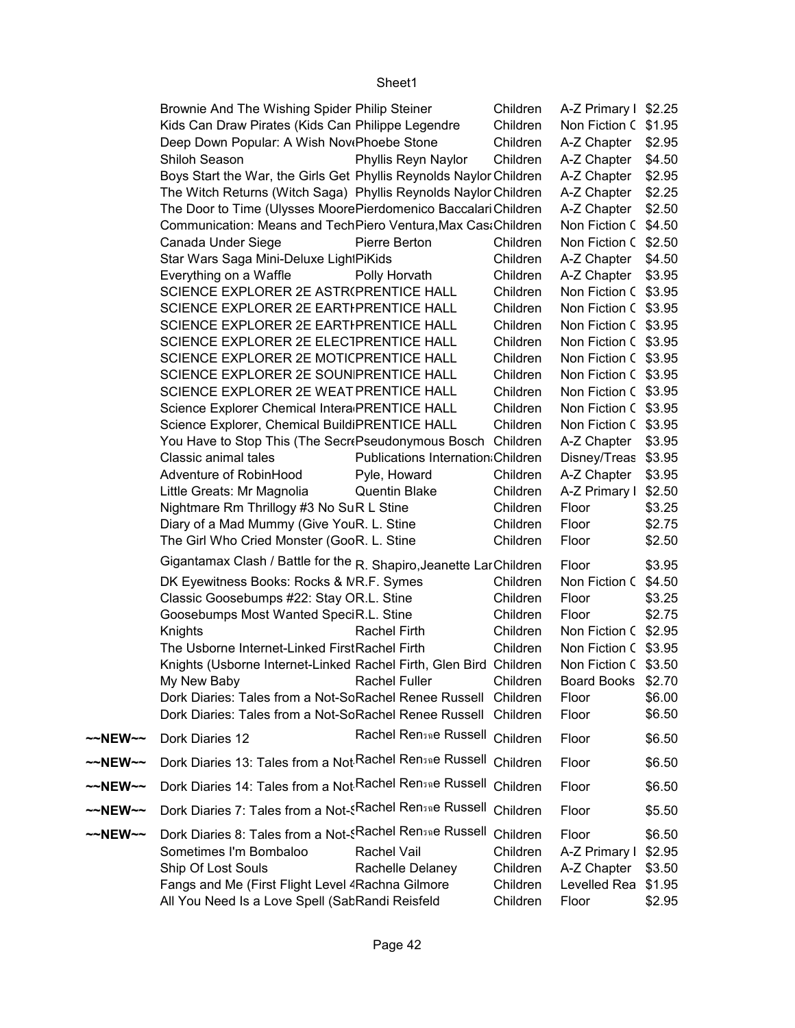|         | Brownie And The Wishing Spider Philip Steiner                                                                                              |                                           | Children             | A-Z Primary I \$2.25                                  |        |
|---------|--------------------------------------------------------------------------------------------------------------------------------------------|-------------------------------------------|----------------------|-------------------------------------------------------|--------|
|         | Kids Can Draw Pirates (Kids Can Philippe Legendre                                                                                          |                                           | Children             | Non Fiction C \$1.95                                  |        |
|         | Deep Down Popular: A Wish NovePhoebe Stone                                                                                                 |                                           | Children             | A-Z Chapter   \$2.95                                  |        |
|         | Shiloh Season                                                                                                                              | Phyllis Reyn Naylor                       | Children             | A-Z Chapter   \$4.50                                  |        |
|         | Boys Start the War, the Girls Get Phyllis Reynolds Naylor Children                                                                         |                                           |                      | A-Z Chapter   \$2.95                                  |        |
|         | The Witch Returns (Witch Saga) Phyllis Reynolds Naylor Children                                                                            |                                           |                      | A-Z Chapter   \$2.25                                  |        |
|         | The Door to Time (Ulysses MoorePierdomenico Baccalari Children                                                                             |                                           |                      | A-Z Chapter   \$2.50                                  |        |
|         | Communication: Means and TechPiero Ventura, Max Cas: Children                                                                              |                                           |                      | Non Fiction C \$4.50                                  |        |
|         | Canada Under Siege                                                                                                                         | Pierre Berton                             | Children             | Non Fiction C \$2.50                                  |        |
|         | Star Wars Saga Mini-Deluxe Ligh PiKids                                                                                                     |                                           | Children             | A-Z Chapter   \$4.50                                  |        |
|         | Everything on a Waffle                                                                                                                     | Polly Horvath                             | Children             | A-Z Chapter   \$3.95                                  |        |
|         | SCIENCE EXPLORER 2E ASTR(PRENTICE HALL                                                                                                     |                                           | Children             | Non Fiction C \$3.95                                  |        |
|         | SCIENCE EXPLORER 2E EARTI PRENTICE HALL                                                                                                    |                                           | Children             | Non Fiction C \$3.95                                  |        |
|         | SCIENCE EXPLORER 2E EARTIPRENTICE HALL                                                                                                     |                                           | Children             | Non Fiction C \$3.95                                  |        |
|         | SCIENCE EXPLORER 2E ELECTPRENTICE HALL                                                                                                     |                                           | Children             | Non Fiction C \$3.95                                  |        |
|         | SCIENCE EXPLORER 2E MOTICPRENTICE HALL                                                                                                     |                                           | Children             | Non Fiction C \$3.95                                  |        |
|         | SCIENCE EXPLORER 2E SOUNIPRENTICE HALL                                                                                                     |                                           | Children             | Non Fiction C \$3.95                                  |        |
|         | SCIENCE EXPLORER 2E WEAT PRENTICE HALL                                                                                                     |                                           | Children             | Non Fiction C \$3.95                                  |        |
|         | Science Explorer Chemical Intera PRENTICE HALL                                                                                             |                                           | Children             | Non Fiction C \$3.95                                  |        |
|         | Science Explorer, Chemical BuildiPRENTICE HALL                                                                                             |                                           | Children             | Non Fiction C \$3.95                                  |        |
|         | You Have to Stop This (The SecrePseudonymous Bosch Children                                                                                |                                           |                      | $A-Z$ Chapter $\mid$ \$3.95                           |        |
|         | Classic animal tales                                                                                                                       | <b>Publications Internation: Children</b> |                      | Disney/Treas \$3.95                                   |        |
|         | Adventure of RobinHood                                                                                                                     | Pyle, Howard                              | Children             | A-Z Chapter   \$3.95                                  |        |
|         | Little Greats: Mr Magnolia                                                                                                                 | <b>Quentin Blake</b>                      | Children             | A-Z Primary I \$2.50                                  |        |
|         | Nightmare Rm Thrillogy #3 No SuR L Stine                                                                                                   |                                           | Children             | Floor                                                 | \$3.25 |
|         | Diary of a Mad Mummy (Give YouR. L. Stine                                                                                                  |                                           | Children             | Floor                                                 | \$2.75 |
|         | The Girl Who Cried Monster (GooR. L. Stine                                                                                                 |                                           | Children             | Floor                                                 | \$2.50 |
|         | Gigantamax Clash / Battle for the R. Shapiro, Jeanette Lar Children                                                                        |                                           |                      | Floor                                                 | \$3.95 |
|         | DK Eyewitness Books: Rocks & NR.F. Symes                                                                                                   |                                           | Children             | Non Fiction C \$4.50                                  |        |
|         | Classic Goosebumps #22: Stay OR.L. Stine                                                                                                   |                                           | Children             | Floor                                                 | \$3.25 |
|         | Goosebumps Most Wanted SpeciR.L. Stine                                                                                                     |                                           | Children             | Floor                                                 | \$2.75 |
|         | Knights                                                                                                                                    | Rachel Firth                              | Children             | Non Fiction C \$2.95                                  |        |
|         | The Usborne Internet-Linked FirstRachel Firth                                                                                              |                                           | Children             | Non Fiction C \$3.95                                  |        |
|         | Knights (Usborne Internet-Linked Rachel Firth, Glen Bird Children                                                                          |                                           |                      | Non Fiction C \$3.50                                  |        |
|         | My New Baby <b>Example 20</b>                                                                                                              | Rachel Fuller                             | Children             | Board Books \$2.70                                    |        |
|         | Dork Diaries: Tales from a Not-SoRachel Renee Russell Children                                                                             |                                           |                      | Floor                                                 | \$6.00 |
|         | Dork Diaries: Tales from a Not-SoRachel Renee Russell Children                                                                             |                                           |                      | Floor                                                 | \$6.50 |
| ~~NEW~~ | Dork Diaries 12                                                                                                                            | Rachel Rensae Russell Children            |                      | Floor                                                 | \$6.50 |
| ~~NEW~~ | Dork Diaries 13: Tales from a Not Rachel Rensae Russell Children                                                                           |                                           |                      | Floor                                                 | \$6.50 |
| ~~NEW~~ | Dork Diaries 14: Tales from a Not Rachel Rensae Russell Children                                                                           |                                           |                      | Floor                                                 | \$6.50 |
| ~~NEW~~ | Dork Diaries 7: Tales from a Not- <rachel children<="" rensae="" russell="" th=""><th></th><th></th><th>Floor</th><th>\$5.50</th></rachel> |                                           |                      | Floor                                                 | \$5.50 |
| ~~NEW~~ | Dork Diaries 8: Tales from a Not-sRachel Rensae Russell Children<br>Sometimes I'm Bombaloo<br>Ship Of Lost Souls                           | <b>Rachel Vail</b><br>Rachelle Delaney    | Children<br>Children | Floor<br>A-Z Primary I \$2.95<br>A-Z Chapter   \$3.50 | \$6.50 |
|         | Fangs and Me (First Flight Level 4 Rachna Gilmore<br>All You Need Is a Love Spell (SabRandi Reisfeld                                       |                                           | Children<br>Children | Levelled Rea \$1.95<br>Floor                          | \$2.95 |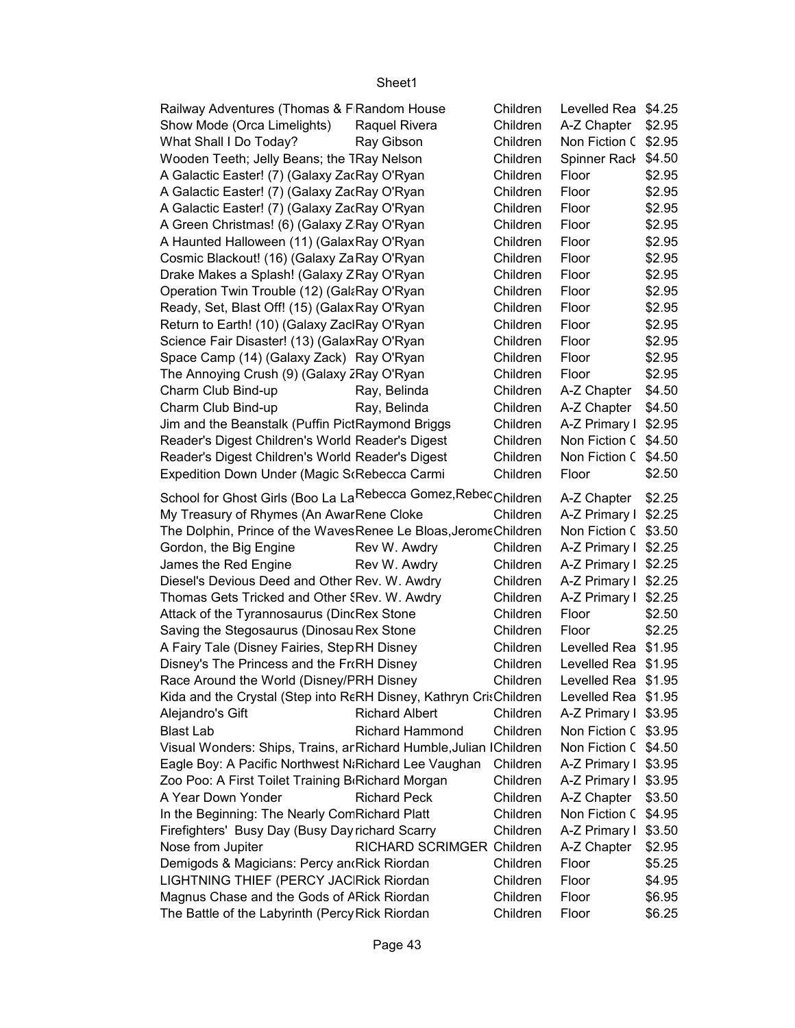| Railway Adventures (Thomas & F Random House                               | Children | Levelled Rea \$4.25  |        |
|---------------------------------------------------------------------------|----------|----------------------|--------|
| Show Mode (Orca Limelights)<br>Raquel Rivera                              | Children | A-Z Chapter          | \$2.95 |
| What Shall I Do Today?<br>Ray Gibson                                      | Children | Non Fiction C \$2.95 |        |
| Wooden Teeth; Jelly Beans; the TRay Nelson                                | Children | Spinner Rack         | \$4.50 |
| A Galactic Easter! (7) (Galaxy ZacRay O'Ryan                              | Children | Floor                | \$2.95 |
| A Galactic Easter! (7) (Galaxy ZacRay O'Ryan                              | Children | Floor                | \$2.95 |
| A Galactic Easter! (7) (Galaxy ZacRay O'Ryan                              | Children | Floor                | \$2.95 |
| A Green Christmas! (6) (Galaxy Z Ray O'Ryan                               | Children | Floor                | \$2.95 |
| A Haunted Halloween (11) (GalaxRay O'Ryan                                 | Children | Floor                | \$2.95 |
| Cosmic Blackout! (16) (Galaxy ZaRay O'Ryan                                | Children | Floor                | \$2.95 |
| Drake Makes a Splash! (Galaxy ZRay O'Ryan                                 | Children | Floor                | \$2.95 |
| Operation Twin Trouble (12) (GalaRay O'Ryan                               | Children | Floor                | \$2.95 |
| Ready, Set, Blast Off! (15) (Galax Ray O'Ryan                             | Children | Floor                | \$2.95 |
| Return to Earth! (10) (Galaxy ZaclRay O'Ryan                              | Children | Floor                | \$2.95 |
| Science Fair Disaster! (13) (GalaxRay O'Ryan                              | Children | Floor                | \$2.95 |
| Space Camp (14) (Galaxy Zack) Ray O'Ryan                                  | Children | Floor                | \$2.95 |
| The Annoying Crush (9) (Galaxy 2Ray O'Ryan                                | Children | Floor                | \$2.95 |
| Charm Club Bind-up<br>Ray, Belinda                                        | Children | A-Z Chapter          | \$4.50 |
| Charm Club Bind-up<br>Ray, Belinda                                        | Children | A-Z Chapter          | \$4.50 |
|                                                                           | Children |                      |        |
| Jim and the Beanstalk (Puffin PictRaymond Briggs                          |          | A-Z Primary I \$2.95 |        |
| Reader's Digest Children's World Reader's Digest                          | Children | Non Fiction C \$4.50 |        |
| Reader's Digest Children's World Reader's Digest                          | Children | Non Fiction C \$4.50 |        |
| Expedition Down Under (Magic S(Rebecca Carmi                              | Children | Floor                | \$2.50 |
| School for Ghost Girls (Boo La LaRebecca Gomez, Rebec <sub>Children</sub> |          | A-Z Chapter   \$2.25 |        |
| My Treasury of Rhymes (An AwarRene Cloke                                  | Children | A-Z Primary I \$2.25 |        |
| The Dolphin, Prince of the WavesRenee Le Bloas, JeromeChildren            |          | Non Fiction C \$3.50 |        |
| Gordon, the Big Engine<br>Rev W. Awdry                                    | Children | A-Z Primary I \$2.25 |        |
| James the Red Engine<br>Rev W. Awdry                                      | Children | A-Z Primary I \$2.25 |        |
| Diesel's Devious Deed and Other Rev. W. Awdry                             | Children | A-Z Primary I \$2.25 |        |
| Thomas Gets Tricked and Other SRev. W. Awdry                              | Children | A-Z Primary I        | \$2.25 |
| Attack of the Tyrannosaurus (DincRex Stone                                | Children | Floor                | \$2.50 |
| Saving the Stegosaurus (Dinosau Rex Stone                                 | Children | Floor                | \$2.25 |
| A Fairy Tale (Disney Fairies, StepRH Disney                               | Children | Levelled Rea \$1.95  |        |
| Disney's The Princess and the FroRH Disney                                | Children | Levelled Rea \$1.95  |        |
| Race Around the World (Disney/FRH Disney                                  | Children | Levelled Rea \$1.95  |        |
| Kida and the Crystal (Step into RERH Disney, Kathryn CrisChildren         |          | Levelled Rea \$1.95  |        |
| <b>Richard Albert</b><br>Alejandro's Gift                                 | Children | A-Z Primary I \$3.95 |        |
| <b>Richard Hammond</b><br><b>Blast Lab</b>                                | Children | Non Fiction C \$3.95 |        |
| Visual Wonders: Ships, Trains, ar Richard Humble, Julian IChildren        |          | Non Fiction C \$4.50 |        |
| Eagle Boy: A Pacific Northwest N: Richard Lee Vaughan                     | Children | A-Z Primary I \$3.95 |        |
| Zoo Poo: A First Toilet Training B Richard Morgan                         | Children | A-Z Primary I \$3.95 |        |
| A Year Down Yonder<br><b>Richard Peck</b>                                 | Children | A-Z Chapter          | \$3.50 |
| In the Beginning: The Nearly ComRichard Platt                             | Children | Non Fiction C \$4.95 |        |
| Firefighters' Busy Day (Busy Day richard Scarry                           | Children | A-Z Primary I \$3.50 |        |
| Nose from Jupiter<br>RICHARD SCRIMGER Children                            |          | A-Z Chapter          | \$2.95 |
| Demigods & Magicians: Percy and Rick Riordan                              | Children | Floor                | \$5.25 |
| LIGHTNING THIEF (PERCY JACRick Riordan                                    | Children | Floor                | \$4.95 |
| Magnus Chase and the Gods of ARick Riordan                                | Children | Floor                | \$6.95 |
| The Battle of the Labyrinth (Percy Rick Riordan                           | Children | Floor                | \$6.25 |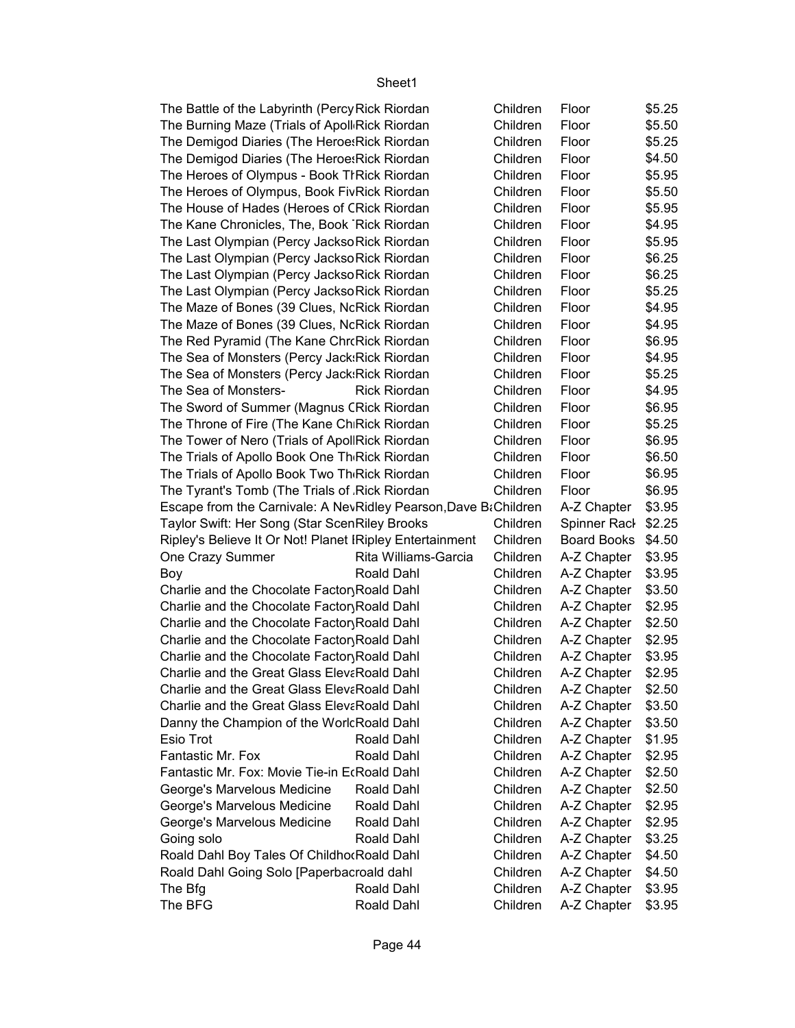| The Battle of the Labyrinth (Percy Rick Riordan                 |                      | Children | Floor                | \$5.25 |
|-----------------------------------------------------------------|----------------------|----------|----------------------|--------|
| The Burning Maze (Trials of Apoll Rick Riordan                  |                      | Children | Floor                | \$5.50 |
| The Demigod Diaries (The Heroe: Rick Riordan                    |                      | Children | Floor                | \$5.25 |
| The Demigod Diaries (The Heroe: Rick Riordan                    |                      | Children | Floor                | \$4.50 |
| The Heroes of Olympus - Book TI Rick Riordan                    |                      | Children | Floor                | \$5.95 |
| The Heroes of Olympus, Book FivRick Riordan                     |                      | Children | Floor                | \$5.50 |
| The House of Hades (Heroes of CRick Riordan                     |                      | Children | Floor                | \$5.95 |
| The Kane Chronicles, The, Book Rick Riordan                     |                      | Children | Floor                | \$4.95 |
| The Last Olympian (Percy JacksoRick Riordan                     |                      | Children | Floor                | \$5.95 |
| The Last Olympian (Percy Jackso Rick Riordan                    |                      | Children | Floor                | \$6.25 |
| The Last Olympian (Percy JacksoRick Riordan                     |                      | Children | Floor                | \$6.25 |
| The Last Olympian (Percy Jackso Rick Riordan                    |                      | Children | Floor                | \$5.25 |
| The Maze of Bones (39 Clues, NcRick Riordan                     |                      | Children | Floor                | \$4.95 |
| The Maze of Bones (39 Clues, NcRick Riordan                     |                      | Children | Floor                | \$4.95 |
| The Red Pyramid (The Kane Chr Rick Riordan                      |                      | Children | Floor                | \$6.95 |
| The Sea of Monsters (Percy Jack:Rick Riordan                    |                      | Children | Floor                | \$4.95 |
| The Sea of Monsters (Percy Jack:Rick Riordan                    |                      | Children | Floor                | \$5.25 |
| The Sea of Monsters-                                            | <b>Rick Riordan</b>  | Children | Floor                | \$4.95 |
| The Sword of Summer (Magnus CRick Riordan                       |                      | Children | Floor                | \$6.95 |
| The Throne of Fire (The Kane ChiRick Riordan                    |                      | Children | Floor                | \$5.25 |
| The Tower of Nero (Trials of ApollRick Riordan                  |                      | Children | Floor                | \$6.95 |
| The Trials of Apollo Book One Th <sub>'</sub> Rick Riordan      |                      | Children | Floor                | \$6.50 |
| The Trials of Apollo Book Two Th <sub>'</sub> Rick Riordan      |                      | Children | Floor                | \$6.95 |
| The Tyrant's Tomb (The Trials of Rick Riordan                   |                      | Children | Floor                | \$6.95 |
| Escape from the Carnivale: A NevRidley Pearson, Dave B&Children |                      |          | A-Z Chapter          | \$3.95 |
| Taylor Swift: Her Song (Star ScenRiley Brooks                   |                      | Children | Spinner Rack \$2.25  |        |
| Ripley's Believe It Or Not! Planet IRipley Entertainment        |                      | Children | Board Books \$4.50   |        |
| One Crazy Summer                                                | Rita Williams-Garcia | Children | A-Z Chapter   \$3.95 |        |
| Boy                                                             | Roald Dahl           | Children | A-Z Chapter   \$3.95 |        |
| Charlie and the Chocolate Factor Roald Dahl                     |                      | Children | A-Z Chapter   \$3.50 |        |
| Charlie and the Chocolate Factor Roald Dahl                     |                      | Children | A-Z Chapter   \$2.95 |        |
| Charlie and the Chocolate Factor Roald Dahl                     |                      | Children | A-Z Chapter   \$2.50 |        |
| Charlie and the Chocolate Factor Roald Dahl                     |                      | Children | A-Z Chapter   \$2.95 |        |
| Charlie and the Chocolate Factor Roald Dahl                     |                      | Children | A-Z Chapter          | \$3.95 |
| Charlie and the Great Glass ElevaRoald Dahl                     |                      | Children | A-Z Chapter   \$2.95 |        |
| Charlie and the Great Glass ElevaRoald Dahl                     |                      | Children | A-Z Chapter          | \$2.50 |
| Charlie and the Great Glass ElevaRoald Dahl                     |                      | Children | A-Z Chapter          | \$3.50 |
| Danny the Champion of the WorlcRoald Dahl                       |                      | Children | A-Z Chapter          | \$3.50 |
| Esio Trot                                                       | Roald Dahl           | Children | A-Z Chapter          | \$1.95 |
| Fantastic Mr. Fox                                               | Roald Dahl           | Children | A-Z Chapter          | \$2.95 |
| Fantastic Mr. Fox: Movie Tie-in EcRoald Dahl                    |                      | Children | A-Z Chapter          | \$2.50 |
| George's Marvelous Medicine                                     | Roald Dahl           | Children | A-Z Chapter          | \$2.50 |
| George's Marvelous Medicine                                     | Roald Dahl           | Children | A-Z Chapter          | \$2.95 |
| George's Marvelous Medicine                                     | Roald Dahl           | Children | A-Z Chapter          | \$2.95 |
| Going solo                                                      | Roald Dahl           | Children | A-Z Chapter          | \$3.25 |
| Roald Dahl Boy Tales Of ChildhorRoald Dahl                      |                      | Children | A-Z Chapter          | \$4.50 |
| Roald Dahl Going Solo [Paperbacroald dahl                       |                      | Children | A-Z Chapter          | \$4.50 |
| The Bfg                                                         | Roald Dahl           | Children | A-Z Chapter          | \$3.95 |
| The BFG                                                         | Roald Dahl           | Children | A-Z Chapter          | \$3.95 |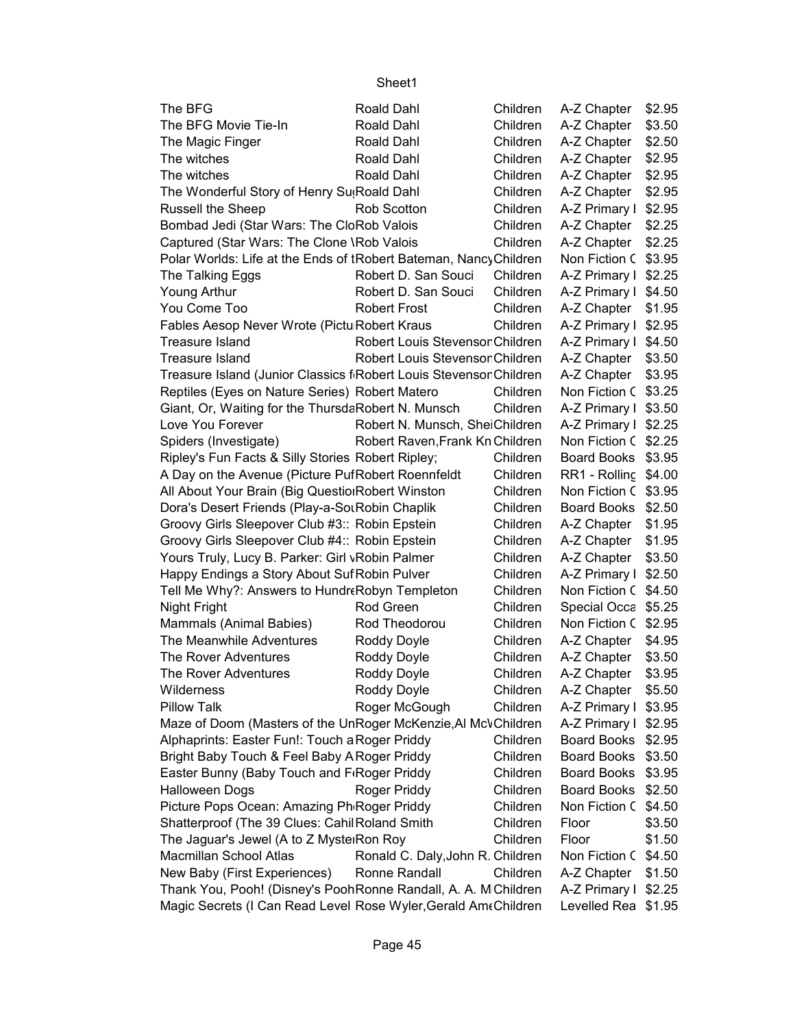| The BFG                                                            | Roald Dahl                       | Children | A-Z Chapter          | \$2.95 |
|--------------------------------------------------------------------|----------------------------------|----------|----------------------|--------|
| The BFG Movie Tie-In                                               | Roald Dahl                       | Children | A-Z Chapter          | \$3.50 |
| The Magic Finger                                                   | Roald Dahl                       | Children | A-Z Chapter          | \$2.50 |
| The witches                                                        | Roald Dahl                       | Children | A-Z Chapter          | \$2.95 |
| The witches                                                        | Roald Dahl                       | Children | A-Z Chapter          | \$2.95 |
| The Wonderful Story of Henry Su <sub>!</sub> Roald Dahl            |                                  | Children | A-Z Chapter          | \$2.95 |
| Russell the Sheep                                                  | Rob Scotton                      | Children | A-Z Primary I        | \$2.95 |
| Bombad Jedi (Star Wars: The CloRob Valois                          |                                  | Children | A-Z Chapter          | \$2.25 |
| Captured (Star Wars: The Clone \Rob Valois                         |                                  | Children | A-Z Chapter          | \$2.25 |
| Polar Worlds: Life at the Ends of tRobert Bateman, NancyChildren   |                                  |          | Non Fiction C \$3.95 |        |
| The Talking Eggs                                                   | Robert D. San Souci              | Children | A-Z Primary I \$2.25 |        |
| Young Arthur                                                       | Robert D. San Souci              | Children | A-Z Primary I \$4.50 |        |
| You Come Too                                                       | <b>Robert Frost</b>              | Children | A-Z Chapter   \$1.95 |        |
| Fables Aesop Never Wrote (Pictu Robert Kraus                       |                                  | Children | A-Z Primary I \$2.95 |        |
| Treasure Island                                                    | Robert Louis StevensonChildren   |          | A-Z Primary I \$4.50 |        |
| <b>Treasure Island</b>                                             | Robert Louis StevensonChildren   |          | A-Z Chapter   \$3.50 |        |
| Treasure Island (Junior Classics f Robert Louis Stevenson Children |                                  |          | A-Z Chapter   \$3.95 |        |
| Reptiles (Eyes on Nature Series) Robert Matero                     |                                  | Children | Non Fiction C \$3.25 |        |
| Giant, Or, Waiting for the ThursdaRobert N. Munsch                 |                                  | Children | A-Z Primary I \$3.50 |        |
| Love You Forever                                                   | Robert N. Munsch, SheiChildren   |          | A-Z Primary I \$2.25 |        |
| Spiders (Investigate)                                              | Robert Raven, Frank Kn Children  |          | Non Fiction C \$2.25 |        |
| Ripley's Fun Facts & Silly Stories Robert Ripley;                  |                                  | Children | Board Books \$3.95   |        |
| A Day on the Avenue (Picture PufRobert Roennfeldt                  |                                  | Children | RR1 - Rolling \$4.00 |        |
| All About Your Brain (Big QuestionRobert Winston                   |                                  | Children | Non Fiction C \$3.95 |        |
| Dora's Desert Friends (Play-a-SorRobin Chaplik                     |                                  | Children | Board Books \$2.50   |        |
| Groovy Girls Sleepover Club #3:: Robin Epstein                     |                                  | Children | A-Z Chapter          | \$1.95 |
| Groovy Girls Sleepover Club #4:: Robin Epstein                     |                                  | Children | A-Z Chapter          | \$1.95 |
| Yours Truly, Lucy B. Parker: Girl vRobin Palmer                    |                                  | Children | A-Z Chapter          | \$3.50 |
| Happy Endings a Story About Suf Robin Pulver                       |                                  | Children | A-Z Primary I \$2.50 |        |
| Tell Me Why?: Answers to Hundr (Robyn Templeton                    |                                  | Children | Non Fiction C \$4.50 |        |
| Night Fright                                                       | Rod Green                        | Children | Special Occa \$5.25  |        |
| Mammals (Animal Babies)                                            | Rod Theodorou                    | Children | Non Fiction C \$2.95 |        |
| The Meanwhile Adventures                                           | Roddy Doyle                      | Children | A-Z Chapter          | \$4.95 |
| The Rover Adventures                                               | Roddy Doyle                      | Children | A-Z Chapter          | \$3.50 |
| The Rover Adventures                                               | Roddy Doyle                      | Children | A-Z Chapter          | \$3.95 |
| Wilderness                                                         | Roddy Doyle                      | Children | A-Z Chapter          | \$5.50 |
| <b>Pillow Talk</b>                                                 | Roger McGough                    | Children | A-Z Primary I        | \$3.95 |
| Maze of Doom (Masters of the UnRoger McKenzie, Al McVChildren      |                                  |          | A-Z Primary I \$2.95 |        |
| Alphaprints: Easter Fun!: Touch a Roger Priddy                     |                                  | Children | Board Books \$2.95   |        |
| Bright Baby Touch & Feel Baby A Roger Priddy                       |                                  | Children | Board Books \$3.50   |        |
| Easter Bunny (Baby Touch and F <sub>'Roger Priddy</sub>            |                                  | Children | Board Books \$3.95   |        |
| <b>Halloween Dogs</b>                                              | Roger Priddy                     | Children | Board Books \$2.50   |        |
| Picture Pops Ocean: Amazing Ph Roger Priddy                        |                                  | Children | Non Fiction C \$4.50 |        |
| Shatterproof (The 39 Clues: Cahil Roland Smith                     |                                  | Children | Floor                | \$3.50 |
| The Jaguar's Jewel (A to Z MystelRon Roy                           |                                  | Children | Floor                | \$1.50 |
| Macmillan School Atlas                                             | Ronald C. Daly, John R. Children |          | Non Fiction C \$4.50 |        |
| New Baby (First Experiences)                                       | Ronne Randall                    | Children | A-Z Chapter          | \$1.50 |
| Thank You, Pooh! (Disney's PoohRonne Randall, A. A. M Children     |                                  |          | A-Z Primary I \$2.25 |        |
| Magic Secrets (I Can Read Level Rose Wyler, Gerald AmeChildren     |                                  |          | Levelled Rea \$1.95  |        |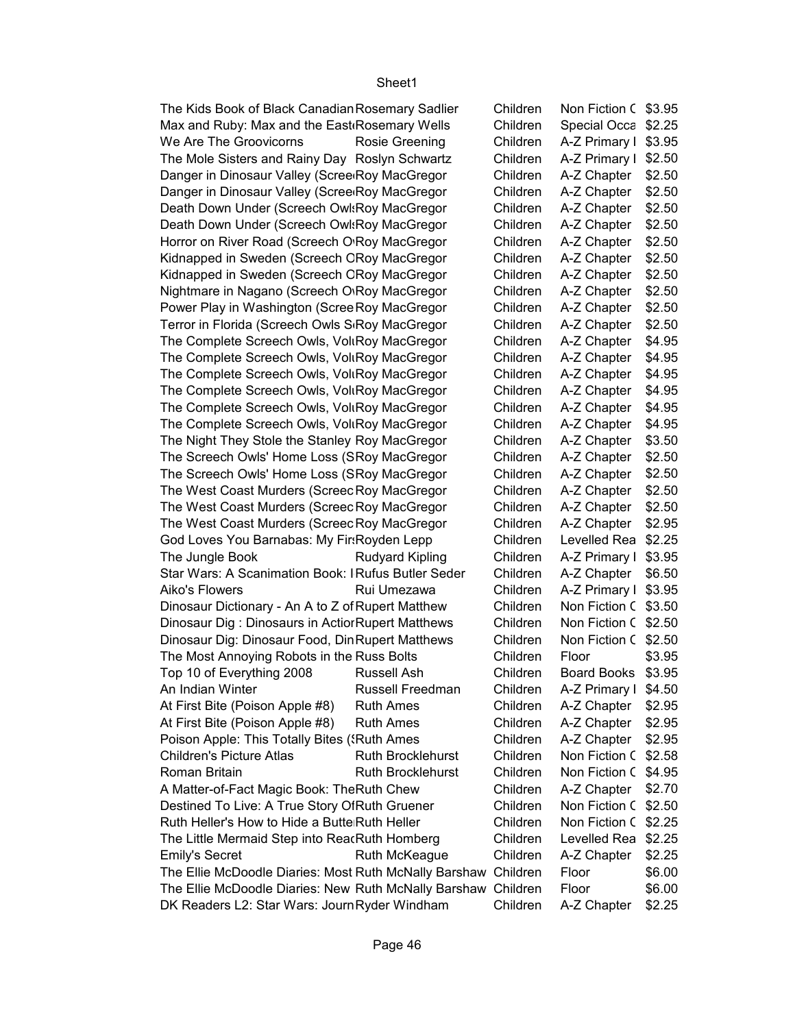Non Fiction C \$3.95 Special Occa \$2.25 A-Z Primary I \$3.95 A-Z Primary I \$2.50  $A-Z$  Chapter  $\sqrt{ }$  \$2.50 A-Z Chapter | \$2.50  $A-Z$  Chapter  $\sqrt{ }$  \$2.50  $A-Z$  Chapter  $\sqrt{ }$  \$2.50 A-Z Chapter | \$2.50 A-Z Chapter | \$2.50 A-Z Chapter | \$2.50 A-Z Chapter | \$2.50 A-Z Chapter | \$2.50 A-Z Chapter | \$2.50 A-Z Chapter | \$4.95 A-Z Chapter | \$4.95 A-Z Chapter | \$4.95  $A-Z$  Chapter  $\mid$  \$4.95 A-Z Chapter | \$4.95 A-Z Chapter | \$4.95 A-Z Chapter | \$3.50 A-Z Chapter | \$2.50 A-Z Chapter | \$2.50 A-Z Chapter | \$2.50 A-Z Chapter | \$2.50 A-Z Chapter | \$2.95 Levelled Rea \$2.25 The Jungle Book Rudyard Kipling Children A-Z Primary I \$3.95  $A-Z$  Chapter  $\$6.50$ Aiko's Flowers Rui Umezawa Children A-Z Primary I \$3.95 Non Fiction C \$3.50 Non Fiction C \$2.50 Non Fiction C \$2.50 \$3.95 Board Books \$3.95 An Indian Winter Russell Freedman Children A-Z Primary I \$4.50 A-Z Chapter | \$2.95 A-Z Chapter | \$2.95 A-Z Chapter | \$2.95 Non Fiction C \$2.58 Roman Britain **Ruth Brocklehurst** Children Non Fiction C \$4.95 A-Z Chapter | \$2.70 Non Fiction C \$2.50 Non Fiction C \$2.25 Levelled Rea \$2.25 Emily's Secret **Example 20** Ruth McKeague **Children** A-Z Chapter | \$2.25 \$6.00 \$6.00 A-Z Chapter | \$2.25 The Kids Book of Black Canadian Rosemary Sadlier Children Max and Ruby: Max and the East Rosemary Wells Children We Are The Groovicorns Rosie Greening Children The Mole Sisters and Rainy Day Roslyn Schwartz Children Danger in Dinosaur Valley (Scree<sub>'</sub>Roy MacGregor Children Danger in Dinosaur Valley (Scree<sub>Roy</sub> MacGregor Children Death Down Under (Screech Owl: Roy MacGregor Children Death Down Under (Screech Owl: Roy MacGregor Children Horror on River Road (Screech O'Roy MacGregor Children Kidnapped in Sweden (Screech CRoy MacGregor Children Kidnapped in Sweden (Screech CRoy MacGregor Children Nightmare in Nagano (Screech O<sub>'Roy</sub> MacGregor Children Power Play in Washington (Scree Roy MacGregor Children Terror in Florida (Screech Owls S<sub>'</sub>Roy MacGregor Children The Complete Screech Owls, Voli Roy MacGregor Children The Complete Screech Owls, VoliRoy MacGregor Children The Complete Screech Owls, Voli Roy MacGregor Children The Complete Screech Owls, VoliRoy MacGregor Children The Complete Screech Owls, Voli Roy MacGregor Children The Complete Screech Owls, VoliRoy MacGregor Children The Night They Stole the Stanley Roy MacGregor Children The Screech Owls' Home Loss (SRoy MacGregor Children The Screech Owls' Home Loss (SRoy MacGregor Children The West Coast Murders (Screec Roy MacGregor Children The West Coast Murders (Screec Roy MacGregor Children The West Coast Murders (Screec Roy MacGregor Children God Loves You Barnabas: My Fir: Royden Lepp Children Star Wars: A Scanimation Book: IRufus Butler Seder Children Dinosaur Dictionary - An A to Z of Rupert Matthew Children Dinosaur Dig : Dinosaurs in Actior Rupert Matthews Children Dinosaur Dig: Dinosaur Food, Din Rupert Matthews Children The Most Annoying Robots in the Russ Bolts Children Floor Top 10 of Everything 2008 Russell Ash Children At First Bite (Poison Apple #8) Ruth Ames Children At First Bite (Poison Apple #8) Ruth Ames Children Poison Apple: This Totally Bites (Special Ames Children Children Children's Picture Atlas Ruth Brocklehurst Children A Matter-of-Fact Magic Book: The Ruth Chew Children Destined To Live: A True Story Of Ruth Gruener Children Ruth Heller's How to Hide a Butte Ruth Heller **Insects Children** The Little Mermaid Step into ReacRuth Homberg Children The Ellie McDoodle Diaries: Most Ruth McNally Barshaw Children Floor The Ellie McDoodle Diaries: New Ruth McNally Barshaw Children Floor DK Readers L2: Star Wars: Journ Ryder Windham Children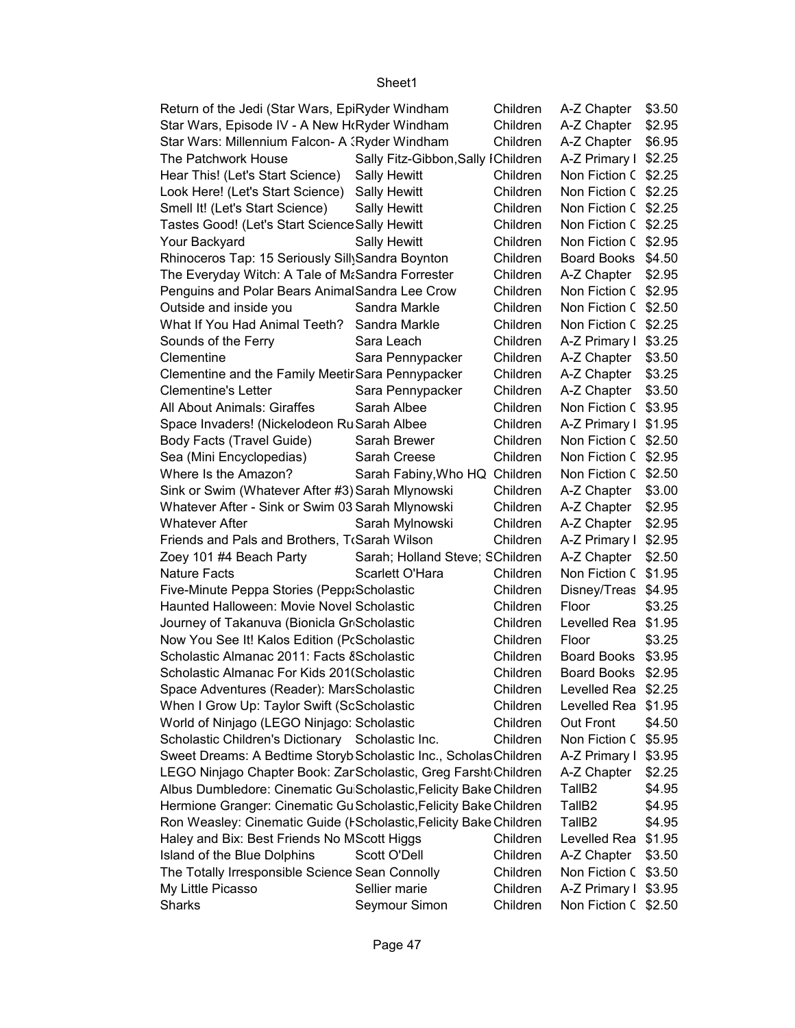| Return of the Jedi (Star Wars, EpiRyder Windham                    |                                    | Children | A-Z Chapter          | \$3.50 |
|--------------------------------------------------------------------|------------------------------------|----------|----------------------|--------|
| Star Wars, Episode IV - A New H(Ryder Windham                      |                                    | Children | A-Z Chapter          | \$2.95 |
| Star Wars: Millennium Falcon- A (Ryder Windham                     |                                    | Children | A-Z Chapter          | \$6.95 |
| The Patchwork House                                                | Sally Fitz-Gibbon, Sally IChildren |          | A-Z Primary I \$2.25 |        |
| Hear This! (Let's Start Science)                                   | Sally Hewitt                       | Children | Non Fiction C \$2.25 |        |
| Look Here! (Let's Start Science)                                   | <b>Sally Hewitt</b>                | Children | Non Fiction C \$2.25 |        |
| Smell It! (Let's Start Science)                                    | <b>Sally Hewitt</b>                | Children | Non Fiction C \$2.25 |        |
| Tastes Good! (Let's Start Science Sally Hewitt                     |                                    | Children | Non Fiction C \$2.25 |        |
| Your Backyard                                                      | <b>Sally Hewitt</b>                | Children | Non Fiction C \$2.95 |        |
| Rhinoceros Tap: 15 Seriously Sill Sandra Boynton                   |                                    | Children | Board Books          | \$4.50 |
| The Everyday Witch: A Tale of M&Sandra Forrester                   |                                    | Children | A-Z Chapter          | \$2.95 |
| Penguins and Polar Bears AnimalSandra Lee Crow                     |                                    | Children | Non Fiction C \$2.95 |        |
| Outside and inside you                                             | Sandra Markle                      | Children | Non Fiction C \$2.50 |        |
| What If You Had Animal Teeth? Sandra Markle                        |                                    | Children | Non Fiction C \$2.25 |        |
| Sounds of the Ferry                                                | Sara Leach                         | Children | A-Z Primary I \$3.25 |        |
| Clementine                                                         | Sara Pennypacker                   | Children | A-Z Chapter          | \$3.50 |
| Clementine and the Family Meetir Sara Pennypacker                  |                                    | Children | A-Z Chapter          | \$3.25 |
| <b>Clementine's Letter</b>                                         | Sara Pennypacker                   | Children | A-Z Chapter          | \$3.50 |
| All About Animals: Giraffes                                        | Sarah Albee                        | Children | Non Fiction C \$3.95 |        |
| Space Invaders! (Nickelodeon Ru Sarah Albee                        |                                    | Children | A-Z Primary I \$1.95 |        |
| Body Facts (Travel Guide)                                          | Sarah Brewer                       | Children | Non Fiction C \$2.50 |        |
| Sea (Mini Encyclopedias)                                           | Sarah Creese                       | Children | Non Fiction C \$2.95 |        |
| Where Is the Amazon?                                               | Sarah Fabiny, Who HQ Children      |          | Non Fiction C \$2.50 |        |
| Sink or Swim (Whatever After #3) Sarah Mlynowski                   |                                    | Children | A-Z Chapter          | \$3.00 |
| Whatever After - Sink or Swim 03 Sarah Mlynowski                   |                                    | Children | A-Z Chapter          | \$2.95 |
| <b>Whatever After</b>                                              | Sarah Mylnowski                    | Children | A-Z Chapter          | \$2.95 |
| Friends and Pals and Brothers, TrSarah Wilson                      |                                    | Children | A-Z Primary I        | \$2.95 |
| Zoey 101 #4 Beach Party                                            | Sarah; Holland Steve; SChildren    |          | A-Z Chapter          | \$2.50 |
| <b>Nature Facts</b>                                                | Scarlett O'Hara                    | Children | Non Fiction C \$1.95 |        |
| Five-Minute Peppa Stories (Pepp:Scholastic                         |                                    | Children | Disney/Treas \$4.95  |        |
| Haunted Halloween: Movie Novel Scholastic                          |                                    | Children | Floor                | \$3.25 |
| Journey of Takanuva (Bionicla Gr Scholastic                        |                                    | Children | Levelled Rea         | \$1.95 |
| Now You See It! Kalos Edition (PcScholastic                        |                                    | Children | Floor                | \$3.25 |
| Scholastic Almanac 2011: Facts & Scholastic                        |                                    | Children | <b>Board Books</b>   | \$3.95 |
| Scholastic Almanac For Kids 201(Scholastic                         |                                    | Children | <b>Board Books</b>   | \$2.95 |
| Space Adventures (Reader): MarsScholastic                          |                                    | Children | Levelled Rea \$2.25  |        |
| When I Grow Up: Taylor Swift (ScScholastic                         |                                    | Children | Levelled Rea \$1.95  |        |
| World of Ninjago (LEGO Ninjago: Scholastic                         |                                    | Children | Out Front            | \$4.50 |
| Scholastic Children's Dictionary Scholastic Inc.                   |                                    | Children | Non Fiction C \$5.95 |        |
| Sweet Dreams: A Bedtime Storyb Scholastic Inc., Scholas Children   |                                    |          | A-Z Primary I        | \$3.95 |
| LEGO Ninjago Chapter Book: Zar Scholastic, Greg Farsht Children    |                                    |          | A-Z Chapter          | \$2.25 |
| Albus Dumbledore: Cinematic Gu Scholastic, Felicity Bake Children  |                                    |          | TallB <sub>2</sub>   | \$4.95 |
| Hermione Granger: Cinematic Gu Scholastic, Felicity Bake Children  |                                    |          | TallB <sub>2</sub>   | \$4.95 |
| Ron Weasley: Cinematic Guide (I Scholastic, Felicity Bake Children |                                    |          | TallB <sub>2</sub>   | \$4.95 |
| Haley and Bix: Best Friends No MScott Higgs                        |                                    | Children | Levelled Rea \$1.95  |        |
| Island of the Blue Dolphins                                        | Scott O'Dell                       | Children | A-Z Chapter          | \$3.50 |
| The Totally Irresponsible Science Sean Connolly                    |                                    | Children | Non Fiction C \$3.50 |        |
| My Little Picasso                                                  | Sellier marie                      | Children | A-Z Primary I        | \$3.95 |
| Sharks                                                             | Seymour Simon                      | Children | Non Fiction C \$2.50 |        |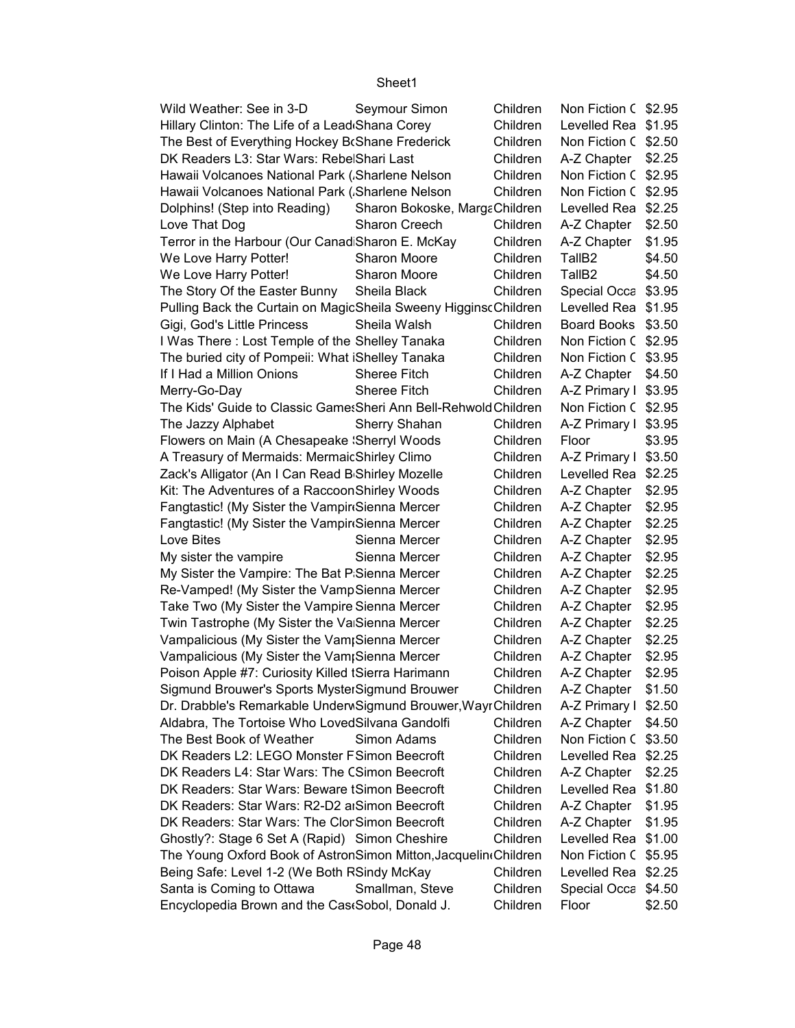| Wild Weather: See in 3-D                                         | Seymour Simon                 | Children | Non Fiction C \$2.95 |        |
|------------------------------------------------------------------|-------------------------------|----------|----------------------|--------|
| Hillary Clinton: The Life of a Lead Shana Corey                  |                               | Children | Levelled Rea \$1.95  |        |
| The Best of Everything Hockey BrShane Frederick                  |                               | Children | Non Fiction C \$2.50 |        |
| DK Readers L3: Star Wars: RebelShari Last                        |                               | Children | A-Z Chapter   \$2.25 |        |
| Hawaii Volcanoes National Park (Sharlene Nelson                  |                               | Children | Non Fiction C \$2.95 |        |
| Hawaii Volcanoes National Park (Sharlene Nelson                  |                               | Children | Non Fiction C \$2.95 |        |
| Dolphins! (Step into Reading)                                    | Sharon Bokoske, MargaChildren |          | Levelled Rea \$2.25  |        |
| Love That Dog                                                    | Sharon Creech                 | Children | A-Z Chapter   \$2.50 |        |
| Terror in the Harbour (Our Canad Sharon E. McKay                 |                               | Children | A-Z Chapter          | \$1.95 |
| We Love Harry Potter!                                            | Sharon Moore                  | Children | TallB <sub>2</sub>   | \$4.50 |
| We Love Harry Potter!                                            | Sharon Moore                  | Children | TallB <sub>2</sub>   | \$4.50 |
| The Story Of the Easter Bunny                                    | Sheila Black                  | Children | Special Occa \$3.95  |        |
| Pulling Back the Curtain on MagicSheila Sweeny HigginscChildren  |                               |          | Levelled Rea \$1.95  |        |
| Gigi, God's Little Princess                                      | Sheila Walsh                  | Children | Board Books \$3.50   |        |
| I Was There: Lost Temple of the Shelley Tanaka                   |                               | Children | Non Fiction C \$2.95 |        |
| The buried city of Pompeii: What Shelley Tanaka                  |                               | Children | Non Fiction C \$3.95 |        |
| If I Had a Million Onions                                        | <b>Sheree Fitch</b>           | Children | A-Z Chapter $$4.50$  |        |
| Merry-Go-Day                                                     | <b>Sheree Fitch</b>           | Children | A-Z Primary I \$3.95 |        |
| The Kids' Guide to Classic Game: Sheri Ann Bell-Rehwold Children |                               |          | Non Fiction C \$2.95 |        |
| The Jazzy Alphabet                                               | Sherry Shahan                 | Children | A-Z Primary I \$3.95 |        |
| Flowers on Main (A Chesapeake 'Sherryl Woods                     |                               | Children | Floor                | \$3.95 |
| A Treasury of Mermaids: MermaicShirley Climo                     |                               | Children | A-Z Primary I \$3.50 |        |
| Zack's Alligator (An I Can Read B Shirley Mozelle                |                               | Children | Levelled Rea \$2.25  |        |
| Kit: The Adventures of a RaccoonShirley Woods                    |                               | Children | A-Z Chapter   \$2.95 |        |
| Fangtastic! (My Sister the Vampin Sienna Mercer                  |                               | Children | A-Z Chapter          | \$2.95 |
| Fangtastic! (My Sister the Vampin Sienna Mercer                  |                               | Children | A-Z Chapter          | \$2.25 |
| Love Bites                                                       | Sienna Mercer                 | Children | A-Z Chapter          | \$2.95 |
| My sister the vampire                                            | Sienna Mercer                 | Children | A-Z Chapter          | \$2.95 |
| My Sister the Vampire: The Bat P Sienna Mercer                   |                               | Children | A-Z Chapter          | \$2.25 |
| Re-Vamped! (My Sister the VampSienna Mercer                      |                               | Children | A-Z Chapter          | \$2.95 |
| Take Two (My Sister the Vampire Sienna Mercer                    |                               | Children | A-Z Chapter          | \$2.95 |
| Twin Tastrophe (My Sister the Va Sienna Mercer                   |                               | Children | A-Z Chapter          | \$2.25 |
| Vampalicious (My Sister the Vam Sienna Mercer                    |                               | Children | A-Z Chapter          | \$2.25 |
| Vampalicious (My Sister the Vam Sienna Mercer                    |                               | Children | A-Z Chapter          | \$2.95 |
| Poison Apple #7: Curiosity Killed tSierra Harimann               |                               | Children | A-Z Chapter          | \$2.95 |
| Sigmund Brouwer's Sports MysterSigmund Brouwer                   |                               | Children | A-Z Chapter   \$1.50 |        |
| Dr. Drabble's Remarkable UnderwSigmund Brouwer, Wayr Children    |                               |          | A-Z Primary I \$2.50 |        |
| Aldabra, The Tortoise Who LovedSilvana Gandolfi                  |                               | Children | A-Z Chapter          | \$4.50 |
| The Best Book of Weather                                         | Simon Adams                   | Children | Non Fiction C \$3.50 |        |
| DK Readers L2: LEGO Monster FSimon Beecroft                      |                               | Children | Levelled Rea \$2.25  |        |
| DK Readers L4: Star Wars: The CSimon Beecroft                    |                               | Children | A-Z Chapter          | \$2.25 |
| DK Readers: Star Wars: Beware tSimon Beecroft                    |                               | Children | Levelled Rea \$1.80  |        |
| DK Readers: Star Wars: R2-D2 aiSimon Beecroft                    |                               | Children | A-Z Chapter          | \$1.95 |
| DK Readers: Star Wars: The Clor Simon Beecroft                   |                               | Children | A-Z Chapter          | \$1.95 |
| Ghostly?: Stage 6 Set A (Rapid) Simon Cheshire                   |                               | Children | Levelled Rea \$1.00  |        |
| The Young Oxford Book of AstronSimon Mitton, Jacquelin Children  |                               |          | Non Fiction C \$5.95 |        |
| Being Safe: Level 1-2 (We Both RSindy McKay                      |                               | Children | Levelled Rea \$2.25  |        |
| Santa is Coming to Ottawa                                        | Smallman, Steve               | Children | Special Occa \$4.50  |        |
| Encyclopedia Brown and the Cas Sobol, Donald J.                  |                               | Children | Floor                | \$2.50 |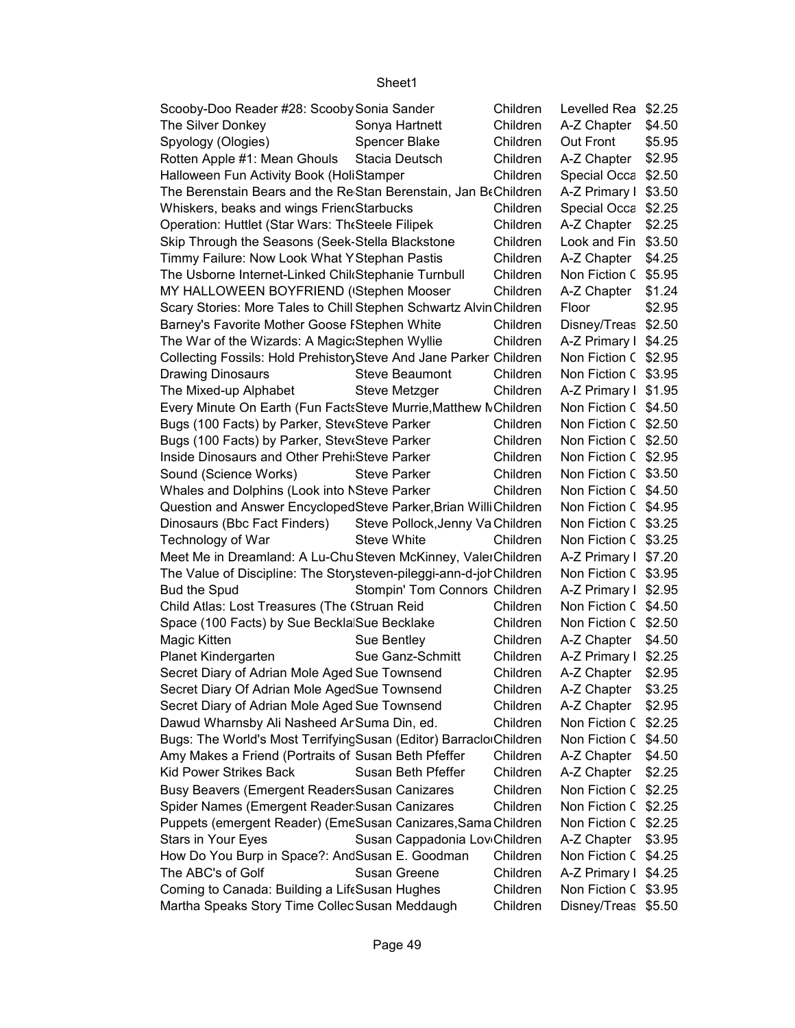| Scooby-Doo Reader #28: Scooby Sonia Sander                          |                                          | Children | Levelled Rea \$2.25  |        |
|---------------------------------------------------------------------|------------------------------------------|----------|----------------------|--------|
| The Silver Donkey                                                   | Sonya Hartnett                           | Children | A-Z Chapter   \$4.50 |        |
| Spyology (Ologies)                                                  | <b>Spencer Blake</b>                     | Children | Out Front            | \$5.95 |
| Rotten Apple #1: Mean Ghouls Stacia Deutsch                         |                                          | Children | A-Z Chapter   \$2.95 |        |
| Halloween Fun Activity Book (HoliStamper                            |                                          | Children | Special Occa \$2.50  |        |
| The Berenstain Bears and the Re Stan Berenstain, Jan BeChildren     |                                          |          | A-Z Primary I \$3.50 |        |
| Whiskers, beaks and wings Frien Starbucks                           |                                          | Children | Special Occa \$2.25  |        |
| Operation: Huttlet (Star Wars: The Steele Filipek                   |                                          | Children | A-Z Chapter   \$2.25 |        |
| Skip Through the Seasons (Seek-Stella Blackstone                    |                                          | Children | Look and Fin \$3.50  |        |
| Timmy Failure: Now Look What Y Stephan Pastis                       |                                          | Children | A-Z Chapter   \$4.25 |        |
| The Usborne Internet-Linked Chil Stephanie Turnbull                 |                                          | Children | Non Fiction C \$5.95 |        |
| MY HALLOWEEN BOYFRIEND ('Stephen Mooser                             |                                          | Children | A-Z Chapter   \$1.24 |        |
| Scary Stories: More Tales to Chill Stephen Schwartz Alvin Children  |                                          |          | Floor                | \$2.95 |
| Barney's Favorite Mother Goose FStephen White                       |                                          | Children | Disney/Treas \$2.50  |        |
| The War of the Wizards: A Magic:Stephen Wyllie                      |                                          | Children | A-Z Primary I \$4.25 |        |
| Collecting Fossils: Hold Prehistor Steve And Jane Parker Children   |                                          |          | Non Fiction C \$2.95 |        |
| <b>Drawing Dinosaurs</b>                                            | <b>Steve Beaumont</b>                    | Children | Non Fiction C \$3.95 |        |
| The Mixed-up Alphabet                                               | Steve Metzger                            | Children | A-Z Primary I \$1.95 |        |
| Every Minute On Earth (Fun FactsSteve Murrie, Matthew MChildren     |                                          |          | Non Fiction C \$4.50 |        |
| Bugs (100 Facts) by Parker, Stev Steve Parker                       |                                          | Children | Non Fiction C \$2.50 |        |
| Bugs (100 Facts) by Parker, Stev Steve Parker                       |                                          | Children | Non Fiction C \$2.50 |        |
| Inside Dinosaurs and Other Prehi: Steve Parker                      |                                          | Children | Non Fiction C \$2.95 |        |
| Sound (Science Works)                                               | Steve Parker                             | Children | Non Fiction C \$3.50 |        |
| Whales and Dolphins (Look into NSteve Parker                        |                                          | Children | Non Fiction C \$4.50 |        |
| Question and Answer EncyclopedSteve Parker, Brian Willi Children    |                                          |          | Non Fiction C \$4.95 |        |
| Dinosaurs (Bbc Fact Finders) Steve Pollock, Jenny Va Children       |                                          |          | Non Fiction C \$3.25 |        |
| Technology of War                                                   | <b>Steve White</b>                       | Children | Non Fiction C \$3.25 |        |
| Meet Me in Dreamland: A Lu-Chu Steven McKinney, ValerChildren       |                                          |          | A-Z Primary I \$7.20 |        |
| The Value of Discipline: The Storysteven-pileggi-ann-d-jor Children |                                          |          | Non Fiction C \$3.95 |        |
| <b>Bud the Spud</b>                                                 | Stompin' Tom Connors Children            |          | A-Z Primary I \$2.95 |        |
| Child Atlas: Lost Treasures (The (Struan Reid                       |                                          | Children | Non Fiction C \$4.50 |        |
| Space (100 Facts) by Sue Beckla Sue Becklake                        |                                          | Children | Non Fiction C \$2.50 |        |
| Magic Kitten                                                        | Sue Bentley                              | Children | A-Z Chapter   \$4.50 |        |
| Planet Kindergarten                                                 | Sue Ganz-Schmitt                         | Children | A-Z Primary I \$2.25 |        |
| Secret Diary of Adrian Mole Aged Sue Townsend                       |                                          | Children | A-Z Chapter   \$2.95 |        |
| Secret Diary Of Adrian Mole AgedSue Townsend                        |                                          | Children | A-Z Chapter          | \$3.25 |
| Secret Diary of Adrian Mole Aged Sue Townsend                       |                                          | Children | A-Z Chapter          | \$2.95 |
| Dawud Wharnsby Ali Nasheed Ar Suma Din, ed.                         |                                          | Children | Non Fiction C \$2.25 |        |
| Bugs: The World's Most TerrifyingSusan (Editor) BarracloiChildren   |                                          |          | Non Fiction C \$4.50 |        |
| Amy Makes a Friend (Portraits of Susan Beth Pfeffer                 |                                          | Children | A-Z Chapter          | \$4.50 |
| <b>Kid Power Strikes Back</b>                                       | Susan Beth Pfeffer                       | Children | A-Z Chapter          | \$2.25 |
| Busy Beavers (Emergent Readers Susan Canizares                      |                                          | Children | Non Fiction C \$2.25 |        |
| Spider Names (Emergent Reader Susan Canizares                       |                                          | Children | Non Fiction C \$2.25 |        |
| Puppets (emergent Reader) (EmeSusan Canizares, Sama Children        |                                          |          | Non Fiction C \$2.25 |        |
| Stars in Your Eyes                                                  | Susan Cappadonia Lov <sub>Ghildren</sub> |          | A-Z Chapter   \$3.95 |        |
| How Do You Burp in Space?: AndSusan E. Goodman                      |                                          | Children | Non Fiction C \$4.25 |        |
| The ABC's of Golf                                                   | Susan Greene                             | Children | A-Z Primary I \$4.25 |        |
| Coming to Canada: Building a LifeSusan Hughes                       |                                          | Children | Non Fiction C \$3.95 |        |
| Martha Speaks Story Time Collec Susan Meddaugh                      |                                          | Children | Disney/Treas \$5.50  |        |
|                                                                     |                                          |          |                      |        |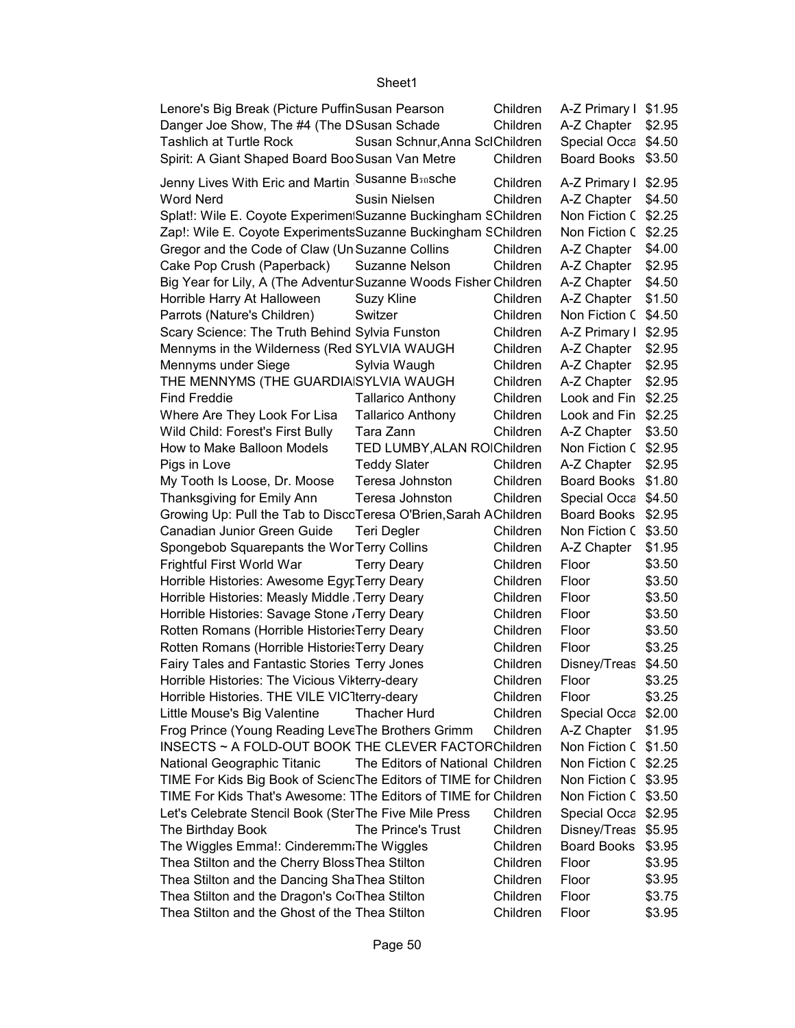| Lenore's Big Break (Picture PuffinSusan Pearson<br>Danger Joe Show, The #4 (The DSusan Schade |                                  | Children<br>Children | A-Z Primary I \$1.95<br>A-Z Chapter | \$2.95 |
|-----------------------------------------------------------------------------------------------|----------------------------------|----------------------|-------------------------------------|--------|
| <b>Tashlich at Turtle Rock</b>                                                                | Susan Schnur, Anna SclChildren   |                      | Special Occa \$4.50                 |        |
| Spirit: A Giant Shaped Board Boo Susan Van Metre                                              |                                  | Children             | Board Books \$3.50                  |        |
| Jenny Lives With Eric and Martin Susanne B <sub>30</sub> sche                                 |                                  | Children             | A-Z Primary I \$2.95                |        |
| <b>Word Nerd</b>                                                                              | <b>Susin Nielsen</b>             | Children             | A-Z Chapter                         | \$4.50 |
| Splat!: Wile E. Coyote Experimen Suzanne Buckingham SChildren                                 |                                  |                      | Non Fiction C \$2.25                |        |
| Zap!: Wile E. Coyote ExperimentsSuzanne Buckingham SChildren                                  |                                  |                      | Non Fiction C                       | \$2.25 |
| Gregor and the Code of Claw (Un Suzanne Collins                                               |                                  | Children             | A-Z Chapter                         | \$4.00 |
| Cake Pop Crush (Paperback)                                                                    | Suzanne Nelson                   | Children             | A-Z Chapter                         | \$2.95 |
| Big Year for Lily, A (The Adventur Suzanne Woods Fisher Children                              |                                  |                      | A-Z Chapter                         | \$4.50 |
| Horrible Harry At Halloween                                                                   | Suzy Kline                       | Children             | A-Z Chapter                         | \$1.50 |
| Parrots (Nature's Children)                                                                   | Switzer                          | Children             | Non Fiction C \$4.50                |        |
| Scary Science: The Truth Behind Sylvia Funston                                                |                                  | Children             | A-Z Primary I                       | \$2.95 |
| Mennyms in the Wilderness (Red SYLVIA WAUGH                                                   |                                  | Children             | A-Z Chapter                         | \$2.95 |
| Mennyms under Siege                                                                           | Sylvia Waugh                     | Children             | A-Z Chapter                         | \$2.95 |
| THE MENNYMS (THE GUARDIAISYLVIA WAUGH                                                         |                                  | Children             | A-Z Chapter                         | \$2.95 |
| <b>Find Freddie</b>                                                                           | <b>Tallarico Anthony</b>         | Children             | Look and Fin                        | \$2.25 |
| Where Are They Look For Lisa                                                                  | <b>Tallarico Anthony</b>         | Children             | Look and Fin                        | \$2.25 |
| Wild Child: Forest's First Bully                                                              | Tara Zann                        | Children             | A-Z Chapter                         | \$3.50 |
| How to Make Balloon Models                                                                    | TED LUMBY, ALAN ROIChildren      |                      | Non Fiction C \$2.95                |        |
| Pigs in Love                                                                                  | <b>Teddy Slater</b>              | Children             | A-Z Chapter                         | \$2.95 |
| My Tooth Is Loose, Dr. Moose                                                                  | Teresa Johnston                  | Children             | <b>Board Books</b>                  | \$1.80 |
| Thanksgiving for Emily Ann                                                                    | Teresa Johnston                  | Children             | Special Occa                        | \$4.50 |
| Growing Up: Pull the Tab to DiscoTeresa O'Brien, Sarah AChildren                              |                                  |                      | <b>Board Books</b>                  | \$2.95 |
| Canadian Junior Green Guide                                                                   | Teri Degler                      | Children             | Non Fiction C \$3.50                |        |
| Spongebob Squarepants the WorTerry Collins                                                    |                                  | Children             | A-Z Chapter                         | \$1.95 |
| Frightful First World War                                                                     | <b>Terry Deary</b>               | Children             | Floor                               | \$3.50 |
| Horrible Histories: Awesome EgyrTerry Deary                                                   |                                  | Children             | Floor                               | \$3.50 |
| Horrible Histories: Measly Middle Terry Deary                                                 |                                  | Children             | Floor                               | \$3.50 |
| Horrible Histories: Savage Stone , Terry Deary                                                |                                  | Children             | Floor                               | \$3.50 |
| Rotten Romans (Horrible Historie: Terry Deary                                                 |                                  | Children             | Floor                               | \$3.50 |
| Rotten Romans (Horrible Historie: Terry Deary                                                 |                                  | Children             | Floor                               | \$3.25 |
| Fairy Tales and Fantastic Stories Terry Jones                                                 |                                  | Children             | Disney/Treas                        | \$4.50 |
| Horrible Histories: The Vicious Vikterry-deary                                                |                                  | Children             | Floor                               | \$3.25 |
| Horrible Histories. THE VILE VIC1terry-deary                                                  |                                  | Children             | Floor                               | \$3.25 |
|                                                                                               | <b>Thacher Hurd</b>              | Children             |                                     |        |
| Little Mouse's Big Valentine                                                                  |                                  |                      | Special Occa \$2.00                 |        |
| Frog Prince (Young Reading LeveThe Brothers Grimm                                             |                                  | Children             | A-Z Chapter                         | \$1.95 |
| INSECTS ~ A FOLD-OUT BOOK THE CLEVER FACTORChildren                                           |                                  |                      | Non Fiction C \$1.50                |        |
| National Geographic Titanic                                                                   | The Editors of National Children |                      | Non Fiction C \$2.25                |        |
| TIME For Kids Big Book of Scienc The Editors of TIME for Children                             |                                  |                      | Non Fiction C \$3.95                |        |
| TIME For Kids That's Awesome: 1The Editors of TIME for Children                               |                                  |                      | Non Fiction C \$3.50                |        |
| Let's Celebrate Stencil Book (SterThe Five Mile Press                                         |                                  | Children             | Special Occa \$2.95                 |        |
| The Birthday Book                                                                             | The Prince's Trust               | Children             | Disney/Treas \$5.95                 |        |
| The Wiggles Emma!: Cinderemm The Wiggles                                                      |                                  | Children             | <b>Board Books</b>                  | \$3.95 |
| Thea Stilton and the Cherry Bloss Thea Stilton                                                |                                  | Children             | Floor                               | \$3.95 |
| Thea Stilton and the Dancing ShaThea Stilton                                                  |                                  | Children             | Floor                               | \$3.95 |
| Thea Stilton and the Dragon's CorThea Stilton                                                 |                                  | Children             | Floor                               | \$3.75 |
| Thea Stilton and the Ghost of the Thea Stilton                                                | Children                         | Floor                | \$3.95                              |        |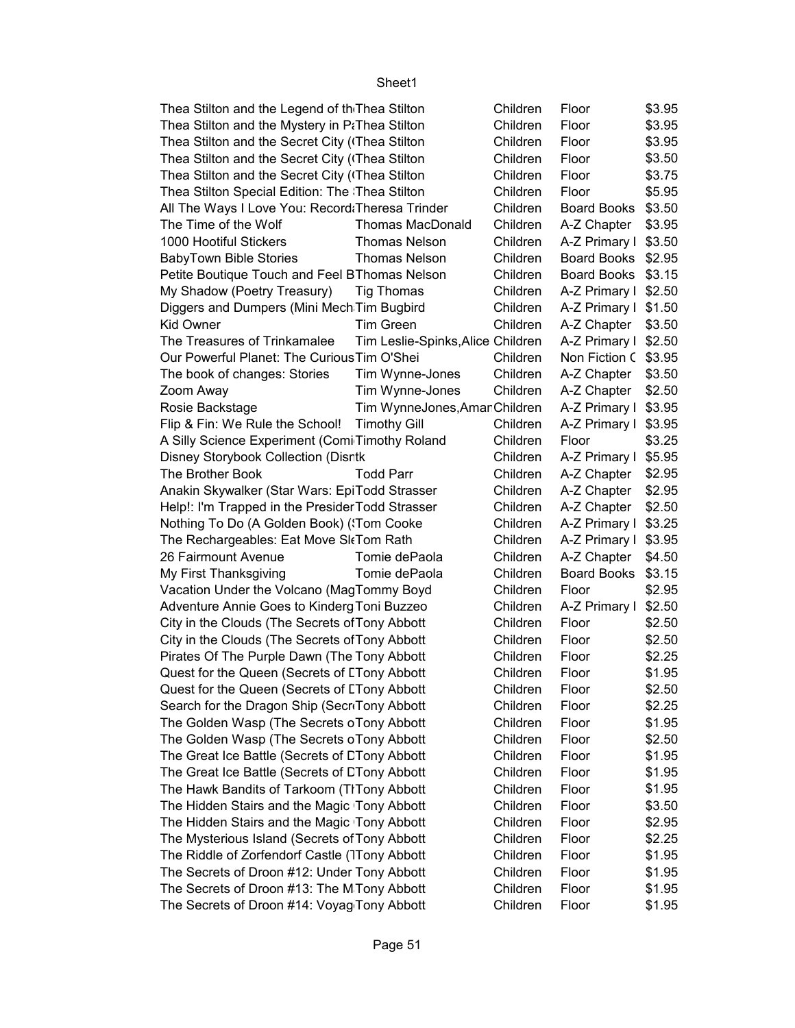| Thea Stilton and the Legend of th Thea Stilton              |                                   | Children | Floor                | \$3.95 |
|-------------------------------------------------------------|-----------------------------------|----------|----------------------|--------|
| Thea Stilton and the Mystery in P <sub>i</sub> Thea Stilton |                                   | Children | Floor                | \$3.95 |
| Thea Stilton and the Secret City (Thea Stilton              |                                   | Children | Floor                | \$3.95 |
|                                                             |                                   |          |                      | \$3.50 |
| Thea Stilton and the Secret City (Thea Stilton              |                                   | Children | Floor                | \$3.75 |
| Thea Stilton and the Secret City (Thea Stilton              |                                   | Children | Floor                |        |
| Thea Stilton Special Edition: The Thea Stilton              |                                   | Children | Floor                | \$5.95 |
| All The Ways I Love You: Record: Theresa Trinder            |                                   | Children | Board Books          | \$3.50 |
| The Time of the Wolf                                        | <b>Thomas MacDonald</b>           | Children | A-Z Chapter          | \$3.95 |
| 1000 Hootiful Stickers                                      | <b>Thomas Nelson</b>              | Children | A-Z Primary I \$3.50 |        |
| <b>BabyTown Bible Stories</b>                               | <b>Thomas Nelson</b>              | Children | Board Books \$2.95   |        |
| Petite Boutique Touch and Feel BThomas Nelson               |                                   | Children | Board Books \$3.15   |        |
| My Shadow (Poetry Treasury)                                 | Tig Thomas                        | Children | A-Z Primary I \$2.50 |        |
| Diggers and Dumpers (Mini Mech Tim Bugbird                  |                                   | Children | A-Z Primary I \$1.50 |        |
| <b>Kid Owner</b>                                            | <b>Tim Green</b>                  | Children | A-Z Chapter   \$3.50 |        |
| The Treasures of Trinkamalee                                | Tim Leslie-Spinks, Alice Children |          | A-Z Primary I \$2.50 |        |
| Our Powerful Planet: The Curious Tim O'Shei                 |                                   | Children | Non Fiction C \$3.95 |        |
| The book of changes: Stories                                | Tim Wynne-Jones                   | Children | A-Z Chapter          | \$3.50 |
| Zoom Away                                                   | Tim Wynne-Jones                   | Children | A-Z Chapter          | \$2.50 |
| Rosie Backstage                                             | Tim WynneJones, AmanChildren      |          | A-Z Primary I \$3.95 |        |
| Flip & Fin: We Rule the School! Timothy Gill                |                                   | Children | A-Z Primary I \$3.95 |        |
| A Silly Science Experiment (Comi Timothy Roland             |                                   | Children | Floor                | \$3.25 |
| Disney Storybook Collection (Disrtk                         |                                   | Children | A-Z Primary I \$5.95 |        |
| The Brother Book                                            | <b>Todd Parr</b>                  | Children | A-Z Chapter          | \$2.95 |
| Anakin Skywalker (Star Wars: EpiTodd Strasser               |                                   | Children | A-Z Chapter          | \$2.95 |
| Help!: I'm Trapped in the Presider Todd Strasser            |                                   | Children | A-Z Chapter          | \$2.50 |
| Nothing To Do (A Golden Book) ('Tom Cooke                   |                                   | Children | A-Z Primary I \$3.25 |        |
| The Rechargeables: Eat Move SI Tom Rath                     |                                   | Children | A-Z Primary I \$3.95 |        |
| 26 Fairmount Avenue                                         | Tomie dePaola                     | Children | A-Z Chapter          | \$4.50 |
| My First Thanksgiving                                       | Tomie dePaola                     | Children | Board Books          | \$3.15 |
| Vacation Under the Volcano (MagTommy Boyd                   |                                   | Children | Floor                | \$2.95 |
| Adventure Annie Goes to Kinderg Toni Buzzeo                 |                                   | Children | A-Z Primary I        | \$2.50 |
| City in the Clouds (The Secrets of Tony Abbott              |                                   | Children | Floor                | \$2.50 |
| City in the Clouds (The Secrets of Tony Abbott              |                                   | Children | Floor                | \$2.50 |
| Pirates Of The Purple Dawn (The Tony Abbott                 |                                   | Children | Floor                | \$2.25 |
| Quest for the Queen (Secrets of LTony Abbott                |                                   | Children | Floor                | \$1.95 |
| Quest for the Queen (Secrets of LTony Abbott                |                                   | Children | Floor                | \$2.50 |
| Search for the Dragon Ship (SecriTony Abbott                |                                   | Children | Floor                | \$2.25 |
| The Golden Wasp (The Secrets oTony Abbott                   |                                   | Children | Floor                | \$1.95 |
| The Golden Wasp (The Secrets oTony Abbott                   |                                   | Children | Floor                | \$2.50 |
| The Great Ice Battle (Secrets of CTony Abbott               |                                   | Children | Floor                | \$1.95 |
| The Great Ice Battle (Secrets of CTony Abbott               |                                   | Children | Floor                | \$1.95 |
| The Hawk Bandits of Tarkoom (TITony Abbott                  |                                   | Children | Floor                | \$1.95 |
| The Hidden Stairs and the Magic Tony Abbott                 |                                   | Children | Floor                | \$3.50 |
| The Hidden Stairs and the Magic Tony Abbott                 |                                   | Children |                      | \$2.95 |
|                                                             |                                   |          | Floor                |        |
| The Mysterious Island (Secrets of Tony Abbott               |                                   | Children | Floor                | \$2.25 |
| The Riddle of Zorfendorf Castle (Tony Abbott                |                                   | Children | Floor                | \$1.95 |
| The Secrets of Droon #12: Under Tony Abbott                 |                                   | Children | Floor                | \$1.95 |
| The Secrets of Droon #13: The MTony Abbott                  |                                   | Children | Floor                | \$1.95 |
| The Secrets of Droon #14: Voyag Tony Abbott                 |                                   | Children | Floor                | \$1.95 |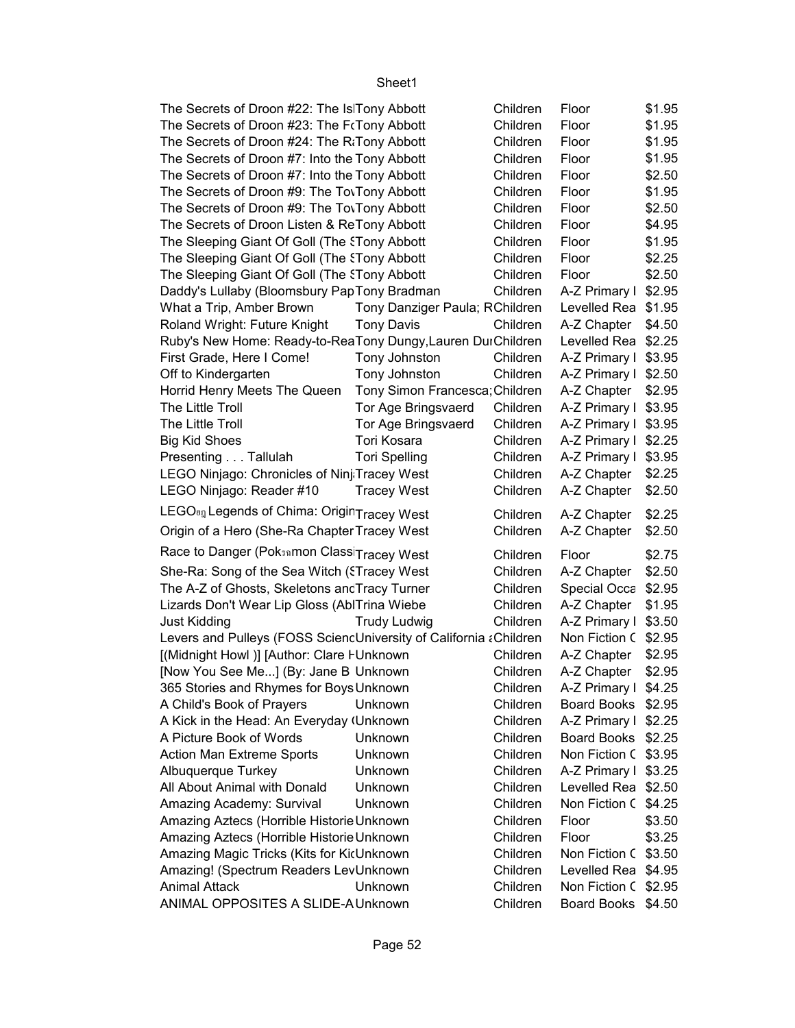| The Secrets of Droon #22: The Is Tony Abbott                      |                                | Children | Floor                | \$1.95 |
|-------------------------------------------------------------------|--------------------------------|----------|----------------------|--------|
| The Secrets of Droon #23: The FrTony Abbott                       |                                | Children | Floor                | \$1.95 |
| The Secrets of Droon #24: The R <sub>i</sub> Tony Abbott          |                                | Children | Floor                | \$1.95 |
| The Secrets of Droon #7: Into the Tony Abbott                     |                                | Children | Floor                | \$1.95 |
| The Secrets of Droon #7: Into the Tony Abbott                     |                                | Children | Floor                | \$2.50 |
| The Secrets of Droon #9: The To Tony Abbott                       |                                | Children | Floor                | \$1.95 |
| The Secrets of Droon #9: The To Tony Abbott                       |                                | Children | Floor                | \$2.50 |
| The Secrets of Droon Listen & ReTony Abbott                       |                                | Children | Floor                | \$4.95 |
| The Sleeping Giant Of Goll (The ETony Abbott                      |                                | Children | Floor                | \$1.95 |
| The Sleeping Giant Of Goll (The STony Abbott                      |                                | Children | Floor                | \$2.25 |
| The Sleeping Giant Of Goll (The STony Abbott                      |                                | Children | Floor                | \$2.50 |
| Daddy's Lullaby (Bloomsbury PapTony Bradman                       |                                | Children | A-Z Primary I \$2.95 |        |
| What a Trip, Amber Brown                                          | Tony Danziger Paula; RChildren |          | Levelled Rea \$1.95  |        |
| Roland Wright: Future Knight                                      | <b>Tony Davis</b>              | Children | A-Z Chapter   \$4.50 |        |
|                                                                   |                                |          |                      |        |
| Ruby's New Home: Ready-to-ReaTony Dungy, Lauren DurChildren       |                                |          | Levelled Rea \$2.25  |        |
| First Grade, Here I Come!                                         | Tony Johnston                  | Children | A-Z Primary I \$3.95 |        |
| Off to Kindergarten                                               | Tony Johnston                  | Children | A-Z Primary I \$2.50 |        |
| Horrid Henry Meets The Queen                                      | Tony Simon Francesca; Children |          | A-Z Chapter   \$2.95 |        |
| The Little Troll                                                  | Tor Age Bringsvaerd            | Children | A-Z Primary I \$3.95 |        |
| The Little Troll                                                  | Tor Age Bringsvaerd            | Children | A-Z Primary I \$3.95 |        |
| <b>Big Kid Shoes</b>                                              | Tori Kosara                    | Children | A-Z Primary I \$2.25 |        |
| Presenting Tallulah                                               | <b>Tori Spelling</b>           | Children | A-Z Primary I \$3.95 |        |
| LEGO Ninjago: Chronicles of Ninj Tracey West                      |                                | Children | A-Z Chapter          | \$2.25 |
| LEGO Ninjago: Reader #10                                          | <b>Tracey West</b>             | Children | A-Z Chapter          | \$2.50 |
| LEGO <sub><sup>01</sup> Legends of Chima: OriginTracey West</sub> |                                | Children | A-Z Chapter          | \$2.25 |
| Origin of a Hero (She-Ra Chapter Tracey West                      |                                | Children | A-Z Chapter          | \$2.50 |
| Race to Danger (Pok5amon Class Tracey West                        |                                | Children | Floor                | \$2.75 |
| She-Ra: Song of the Sea Witch (STracey West                       |                                | Children | A-Z Chapter   \$2.50 |        |
| The A-Z of Ghosts, Skeletons ancTracy Turner                      |                                | Children | Special Occa \$2.95  |        |
| Lizards Don't Wear Lip Gloss (AblTrina Wiebe                      |                                | Children | A-Z Chapter          | \$1.95 |
| <b>Just Kidding</b>                                               | <b>Trudy Ludwig</b>            | Children | A-Z Primary I \$3.50 |        |
| Levers and Pulleys (FOSS SciencUniversity of California ¿Children |                                |          | Non Fiction C \$2.95 |        |
| [(Midnight Howl)] [Author: Clare FUnknown                         |                                | Children | A-Z Chapter          | \$2.95 |
| [Now You See Me] (By: Jane B Unknown                              |                                | Children | A-Z Chapter          | \$2.95 |
| 365 Stories and Rhymes for Boys Unknown                           |                                | Children | A-Z Primary I \$4.25 |        |
| A Child's Book of Prayers                                         | Unknown                        | Children | Board Books \$2.95   |        |
| A Kick in the Head: An Everyday (Unknown                          |                                | Children | A-Z Primary I \$2.25 |        |
| A Picture Book of Words                                           | Unknown                        | Children | Board Books \$2.25   |        |
| <b>Action Man Extreme Sports</b>                                  | Unknown                        | Children | Non Fiction C \$3.95 |        |
| Albuquerque Turkey                                                | Unknown                        | Children | A-Z Primary I \$3.25 |        |
| All About Animal with Donald                                      | Unknown                        | Children | Levelled Rea \$2.50  |        |
| Amazing Academy: Survival                                         | Unknown                        | Children | Non Fiction C \$4.25 |        |
|                                                                   |                                |          |                      |        |
| Amazing Aztecs (Horrible Historie Unknown                         |                                | Children | Floor                | \$3.50 |
| Amazing Aztecs (Horrible Historie Unknown                         |                                | Children | Floor                | \$3.25 |
| Amazing Magic Tricks (Kits for KicUnknown                         |                                | Children | Non Fiction C \$3.50 |        |
| Amazing! (Spectrum Readers LevUnknown                             |                                | Children | Levelled Rea \$4.95  |        |
| <b>Animal Attack</b>                                              | Unknown                        | Children | Non Fiction C \$2.95 |        |
| ANIMAL OPPOSITES A SLIDE-A Unknown                                |                                | Children | Board Books \$4.50   |        |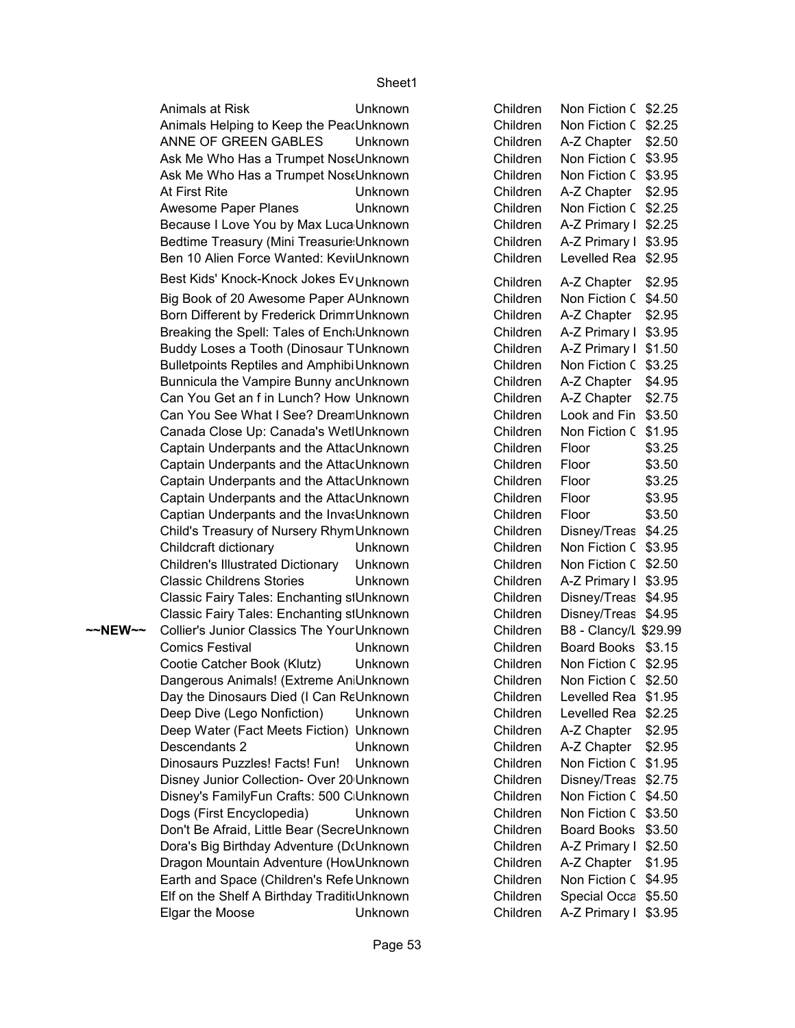ANNE OF GREEN GABLES ~~NEW~~ Collier's Junior Classics The YourUnknown **Folks Children** B8 - Clancy/L \$29.99 Animals at Risk Unknown Animals Helping to Keep the PearUnknown **Unknown** Ask Me Who Has a Trumpet NoseUnknown Ask Me Who Has a Trumpet NoseUnknown At First Rite **Children A-Z Children A-Z Chapter Books** Awesome Paper Planes Unknown Because I Love You by Max Luca Unknown Bedtime Treasury (Mini Treasurie Unknown Ben 10 Alien Force Wanted: Kevir Unknown Best Kids' Knock-Knock Jokes Ev<sub>Unknown</sub> Big Book of 20 Awesome Paper AUnknown Born Different by Frederick Drimn Unknown Breaking the Spell: Tales of Ench Unknown Buddy Loses a Tooth (Dinosaur TUnknown Bulletpoints Reptiles and Amphibi Unknown Bunnicula the Vampire Bunny and Unknown Can You Get an f in Lunch? How Unknown Can You See What I See? Dream Unknown Canada Close Up: Canada's WetlUnknown Captain Underpants and the Attac Unknown Captain Underpants and the Attac Unknown Captain Underpants and the Attac Unknown Captain Underpants and the Attac Unknown Captian Underpants and the InvasUnknown Child's Treasury of Nursery RhymUnknown Childcraft dictionary **Unknown** Children's Illustrated Dictionary Unknown Classic Childrens Stories **Unknown** Classic Fairy Tales: Enchanting stUnknown Classic Fairy Tales: Enchanting stUnknown Comics Festival **Comics** Festival Cootie Catcher Book (Klutz) Unknown Dangerous Animals! (Extreme An Unknown Day the Dinosaurs Died (I Can ReUnknown Deep Dive (Lego Nonfiction) Unknown Deep Water (Fact Meets Fiction) Unknown Descendants 2 Unknown Dinosaurs Puzzles! Facts! Fun! Unknown Disney Junior Collection- Over 20 Unknown Disney's FamilyFun Crafts: 500 C Unknown Dogs (First Encyclopedia) Unknown Don't Be Afraid, Little Bear (SecreUnknown Dora's Big Birthday Adventure (D(Unknown Dragon Mountain Adventure (How Unknown Earth and Space (Children's Refe Unknown Elf on the Shelf A Birthday TraditioUnknown Elgar the Moose Unknown

| Children | Non Fiction C       | \$2.25  |
|----------|---------------------|---------|
| Children | Non Fiction C       | \$2.25  |
| Children | A-Z Chapter         | \$2.50  |
| Children | Non Fiction C       | \$3.95  |
| Children | Non Fiction C       | \$3.95  |
| Children | A-Z Chapter         | \$2.95  |
|          |                     |         |
| Children | Non Fiction C       | \$2.25  |
| Children | A-Z Primary I       | \$2.25  |
| Children | A-Z Primary I       | \$3.95  |
| Children | Levelled Rea        | \$2.95  |
| Children | A-Z Chapter         | \$2.95  |
| Children | Non Fiction C       | \$4.50  |
| Children | A-Z Chapter         | \$2.95  |
| Children | A-Z Primary I       | \$3.95  |
| Children | A-Z Primary I       | \$1.50  |
| Children | Non Fiction C       | \$3.25  |
| Children | A-Z Chapter         | \$4.95  |
| Children | A-Z Chapter         | \$2.75  |
| Children | Look and Fin        | \$3.50  |
| Children | Non Fiction C       | \$1.95  |
| Children | Floor               | \$3.25  |
| Children | Floor               | \$3.50  |
| Children |                     |         |
|          | Floor               | \$3.25  |
| Children | Floor               | \$3.95  |
| Children | Floor               | \$3.50  |
| Children | Disney/Treas        | \$4.25  |
| Children | Non Fiction C       | \$3.95  |
| Children | Non Fiction C       | \$2.50  |
| Children | A-Z Primary I       | \$3.95  |
| Children | Disney/Treas        | \$4.95  |
| Children | Disney/Treas        | \$4.95  |
| Children | B8 - Clancy/L       | \$29.99 |
| Children | <b>Board Books</b>  | \$3.15  |
| Children | Non Fiction C       | \$2.95  |
| Children | Non Fiction C       | \$2.50  |
| Children | Levelled Rea        | \$1.95  |
| Children | Levelled Rea        | \$2.25  |
| Children | A-Z Chapter         | \$2.95  |
| Children | A-Z Chapter         | \$2.95  |
| Children | Non Fiction C       | \$1.95  |
| Children | Disney/Treas        | \$2.75  |
| Children | Non Fiction C       | \$4.50  |
| Children | Non Fiction C       | \$3.50  |
| Children | <b>Board Books</b>  | \$3.50  |
| Children | A-Z Primary I       | \$2.50  |
| Children | A-Z Chapter         | \$1.95  |
| Children | Non Fiction C       | \$4.95  |
| Children | <b>Special Occa</b> | \$5.50  |
| Children |                     | \$3.95  |
|          | A-Z Primary I       |         |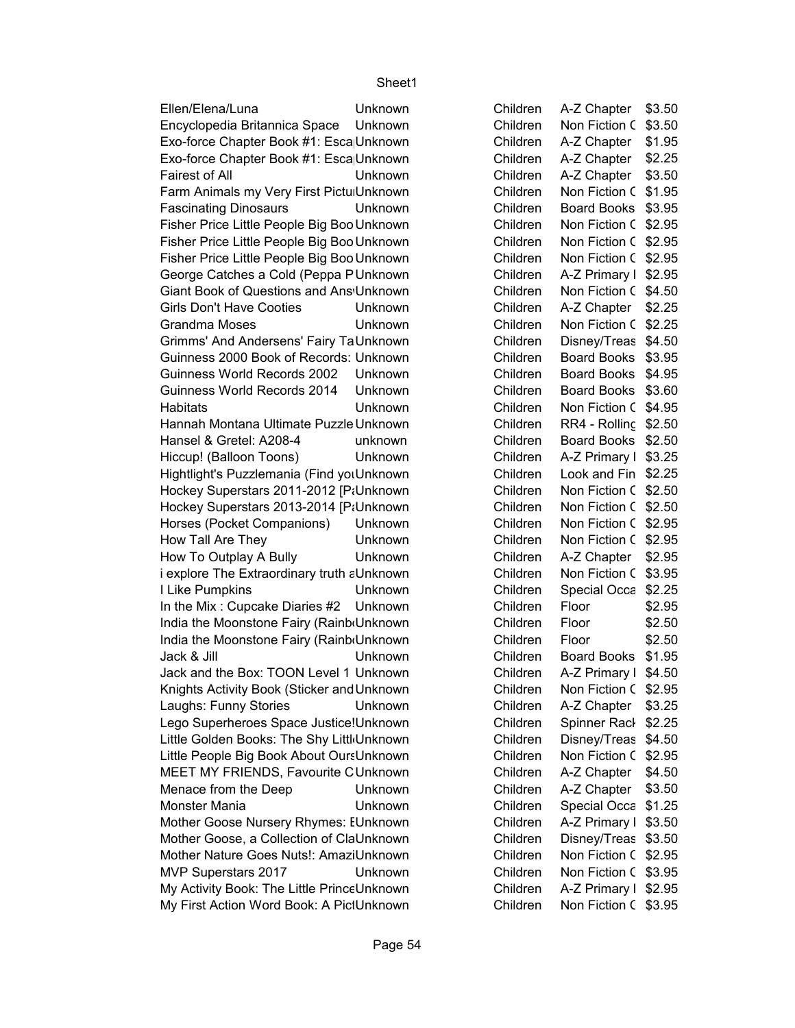Ellen/Elena/Luna Unknown Children A-Z Chapter 93.50 \$3.50 Fairest of All Unknown Children A-Z Chapter Books Grandma Moses Unknown Children Non Fiction C \$2.25 Habitats Unknown Children Non Fiction C \$4.95 How Tall Are They **No. 2018** Unknown **Children** Non Fiction C \$2.95 I Like Pumpkins Unknown Children Special Occa \$2.25 \$1.95 Jack & Jill Unknown Children Board Books Monster Mania **New Yorknown** Children Special Occa \$1.25 Encyclopedia Britannica Space Unknown Children Exo-force Chapter Book #1: Esca Unknown Children Exo-force Chapter Book #1: Esca Unknown Children Farm Animals my Very First Pictul Unknown Children Fascinating Dinosaurs **Unknown** Children Fisher Price Little People Big Boo Unknown Children Fisher Price Little People Big Boo Unknown Children Fisher Price Little People Big Boo Unknown Children George Catches a Cold (Peppa PUnknown Children A-Z Primary Books Giant Book of Questions and Ans Unknown Children Girls Don't Have Cooties **Unknown** Children Grimms' And Andersens' Fairy TaUnknown Children Guinness 2000 Book of Records: Unknown Children Guinness World Records 2002 Unknown Children Guinness World Records 2014 Unknown Children Hannah Montana Ultimate Puzzle Unknown Children Children Hansel & Gretel: A208-4 unknown Children Hiccup! (Balloon Toons) Unknown Children Hightlight's Puzzlemania (Find you Unknown Through the Children start to finish cover) Units Children Hockey Superstars 2011-2012 [P:Unknown Children Hockey Superstars 2013-2014 [P:Unknown Children Horses (Pocket Companions) Unknown Children How To Outplay A Bully **Unknown** Children  $i$  explore The Extraordinary truth  $\varepsilon$  Unknown Children In the Mix : Cupcake Diaries #2 Unknown Children Floor India the Moonstone Fairy (RainboUnknown Children Floor India the Moonstone Fairy (RainboUnknown Children Floor Jack and the Box: TOON Level 1 Unknown Children Knights Activity Book (Sticker and Unknown Children Laughs: Funny Stories **Unknown** Children Lego Superheroes Space Justice!Unknown Children Little Golden Books: The Shy Little Unknown Children Little People Big Book About OursUnknown Children MEET MY FRIENDS, Favourite CUnknown Children Menace from the Deep **Unknown** Children Mother Goose Nursery Rhymes: EUnknown Children Mother Goose, a Collection of ClaUnknown For Little Children Mother Nature Goes Nuts!: AmaziUnknown Children MVP Superstars 2017 Unknown Children My Activity Book: The Little PrinceUnknown Children My First Action Word Book: A PictUnknown Children

Non Fiction C \$3.50 A-Z Chapter | \$1.95 A-Z Chapter | \$2.25 Non Fiction C \$1.95 Board Books \$3.95 Non Fiction C \$2.95 Non Fiction C \$2.95 Non Fiction C \$2.95 A-Z Primary I \$2.95 Non Fiction C \$4.50 A-Z Chapter | \$2.25 Disney/Treas \$4.50 Board Books \$3.95 Board Books \$4.95 Board Books \$3.60 **RR4 - Rolling \$2.50** Board Books \$2.50 A-Z Primary I \$3.25 Look and Fin \$2.25 Non Fiction C \$2.50 Non Fiction C \$2.50 Non Fiction C \$2.95 A-Z Chapter | \$2.95 Non Fiction C \$3.95 \$2.95 \$2.50 \$2.50 A-Z Primary I \$4.50 Non Fiction C \$2.95 A-Z Chapter | \$3.25 Spinner Rack \$2.25 Disney/Treas \$4.50 Non Fiction C \$2.95 A-Z Chapter | \$4.50  $A-Z$  Chapter  $\mid$  \$3.50 A-Z Primary I \$3.50 Disney/Treas \$3.50 Non Fiction C \$2.95 Non Fiction C \$3.95 A-Z Primary  $I$  \$2.95 Non Fiction C \$3.95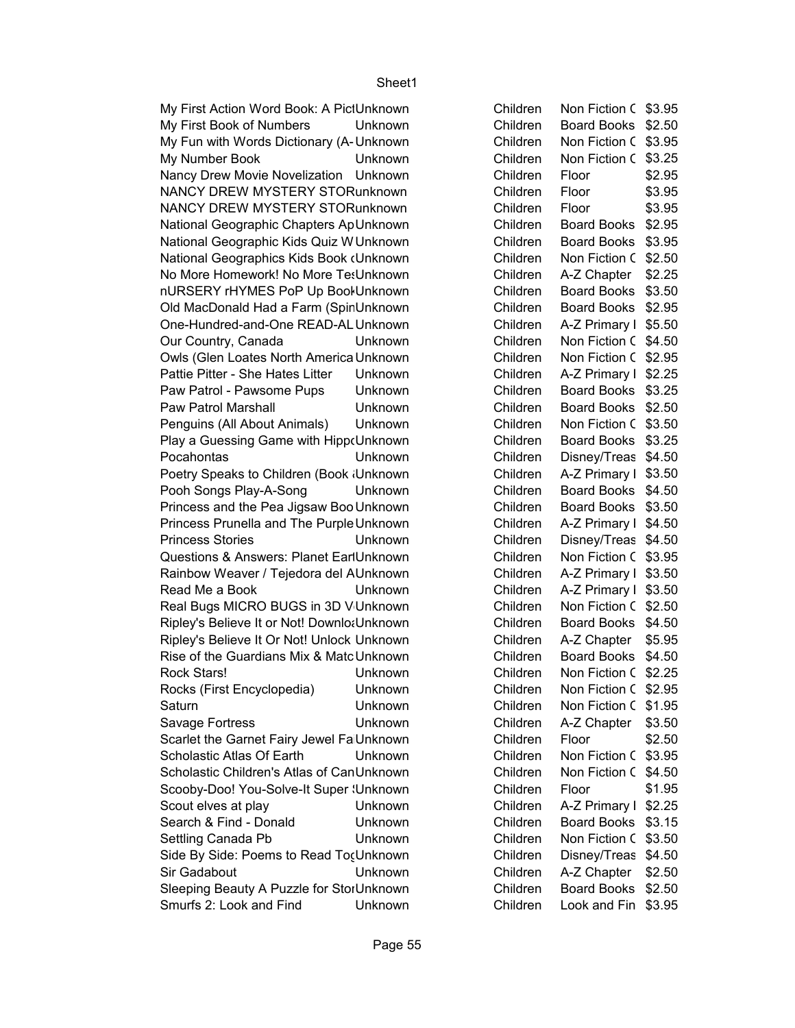My First Action Word Book: A PictUnknown My First Book of Numbers Unknown My Fun with Words Dictionary (A-Unknown My Number Book Unknown Nancy Drew Movie Novelization Unknown NANCY DREW MYSTERY STORunknown NANCY DREW MYSTERY STORunknown National Geographic Chapters ApUnknown National Geographic Kids Quiz W Unknown National Geographics Kids Book (Unknown No More Homework! No More Tes Unknown nURSERY rHYMES PoP Up Bool Unknown Old MacDonald Had a Farm (SpinUnknown One-Hundred-and-One READ-AL Unknown Our Country, Canada **Unknown** Owls (Glen Loates North America Unknown Pattie Pitter - She Hates Litter Unknown Paw Patrol - Pawsome Pups Unknown Paw Patrol Marshall **Children Board Books** Unknown Penguins (All About Animals) Unknown Play a Guessing Game with HippoUnknown Pocahontas **Unknown** Poetry Speaks to Children (Book Unknown Pooh Songs Play-A-Song Unknown Princess and the Pea Jigsaw Boo Unknown Princess Prunella and The Purple Unknown Princess Stories **Children Disney Children Disney Princess** Stories Questions & Answers: Planet EarlUnknown Rainbow Weaver / Tejedora del AUnknown Read Me a Book Unknown Real Bugs MICRO BUGS in 3D V Unknown Ripley's Believe It or Not! DownloaUnknown Ripley's Believe It Or Not! Unlock Unknown Rise of the Guardians Mix & Matc Unknown Rock Stars! Unknown Rocks (First Encyclopedia) Unknown Saturn Children Unknown Children Non Fiction C \$1.95 Savage Fortress Unknown Scarlet the Garnet Fairy Jewel Fa Unknown Scholastic Atlas Of Earth Unknown Scholastic Children's Atlas of CanUnknown Scooby-Doo! You-Solve-It Super (Unknown Scout elves at play Children A-Z Primary Books Search & Find - Donald Unknown Settling Canada Pb **Unknown** Side By Side: Poems to Read TogUnknown Sir Gadabout **Unknown** Sleeping Beauty A Puzzle for StorUnknown Smurfs 2: Look and Find Unknown

| Children | Non Fiction C      | \$3.95 |
|----------|--------------------|--------|
| Children | <b>Board Books</b> | \$2.50 |
| Children | Non Fiction C      | \$3.95 |
| Children | Non Fiction C      | \$3.25 |
| Children | Floor              | \$2.95 |
| Children | Floor              | \$3.95 |
| Children | Floor              | \$3.95 |
| Children | Board Books        | \$2.95 |
| Children | <b>Board Books</b> | \$3.95 |
| Children | Non Fiction C      | \$2.50 |
| Children | A-Z Chapter        | \$2.25 |
| Children | <b>Board Books</b> | \$3.50 |
| Children | <b>Board Books</b> | \$2.95 |
| Children | A-Z Primary I      | \$5.50 |
| Children | Non Fiction C      | \$4.50 |
| Children | Non Fiction C      | \$2.95 |
| Children | A-Z Primary I      | \$2.25 |
| Children | <b>Board Books</b> | \$3.25 |
| Children | <b>Board Books</b> | \$2.50 |
| Children | Non Fiction C      | \$3.50 |
| Children | <b>Board Books</b> | \$3.25 |
| Children | Disney/Treas       | \$4.50 |
| Children | A-Z Primary I      | \$3.50 |
| Children | <b>Board Books</b> | \$4.50 |
| Children | <b>Board Books</b> | \$3.50 |
| Children | A-Z Primary I      | \$4.50 |
| Children | Disney/Treas       | \$4.50 |
| Children | Non Fiction C      | \$3.95 |
| Children | A-Z Primary I      | \$3.50 |
| Children | A-Z Primary I      | \$3.50 |
| Children | Non Fiction C      | \$2.50 |
| Children | <b>Board Books</b> | \$4.50 |
| Children | A-Z Chapter        | \$5.95 |
| Children | <b>Board Books</b> | \$4.50 |
| Children | Non Fiction C      | \$2.25 |
| Children | Non Fiction C      | \$2.95 |
| Children | Non Fiction C      | \$1.95 |
| Children | A-Z Chapter        | \$3.50 |
| Children | Floor              | \$2.50 |
| Children | Non Fiction C      | \$3.95 |
| Children | Non Fiction C      | \$4.50 |
| Children | Floor              | \$1.95 |
| Children | A-Z Primary I      | \$2.25 |
| Children | <b>Board Books</b> | \$3.15 |
| Children | Non Fiction C      | \$3.50 |
| Children | Disney/Treas       | \$4.50 |
| Children | A-Z Chapter        | \$2.50 |
| Children | <b>Board Books</b> | \$2.50 |
| Children | Look and Fin       | \$3.95 |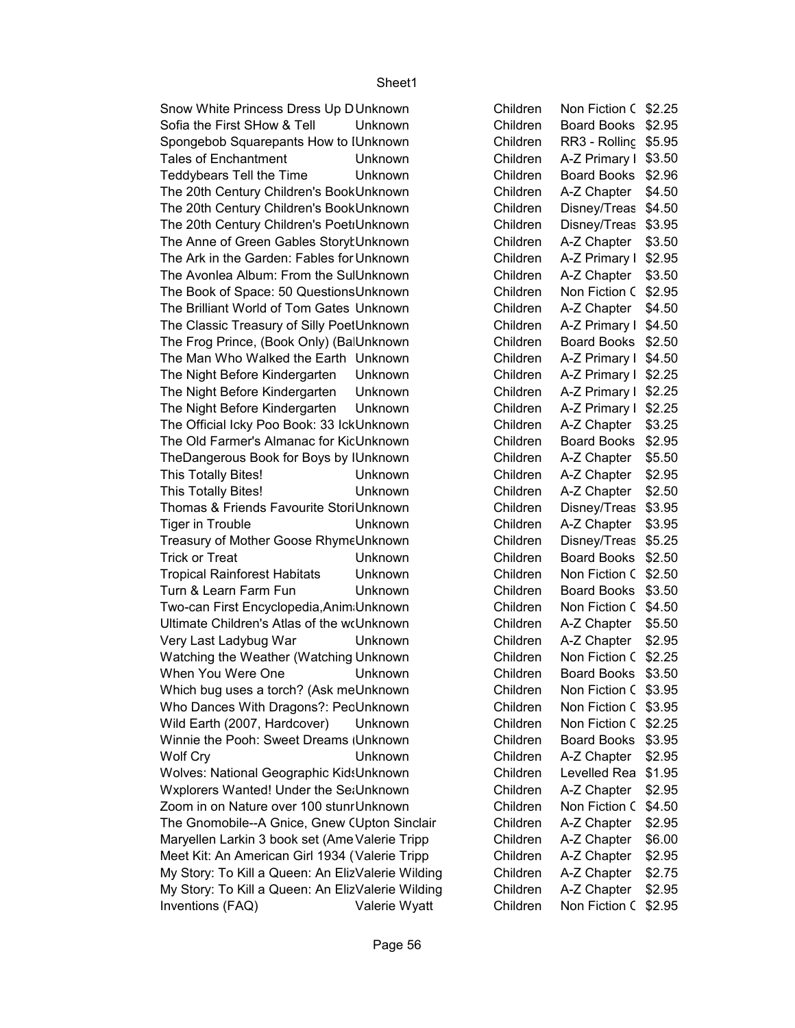\$2.95 This Totally Bites! Unknown Children A-Z Chapter Books \$2.50 This Totally Bites! Unknown Children A-Z Chapter Books \$3.95 Tiger in Trouble Unknown Children A-Z Chapter Books Wolf Cry Unknown Children A-Z Chapter ∣ \$2.95 \$2.95 Inventions (FAQ) Valerie Wyatt Children Non Fiction ChildrensSnow White Princess Dress Up DUnknown Children Sofia the First SHow & Tell Unknown Children Spongebob Squarepants How to IUnknown **Children** Children Tales of Enchantment **Unknown** Children Teddybears Tell the Time Unknown Children The 20th Century Children's Book Unknown Children Children The 20th Century Children's Book Unknown Children Children The 20th Century Children's PoetiUnknown Children Children The Anne of Green Gables Storyt Unknown Film Sullidiven Children The Ark in the Garden: Fables for Unknown Children The Avonlea Album: From the SulUnknown Fellow Series Children The Book of Space: 50 Questions Unknown Children The Brilliant World of Tom Gates Unknown Children The Classic Treasury of Silly PoetUnknown Children The Frog Prince, (Book Only) (BalUnknown Children Board Board Board Board Board Board Board Board Bo The Man Who Walked the Earth Unknown Children The Night Before Kindergarten Unknown Children The Night Before Kindergarten Unknown Children The Night Before Kindergarten Unknown Children The Official Icky Poo Book: 33 IckUnknown Children The Old Farmer's Almanac for KicUnknown Children TheDangerous Book for Boys by IUnknown **Children** Thomas & Friends Favourite StoriUnknown Children Treasury of Mother Goose RhymeUnknown Children Trick or Treat **Children** Books Unknown Children Tropical Rainforest Habitats Unknown Children Turn & Learn Farm Fun **Unknown** Children Two-can First Encyclopedia, Anim Unknown Children Children Ultimate Children's Atlas of the woUnknown Children Very Last Ladybug War **Unknown** Children Watching the Weather (Watching Unknown Children When You Were One **Children** Books Unknown **Children** Which bug uses a torch? (Ask me Unknown Children Who Dances With Dragons?: PecUnknown Children Wild Earth (2007, Hardcover) Unknown Children Winnie the Pooh: Sweet Dreams (Unknown Children Books) Children Wolves: National Geographic KidsUnknown Children Wxplorers Wanted! Under the SetUnknown Children Zoom in on Nature over 100 stunrUnknown Children The Gnomobile--A Gnice, Gnew (Upton Sinclair Children Maryellen Larkin 3 book set (Ame Valerie Tripp Children Meet Kit: An American Girl 1934 (Valerie Tripp Children My Story: To Kill a Queen: An ElizValerie Wilding Children My Story: To Kill a Queen: An ElizValerie Wilding Children

Non Fiction C \$2.25 Board Books \$2.95 RR3 - Rolling \$5.95 A-Z Primary I \$3.50 Board Books \$2.96  $A-Z$  Chapter  $\mid$  \$4.50 Disney/Treas \$4.50 Disney/Treas \$3.95 A-Z Chapter | \$3.50 A-Z Primary I \$2.95  $A-Z$  Chapter  $\frac{1}{2}$  \$3.50 Non Fiction C \$2.95  $A-Z$  Chapter  $\vert$  \$4.50 A-Z Primary  $I$  \$4.50 Board Books \$2.50 A-Z Primary  $I$  \$4.50 A-Z Primary I \$2.25 A-Z Primary I \$2.25 A-Z Primary I \$2.25 A-Z Chapter | \$3.25 Board Books \$2.95  $A-Z$  Chapter  $\sqrt{5.50}$ Disney/Treas \$3.95 Disney/Treas \$5.25 Board Books \$2.50 Non Fiction C \$2.50 Board Books \$3.50 Non Fiction C \$4.50 A-Z Chapter | \$5.50 A-Z Chapter | \$2.95 Non Fiction C \$2.25 Board Books \$3.50 Non Fiction C \$3.95 Non Fiction C \$3.95 Non Fiction C \$2.25 Board Books \$3.95 Levelled Rea \$1.95 A-Z Chapter | \$2.95 Non Fiction C \$4.50 A-Z Chapter | \$2.95  $A-Z$  Chapter  $\mid$  \$6.00 A-Z Chapter | \$2.95 A-Z Chapter | \$2.75 A-Z Chapter | \$2.95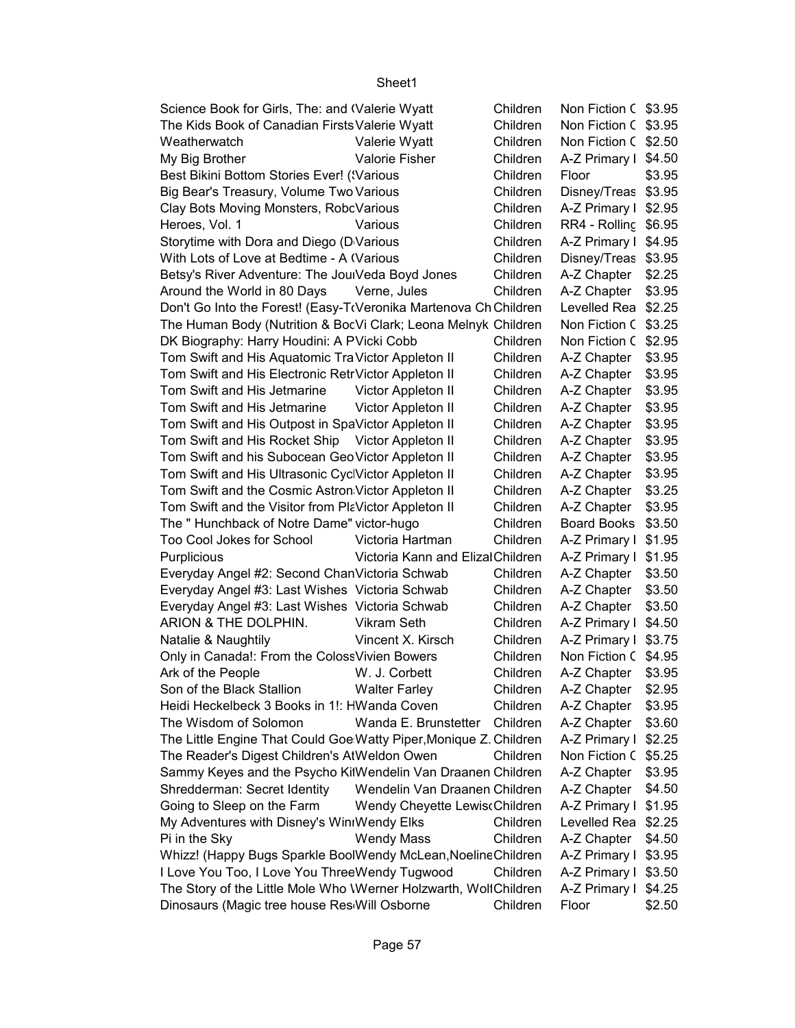#### Non Fiction C \$3.95 Non Fiction C \$3.95 \$2.50 Weatherwatch Valerie Wyatt Children Non Fiction Childrens \$4.50 My Big Brother Valorie Fisher Children A-Z Primary Books \$3.95 Disney/Treas \$3.95 A-Z Primary I \$2.95 \$6.95 Heroes, Vol. 1 Various Children RR4 - Rolling Rack Side 4 A-Z Primary I \$4.95 Disney/Treas \$3.95 A-Z Chapter | \$2.25 A-Z Chapter | \$3.95 Levelled Rea \$2.25 Non Fiction C \$3.25 Non Fiction C \$2.95 A-Z Chapter | \$3.95 A-Z Chapter | \$3.95 A-Z Chapter | \$3.95 A-Z Chapter | \$3.95 A-Z Chapter | \$3.95 A-Z Chapter | \$3.95 A-Z Chapter | \$3.95 A-Z Chapter | \$3.95 A-Z Chapter | \$3.25 A-Z Chapter | \$3.95 Board Books \$3.50 A-Z Primary  $I$  \$1.95 A-Z Primary I \$1.95  $A-Z$  Chapter  $\frac{1}{3}$  \$3.50  $A-Z$  Chapter  $\frac{1}{3}$  \$3.50  $A-Z$  Chapter  $\frac{1}{3}$  \$3.50 ARION & THE DOLPHIN. Vikram Seth Children A-Z Primary I \$3.75 Non Fiction C \$4.95 Ark of the People **M. J. Corbett** Children A-Z Chapter I \$3.95 A-Z Chapter | \$2.95 A-Z Chapter | \$3.95  $A-Z$  Chapter  $\mid$  \$3.60 A-Z Primary I \$2.25 Non Fiction C \$5.25 A-Z Chapter | \$3.95 A-Z Chapter | \$4.50 A-Z Primary I \$1.95 Levelled Rea \$2.25 Pi in the Sky **Example 20** Wendy Mass Children A-Z Chapter | \$4.50 A-Z Primary I \$3.95 A-Z Primary I \$3.50 A-Z Primary I \$4.25 Science Book for Girls, The: and (Valerie Wyatt Children The Kids Book of Canadian Firsts Valerie Wyatt Children Best Bikini Bottom Stories Ever! ('Various Children Floor Big Bear's Treasury, Volume Two Various Children Clay Bots Moving Monsters, RobcVarious. Clay Bots Moving Monsters, RobcVarious Storytime with Dora and Diego (DVarious explorer and Go explorer and Go Various Robert A-Z Primary Books Children With Lots of Love at Bedtime - A (Various Children Children Betsy's River Adventure: The Jour Veda Boyd Jones Children Around the World in 80 Days Verne, Jules Children Don't Go Into the Forest! (Easy-TrVeronika Martenova Ch Children The Human Body (Nutrition & BocVi Clark; Leona Melnyk Children DK Biography: Harry Houdini: A PVicki Cobb Children Tom Swift and His Aquatomic Tra Victor Appleton II Children Tom Swift and His Electronic Retr Victor Appleton II Children Tom Swift and His Jetmarine Victor Appleton II Children Tom Swift and His Jetmarine Victor Appleton II Children Tom Swift and His Outpost in SpaVictor Appleton II Children Tom Swift and His Rocket Ship Victor Appleton II Children Tom Swift and his Subocean Geo Victor Appleton II Children Tom Swift and His Ultrasonic CyclVictor Appleton II Children Tom Swift and the Cosmic Astron Victor Appleton II Children Tom Swift and the Visitor from PlaVictor Appleton II Children The " Hunchback of Notre Dame" victor-hugo Children Too Cool Jokes for School Victoria Hartman Children Purplicious Victoria Kann and Elizal Children Everyday Angel #2: Second ChanVictoria Schwab Children Everyday Angel #3: Last Wishes Victoria Schwab Children Everyday Angel #3: Last Wishes Victoria Schwab Children A-Z Primary I \$4.50 Natalie & Naughtily Vincent X. Kirsch Children Only in Canada!: From the Coloss Vivien Bowers Children Son of the Black Stallion Walter Farley Children Heidi Heckelbeck 3 Books in 1!: HWanda Coven Children The Wisdom of Solomon Wanda E. Brunstetter Children The Little Engine That Could Goe Watty Piper, Monique Z. Children The Reader's Digest Children's AtWeldon Owen Children Sammy Keyes and the Psycho KitWendelin Van Draanen Children Shredderman: Secret Identity Wendelin Van Draanen Children Going to Sleep on the Farm Wendy Cheyette Lewiso Children My Adventures with Disney's WinnWendy Elks Children Whizz! (Happy Bugs Sparkle BoolWendy McLean, Noeline Children I Love You Too, I Love You ThreeWendy Tugwood Children The Story of the Little Mole Who Werner Holzwarth, Wolf Children

Sheet1

Dinosaurs (Magic tree house Res Will Osborne Children Floor

\$2.50